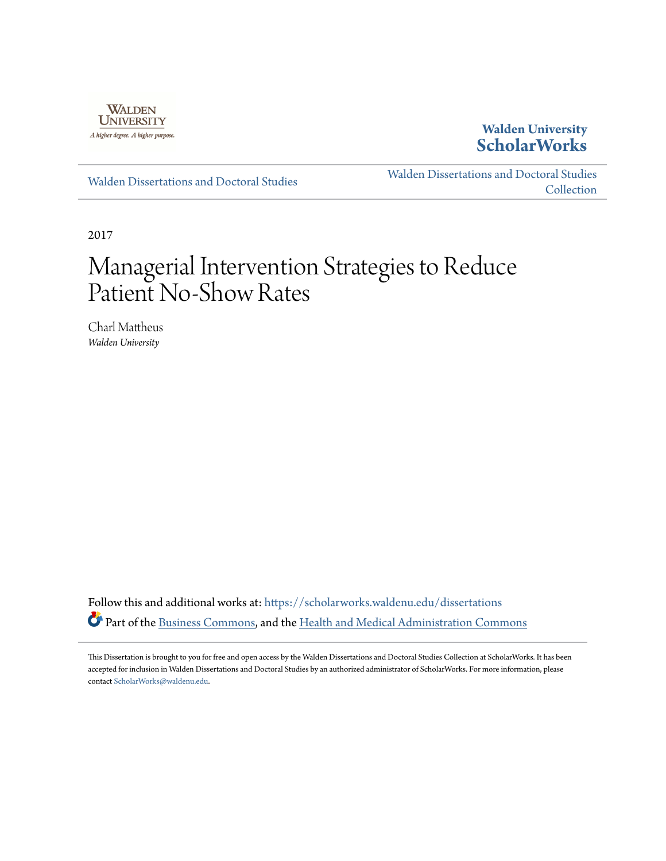

# **Walden University [ScholarWorks](https://scholarworks.waldenu.edu?utm_source=scholarworks.waldenu.edu%2Fdissertations%2F3706&utm_medium=PDF&utm_campaign=PDFCoverPages)**

[Walden Dissertations and Doctoral Studies](https://scholarworks.waldenu.edu/dissertations?utm_source=scholarworks.waldenu.edu%2Fdissertations%2F3706&utm_medium=PDF&utm_campaign=PDFCoverPages)

[Walden Dissertations and Doctoral Studies](https://scholarworks.waldenu.edu/dissanddoc?utm_source=scholarworks.waldenu.edu%2Fdissertations%2F3706&utm_medium=PDF&utm_campaign=PDFCoverPages) **[Collection](https://scholarworks.waldenu.edu/dissanddoc?utm_source=scholarworks.waldenu.edu%2Fdissertations%2F3706&utm_medium=PDF&utm_campaign=PDFCoverPages)** 

2017

# Managerial Intervention Strategies to Reduce Patient No-Show Rates

Charl Mattheus *Walden University*

Follow this and additional works at: [https://scholarworks.waldenu.edu/dissertations](https://scholarworks.waldenu.edu/dissertations?utm_source=scholarworks.waldenu.edu%2Fdissertations%2F3706&utm_medium=PDF&utm_campaign=PDFCoverPages) Part of the [Business Commons,](http://network.bepress.com/hgg/discipline/622?utm_source=scholarworks.waldenu.edu%2Fdissertations%2F3706&utm_medium=PDF&utm_campaign=PDFCoverPages) and the [Health and Medical Administration Commons](http://network.bepress.com/hgg/discipline/663?utm_source=scholarworks.waldenu.edu%2Fdissertations%2F3706&utm_medium=PDF&utm_campaign=PDFCoverPages)

This Dissertation is brought to you for free and open access by the Walden Dissertations and Doctoral Studies Collection at ScholarWorks. It has been accepted for inclusion in Walden Dissertations and Doctoral Studies by an authorized administrator of ScholarWorks. For more information, please contact [ScholarWorks@waldenu.edu](mailto:ScholarWorks@waldenu.edu).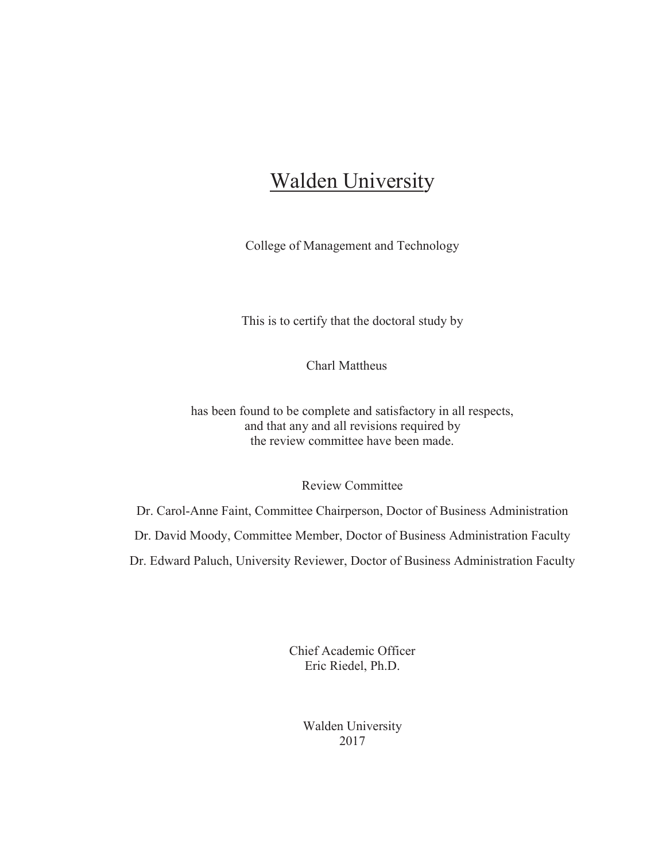# **Walden University**

College of Management and Technology

This is to certify that the doctoral study by

Charl Mattheus

has been found to be complete and satisfactory in all respects, and that any and all revisions required by the review committee have been made.

Review Committee

Dr. Carol-Anne Faint, Committee Chairperson, Doctor of Business Administration Dr. David Moody, Committee Member, Doctor of Business Administration Faculty Dr. Edward Paluch, University Reviewer, Doctor of Business Administration Faculty

> Chief Academic Officer Eric Riedel, Ph.D.

> > Walden University 2017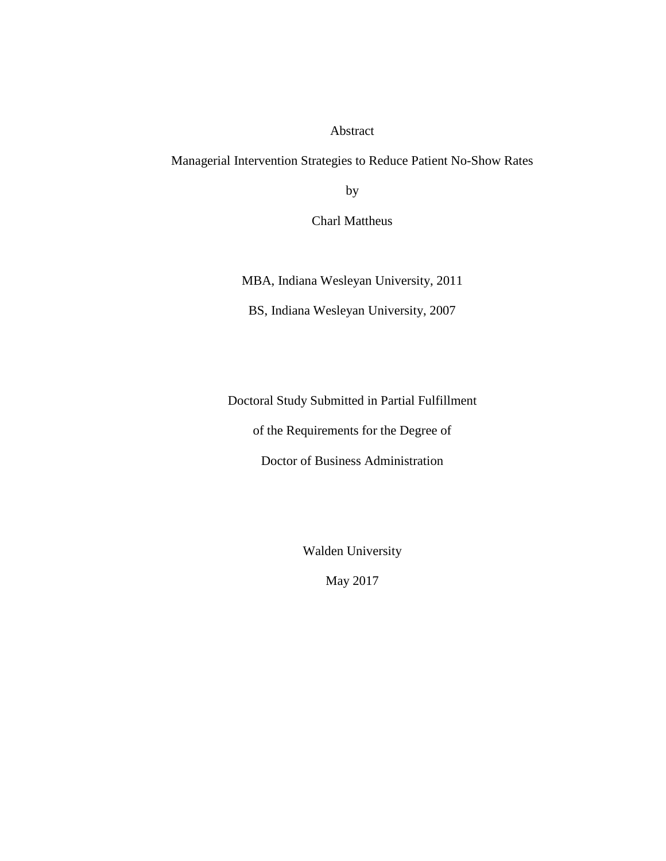Abstract

Managerial Intervention Strategies to Reduce Patient No-Show Rates

by

Charl Mattheus

MBA, Indiana Wesleyan University, 2011

BS, Indiana Wesleyan University, 2007

Doctoral Study Submitted in Partial Fulfillment

of the Requirements for the Degree of

Doctor of Business Administration

Walden University

May 2017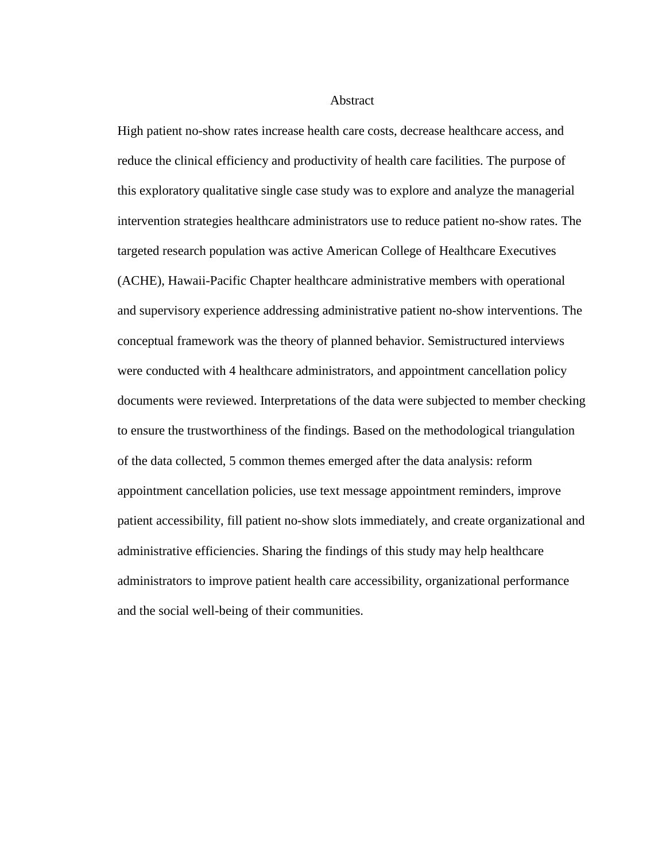#### **Abstract**

High patient no-show rates increase health care costs, decrease healthcare access, and reduce the clinical efficiency and productivity of health care facilities. The purpose of this exploratory qualitative single case study was to explore and analyze the managerial intervention strategies healthcare administrators use to reduce patient no-show rates. The targeted research population was active American College of Healthcare Executives (ACHE), Hawaii-Pacific Chapter healthcare administrative members with operational and supervisory experience addressing administrative patient no-show interventions. The conceptual framework was the theory of planned behavior. Semistructured interviews were conducted with 4 healthcare administrators, and appointment cancellation policy documents were reviewed. Interpretations of the data were subjected to member checking to ensure the trustworthiness of the findings. Based on the methodological triangulation of the data collected, 5 common themes emerged after the data analysis: reform appointment cancellation policies, use text message appointment reminders, improve patient accessibility, fill patient no-show slots immediately, and create organizational and administrative efficiencies. Sharing the findings of this study may help healthcare administrators to improve patient health care accessibility, organizational performance and the social well-being of their communities.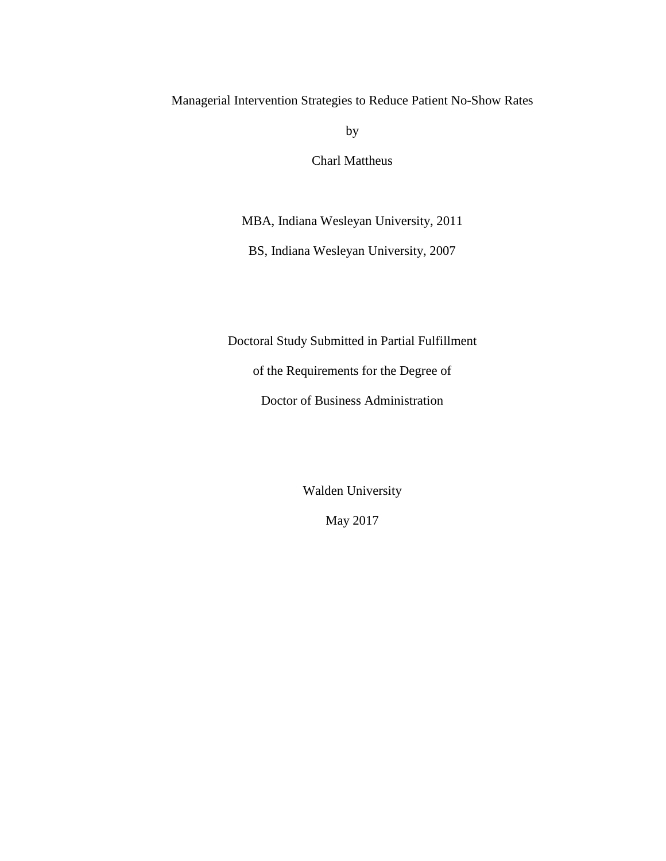Managerial Intervention Strategies to Reduce Patient No-Show Rates

by

Charl Mattheus

MBA, Indiana Wesleyan University, 2011

BS, Indiana Wesleyan University, 2007

Doctoral Study Submitted in Partial Fulfillment

of the Requirements for the Degree of

Doctor of Business Administration

Walden University

May 2017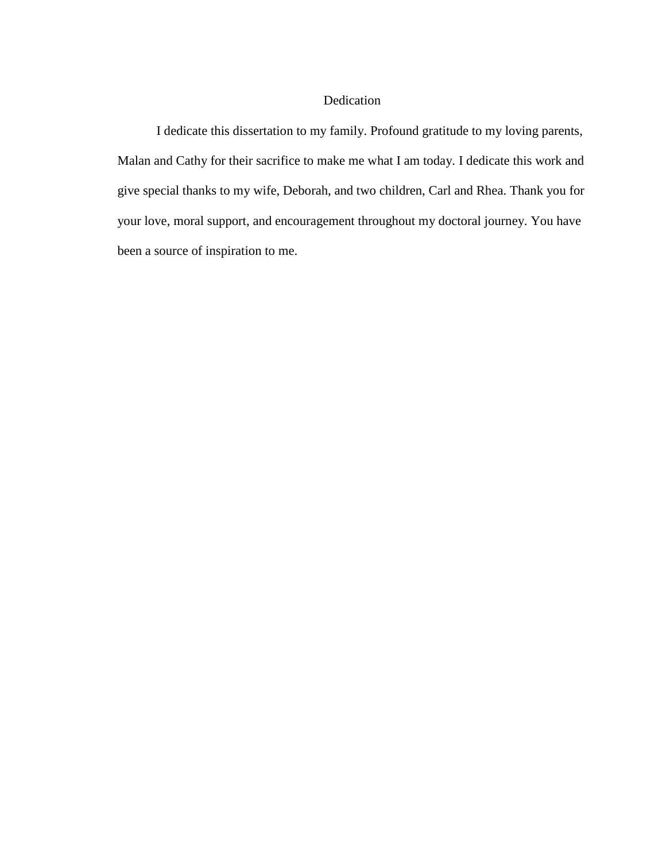#### Dedication

I dedicate this dissertation to my family. Profound gratitude to my loving parents, Malan and Cathy for their sacrifice to make me what I am today. I dedicate this work and give special thanks to my wife, Deborah, and two children, Carl and Rhea. Thank you for your love, moral support, and encouragement throughout my doctoral journey. You have been a source of inspiration to me.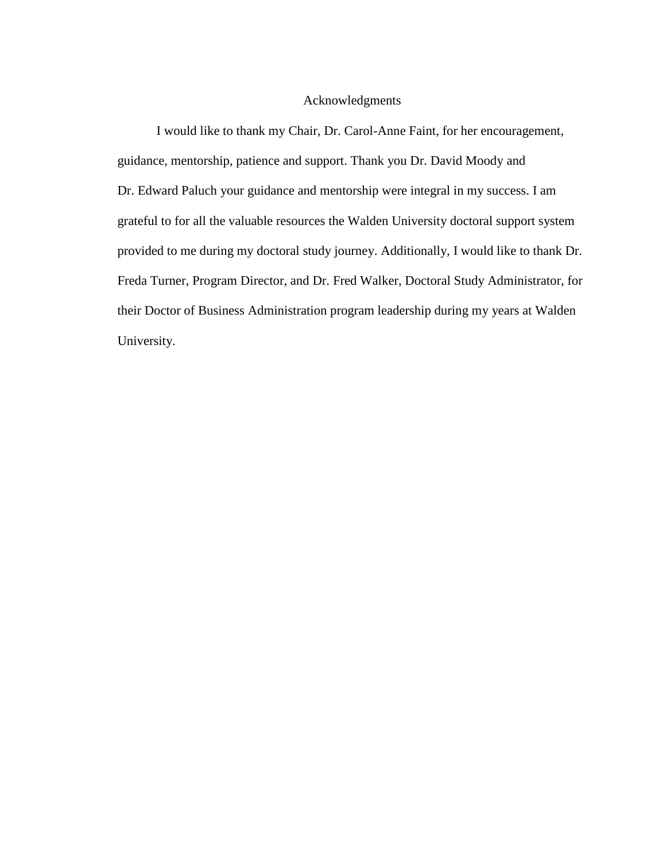#### Acknowledgments

I would like to thank my Chair, Dr. Carol-Anne Faint, for her encouragement, guidance, mentorship, patience and support. Thank you Dr. David Moody and Dr. Edward Paluch your guidance and mentorship were integral in my success. I am grateful to for all the valuable resources the Walden University doctoral support system provided to me during my doctoral study journey. Additionally, I would like to thank Dr. Freda Turner, Program Director, and Dr. Fred Walker, Doctoral Study Administrator, for their Doctor of Business Administration program leadership during my years at Walden University.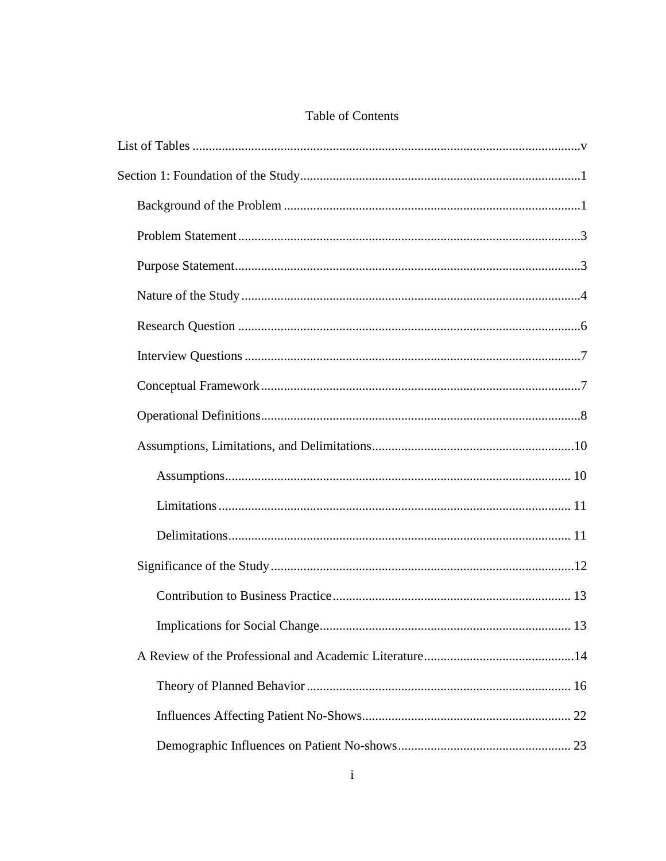### Table of Contents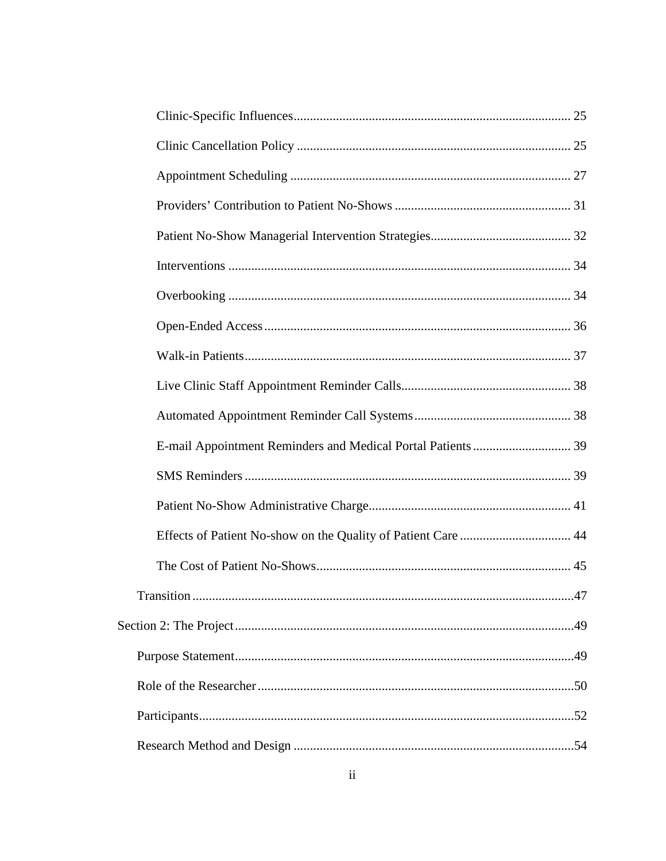| Transition | .47 |
|------------|-----|
|            |     |
|            |     |
|            |     |
|            |     |
|            |     |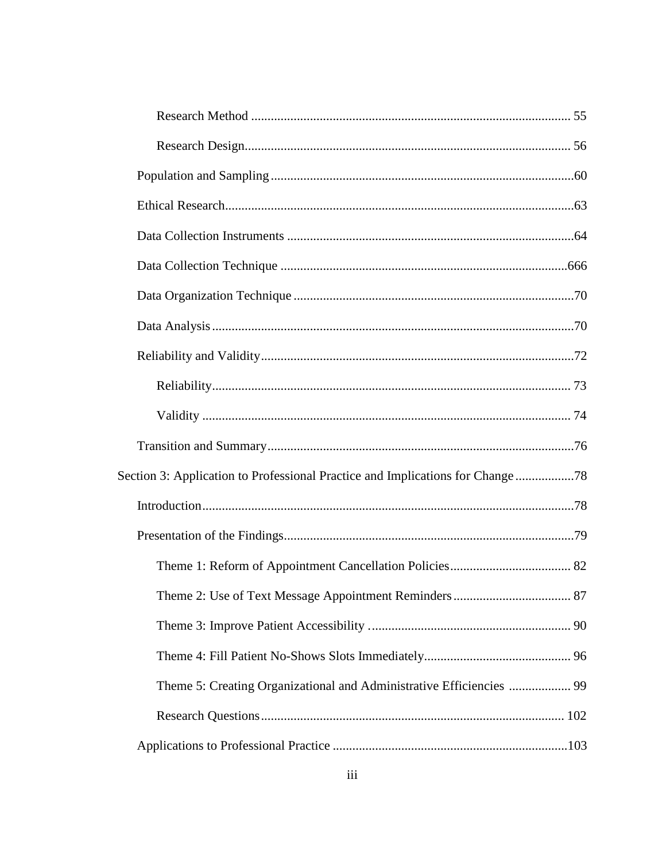| Section 3: Application to Professional Practice and Implications for Change 78 |  |
|--------------------------------------------------------------------------------|--|
|                                                                                |  |
|                                                                                |  |
|                                                                                |  |
|                                                                                |  |
|                                                                                |  |
|                                                                                |  |
| Theme 5: Creating Organizational and Administrative Efficiencies  99           |  |
|                                                                                |  |
|                                                                                |  |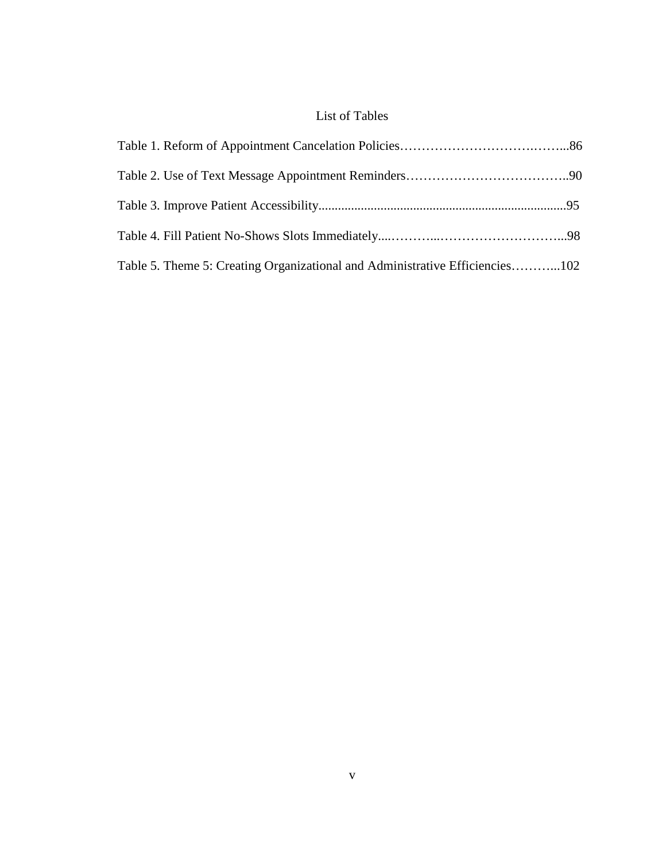## List of Tables

<span id="page-11-0"></span>

| Table 5. Theme 5: Creating Organizational and Administrative Efficiencies102 |  |
|------------------------------------------------------------------------------|--|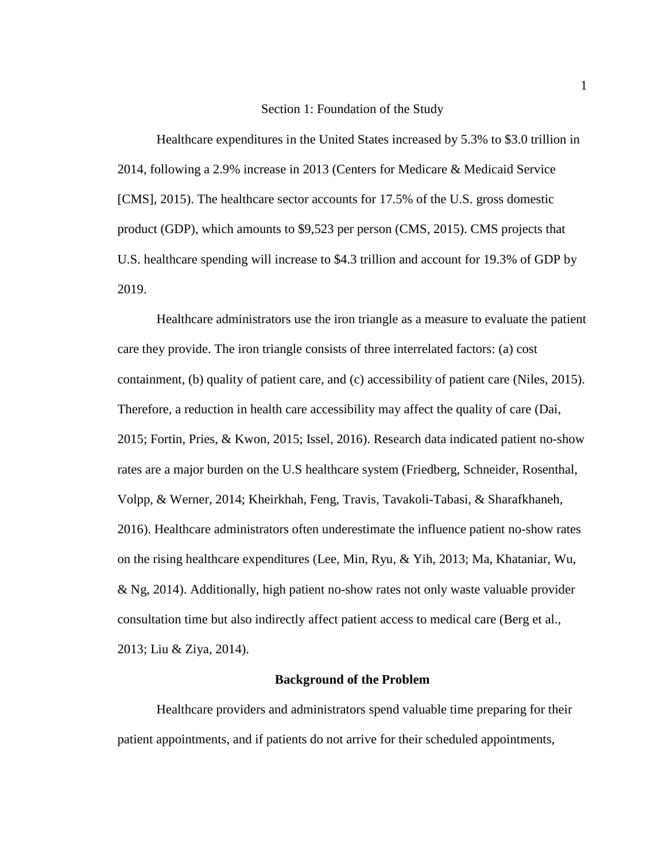#### Section 1: Foundation of the Study

<span id="page-12-0"></span>Healthcare expenditures in the United States increased by 5.3% to \$3.0 trillion in 2014, following a 2.9% increase in 2013 (Centers for Medicare & Medicaid Service [CMS], 2015). The healthcare sector accounts for 17.5% of the U.S. gross domestic product (GDP), which amounts to \$9,523 per person (CMS, 2015). CMS projects that U.S. healthcare spending will increase to \$4.3 trillion and account for 19.3% of GDP by 2019.

Healthcare administrators use the iron triangle as a measure to evaluate the patient care they provide. The iron triangle consists of three interrelated factors: (a) cost containment, (b) quality of patient care, and (c) accessibility of patient care (Niles, 2015). Therefore, a reduction in health care accessibility may affect the quality of care (Dai, 2015; Fortin, Pries, & Kwon, 2015; Issel, 2016). Research data indicated patient no-show rates are a major burden on the U.S healthcare system (Friedberg, Schneider, Rosenthal, Volpp, & Werner, 2014; Kheirkhah, Feng, Travis, Tavakoli-Tabasi, & Sharafkhaneh, 2016). Healthcare administrators often underestimate the influence patient no-show rates on the rising healthcare expenditures (Lee, Min, Ryu, & Yih, 2013; Ma, Khataniar, Wu, & Ng, 2014). Additionally, high patient no-show rates not only waste valuable provider consultation time but also indirectly affect patient access to medical care (Berg et al., 2013; Liu & Ziya, 2014).

#### **Background of the Problem**

<span id="page-12-1"></span>Healthcare providers and administrators spend valuable time preparing for their patient appointments, and if patients do not arrive for their scheduled appointments,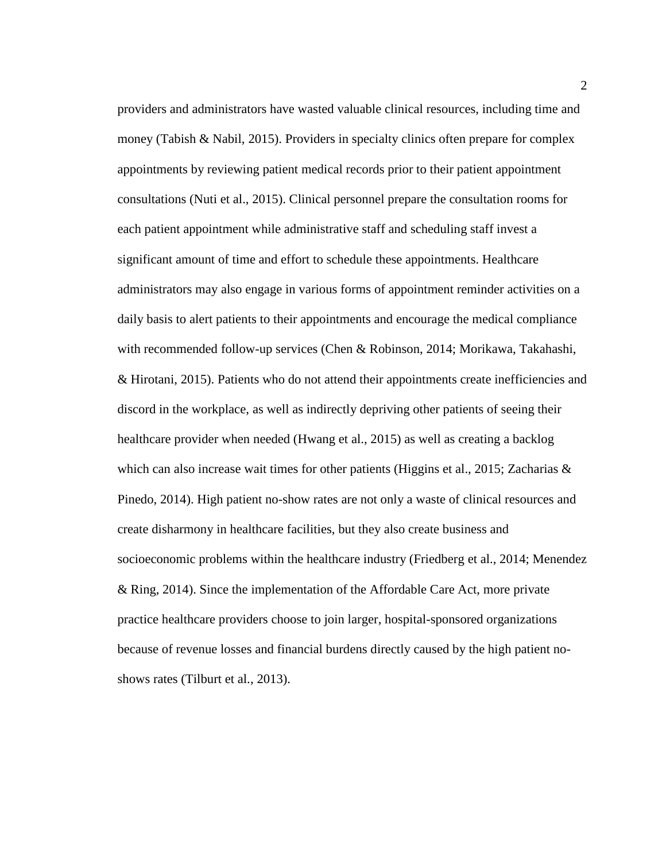providers and administrators have wasted valuable clinical resources, including time and money (Tabish  $\&$  Nabil, 2015). Providers in specialty clinics often prepare for complex appointments by reviewing patient medical records prior to their patient appointment consultations (Nuti et al., 2015). Clinical personnel prepare the consultation rooms for each patient appointment while administrative staff and scheduling staff invest a significant amount of time and effort to schedule these appointments. Healthcare administrators may also engage in various forms of appointment reminder activities on a daily basis to alert patients to their appointments and encourage the medical compliance with recommended follow-up services (Chen & Robinson, 2014; Morikawa, Takahashi, & Hirotani, 2015). Patients who do not attend their appointments create inefficiencies and discord in the workplace, as well as indirectly depriving other patients of seeing their healthcare provider when needed (Hwang et al., 2015) as well as creating a backlog which can also increase wait times for other patients (Higgins et al., 2015; Zacharias  $\&$ Pinedo, 2014). High patient no-show rates are not only a waste of clinical resources and create disharmony in healthcare facilities, but they also create business and socioeconomic problems within the healthcare industry (Friedberg et al., 2014; Menendez & Ring, 2014). Since the implementation of the Affordable Care Act, more private practice healthcare providers choose to join larger, hospital-sponsored organizations because of revenue losses and financial burdens directly caused by the high patient noshows rates (Tilburt et al., 2013).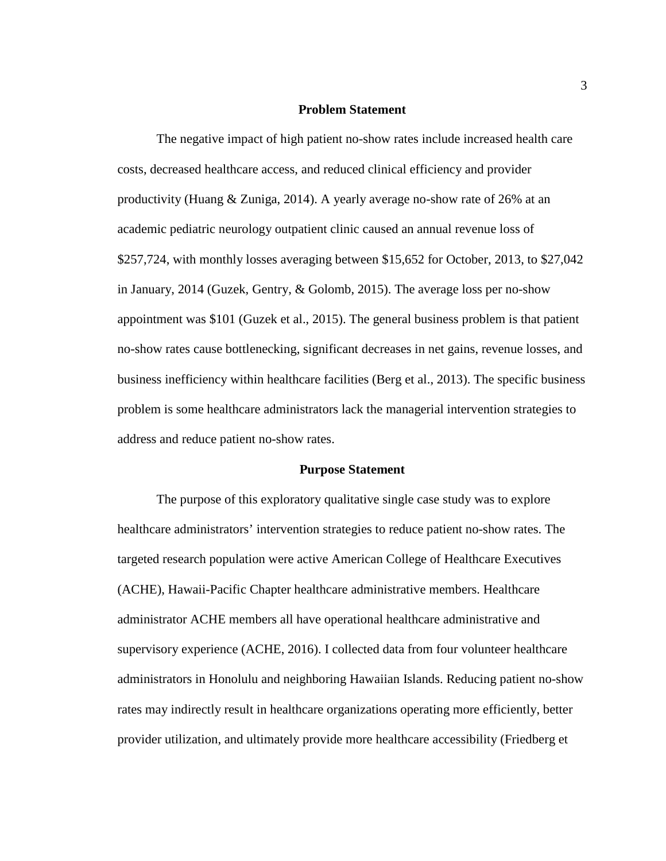#### **Problem Statement**

<span id="page-14-0"></span>The negative impact of high patient no-show rates include increased health care costs, decreased healthcare access, and reduced clinical efficiency and provider productivity (Huang & Zuniga, 2014). A yearly average no-show rate of 26% at an academic pediatric neurology outpatient clinic caused an annual revenue loss of \$257,724, with monthly losses averaging between \$15,652 for October, 2013, to \$27,042 in January, 2014 (Guzek, Gentry, & Golomb, 2015). The average loss per no-show appointment was \$101 (Guzek et al., 2015). The general business problem is that patient no-show rates cause bottlenecking, significant decreases in net gains, revenue losses, and business inefficiency within healthcare facilities (Berg et al., 2013). The specific business problem is some healthcare administrators lack the managerial intervention strategies to address and reduce patient no-show rates.

#### **Purpose Statement**

<span id="page-14-1"></span>The purpose of this exploratory qualitative single case study was to explore healthcare administrators' intervention strategies to reduce patient no-show rates. The targeted research population were active American College of Healthcare Executives (ACHE), Hawaii-Pacific Chapter healthcare administrative members. Healthcare administrator ACHE members all have operational healthcare administrative and supervisory experience (ACHE, 2016). I collected data from four volunteer healthcare administrators in Honolulu and neighboring Hawaiian Islands. Reducing patient no-show rates may indirectly result in healthcare organizations operating more efficiently, better provider utilization, and ultimately provide more healthcare accessibility (Friedberg et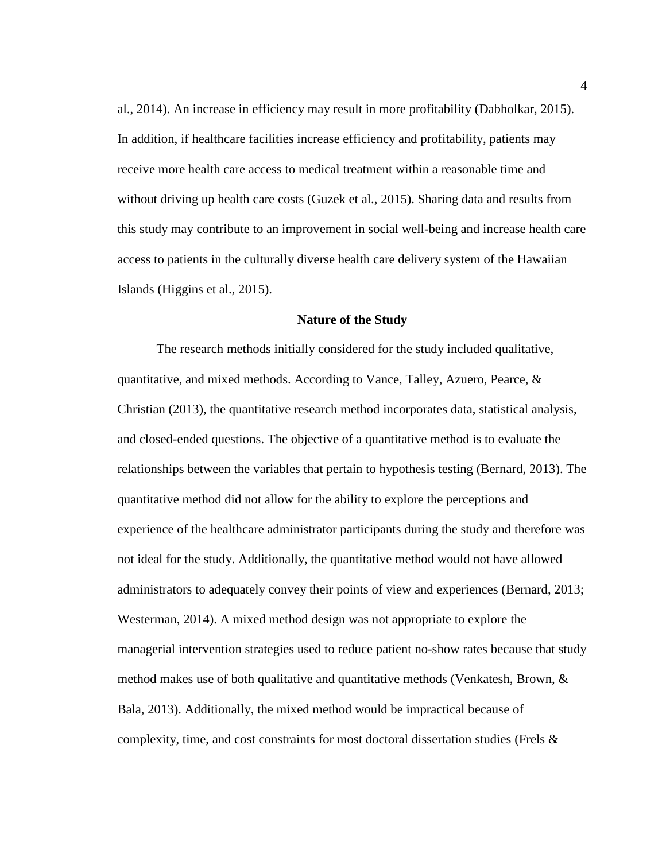al., 2014). An increase in efficiency may result in more profitability (Dabholkar, 2015). In addition, if healthcare facilities increase efficiency and profitability, patients may receive more health care access to medical treatment within a reasonable time and without driving up health care costs (Guzek et al., 2015). Sharing data and results from this study may contribute to an improvement in social well-being and increase health care access to patients in the culturally diverse health care delivery system of the Hawaiian Islands (Higgins et al., 2015).

#### **Nature of the Study**

<span id="page-15-0"></span>The research methods initially considered for the study included qualitative, quantitative, and mixed methods. According to Vance, Talley, Azuero, Pearce, & Christian (2013), the quantitative research method incorporates data, statistical analysis, and closed-ended questions. The objective of a quantitative method is to evaluate the relationships between the variables that pertain to hypothesis testing (Bernard, 2013). The quantitative method did not allow for the ability to explore the perceptions and experience of the healthcare administrator participants during the study and therefore was not ideal for the study. Additionally, the quantitative method would not have allowed administrators to adequately convey their points of view and experiences (Bernard, 2013; Westerman, 2014). A mixed method design was not appropriate to explore the managerial intervention strategies used to reduce patient no-show rates because that study method makes use of both qualitative and quantitative methods (Venkatesh, Brown,  $\&$ Bala, 2013). Additionally, the mixed method would be impractical because of complexity, time, and cost constraints for most doctoral dissertation studies (Frels  $\&$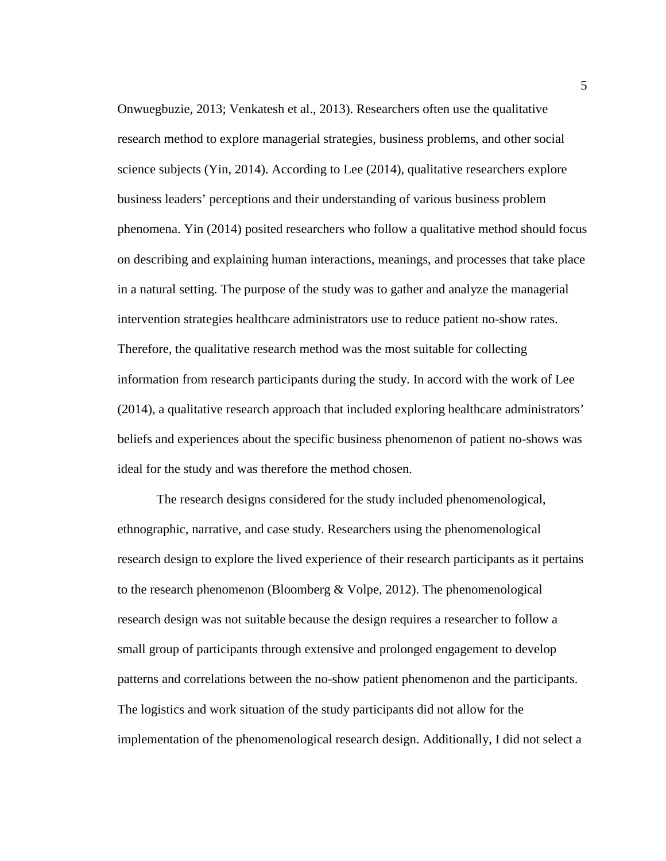Onwuegbuzie, 2013; Venkatesh et al., 2013). Researchers often use the qualitative research method to explore managerial strategies, business problems, and other social science subjects (Yin, 2014). According to Lee (2014), qualitative researchers explore business leaders' perceptions and their understanding of various business problem phenomena. Yin (2014) posited researchers who follow a qualitative method should focus on describing and explaining human interactions, meanings, and processes that take place in a natural setting. The purpose of the study was to gather and analyze the managerial intervention strategies healthcare administrators use to reduce patient no-show rates. Therefore, the qualitative research method was the most suitable for collecting information from research participants during the study. In accord with the work of Lee (2014), a qualitative research approach that included exploring healthcare administrators' beliefs and experiences about the specific business phenomenon of patient no-shows was ideal for the study and was therefore the method chosen.

The research designs considered for the study included phenomenological, ethnographic, narrative, and case study. Researchers using the phenomenological research design to explore the lived experience of their research participants as it pertains to the research phenomenon (Bloomberg & Volpe, 2012). The phenomenological research design was not suitable because the design requires a researcher to follow a small group of participants through extensive and prolonged engagement to develop patterns and correlations between the no-show patient phenomenon and the participants. The logistics and work situation of the study participants did not allow for the implementation of the phenomenological research design. Additionally, I did not select a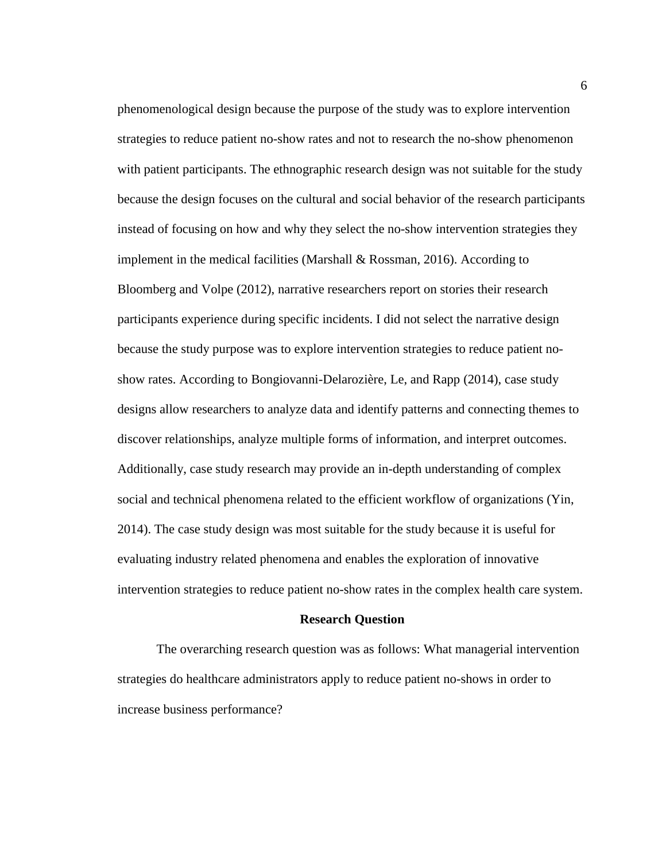phenomenological design because the purpose of the study was to explore intervention strategies to reduce patient no-show rates and not to research the no-show phenomenon with patient participants. The ethnographic research design was not suitable for the study because the design focuses on the cultural and social behavior of the research participants instead of focusing on how and why they select the no-show intervention strategies they implement in the medical facilities (Marshall  $\&$  Rossman, 2016). According to Bloomberg and Volpe (2012), narrative researchers report on stories their research participants experience during specific incidents. I did not select the narrative design because the study purpose was to explore intervention strategies to reduce patient noshow rates. According to Bongiovanni-Delarozière, Le, and Rapp (2014), case study designs allow researchers to analyze data and identify patterns and connecting themes to discover relationships, analyze multiple forms of information, and interpret outcomes. Additionally, case study research may provide an in-depth understanding of complex social and technical phenomena related to the efficient workflow of organizations (Yin, 2014). The case study design was most suitable for the study because it is useful for evaluating industry related phenomena and enables the exploration of innovative intervention strategies to reduce patient no-show rates in the complex health care system.

#### **Research Question**

<span id="page-17-0"></span>The overarching research question was as follows: What managerial intervention strategies do healthcare administrators apply to reduce patient no-shows in order to increase business performance?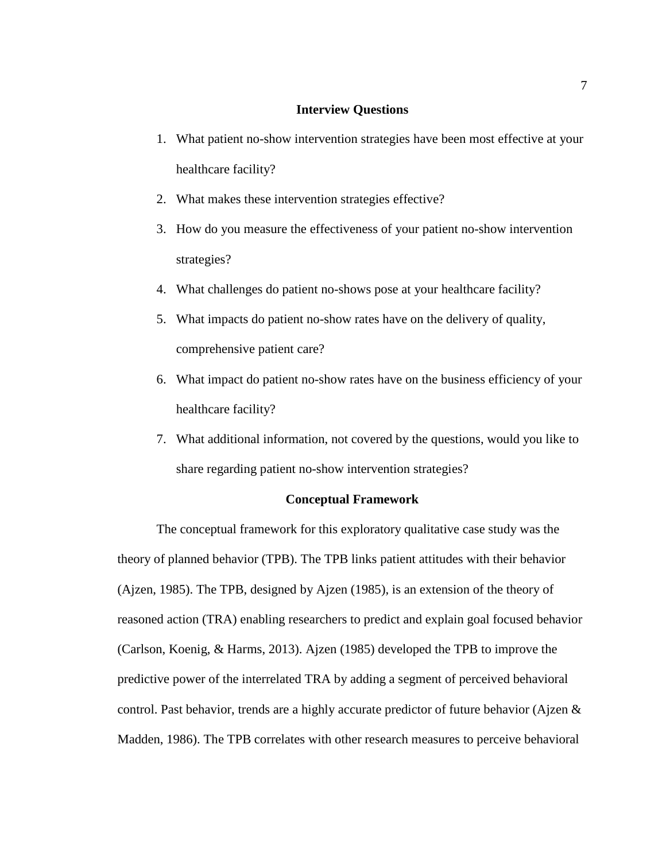#### **Interview Questions**

- <span id="page-18-0"></span>1. What patient no-show intervention strategies have been most effective at your healthcare facility?
- 2. What makes these intervention strategies effective?
- 3. How do you measure the effectiveness of your patient no-show intervention strategies?
- 4. What challenges do patient no-shows pose at your healthcare facility?
- 5. What impacts do patient no-show rates have on the delivery of quality, comprehensive patient care?
- 6. What impact do patient no-show rates have on the business efficiency of your healthcare facility?
- 7. What additional information, not covered by the questions, would you like to share regarding patient no-show intervention strategies?

#### **Conceptual Framework**

<span id="page-18-1"></span>The conceptual framework for this exploratory qualitative case study was the theory of planned behavior (TPB). The TPB links patient attitudes with their behavior (Ajzen, 1985). The TPB, designed by Ajzen (1985), is an extension of the theory of reasoned action (TRA) enabling researchers to predict and explain goal focused behavior (Carlson, Koenig, & Harms, 2013). Ajzen (1985) developed the TPB to improve the predictive power of the interrelated TRA by adding a segment of perceived behavioral control. Past behavior, trends are a highly accurate predictor of future behavior (Ajzen & Madden, 1986). The TPB correlates with other research measures to perceive behavioral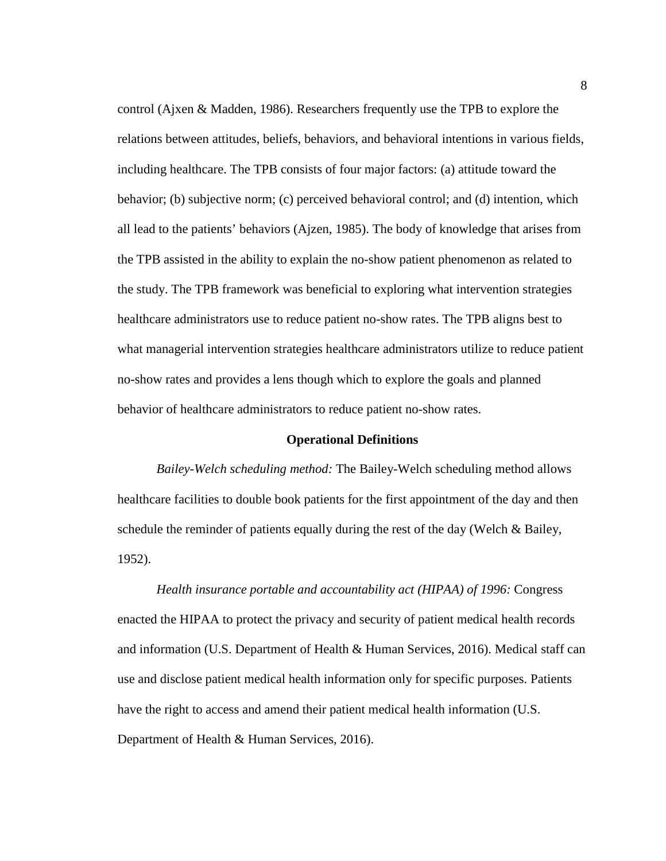control (Ajxen & Madden, 1986). Researchers frequently use the TPB to explore the relations between attitudes, beliefs, behaviors, and behavioral intentions in various fields, including healthcare. The TPB consists of four major factors: (a) attitude toward the behavior; (b) subjective norm; (c) perceived behavioral control; and (d) intention, which all lead to the patients' behaviors (Ajzen, 1985). The body of knowledge that arises from the TPB assisted in the ability to explain the no-show patient phenomenon as related to the study. The TPB framework was beneficial to exploring what intervention strategies healthcare administrators use to reduce patient no-show rates. The TPB aligns best to what managerial intervention strategies healthcare administrators utilize to reduce patient no-show rates and provides a lens though which to explore the goals and planned behavior of healthcare administrators to reduce patient no-show rates.

#### **Operational Definitions**

<span id="page-19-0"></span>*Bailey-Welch scheduling method:* The Bailey-Welch scheduling method allows healthcare facilities to double book patients for the first appointment of the day and then schedule the reminder of patients equally during the rest of the day (Welch & Bailey, 1952).

*Health insurance portable and accountability act (HIPAA) of 1996:* Congress enacted the HIPAA to protect the privacy and security of patient medical health records and information (U.S. Department of Health & Human Services, 2016). Medical staff can use and disclose patient medical health information only for specific purposes. Patients have the right to access and amend their patient medical health information (U.S. Department of Health & Human Services, 2016).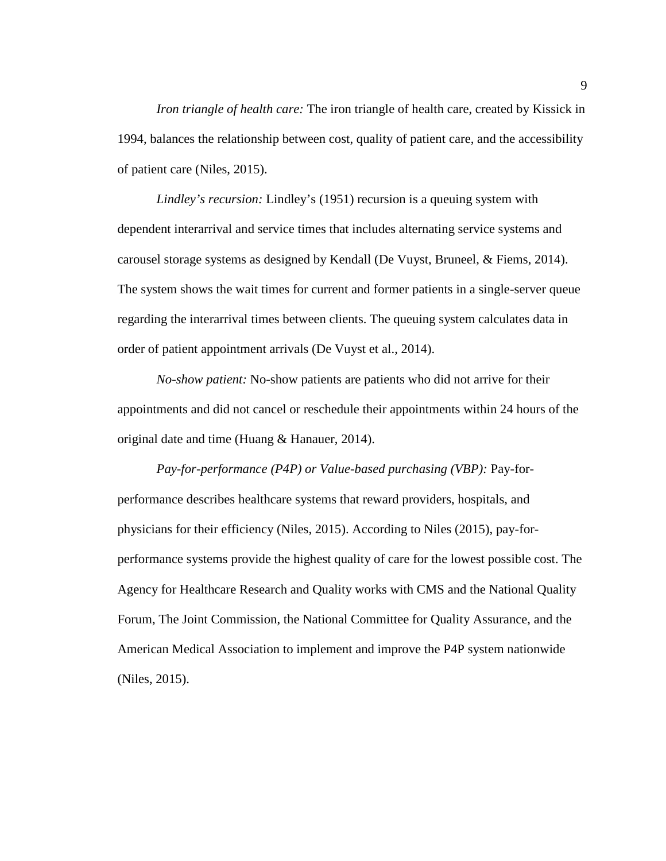*Iron triangle of health care:* The iron triangle of health care, created by Kissick in 1994, balances the relationship between cost, quality of patient care, and the accessibility of patient care (Niles, 2015).

*Lindley's recursion:* Lindley's (1951) recursion is a queuing system with dependent interarrival and service times that includes alternating service systems and carousel storage systems as designed by Kendall (De Vuyst, Bruneel, & Fiems, 2014). The system shows the wait times for current and former patients in a single-server queue regarding the interarrival times between clients. The queuing system calculates data in order of patient appointment arrivals (De Vuyst et al., 2014).

*No-show patient:* No-show patients are patients who did not arrive for their appointments and did not cancel or reschedule their appointments within 24 hours of the original date and time (Huang & Hanauer, 2014).

*Pay-for-performance (P4P) or Value-based purchasing (VBP):* Pay-forperformance describes healthcare systems that reward providers, hospitals, and physicians for their efficiency (Niles, 2015). According to Niles (2015), pay-forperformance systems provide the highest quality of care for the lowest possible cost. The Agency for Healthcare Research and Quality works with CMS and the National Quality Forum, The Joint Commission, the National Committee for Quality Assurance, and the American Medical Association to implement and improve the P4P system nationwide (Niles, 2015).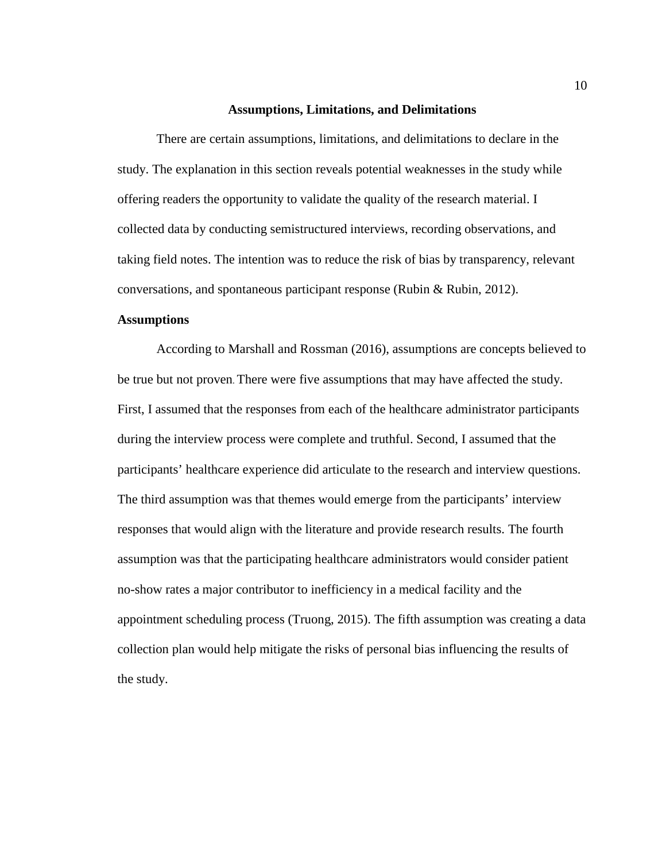#### **Assumptions, Limitations, and Delimitations**

<span id="page-21-0"></span>There are certain assumptions, limitations, and delimitations to declare in the study. The explanation in this section reveals potential weaknesses in the study while offering readers the opportunity to validate the quality of the research material. I collected data by conducting semistructured interviews, recording observations, and taking field notes. The intention was to reduce the risk of bias by transparency, relevant conversations, and spontaneous participant response (Rubin & Rubin, 2012).

#### <span id="page-21-1"></span>**Assumptions**

According to Marshall and Rossman (2016), assumptions are concepts believed to be true but not proven. There were five assumptions that may have affected the study. First, I assumed that the responses from each of the healthcare administrator participants during the interview process were complete and truthful. Second, I assumed that the participants' healthcare experience did articulate to the research and interview questions. The third assumption was that themes would emerge from the participants' interview responses that would align with the literature and provide research results. The fourth assumption was that the participating healthcare administrators would consider patient no-show rates a major contributor to inefficiency in a medical facility and the appointment scheduling process (Truong, 2015). The fifth assumption was creating a data collection plan would help mitigate the risks of personal bias influencing the results of the study.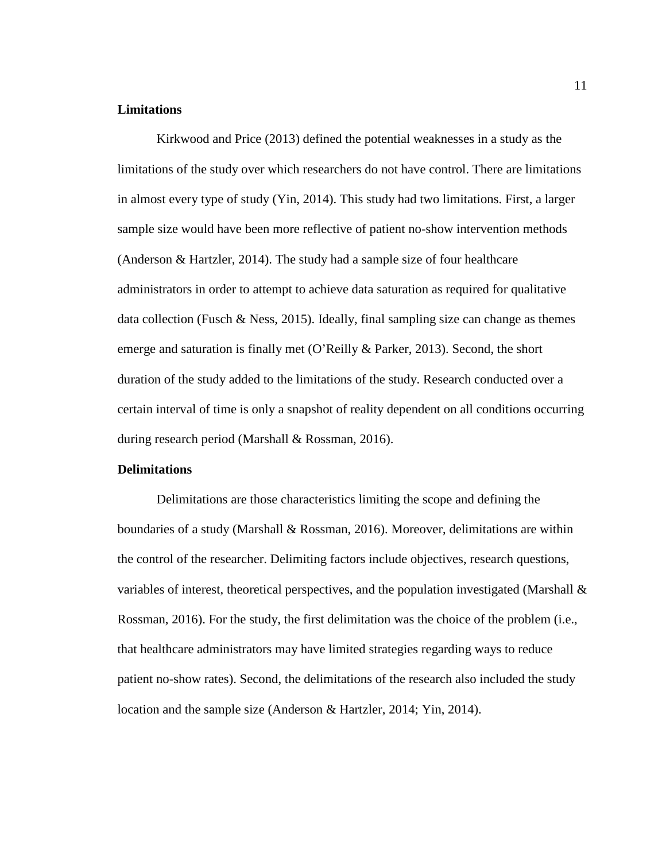#### <span id="page-22-0"></span>**Limitations**

Kirkwood and Price (2013) defined the potential weaknesses in a study as the limitations of the study over which researchers do not have control. There are limitations in almost every type of study (Yin, 2014). This study had two limitations. First, a larger sample size would have been more reflective of patient no-show intervention methods (Anderson & Hartzler, 2014). The study had a sample size of four healthcare administrators in order to attempt to achieve data saturation as required for qualitative data collection (Fusch & Ness, 2015). Ideally, final sampling size can change as themes emerge and saturation is finally met (O'Reilly & Parker, 2013). Second, the short duration of the study added to the limitations of the study. Research conducted over a certain interval of time is only a snapshot of reality dependent on all conditions occurring during research period (Marshall & Rossman, 2016).

#### <span id="page-22-1"></span>**Delimitations**

Delimitations are those characteristics limiting the scope and defining the boundaries of a study (Marshall & Rossman, 2016). Moreover, delimitations are within the control of the researcher. Delimiting factors include objectives, research questions, variables of interest, theoretical perspectives, and the population investigated (Marshall & Rossman, 2016). For the study, the first delimitation was the choice of the problem (i.e., that healthcare administrators may have limited strategies regarding ways to reduce patient no-show rates). Second, the delimitations of the research also included the study location and the sample size (Anderson & Hartzler, 2014; Yin, 2014).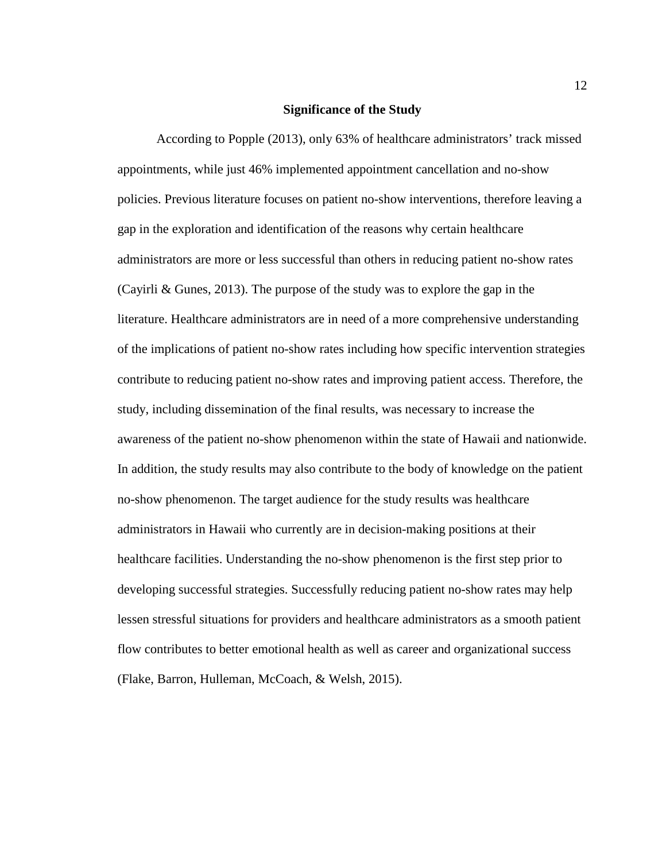#### **Significance of the Study**

<span id="page-23-0"></span>According to Popple (2013), only 63% of healthcare administrators' track missed appointments, while just 46% implemented appointment cancellation and no-show policies. Previous literature focuses on patient no-show interventions, therefore leaving a gap in the exploration and identification of the reasons why certain healthcare administrators are more or less successful than others in reducing patient no-show rates (Cayirli & Gunes, 2013). The purpose of the study was to explore the gap in the literature. Healthcare administrators are in need of a more comprehensive understanding of the implications of patient no-show rates including how specific intervention strategies contribute to reducing patient no-show rates and improving patient access. Therefore, the study, including dissemination of the final results, was necessary to increase the awareness of the patient no-show phenomenon within the state of Hawaii and nationwide. In addition, the study results may also contribute to the body of knowledge on the patient no-show phenomenon. The target audience for the study results was healthcare administrators in Hawaii who currently are in decision-making positions at their healthcare facilities. Understanding the no-show phenomenon is the first step prior to developing successful strategies. Successfully reducing patient no-show rates may help lessen stressful situations for providers and healthcare administrators as a smooth patient flow contributes to better emotional health as well as career and organizational success (Flake, Barron, Hulleman, McCoach, & Welsh, 2015).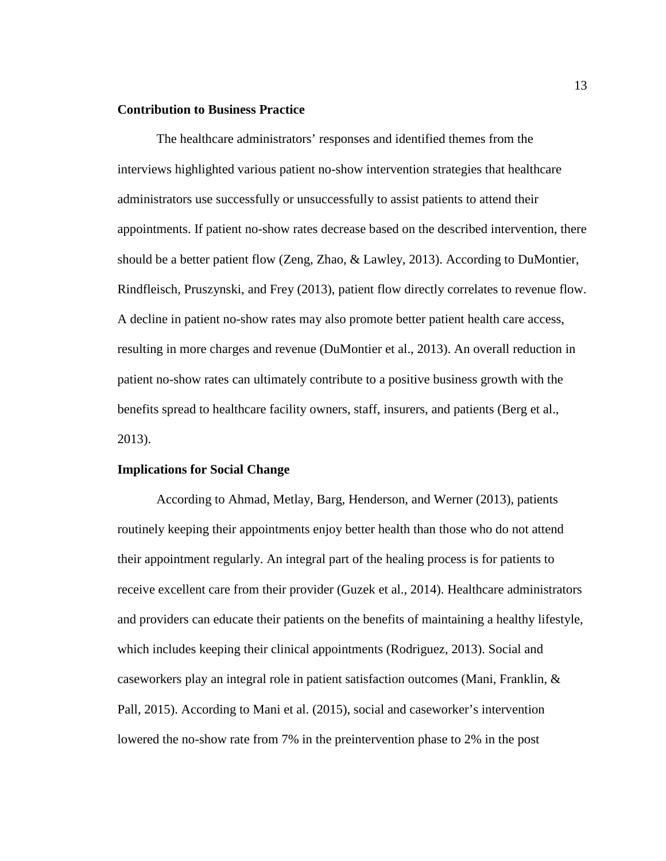#### <span id="page-24-0"></span>**Contribution to Business Practice**

The healthcare administrators' responses and identified themes from the interviews highlighted various patient no-show intervention strategies that healthcare administrators use successfully or unsuccessfully to assist patients to attend their appointments. If patient no-show rates decrease based on the described intervention, there should be a better patient flow (Zeng, Zhao, & Lawley, 2013). According to DuMontier, Rindfleisch, Pruszynski, and Frey (2013), patient flow directly correlates to revenue flow. A decline in patient no-show rates may also promote better patient health care access, resulting in more charges and revenue (DuMontier et al., 2013). An overall reduction in patient no-show rates can ultimately contribute to a positive business growth with the benefits spread to healthcare facility owners, staff, insurers, and patients (Berg et al., 2013).

#### <span id="page-24-1"></span>**Implications for Social Change**

According to Ahmad, Metlay, Barg, Henderson, and Werner (2013), patients routinely keeping their appointments enjoy better health than those who do not attend their appointment regularly. An integral part of the healing process is for patients to receive excellent care from their provider (Guzek et al., 2014). Healthcare administrators and providers can educate their patients on the benefits of maintaining a healthy lifestyle, which includes keeping their clinical appointments (Rodriguez, 2013). Social and caseworkers play an integral role in patient satisfaction outcomes (Mani, Franklin, & Pall, 2015). According to Mani et al. (2015), social and caseworker's intervention lowered the no-show rate from 7% in the preintervention phase to 2% in the post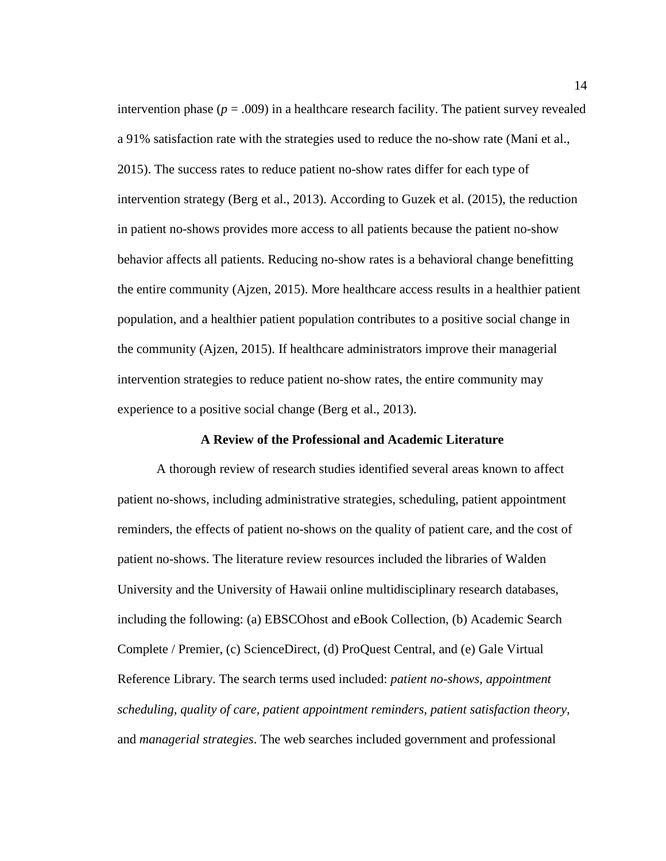intervention phase ( $p = .009$ ) in a healthcare research facility. The patient survey revealed a 91% satisfaction rate with the strategies used to reduce the no-show rate (Mani et al., 2015). The success rates to reduce patient no-show rates differ for each type of intervention strategy (Berg et al., 2013). According to Guzek et al. (2015), the reduction in patient no-shows provides more access to all patients because the patient no-show behavior affects all patients. Reducing no-show rates is a behavioral change benefitting the entire community (Ajzen, 2015). More healthcare access results in a healthier patient population, and a healthier patient population contributes to a positive social change in the community (Ajzen, 2015). If healthcare administrators improve their managerial intervention strategies to reduce patient no-show rates, the entire community may experience to a positive social change (Berg et al., 2013).

#### **A Review of the Professional and Academic Literature**

<span id="page-25-0"></span>A thorough review of research studies identified several areas known to affect patient no-shows, including administrative strategies, scheduling, patient appointment reminders, the effects of patient no-shows on the quality of patient care, and the cost of patient no-shows. The literature review resources included the libraries of Walden University and the University of Hawaii online multidisciplinary research databases, including the following: (a) EBSCOhost and eBook Collection, (b) Academic Search Complete / Premier, (c) ScienceDirect, (d) ProQuest Central, and (e) Gale Virtual Reference Library. The search terms used included: *patient no-shows, appointment scheduling, quality of care, patient appointment reminders, patient satisfaction theory,* and *managerial strategies*. The web searches included government and professional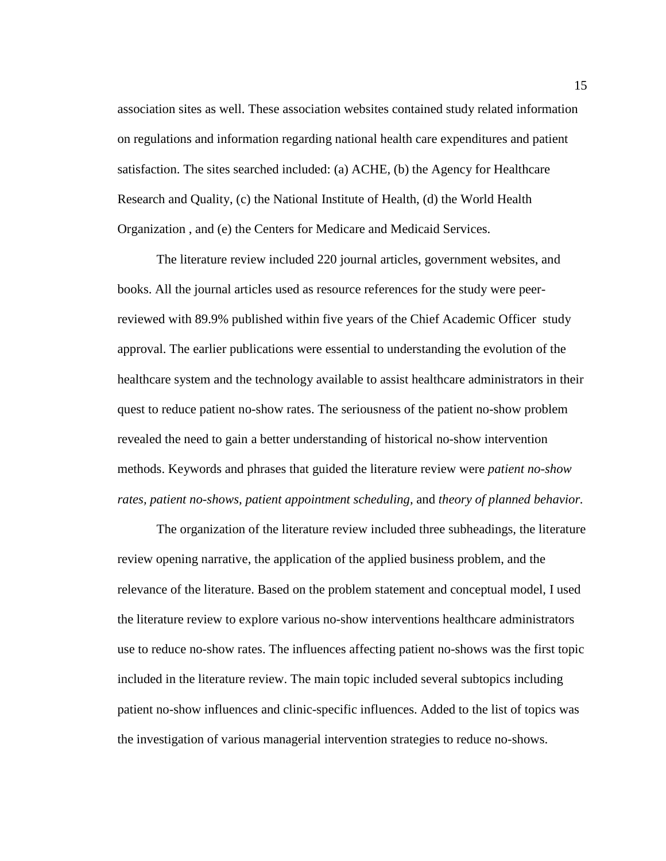association sites as well. These association websites contained study related information on regulations and information regarding national health care expenditures and patient satisfaction. The sites searched included: (a) ACHE, (b) the Agency for Healthcare Research and Quality, (c) the National Institute of Health, (d) the World Health Organization , and (e) the Centers for Medicare and Medicaid Services.

The literature review included 220 journal articles, government websites, and books. All the journal articles used as resource references for the study were peerreviewed with 89.9% published within five years of the Chief Academic Officer study approval. The earlier publications were essential to understanding the evolution of the healthcare system and the technology available to assist healthcare administrators in their quest to reduce patient no-show rates. The seriousness of the patient no-show problem revealed the need to gain a better understanding of historical no-show intervention methods. Keywords and phrases that guided the literature review were *patient no-show rates, patient no-shows, patient appointment scheduling,* and *theory of planned behavior.* 

The organization of the literature review included three subheadings, the literature review opening narrative, the application of the applied business problem, and the relevance of the literature. Based on the problem statement and conceptual model, I used the literature review to explore various no-show interventions healthcare administrators use to reduce no-show rates. The influences affecting patient no-shows was the first topic included in the literature review. The main topic included several subtopics including patient no-show influences and clinic-specific influences. Added to the list of topics was the investigation of various managerial intervention strategies to reduce no-shows.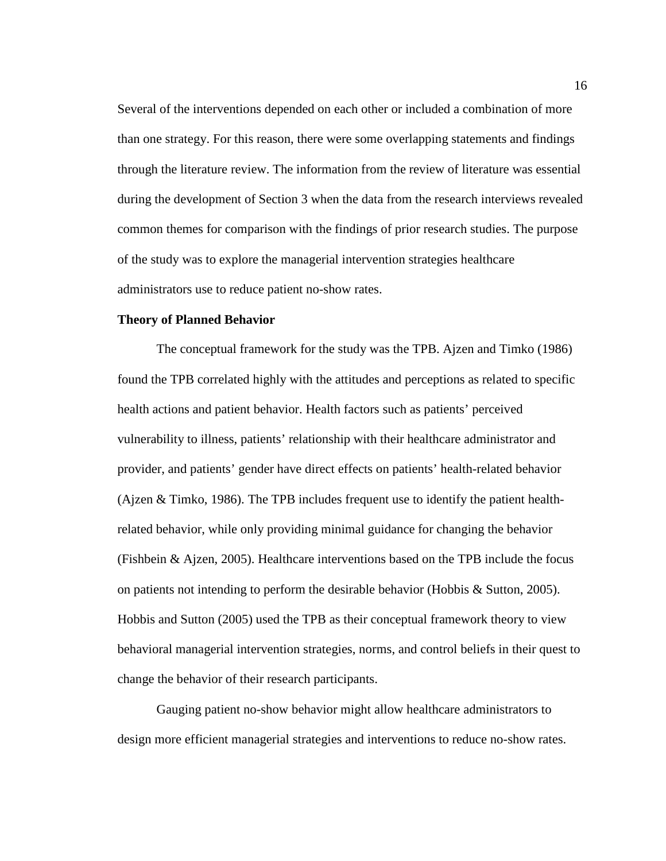Several of the interventions depended on each other or included a combination of more than one strategy. For this reason, there were some overlapping statements and findings through the literature review. The information from the review of literature was essential during the development of Section 3 when the data from the research interviews revealed common themes for comparison with the findings of prior research studies. The purpose of the study was to explore the managerial intervention strategies healthcare administrators use to reduce patient no-show rates.

#### <span id="page-27-0"></span>**Theory of Planned Behavior**

The conceptual framework for the study was the TPB. Ajzen and Timko (1986) found the TPB correlated highly with the attitudes and perceptions as related to specific health actions and patient behavior. Health factors such as patients' perceived vulnerability to illness, patients' relationship with their healthcare administrator and provider, and patients' gender have direct effects on patients' health-related behavior (Ajzen & Timko, 1986). The TPB includes frequent use to identify the patient healthrelated behavior, while only providing minimal guidance for changing the behavior (Fishbein & Ajzen, 2005). Healthcare interventions based on the TPB include the focus on patients not intending to perform the desirable behavior (Hobbis & Sutton, 2005). Hobbis and Sutton (2005) used the TPB as their conceptual framework theory to view behavioral managerial intervention strategies, norms, and control beliefs in their quest to change the behavior of their research participants.

Gauging patient no-show behavior might allow healthcare administrators to design more efficient managerial strategies and interventions to reduce no-show rates.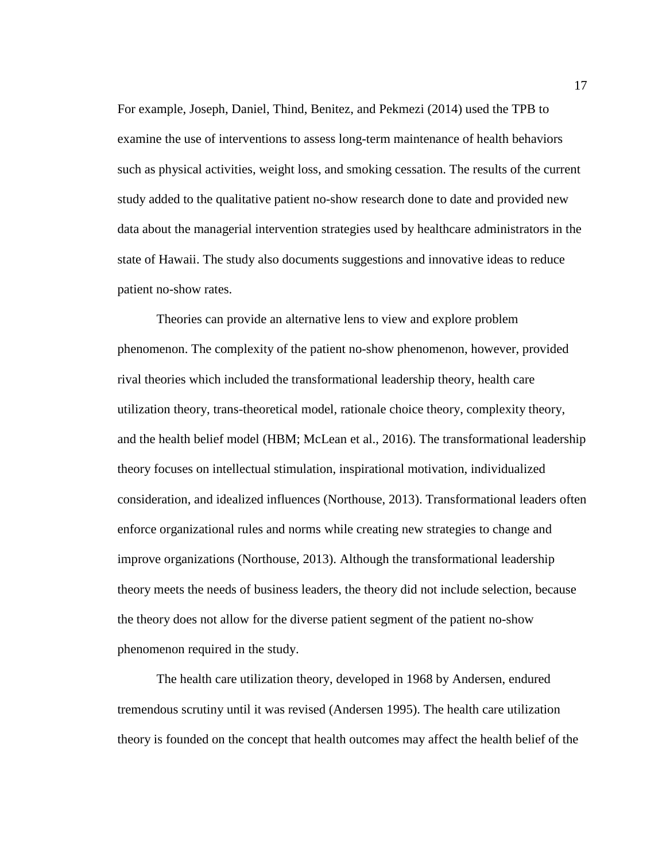For example, Joseph, Daniel, Thind, Benitez, and Pekmezi (2014) used the TPB to examine the use of interventions to assess long-term maintenance of health behaviors such as physical activities, weight loss, and smoking cessation. The results of the current study added to the qualitative patient no-show research done to date and provided new data about the managerial intervention strategies used by healthcare administrators in the state of Hawaii. The study also documents suggestions and innovative ideas to reduce patient no-show rates.

Theories can provide an alternative lens to view and explore problem phenomenon. The complexity of the patient no-show phenomenon, however, provided rival theories which included the transformational leadership theory, health care utilization theory, trans-theoretical model, rationale choice theory, complexity theory, and the health belief model (HBM; McLean et al., 2016). The transformational leadership theory focuses on intellectual stimulation, inspirational motivation, individualized consideration, and idealized influences (Northouse, 2013). Transformational leaders often enforce organizational rules and norms while creating new strategies to change and improve organizations (Northouse, 2013). Although the transformational leadership theory meets the needs of business leaders, the theory did not include selection, because the theory does not allow for the diverse patient segment of the patient no-show phenomenon required in the study.

The health care utilization theory, developed in 1968 by Andersen, endured tremendous scrutiny until it was revised (Andersen 1995). The health care utilization theory is founded on the concept that health outcomes may affect the health belief of the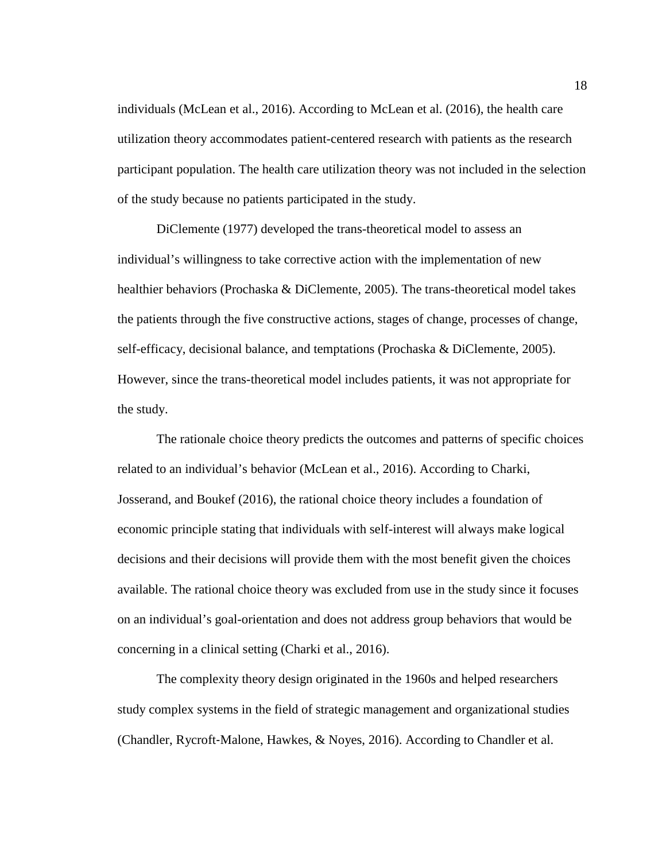individuals (McLean et al., 2016). According to McLean et al. (2016), the health care utilization theory accommodates patient-centered research with patients as the research participant population. The health care utilization theory was not included in the selection of the study because no patients participated in the study.

DiClemente (1977) developed the trans-theoretical model to assess an individual's willingness to take corrective action with the implementation of new healthier behaviors (Prochaska & DiClemente, 2005). The trans-theoretical model takes the patients through the five constructive actions, stages of change, processes of change, self-efficacy, decisional balance, and temptations (Prochaska & DiClemente, 2005). However, since the trans-theoretical model includes patients, it was not appropriate for the study.

The rationale choice theory predicts the outcomes and patterns of specific choices related to an individual's behavior (McLean et al., 2016). According to Charki, Josserand, and Boukef (2016), the rational choice theory includes a foundation of economic principle stating that individuals with self-interest will always make logical decisions and their decisions will provide them with the most benefit given the choices available. The rational choice theory was excluded from use in the study since it focuses on an individual's goal-orientation and does not address group behaviors that would be concerning in a clinical setting (Charki et al., 2016).

The complexity theory design originated in the 1960s and helped researchers study complex systems in the field of strategic management and organizational studies (Chandler, Rycroft‐Malone, Hawkes, & Noyes, 2016). According to Chandler et al.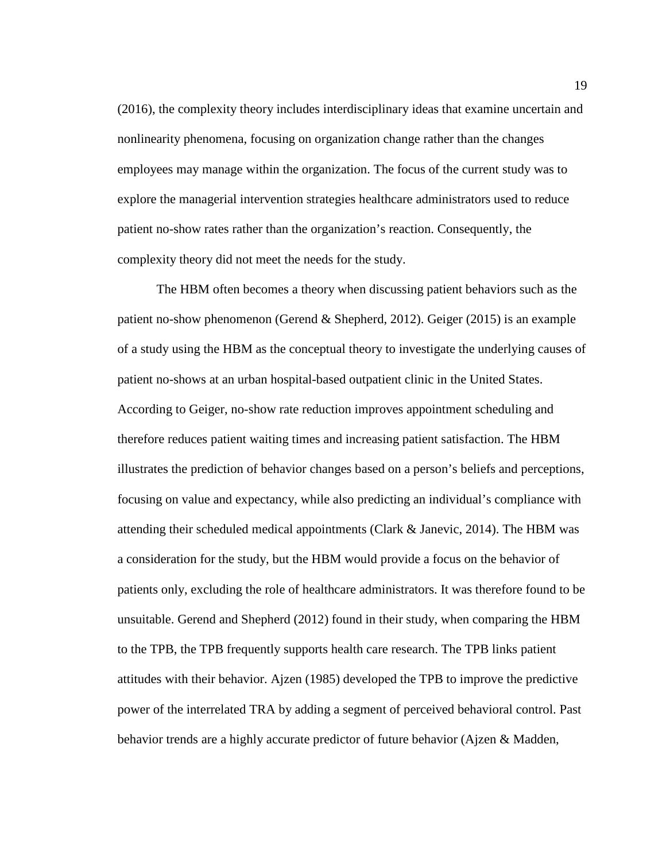(2016), the complexity theory includes interdisciplinary ideas that examine uncertain and nonlinearity phenomena, focusing on organization change rather than the changes employees may manage within the organization. The focus of the current study was to explore the managerial intervention strategies healthcare administrators used to reduce patient no-show rates rather than the organization's reaction. Consequently, the complexity theory did not meet the needs for the study.

The HBM often becomes a theory when discussing patient behaviors such as the patient no-show phenomenon (Gerend & Shepherd, 2012). Geiger (2015) is an example of a study using the HBM as the conceptual theory to investigate the underlying causes of patient no-shows at an urban hospital-based outpatient clinic in the United States. According to Geiger, no-show rate reduction improves appointment scheduling and therefore reduces patient waiting times and increasing patient satisfaction. The HBM illustrates the prediction of behavior changes based on a person's beliefs and perceptions, focusing on value and expectancy, while also predicting an individual's compliance with attending their scheduled medical appointments (Clark & Janevic, 2014). The HBM was a consideration for the study, but the HBM would provide a focus on the behavior of patients only, excluding the role of healthcare administrators. It was therefore found to be unsuitable. Gerend and Shepherd (2012) found in their study, when comparing the HBM to the TPB, the TPB frequently supports health care research. The TPB links patient attitudes with their behavior. Ajzen (1985) developed the TPB to improve the predictive power of the interrelated TRA by adding a segment of perceived behavioral control. Past behavior trends are a highly accurate predictor of future behavior (Ajzen & Madden,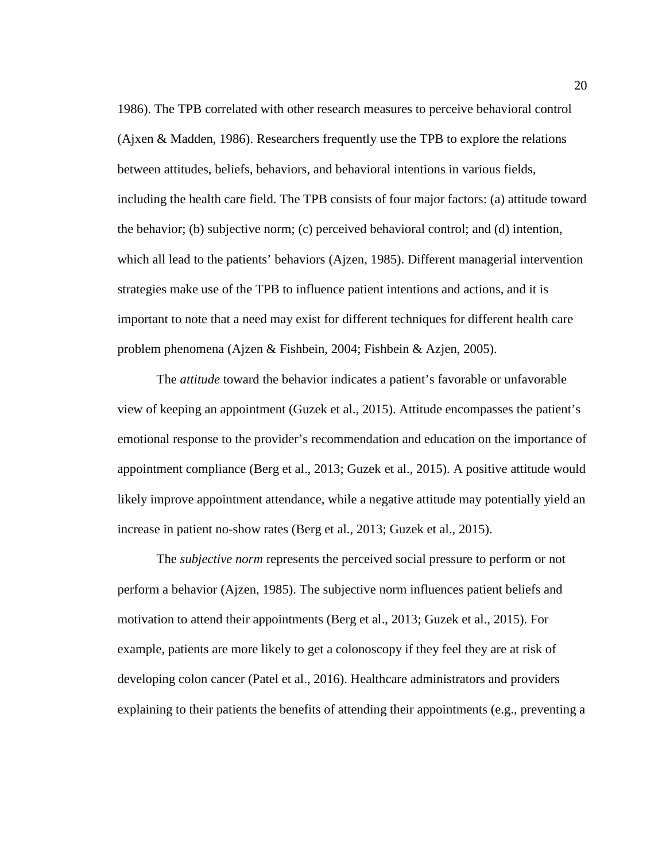1986). The TPB correlated with other research measures to perceive behavioral control (Ajxen & Madden, 1986). Researchers frequently use the TPB to explore the relations between attitudes, beliefs, behaviors, and behavioral intentions in various fields, including the health care field. The TPB consists of four major factors: (a) attitude toward the behavior; (b) subjective norm; (c) perceived behavioral control; and (d) intention, which all lead to the patients' behaviors (Ajzen, 1985). Different managerial intervention strategies make use of the TPB to influence patient intentions and actions, and it is important to note that a need may exist for different techniques for different health care problem phenomena (Ajzen & Fishbein, 2004; Fishbein & Azjen, 2005).

The *attitude* toward the behavior indicates a patient's favorable or unfavorable view of keeping an appointment (Guzek et al., 2015). Attitude encompasses the patient's emotional response to the provider's recommendation and education on the importance of appointment compliance (Berg et al., 2013; Guzek et al., 2015). A positive attitude would likely improve appointment attendance, while a negative attitude may potentially yield an increase in patient no-show rates (Berg et al., 2013; Guzek et al., 2015).

The *subjective norm* represents the perceived social pressure to perform or not perform a behavior (Ajzen, 1985). The subjective norm influences patient beliefs and motivation to attend their appointments (Berg et al., 2013; Guzek et al., 2015). For example, patients are more likely to get a colonoscopy if they feel they are at risk of developing colon cancer (Patel et al., 2016). Healthcare administrators and providers explaining to their patients the benefits of attending their appointments (e.g., preventing a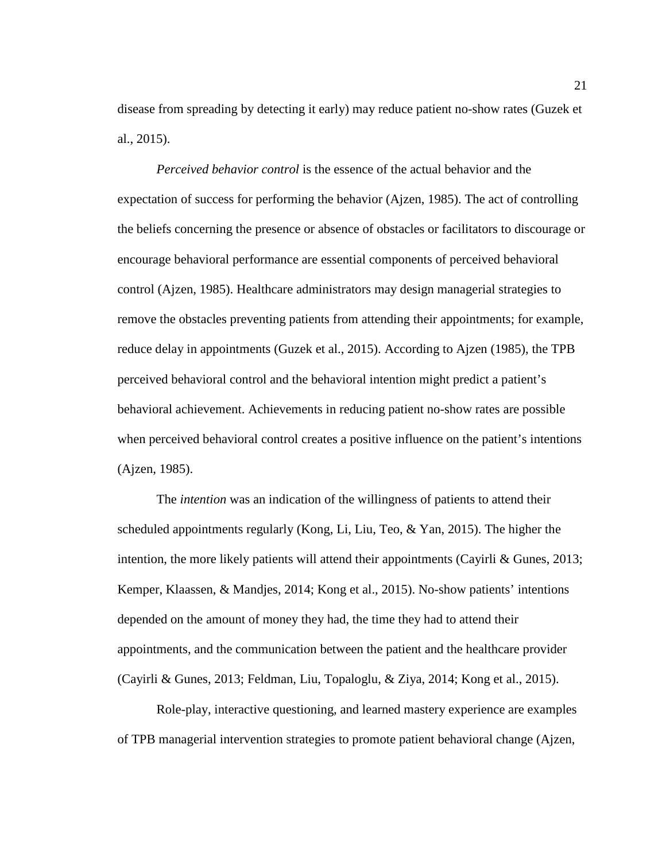disease from spreading by detecting it early) may reduce patient no-show rates (Guzek et al., 2015).

*Perceived behavior control* is the essence of the actual behavior and the expectation of success for performing the behavior (Ajzen, 1985). The act of controlling the beliefs concerning the presence or absence of obstacles or facilitators to discourage or encourage behavioral performance are essential components of perceived behavioral control (Ajzen, 1985). Healthcare administrators may design managerial strategies to remove the obstacles preventing patients from attending their appointments; for example, reduce delay in appointments (Guzek et al., 2015). According to Ajzen (1985), the TPB perceived behavioral control and the behavioral intention might predict a patient's behavioral achievement. Achievements in reducing patient no-show rates are possible when perceived behavioral control creates a positive influence on the patient's intentions (Ajzen, 1985).

The *intention* was an indication of the willingness of patients to attend their scheduled appointments regularly (Kong, Li, Liu, Teo, & Yan, 2015). The higher the intention, the more likely patients will attend their appointments (Cayirli & Gunes, 2013; Kemper, Klaassen, & Mandjes, 2014; Kong et al., 2015). No-show patients' intentions depended on the amount of money they had, the time they had to attend their appointments, and the communication between the patient and the healthcare provider (Cayirli & Gunes, 2013; Feldman, Liu, Topaloglu, & Ziya, 2014; Kong et al., 2015).

Role-play, interactive questioning, and learned mastery experience are examples of TPB managerial intervention strategies to promote patient behavioral change (Ajzen,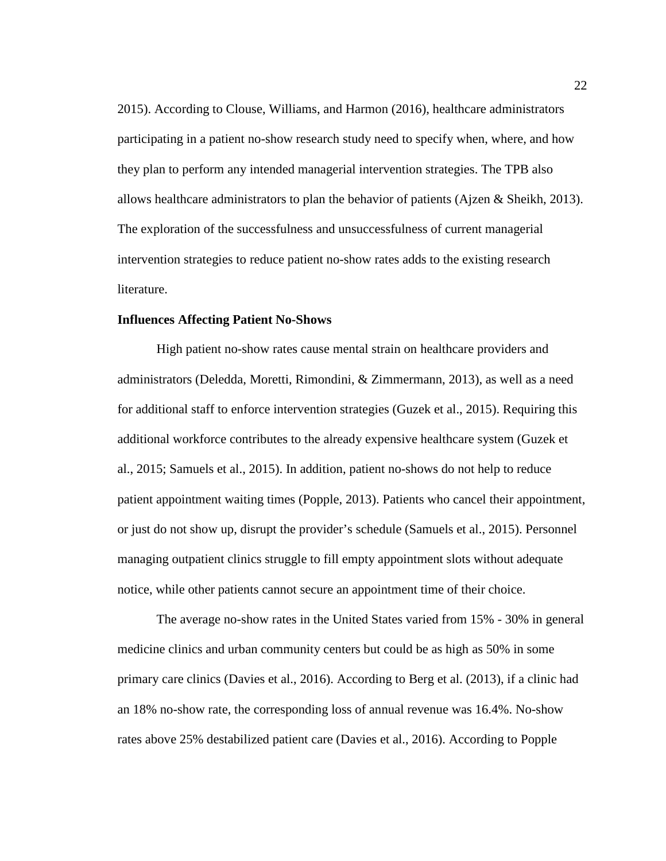2015). According to Clouse, Williams, and Harmon (2016), healthcare administrators participating in a patient no-show research study need to specify when, where, and how they plan to perform any intended managerial intervention strategies. The TPB also allows healthcare administrators to plan the behavior of patients (Ajzen  $\&$  Sheikh, 2013). The exploration of the successfulness and unsuccessfulness of current managerial intervention strategies to reduce patient no-show rates adds to the existing research literature.

#### <span id="page-33-0"></span>**Influences Affecting Patient No-Shows**

High patient no-show rates cause mental strain on healthcare providers and administrators (Deledda, Moretti, Rimondini, & Zimmermann, 2013), as well as a need for additional staff to enforce intervention strategies (Guzek et al., 2015). Requiring this additional workforce contributes to the already expensive healthcare system (Guzek et al., 2015; Samuels et al., 2015). In addition, patient no-shows do not help to reduce patient appointment waiting times (Popple, 2013). Patients who cancel their appointment, or just do not show up, disrupt the provider's schedule (Samuels et al., 2015). Personnel managing outpatient clinics struggle to fill empty appointment slots without adequate notice, while other patients cannot secure an appointment time of their choice.

The average no-show rates in the United States varied from 15% - 30% in general medicine clinics and urban community centers but could be as high as 50% in some primary care clinics (Davies et al., 2016). According to Berg et al. (2013), if a clinic had an 18% no-show rate, the corresponding loss of annual revenue was 16.4%. No-show rates above 25% destabilized patient care (Davies et al., 2016). According to Popple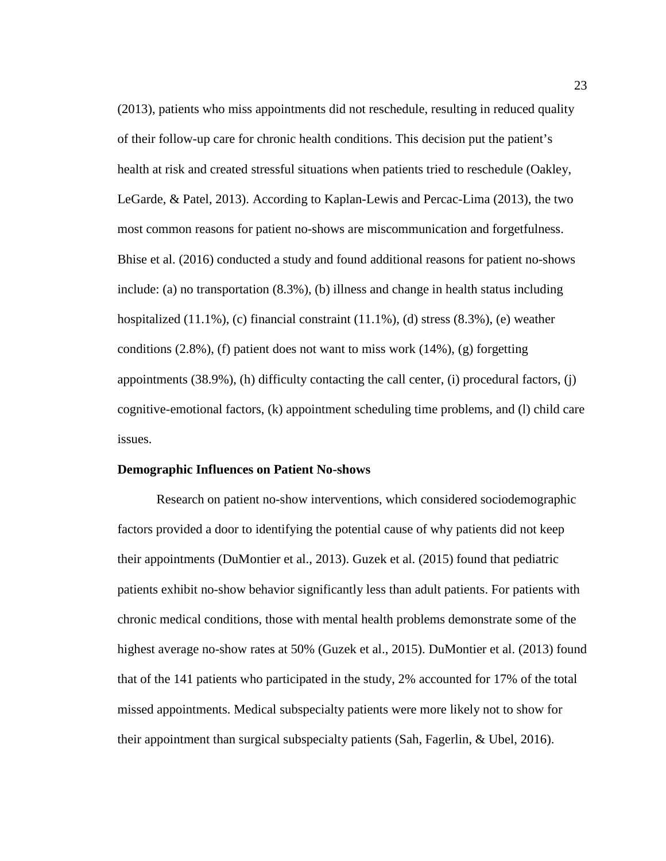(2013), patients who miss appointments did not reschedule, resulting in reduced quality of their follow-up care for chronic health conditions. This decision put the patient's health at risk and created stressful situations when patients tried to reschedule (Oakley, LeGarde, & Patel, 2013). According to Kaplan-Lewis and Percac-Lima (2013), the two most common reasons for patient no-shows are miscommunication and forgetfulness. Bhise et al. (2016) conducted a study and found additional reasons for patient no-shows include: (a) no transportation (8.3%), (b) illness and change in health status including hospitalized  $(11.1\%)$ , (c) financial constraint  $(11.1\%)$ , (d) stress  $(8.3\%)$ , (e) weather conditions  $(2.8\%)$ , (f) patient does not want to miss work  $(14\%)$ ,  $(g)$  forgetting appointments (38.9%), (h) difficulty contacting the call center, (i) procedural factors, (j) cognitive-emotional factors, (k) appointment scheduling time problems, and (l) child care issues.

#### <span id="page-34-0"></span>**Demographic Influences on Patient No-shows**

Research on patient no-show interventions, which considered sociodemographic factors provided a door to identifying the potential cause of why patients did not keep their appointments (DuMontier et al., 2013). Guzek et al. (2015) found that pediatric patients exhibit no-show behavior significantly less than adult patients. For patients with chronic medical conditions, those with mental health problems demonstrate some of the highest average no-show rates at 50% (Guzek et al., 2015). DuMontier et al. (2013) found that of the 141 patients who participated in the study, 2% accounted for 17% of the total missed appointments. Medical subspecialty patients were more likely not to show for their appointment than surgical subspecialty patients (Sah, Fagerlin, & Ubel, 2016).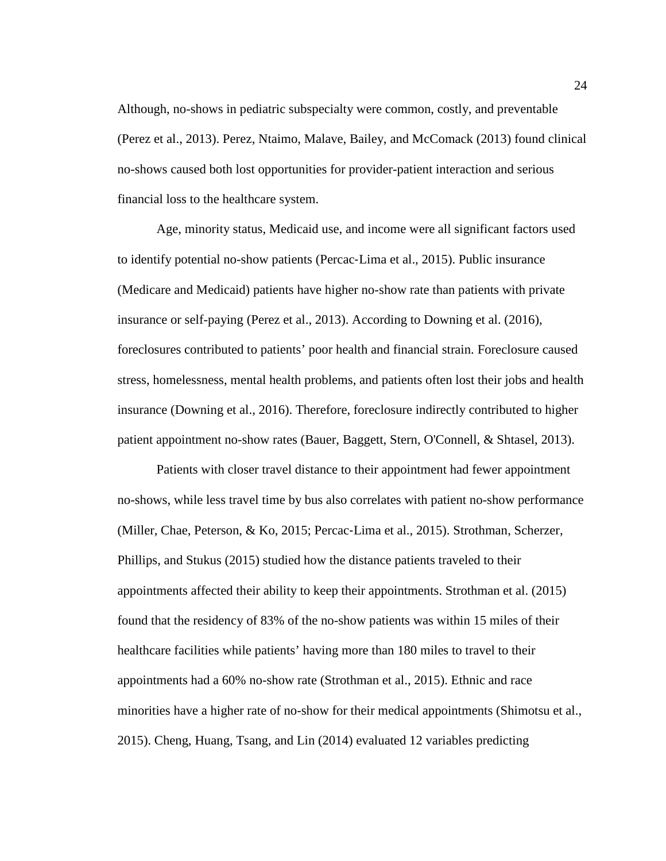Although, no-shows in pediatric subspecialty were common, costly, and preventable (Perez et al., 2013). Perez, Ntaimo, Malave, Bailey, and McComack (2013) found clinical no-shows caused both lost opportunities for provider-patient interaction and serious financial loss to the healthcare system.

Age, minority status, Medicaid use, and income were all significant factors used to identify potential no-show patients (Percac‐Lima et al., 2015). Public insurance (Medicare and Medicaid) patients have higher no-show rate than patients with private insurance or self-paying (Perez et al., 2013). According to Downing et al. (2016), foreclosures contributed to patients' poor health and financial strain. Foreclosure caused stress, homelessness, mental health problems, and patients often lost their jobs and health insurance (Downing et al., 2016). Therefore, foreclosure indirectly contributed to higher patient appointment no-show rates (Bauer, Baggett, Stern, O'Connell, & Shtasel, 2013).

Patients with closer travel distance to their appointment had fewer appointment no-shows, while less travel time by bus also correlates with patient no-show performance (Miller, Chae, Peterson, & Ko, 2015; Percac‐Lima et al., 2015). Strothman, Scherzer, Phillips, and Stukus (2015) studied how the distance patients traveled to their appointments affected their ability to keep their appointments. Strothman et al. (2015) found that the residency of 83% of the no-show patients was within 15 miles of their healthcare facilities while patients' having more than 180 miles to travel to their appointments had a 60% no-show rate (Strothman et al., 2015). Ethnic and race minorities have a higher rate of no-show for their medical appointments (Shimotsu et al., 2015). Cheng, Huang, Tsang, and Lin (2014) evaluated 12 variables predicting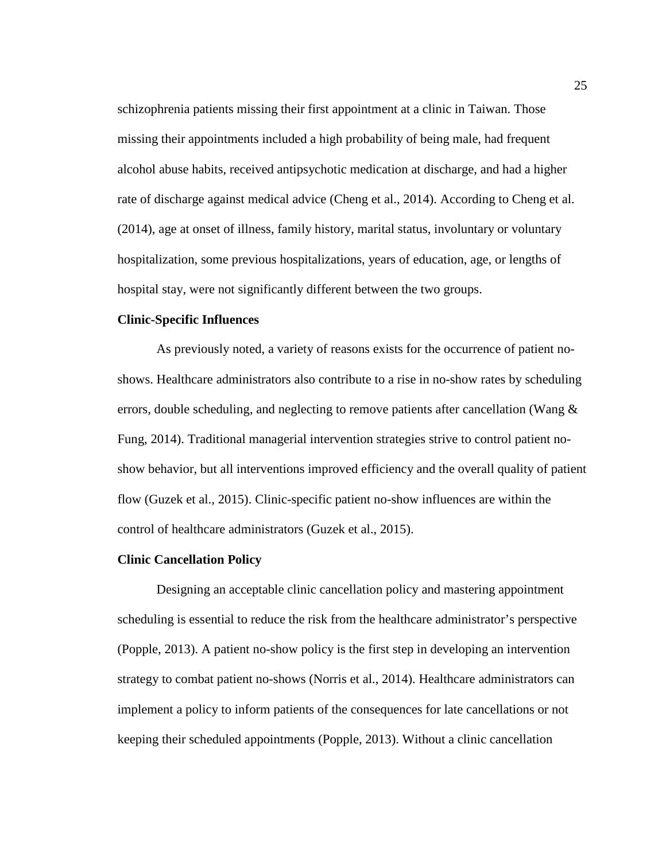schizophrenia patients missing their first appointment at a clinic in Taiwan. Those missing their appointments included a high probability of being male, had frequent alcohol abuse habits, received antipsychotic medication at discharge, and had a higher rate of discharge against medical advice (Cheng et al., 2014). According to Cheng et al. (2014), age at onset of illness, family history, marital status, involuntary or voluntary hospitalization, some previous hospitalizations, years of education, age, or lengths of hospital stay, were not significantly different between the two groups.

# **Clinic-Specific Influences**

As previously noted, a variety of reasons exists for the occurrence of patient noshows. Healthcare administrators also contribute to a rise in no-show rates by scheduling errors, double scheduling, and neglecting to remove patients after cancellation (Wang & Fung, 2014). Traditional managerial intervention strategies strive to control patient noshow behavior, but all interventions improved efficiency and the overall quality of patient flow (Guzek et al., 2015). Clinic-specific patient no-show influences are within the control of healthcare administrators (Guzek et al., 2015).

#### **Clinic Cancellation Policy**

Designing an acceptable clinic cancellation policy and mastering appointment scheduling is essential to reduce the risk from the healthcare administrator's perspective (Popple, 2013). A patient no-show policy is the first step in developing an intervention strategy to combat patient no-shows (Norris et al., 2014). Healthcare administrators can implement a policy to inform patients of the consequences for late cancellations or not keeping their scheduled appointments (Popple, 2013). Without a clinic cancellation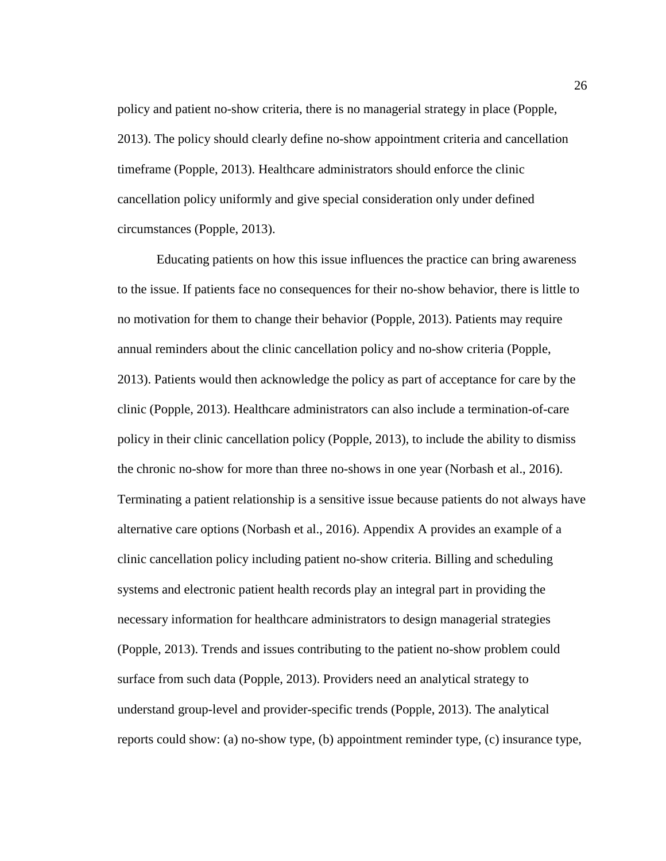policy and patient no-show criteria, there is no managerial strategy in place (Popple, 2013). The policy should clearly define no-show appointment criteria and cancellation timeframe (Popple, 2013). Healthcare administrators should enforce the clinic cancellation policy uniformly and give special consideration only under defined circumstances (Popple, 2013).

Educating patients on how this issue influences the practice can bring awareness to the issue. If patients face no consequences for their no-show behavior, there is little to no motivation for them to change their behavior (Popple, 2013). Patients may require annual reminders about the clinic cancellation policy and no-show criteria (Popple, 2013). Patients would then acknowledge the policy as part of acceptance for care by the clinic (Popple, 2013). Healthcare administrators can also include a termination-of-care policy in their clinic cancellation policy (Popple, 2013), to include the ability to dismiss the chronic no-show for more than three no-shows in one year (Norbash et al., 2016). Terminating a patient relationship is a sensitive issue because patients do not always have alternative care options (Norbash et al., 2016). Appendix A provides an example of a clinic cancellation policy including patient no-show criteria. Billing and scheduling systems and electronic patient health records play an integral part in providing the necessary information for healthcare administrators to design managerial strategies (Popple, 2013). Trends and issues contributing to the patient no-show problem could surface from such data (Popple, 2013). Providers need an analytical strategy to understand group-level and provider-specific trends (Popple, 2013). The analytical reports could show: (a) no-show type, (b) appointment reminder type, (c) insurance type,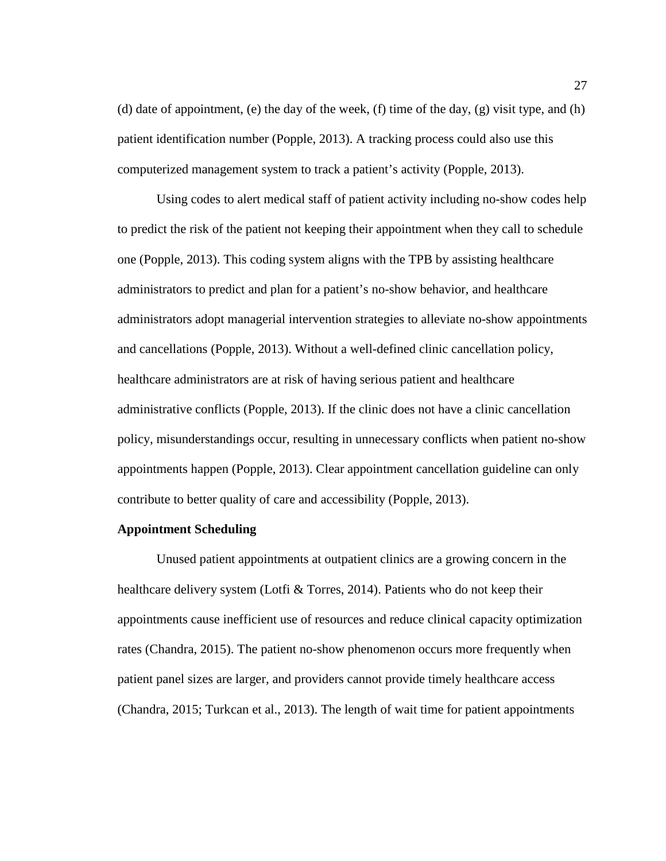(d) date of appointment, (e) the day of the week, (f) time of the day, (g) visit type, and (h) patient identification number (Popple, 2013). A tracking process could also use this computerized management system to track a patient's activity (Popple, 2013).

Using codes to alert medical staff of patient activity including no-show codes help to predict the risk of the patient not keeping their appointment when they call to schedule one (Popple, 2013). This coding system aligns with the TPB by assisting healthcare administrators to predict and plan for a patient's no-show behavior, and healthcare administrators adopt managerial intervention strategies to alleviate no-show appointments and cancellations (Popple, 2013). Without a well-defined clinic cancellation policy, healthcare administrators are at risk of having serious patient and healthcare administrative conflicts (Popple, 2013). If the clinic does not have a clinic cancellation policy, misunderstandings occur, resulting in unnecessary conflicts when patient no-show appointments happen (Popple, 2013). Clear appointment cancellation guideline can only contribute to better quality of care and accessibility (Popple, 2013).

#### **Appointment Scheduling**

Unused patient appointments at outpatient clinics are a growing concern in the healthcare delivery system (Lotfi & Torres, 2014). Patients who do not keep their appointments cause inefficient use of resources and reduce clinical capacity optimization rates (Chandra, 2015). The patient no-show phenomenon occurs more frequently when patient panel sizes are larger, and providers cannot provide timely healthcare access (Chandra, 2015; Turkcan et al., 2013). The length of wait time for patient appointments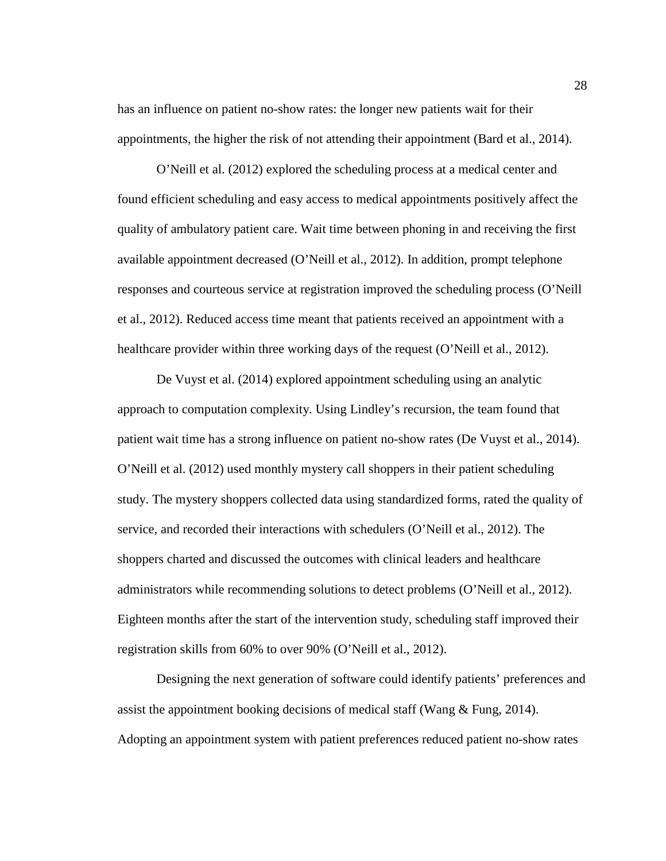has an influence on patient no-show rates: the longer new patients wait for their appointments, the higher the risk of not attending their appointment (Bard et al., 2014).

O'Neill et al. (2012) explored the scheduling process at a medical center and found efficient scheduling and easy access to medical appointments positively affect the quality of ambulatory patient care. Wait time between phoning in and receiving the first available appointment decreased (O'Neill et al., 2012). In addition, prompt telephone responses and courteous service at registration improved the scheduling process (O'Neill et al., 2012). Reduced access time meant that patients received an appointment with a healthcare provider within three working days of the request (O'Neill et al., 2012).

De Vuyst et al. (2014) explored appointment scheduling using an analytic approach to computation complexity. Using Lindley's recursion, the team found that patient wait time has a strong influence on patient no-show rates (De Vuyst et al., 2014). O'Neill et al. (2012) used monthly mystery call shoppers in their patient scheduling study. The mystery shoppers collected data using standardized forms, rated the quality of service, and recorded their interactions with schedulers (O'Neill et al., 2012). The shoppers charted and discussed the outcomes with clinical leaders and healthcare administrators while recommending solutions to detect problems (O'Neill et al., 2012). Eighteen months after the start of the intervention study, scheduling staff improved their registration skills from 60% to over 90% (O'Neill et al., 2012).

Designing the next generation of software could identify patients' preferences and assist the appointment booking decisions of medical staff (Wang & Fung, 2014). Adopting an appointment system with patient preferences reduced patient no-show rates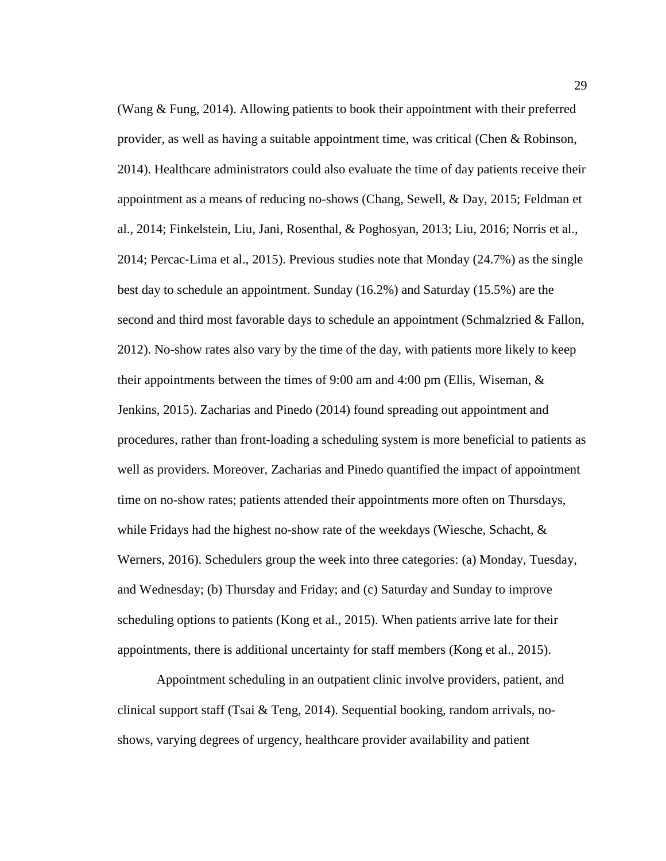(Wang & Fung, 2014). Allowing patients to book their appointment with their preferred provider, as well as having a suitable appointment time, was critical (Chen & Robinson, 2014). Healthcare administrators could also evaluate the time of day patients receive their appointment as a means of reducing no-shows (Chang, Sewell, & Day, 2015; Feldman et al., 2014; Finkelstein, Liu, Jani, Rosenthal, & Poghosyan, 2013; Liu, 2016; Norris et al., 2014; Percac-Lima et al., 2015). Previous studies note that Monday  $(24.7%)$  as the single best day to schedule an appointment. Sunday (16.2%) and Saturday (15.5%) are the second and third most favorable days to schedule an appointment (Schmalzried  $&$  Fallon, 2012). No-show rates also vary by the time of the day, with patients more likely to keep their appointments between the times of 9:00 am and 4:00 pm (Ellis, Wiseman, & Jenkins, 2015). Zacharias and Pinedo (2014) found spreading out appointment and procedures, rather than front-loading a scheduling system is more beneficial to patients as well as providers. Moreover, Zacharias and Pinedo quantified the impact of appointment time on no-show rates; patients attended their appointments more often on Thursdays, while Fridays had the highest no-show rate of the weekdays (Wiesche, Schacht, & Werners, 2016). Schedulers group the week into three categories: (a) Monday, Tuesday, and Wednesday; (b) Thursday and Friday; and (c) Saturday and Sunday to improve scheduling options to patients (Kong et al., 2015). When patients arrive late for their appointments, there is additional uncertainty for staff members (Kong et al., 2015).

Appointment scheduling in an outpatient clinic involve providers, patient, and clinical support staff (Tsai & Teng, 2014). Sequential booking, random arrivals, noshows, varying degrees of urgency, healthcare provider availability and patient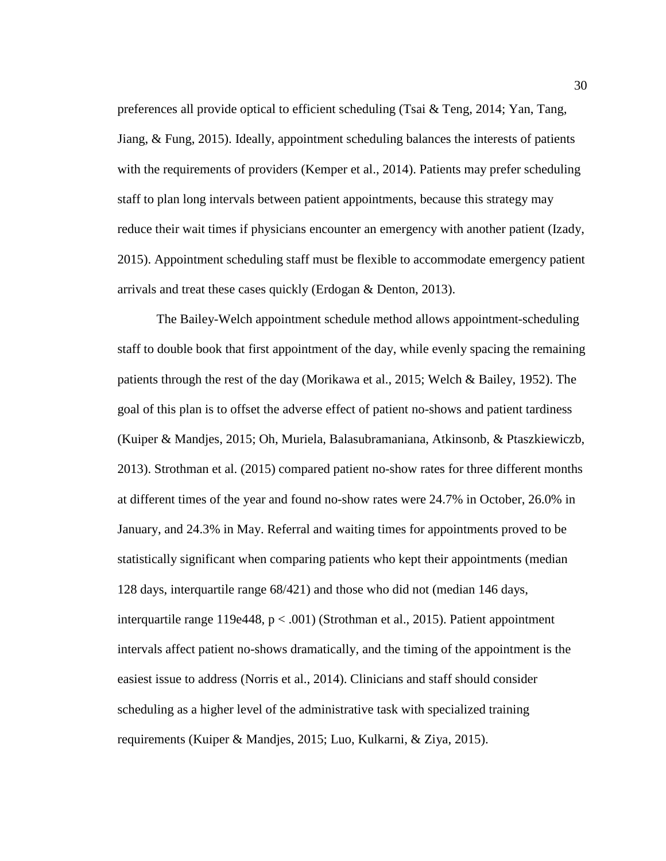preferences all provide optical to efficient scheduling (Tsai & Teng, 2014; Yan, Tang, Jiang, & Fung, 2015). Ideally, appointment scheduling balances the interests of patients with the requirements of providers (Kemper et al., 2014). Patients may prefer scheduling staff to plan long intervals between patient appointments, because this strategy may reduce their wait times if physicians encounter an emergency with another patient (Izady, 2015). Appointment scheduling staff must be flexible to accommodate emergency patient arrivals and treat these cases quickly (Erdogan & Denton, 2013).

The Bailey-Welch appointment schedule method allows appointment-scheduling staff to double book that first appointment of the day, while evenly spacing the remaining patients through the rest of the day (Morikawa et al., 2015; Welch & Bailey, 1952). The goal of this plan is to offset the adverse effect of patient no-shows and patient tardiness (Kuiper & Mandjes, 2015; Oh, Muriela, Balasubramaniana, Atkinsonb, & Ptaszkiewiczb, 2013). Strothman et al. (2015) compared patient no-show rates for three different months at different times of the year and found no-show rates were 24.7% in October, 26.0% in January, and 24.3% in May. Referral and waiting times for appointments proved to be statistically significant when comparing patients who kept their appointments (median 128 days, interquartile range 68/421) and those who did not (median 146 days, interquartile range 119e448,  $p < .001$ ) (Strothman et al., 2015). Patient appointment intervals affect patient no-shows dramatically, and the timing of the appointment is the easiest issue to address (Norris et al., 2014). Clinicians and staff should consider scheduling as a higher level of the administrative task with specialized training requirements (Kuiper & Mandjes, 2015; Luo, Kulkarni, & Ziya, 2015).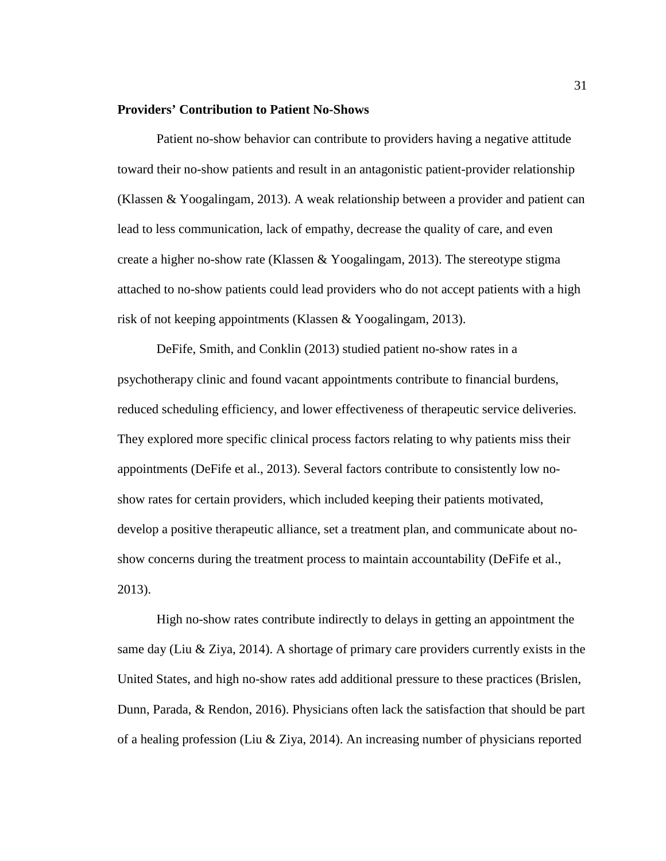### **Providers' Contribution to Patient No-Shows**

Patient no-show behavior can contribute to providers having a negative attitude toward their no-show patients and result in an antagonistic patient-provider relationship (Klassen & Yoogalingam, 2013). A weak relationship between a provider and patient can lead to less communication, lack of empathy, decrease the quality of care, and even create a higher no-show rate (Klassen & Yoogalingam, 2013). The stereotype stigma attached to no-show patients could lead providers who do not accept patients with a high risk of not keeping appointments (Klassen & Yoogalingam, 2013).

DeFife, Smith, and Conklin (2013) studied patient no-show rates in a psychotherapy clinic and found vacant appointments contribute to financial burdens, reduced scheduling efficiency, and lower effectiveness of therapeutic service deliveries. They explored more specific clinical process factors relating to why patients miss their appointments (DeFife et al., 2013). Several factors contribute to consistently low noshow rates for certain providers, which included keeping their patients motivated, develop a positive therapeutic alliance, set a treatment plan, and communicate about noshow concerns during the treatment process to maintain accountability (DeFife et al., 2013).

High no-show rates contribute indirectly to delays in getting an appointment the same day (Liu & Ziya, 2014). A shortage of primary care providers currently exists in the United States, and high no-show rates add additional pressure to these practices (Brislen, Dunn, Parada, & Rendon, 2016). Physicians often lack the satisfaction that should be part of a healing profession (Liu & Ziya, 2014). An increasing number of physicians reported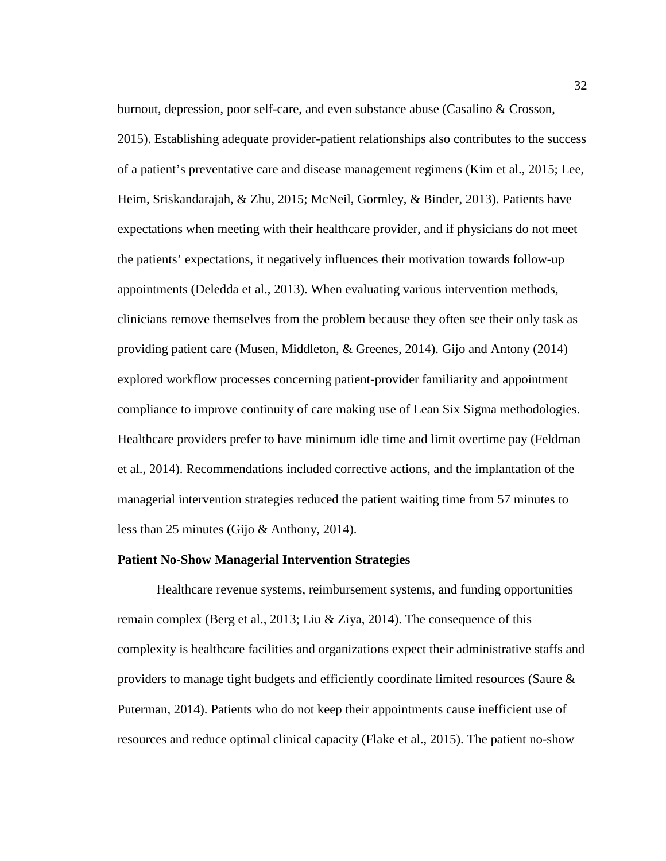burnout, depression, poor self-care, and even substance abuse (Casalino & Crosson, 2015). Establishing adequate provider-patient relationships also contributes to the success of a patient's preventative care and disease management regimens (Kim et al., 2015; Lee, Heim, Sriskandarajah, & Zhu, 2015; McNeil, Gormley, & Binder, 2013). Patients have expectations when meeting with their healthcare provider, and if physicians do not meet the patients' expectations, it negatively influences their motivation towards follow-up appointments (Deledda et al., 2013). When evaluating various intervention methods, clinicians remove themselves from the problem because they often see their only task as providing patient care (Musen, Middleton, & Greenes, 2014). Gijo and Antony (2014) explored workflow processes concerning patient-provider familiarity and appointment compliance to improve continuity of care making use of Lean Six Sigma methodologies. Healthcare providers prefer to have minimum idle time and limit overtime pay (Feldman et al., 2014). Recommendations included corrective actions, and the implantation of the managerial intervention strategies reduced the patient waiting time from 57 minutes to less than 25 minutes (Gijo & Anthony, 2014).

#### **Patient No-Show Managerial Intervention Strategies**

Healthcare revenue systems, reimbursement systems, and funding opportunities remain complex (Berg et al., 2013; Liu & Ziya, 2014). The consequence of this complexity is healthcare facilities and organizations expect their administrative staffs and providers to manage tight budgets and efficiently coordinate limited resources (Saure & Puterman, 2014). Patients who do not keep their appointments cause inefficient use of resources and reduce optimal clinical capacity (Flake et al., 2015). The patient no-show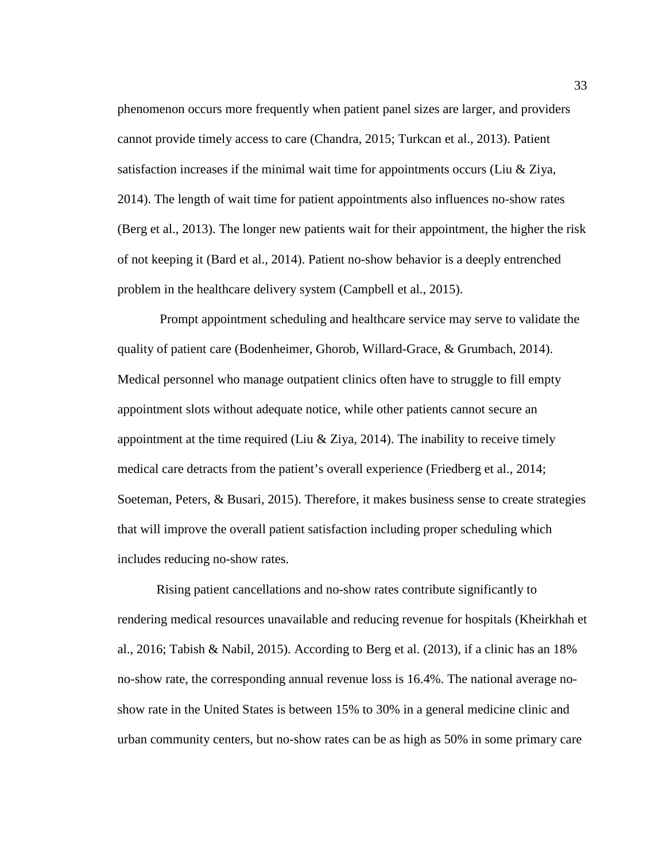phenomenon occurs more frequently when patient panel sizes are larger, and providers cannot provide timely access to care (Chandra, 2015; Turkcan et al., 2013). Patient satisfaction increases if the minimal wait time for appointments occurs (Liu & Ziya, 2014). The length of wait time for patient appointments also influences no-show rates (Berg et al., 2013). The longer new patients wait for their appointment, the higher the risk of not keeping it (Bard et al., 2014). Patient no-show behavior is a deeply entrenched problem in the healthcare delivery system (Campbell et al., 2015).

 Prompt appointment scheduling and healthcare service may serve to validate the quality of patient care (Bodenheimer, Ghorob, Willard-Grace, & Grumbach, 2014). Medical personnel who manage outpatient clinics often have to struggle to fill empty appointment slots without adequate notice, while other patients cannot secure an appointment at the time required (Liu & Ziya, 2014). The inability to receive timely medical care detracts from the patient's overall experience (Friedberg et al., 2014; Soeteman, Peters, & Busari, 2015). Therefore, it makes business sense to create strategies that will improve the overall patient satisfaction including proper scheduling which includes reducing no-show rates.

Rising patient cancellations and no-show rates contribute significantly to rendering medical resources unavailable and reducing revenue for hospitals (Kheirkhah et al., 2016; Tabish & Nabil, 2015). According to Berg et al. (2013), if a clinic has an 18% no-show rate, the corresponding annual revenue loss is 16.4%. The national average noshow rate in the United States is between 15% to 30% in a general medicine clinic and urban community centers, but no-show rates can be as high as 50% in some primary care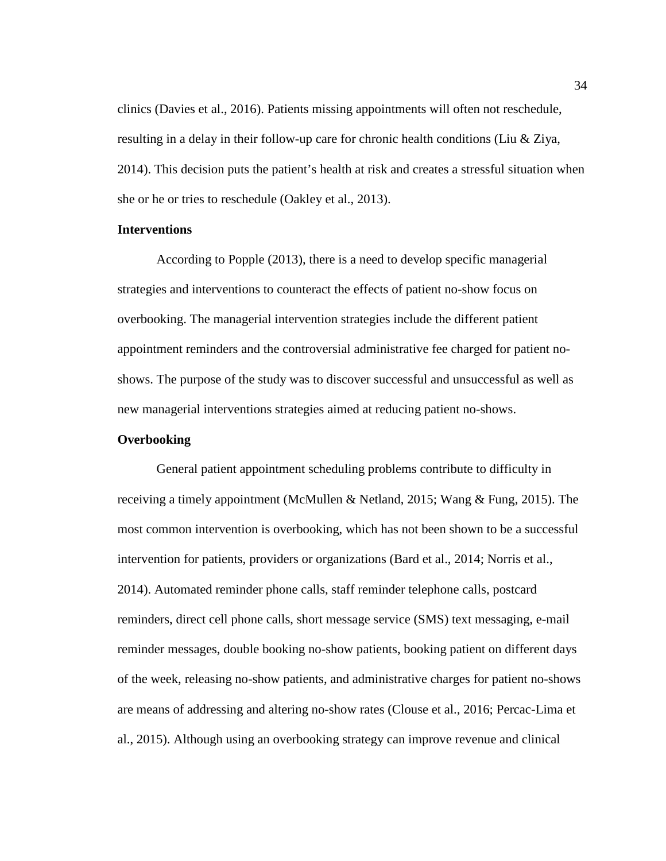clinics (Davies et al., 2016). Patients missing appointments will often not reschedule, resulting in a delay in their follow-up care for chronic health conditions (Liu & Ziya, 2014). This decision puts the patient's health at risk and creates a stressful situation when she or he or tries to reschedule (Oakley et al., 2013).

# **Interventions**

According to Popple (2013), there is a need to develop specific managerial strategies and interventions to counteract the effects of patient no-show focus on overbooking. The managerial intervention strategies include the different patient appointment reminders and the controversial administrative fee charged for patient noshows. The purpose of the study was to discover successful and unsuccessful as well as new managerial interventions strategies aimed at reducing patient no-shows.

## **Overbooking**

General patient appointment scheduling problems contribute to difficulty in receiving a timely appointment (McMullen & Netland, 2015; Wang & Fung, 2015). The most common intervention is overbooking, which has not been shown to be a successful intervention for patients, providers or organizations (Bard et al., 2014; Norris et al., 2014). Automated reminder phone calls, staff reminder telephone calls, postcard reminders, direct cell phone calls, short message service (SMS) text messaging, e-mail reminder messages, double booking no-show patients, booking patient on different days of the week, releasing no-show patients, and administrative charges for patient no-shows are means of addressing and altering no-show rates (Clouse et al., 2016; Percac-Lima et al., 2015). Although using an overbooking strategy can improve revenue and clinical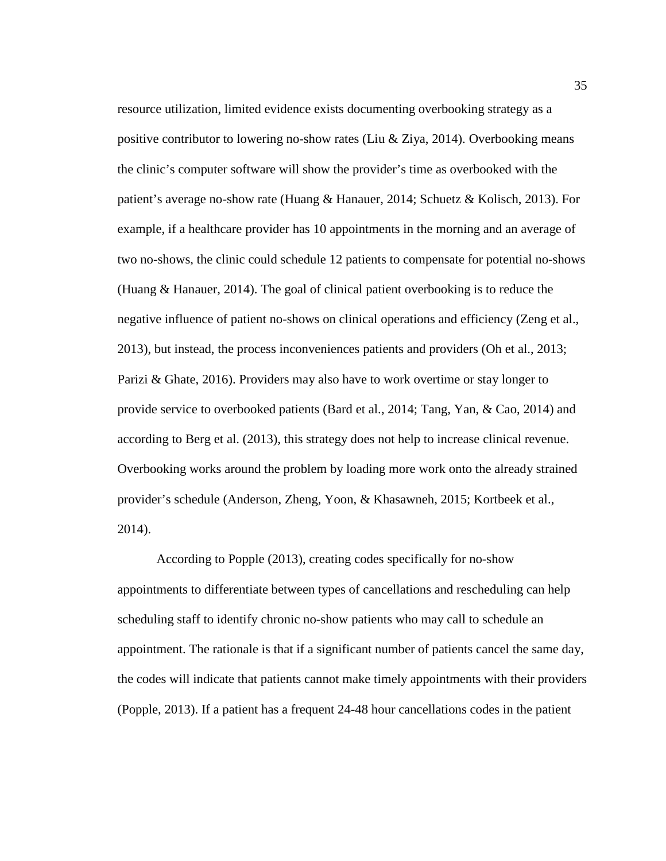resource utilization, limited evidence exists documenting overbooking strategy as a positive contributor to lowering no-show rates (Liu & Ziya, 2014). Overbooking means the clinic's computer software will show the provider's time as overbooked with the patient's average no-show rate (Huang & Hanauer, 2014; Schuetz & Kolisch, 2013). For example, if a healthcare provider has 10 appointments in the morning and an average of two no-shows, the clinic could schedule 12 patients to compensate for potential no-shows (Huang & Hanauer, 2014). The goal of clinical patient overbooking is to reduce the negative influence of patient no-shows on clinical operations and efficiency (Zeng et al., 2013), but instead, the process inconveniences patients and providers (Oh et al., 2013; Parizi & Ghate, 2016). Providers may also have to work overtime or stay longer to provide service to overbooked patients (Bard et al., 2014; Tang, Yan, & Cao, 2014) and according to Berg et al. (2013), this strategy does not help to increase clinical revenue. Overbooking works around the problem by loading more work onto the already strained provider's schedule (Anderson, Zheng, Yoon, & Khasawneh, 2015; Kortbeek et al., 2014).

According to Popple (2013), creating codes specifically for no-show appointments to differentiate between types of cancellations and rescheduling can help scheduling staff to identify chronic no-show patients who may call to schedule an appointment. The rationale is that if a significant number of patients cancel the same day, the codes will indicate that patients cannot make timely appointments with their providers (Popple, 2013). If a patient has a frequent 24-48 hour cancellations codes in the patient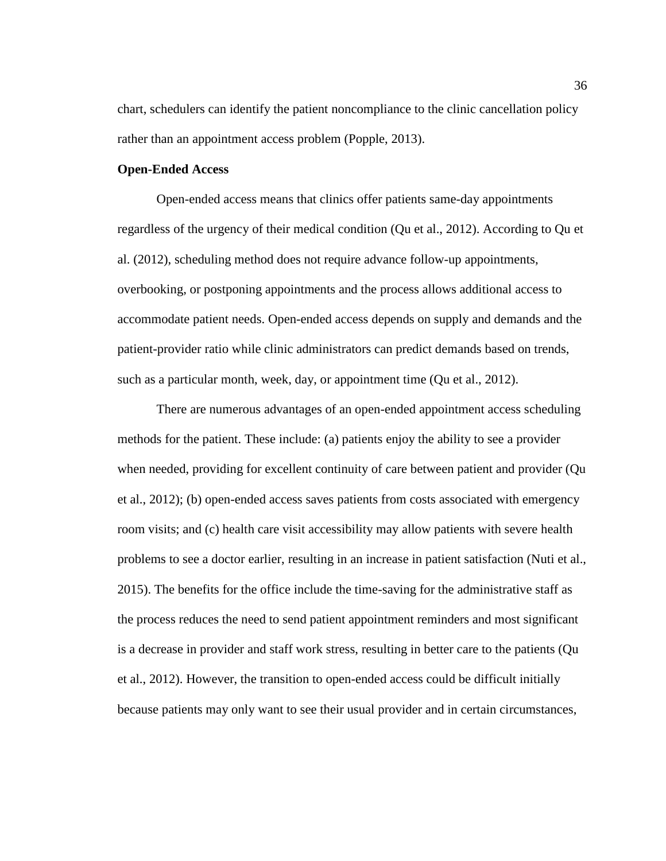chart, schedulers can identify the patient noncompliance to the clinic cancellation policy rather than an appointment access problem (Popple, 2013).

# **Open-Ended Access**

Open-ended access means that clinics offer patients same-day appointments regardless of the urgency of their medical condition (Qu et al., 2012). According to Qu et al. (2012), scheduling method does not require advance follow-up appointments, overbooking, or postponing appointments and the process allows additional access to accommodate patient needs. Open-ended access depends on supply and demands and the patient-provider ratio while clinic administrators can predict demands based on trends, such as a particular month, week, day, or appointment time (Qu et al., 2012).

There are numerous advantages of an open-ended appointment access scheduling methods for the patient. These include: (a) patients enjoy the ability to see a provider when needed, providing for excellent continuity of care between patient and provider (Qu et al., 2012); (b) open-ended access saves patients from costs associated with emergency room visits; and (c) health care visit accessibility may allow patients with severe health problems to see a doctor earlier, resulting in an increase in patient satisfaction (Nuti et al., 2015). The benefits for the office include the time-saving for the administrative staff as the process reduces the need to send patient appointment reminders and most significant is a decrease in provider and staff work stress, resulting in better care to the patients (Qu et al., 2012). However, the transition to open-ended access could be difficult initially because patients may only want to see their usual provider and in certain circumstances,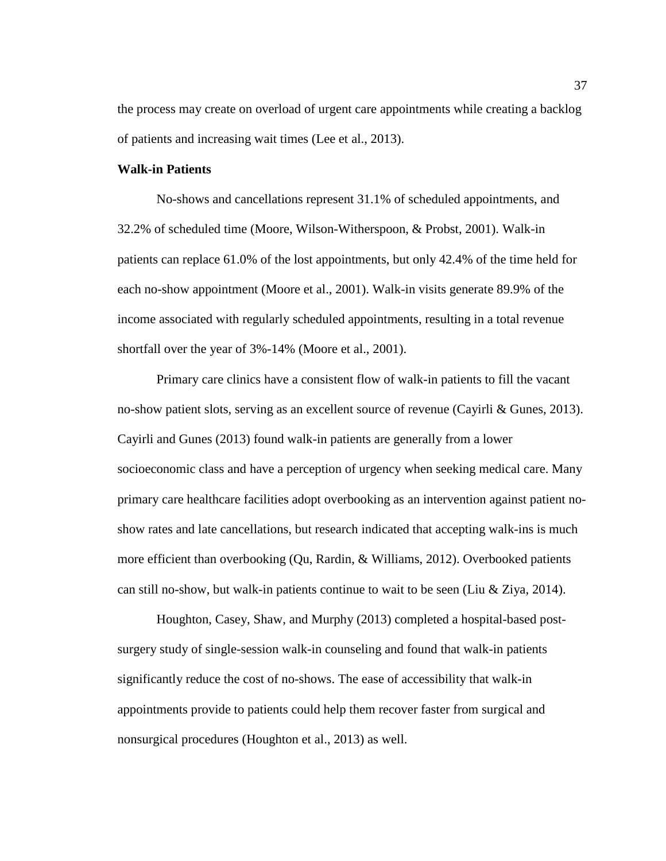the process may create on overload of urgent care appointments while creating a backlog of patients and increasing wait times (Lee et al., 2013).

# **Walk-in Patients**

No-shows and cancellations represent 31.1% of scheduled appointments, and 32.2% of scheduled time (Moore, Wilson-Witherspoon, & Probst, 2001). Walk-in patients can replace 61.0% of the lost appointments, but only 42.4% of the time held for each no-show appointment (Moore et al., 2001). Walk-in visits generate 89.9% of the income associated with regularly scheduled appointments, resulting in a total revenue shortfall over the year of 3%-14% (Moore et al., 2001).

Primary care clinics have a consistent flow of walk-in patients to fill the vacant no-show patient slots, serving as an excellent source of revenue (Cayirli & Gunes, 2013). Cayirli and Gunes (2013) found walk-in patients are generally from a lower socioeconomic class and have a perception of urgency when seeking medical care. Many primary care healthcare facilities adopt overbooking as an intervention against patient noshow rates and late cancellations, but research indicated that accepting walk-ins is much more efficient than overbooking (Qu, Rardin, & Williams, 2012). Overbooked patients can still no-show, but walk-in patients continue to wait to be seen (Liu & Ziya, 2014).

Houghton, Casey, Shaw, and Murphy (2013) completed a hospital-based postsurgery study of single-session walk-in counseling and found that walk-in patients significantly reduce the cost of no-shows. The ease of accessibility that walk-in appointments provide to patients could help them recover faster from surgical and nonsurgical procedures (Houghton et al., 2013) as well.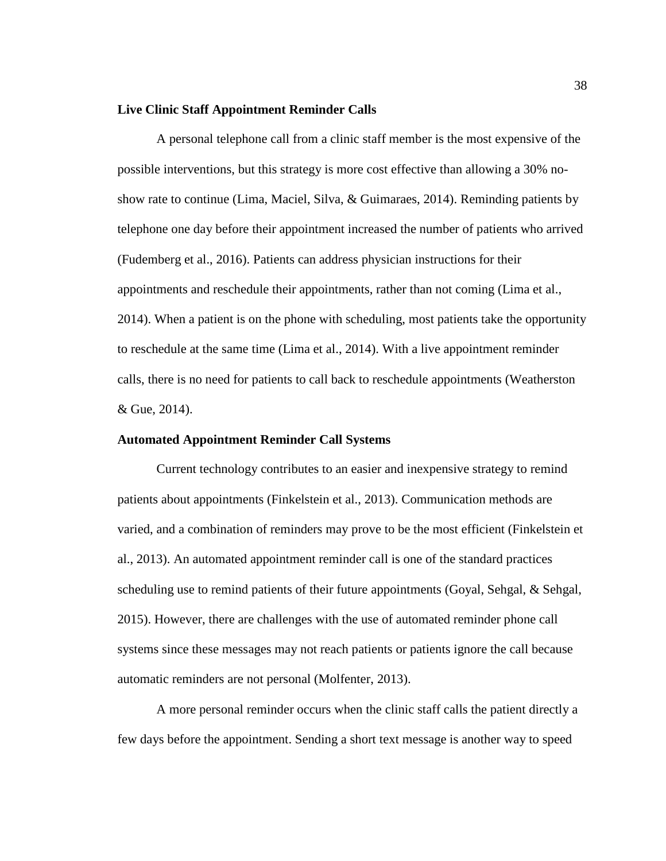## **Live Clinic Staff Appointment Reminder Calls**

A personal telephone call from a clinic staff member is the most expensive of the possible interventions, but this strategy is more cost effective than allowing a 30% noshow rate to continue (Lima, Maciel, Silva, & Guimaraes, 2014). Reminding patients by telephone one day before their appointment increased the number of patients who arrived (Fudemberg et al., 2016). Patients can address physician instructions for their appointments and reschedule their appointments, rather than not coming (Lima et al., 2014). When a patient is on the phone with scheduling, most patients take the opportunity to reschedule at the same time (Lima et al., 2014). With a live appointment reminder calls, there is no need for patients to call back to reschedule appointments (Weatherston & Gue, 2014).

## **Automated Appointment Reminder Call Systems**

Current technology contributes to an easier and inexpensive strategy to remind patients about appointments (Finkelstein et al., 2013). Communication methods are varied, and a combination of reminders may prove to be the most efficient (Finkelstein et al., 2013). An automated appointment reminder call is one of the standard practices scheduling use to remind patients of their future appointments (Goyal, Sehgal, & Sehgal, 2015). However, there are challenges with the use of automated reminder phone call systems since these messages may not reach patients or patients ignore the call because automatic reminders are not personal (Molfenter, 2013).

A more personal reminder occurs when the clinic staff calls the patient directly a few days before the appointment. Sending a short text message is another way to speed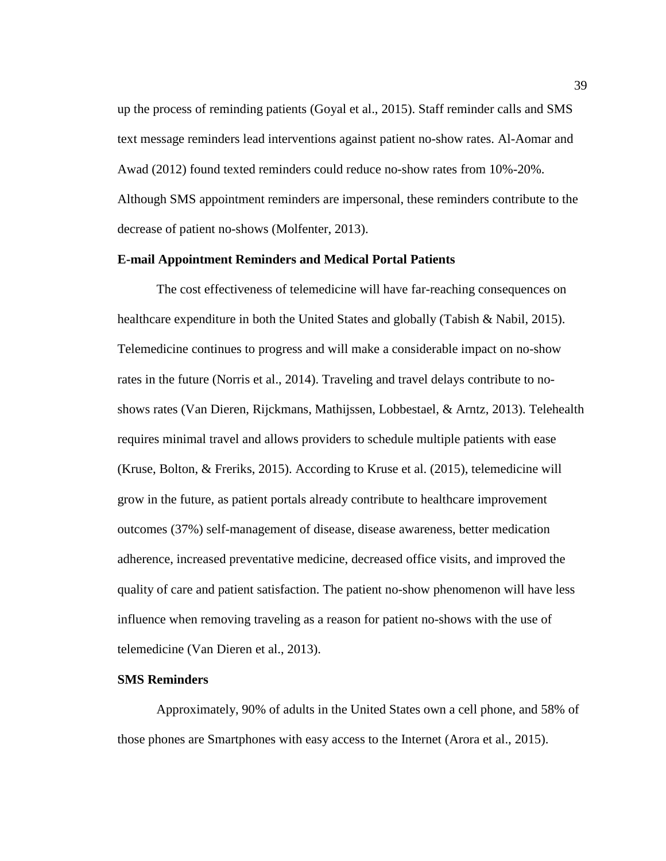up the process of reminding patients (Goyal et al., 2015). Staff reminder calls and SMS text message reminders lead interventions against patient no-show rates. Al-Aomar and Awad (2012) found texted reminders could reduce no-show rates from 10%-20%. Although SMS appointment reminders are impersonal, these reminders contribute to the decrease of patient no-shows (Molfenter, 2013).

# **E-mail Appointment Reminders and Medical Portal Patients**

The cost effectiveness of telemedicine will have far-reaching consequences on healthcare expenditure in both the United States and globally (Tabish & Nabil, 2015). Telemedicine continues to progress and will make a considerable impact on no-show rates in the future (Norris et al., 2014). Traveling and travel delays contribute to noshows rates (Van Dieren, Rijckmans, Mathijssen, Lobbestael, & Arntz, 2013). Telehealth requires minimal travel and allows providers to schedule multiple patients with ease (Kruse, Bolton, & Freriks, 2015). According to Kruse et al. (2015), telemedicine will grow in the future, as patient portals already contribute to healthcare improvement outcomes (37%) self-management of disease, disease awareness, better medication adherence, increased preventative medicine, decreased office visits, and improved the quality of care and patient satisfaction. The patient no-show phenomenon will have less influence when removing traveling as a reason for patient no-shows with the use of telemedicine (Van Dieren et al., 2013).

## **SMS Reminders**

Approximately, 90% of adults in the United States own a cell phone, and 58% of those phones are Smartphones with easy access to the Internet (Arora et al., 2015).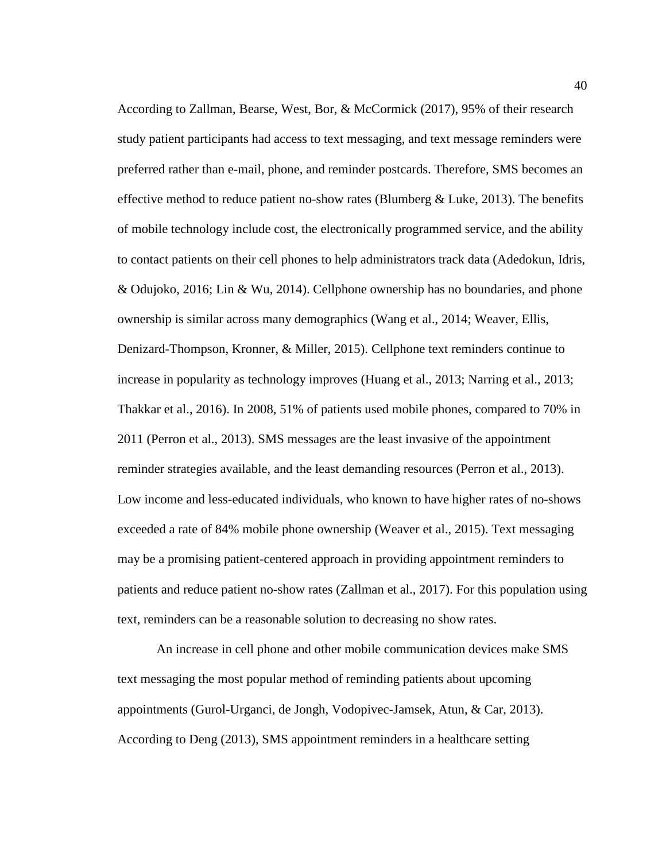According to Zallman, Bearse, West, Bor, & McCormick (2017), 95% of their research study patient participants had access to text messaging, and text message reminders were preferred rather than e-mail, phone, and reminder postcards. Therefore, SMS becomes an effective method to reduce patient no-show rates (Blumberg  $\&$  Luke, 2013). The benefits of mobile technology include cost, the electronically programmed service, and the ability to contact patients on their cell phones to help administrators track data (Adedokun, Idris, & Odujoko, 2016; Lin & Wu, 2014). Cellphone ownership has no boundaries, and phone ownership is similar across many demographics (Wang et al., 2014; Weaver, Ellis, Denizard-Thompson, Kronner, & Miller, 2015). Cellphone text reminders continue to increase in popularity as technology improves (Huang et al., 2013; Narring et al., 2013; Thakkar et al., 2016). In 2008, 51% of patients used mobile phones, compared to 70% in 2011 (Perron et al., 2013). SMS messages are the least invasive of the appointment reminder strategies available, and the least demanding resources (Perron et al., 2013). Low income and less-educated individuals, who known to have higher rates of no-shows exceeded a rate of 84% mobile phone ownership (Weaver et al., 2015). Text messaging may be a promising patient-centered approach in providing appointment reminders to patients and reduce patient no-show rates (Zallman et al., 2017). For this population using text, reminders can be a reasonable solution to decreasing no show rates.

An increase in cell phone and other mobile communication devices make SMS text messaging the most popular method of reminding patients about upcoming appointments (Gurol-Urganci, de Jongh, Vodopivec-Jamsek, Atun, & Car, 2013). According to Deng (2013), SMS appointment reminders in a healthcare setting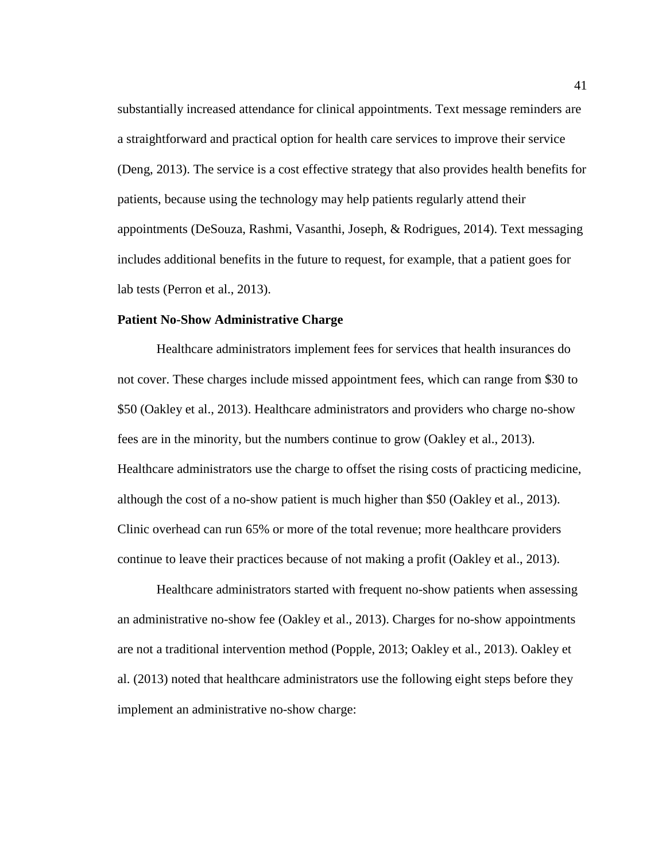substantially increased attendance for clinical appointments. Text message reminders are a straightforward and practical option for health care services to improve their service (Deng, 2013). The service is a cost effective strategy that also provides health benefits for patients, because using the technology may help patients regularly attend their appointments (DeSouza, Rashmi, Vasanthi, Joseph, & Rodrigues, 2014). Text messaging includes additional benefits in the future to request, for example, that a patient goes for lab tests (Perron et al., 2013).

## **Patient No-Show Administrative Charge**

Healthcare administrators implement fees for services that health insurances do not cover. These charges include missed appointment fees, which can range from \$30 to \$50 (Oakley et al., 2013). Healthcare administrators and providers who charge no-show fees are in the minority, but the numbers continue to grow (Oakley et al., 2013). Healthcare administrators use the charge to offset the rising costs of practicing medicine, although the cost of a no-show patient is much higher than \$50 (Oakley et al., 2013). Clinic overhead can run 65% or more of the total revenue; more healthcare providers continue to leave their practices because of not making a profit (Oakley et al., 2013).

Healthcare administrators started with frequent no-show patients when assessing an administrative no-show fee (Oakley et al., 2013). Charges for no-show appointments are not a traditional intervention method (Popple, 2013; Oakley et al., 2013). Oakley et al. (2013) noted that healthcare administrators use the following eight steps before they implement an administrative no-show charge: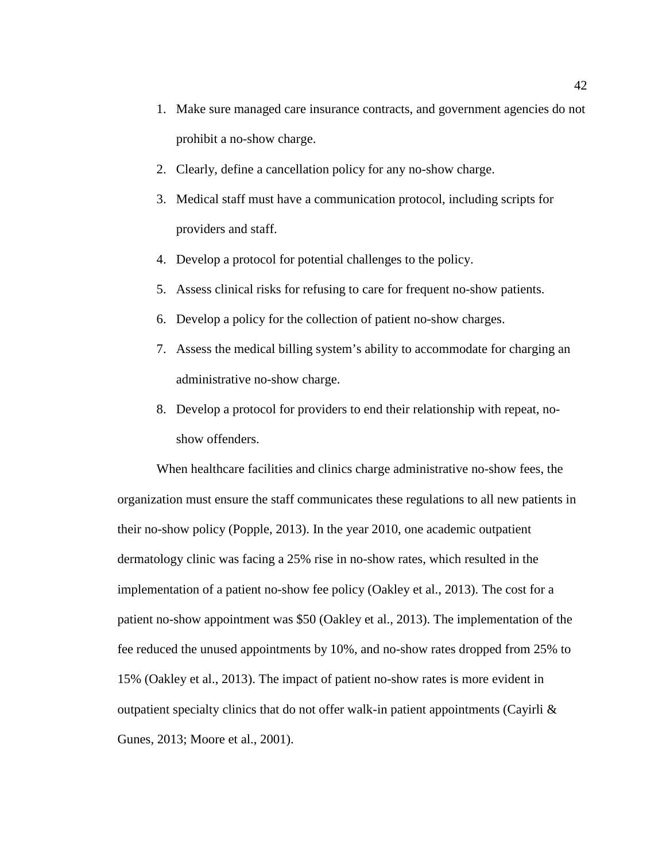- 1. Make sure managed care insurance contracts, and government agencies do not prohibit a no-show charge.
- 2. Clearly, define a cancellation policy for any no-show charge.
- 3. Medical staff must have a communication protocol, including scripts for providers and staff.
- 4. Develop a protocol for potential challenges to the policy.
- 5. Assess clinical risks for refusing to care for frequent no-show patients.
- 6. Develop a policy for the collection of patient no-show charges.
- 7. Assess the medical billing system's ability to accommodate for charging an administrative no-show charge.
- 8. Develop a protocol for providers to end their relationship with repeat, noshow offenders.

When healthcare facilities and clinics charge administrative no-show fees, the organization must ensure the staff communicates these regulations to all new patients in their no-show policy (Popple, 2013). In the year 2010, one academic outpatient dermatology clinic was facing a 25% rise in no-show rates, which resulted in the implementation of a patient no-show fee policy (Oakley et al., 2013). The cost for a patient no-show appointment was \$50 (Oakley et al., 2013). The implementation of the fee reduced the unused appointments by 10%, and no-show rates dropped from 25% to 15% (Oakley et al., 2013). The impact of patient no-show rates is more evident in outpatient specialty clinics that do not offer walk-in patient appointments (Cayirli  $\&$ Gunes, 2013; Moore et al., 2001).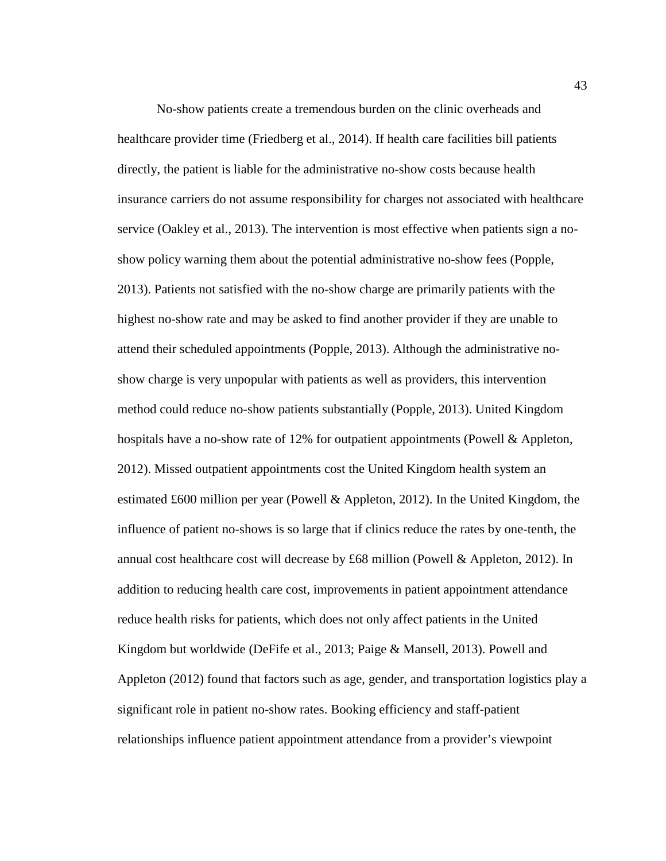No-show patients create a tremendous burden on the clinic overheads and healthcare provider time (Friedberg et al., 2014). If health care facilities bill patients directly, the patient is liable for the administrative no-show costs because health insurance carriers do not assume responsibility for charges not associated with healthcare service (Oakley et al., 2013). The intervention is most effective when patients sign a noshow policy warning them about the potential administrative no-show fees (Popple, 2013). Patients not satisfied with the no-show charge are primarily patients with the highest no-show rate and may be asked to find another provider if they are unable to attend their scheduled appointments (Popple, 2013). Although the administrative noshow charge is very unpopular with patients as well as providers, this intervention method could reduce no-show patients substantially (Popple, 2013). United Kingdom hospitals have a no-show rate of 12% for outpatient appointments (Powell & Appleton, 2012). Missed outpatient appointments cost the United Kingdom health system an estimated £600 million per year (Powell & Appleton, 2012). In the United Kingdom, the influence of patient no-shows is so large that if clinics reduce the rates by one-tenth, the annual cost healthcare cost will decrease by £68 million (Powell & Appleton, 2012). In addition to reducing health care cost, improvements in patient appointment attendance reduce health risks for patients, which does not only affect patients in the United Kingdom but worldwide (DeFife et al., 2013; Paige & Mansell, 2013). Powell and Appleton (2012) found that factors such as age, gender, and transportation logistics play a significant role in patient no-show rates. Booking efficiency and staff-patient relationships influence patient appointment attendance from a provider's viewpoint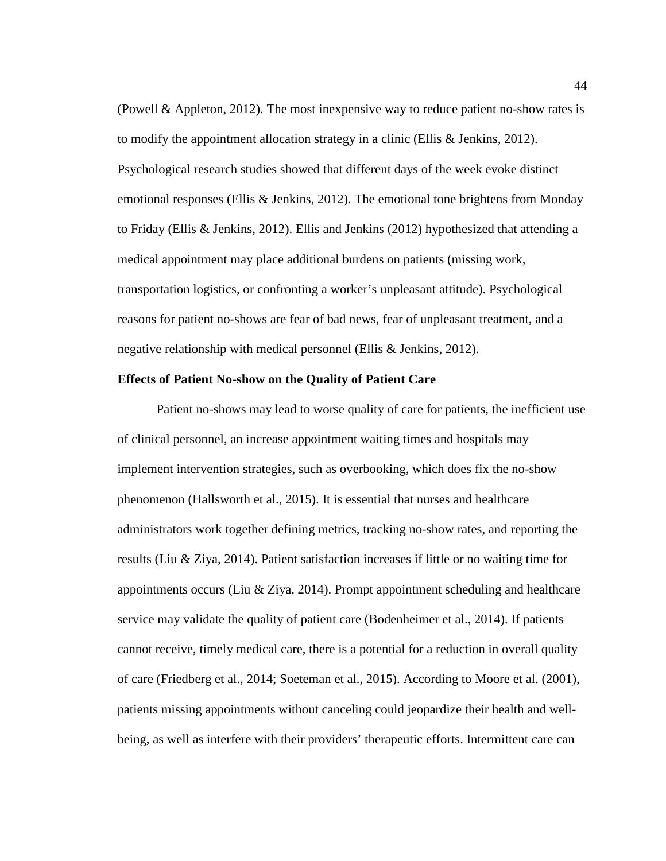(Powell & Appleton, 2012). The most inexpensive way to reduce patient no-show rates is to modify the appointment allocation strategy in a clinic (Ellis & Jenkins, 2012). Psychological research studies showed that different days of the week evoke distinct emotional responses (Ellis & Jenkins, 2012). The emotional tone brightens from Monday to Friday (Ellis & Jenkins, 2012). Ellis and Jenkins (2012) hypothesized that attending a medical appointment may place additional burdens on patients (missing work, transportation logistics, or confronting a worker's unpleasant attitude). Psychological reasons for patient no-shows are fear of bad news, fear of unpleasant treatment, and a negative relationship with medical personnel (Ellis & Jenkins, 2012).

## **Effects of Patient No-show on the Quality of Patient Care**

Patient no-shows may lead to worse quality of care for patients, the inefficient use of clinical personnel, an increase appointment waiting times and hospitals may implement intervention strategies, such as overbooking, which does fix the no-show phenomenon (Hallsworth et al., 2015). It is essential that nurses and healthcare administrators work together defining metrics, tracking no-show rates, and reporting the results (Liu & Ziya, 2014). Patient satisfaction increases if little or no waiting time for appointments occurs (Liu & Ziya, 2014). Prompt appointment scheduling and healthcare service may validate the quality of patient care (Bodenheimer et al., 2014). If patients cannot receive, timely medical care, there is a potential for a reduction in overall quality of care (Friedberg et al., 2014; Soeteman et al., 2015). According to Moore et al. (2001), patients missing appointments without canceling could jeopardize their health and wellbeing, as well as interfere with their providers' therapeutic efforts. Intermittent care can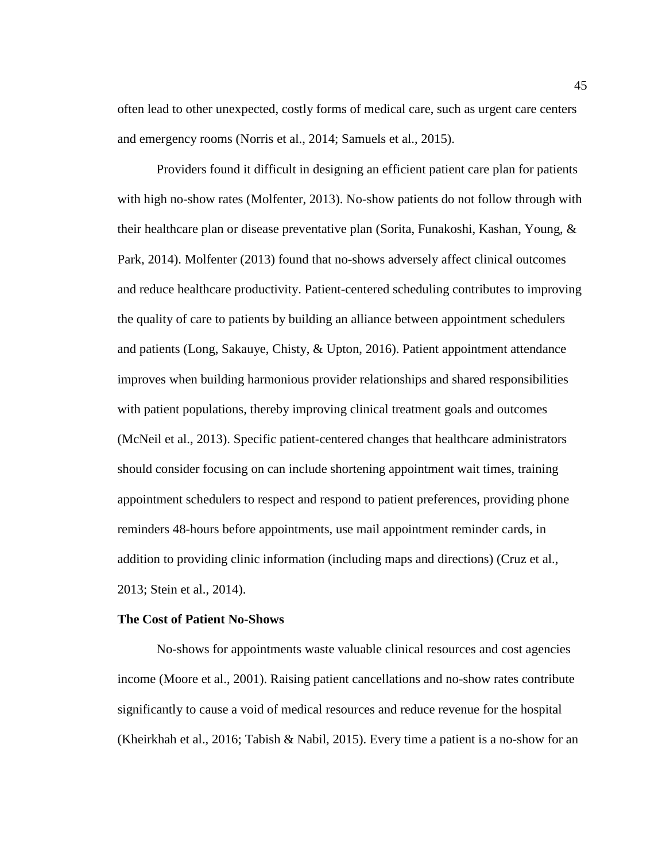often lead to other unexpected, costly forms of medical care, such as urgent care centers and emergency rooms (Norris et al., 2014; Samuels et al., 2015).

Providers found it difficult in designing an efficient patient care plan for patients with high no-show rates (Molfenter, 2013). No-show patients do not follow through with their healthcare plan or disease preventative plan (Sorita, Funakoshi, Kashan, Young, & Park, 2014). Molfenter (2013) found that no-shows adversely affect clinical outcomes and reduce healthcare productivity. Patient-centered scheduling contributes to improving the quality of care to patients by building an alliance between appointment schedulers and patients (Long, Sakauye, Chisty, & Upton, 2016). Patient appointment attendance improves when building harmonious provider relationships and shared responsibilities with patient populations, thereby improving clinical treatment goals and outcomes (McNeil et al., 2013). Specific patient-centered changes that healthcare administrators should consider focusing on can include shortening appointment wait times, training appointment schedulers to respect and respond to patient preferences, providing phone reminders 48-hours before appointments, use mail appointment reminder cards, in addition to providing clinic information (including maps and directions) (Cruz et al., 2013; Stein et al., 2014).

## **The Cost of Patient No-Shows**

No-shows for appointments waste valuable clinical resources and cost agencies income (Moore et al., 2001). Raising patient cancellations and no-show rates contribute significantly to cause a void of medical resources and reduce revenue for the hospital (Kheirkhah et al., 2016; Tabish & Nabil, 2015). Every time a patient is a no-show for an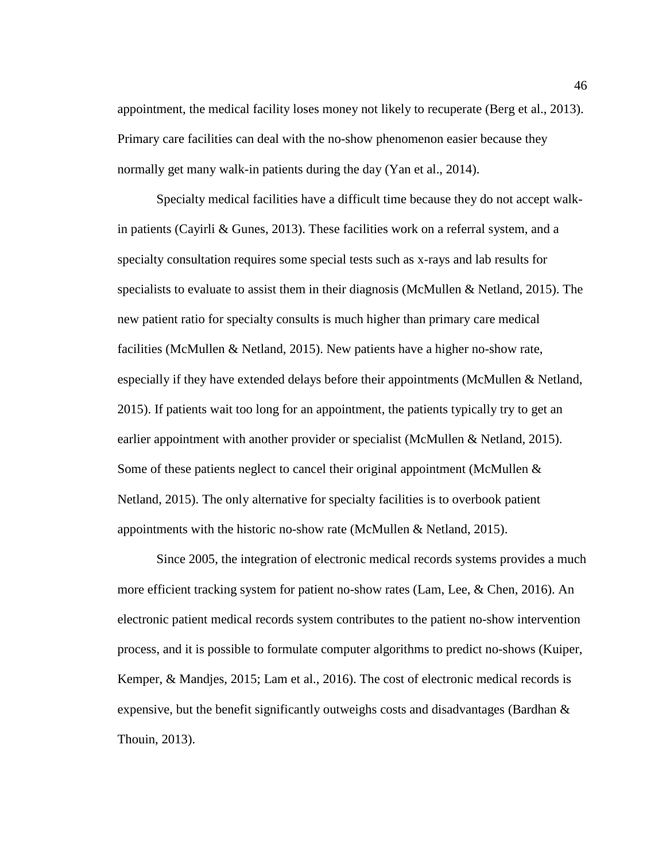appointment, the medical facility loses money not likely to recuperate (Berg et al., 2013). Primary care facilities can deal with the no-show phenomenon easier because they normally get many walk-in patients during the day (Yan et al., 2014).

Specialty medical facilities have a difficult time because they do not accept walkin patients (Cayirli & Gunes, 2013). These facilities work on a referral system, and a specialty consultation requires some special tests such as x-rays and lab results for specialists to evaluate to assist them in their diagnosis (McMullen & Netland, 2015). The new patient ratio for specialty consults is much higher than primary care medical facilities (McMullen & Netland, 2015). New patients have a higher no-show rate, especially if they have extended delays before their appointments (McMullen & Netland, 2015). If patients wait too long for an appointment, the patients typically try to get an earlier appointment with another provider or specialist (McMullen & Netland, 2015). Some of these patients neglect to cancel their original appointment (McMullen  $\&$ Netland, 2015). The only alternative for specialty facilities is to overbook patient appointments with the historic no-show rate (McMullen & Netland, 2015).

Since 2005, the integration of electronic medical records systems provides a much more efficient tracking system for patient no-show rates (Lam, Lee, & Chen, 2016). An electronic patient medical records system contributes to the patient no-show intervention process, and it is possible to formulate computer algorithms to predict no-shows (Kuiper, Kemper, & Mandjes, 2015; Lam et al., 2016). The cost of electronic medical records is expensive, but the benefit significantly outweighs costs and disadvantages (Bardhan  $\&$ Thouin, 2013).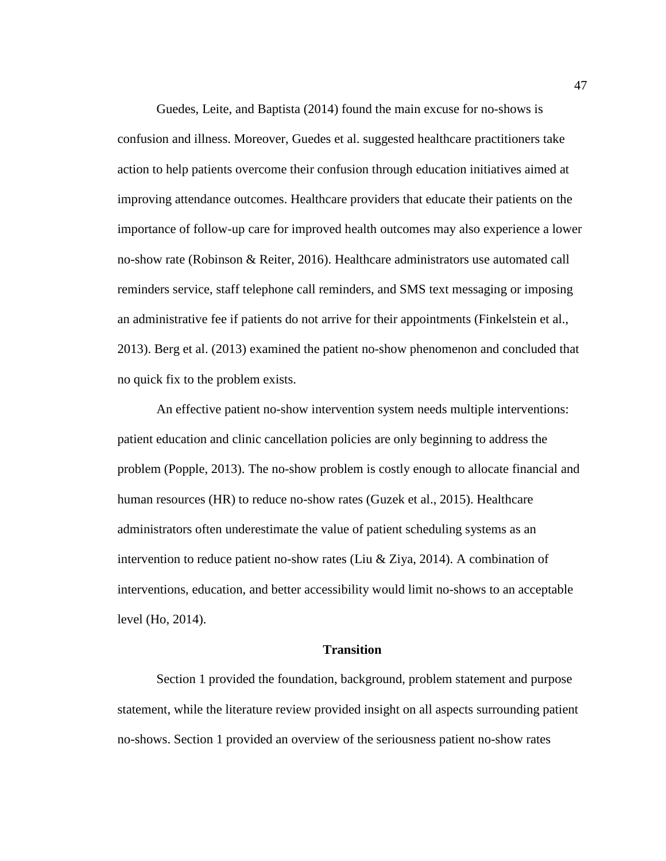Guedes, Leite, and Baptista (2014) found the main excuse for no-shows is confusion and illness. Moreover, Guedes et al. suggested healthcare practitioners take action to help patients overcome their confusion through education initiatives aimed at improving attendance outcomes. Healthcare providers that educate their patients on the importance of follow-up care for improved health outcomes may also experience a lower no-show rate (Robinson & Reiter, 2016). Healthcare administrators use automated call reminders service, staff telephone call reminders, and SMS text messaging or imposing an administrative fee if patients do not arrive for their appointments (Finkelstein et al., 2013). Berg et al. (2013) examined the patient no-show phenomenon and concluded that no quick fix to the problem exists.

An effective patient no-show intervention system needs multiple interventions: patient education and clinic cancellation policies are only beginning to address the problem (Popple, 2013). The no-show problem is costly enough to allocate financial and human resources (HR) to reduce no-show rates (Guzek et al., 2015). Healthcare administrators often underestimate the value of patient scheduling systems as an intervention to reduce patient no-show rates (Liu & Ziya, 2014). A combination of interventions, education, and better accessibility would limit no-shows to an acceptable level (Ho, 2014).

#### **Transition**

Section 1 provided the foundation, background, problem statement and purpose statement, while the literature review provided insight on all aspects surrounding patient no-shows. Section 1 provided an overview of the seriousness patient no-show rates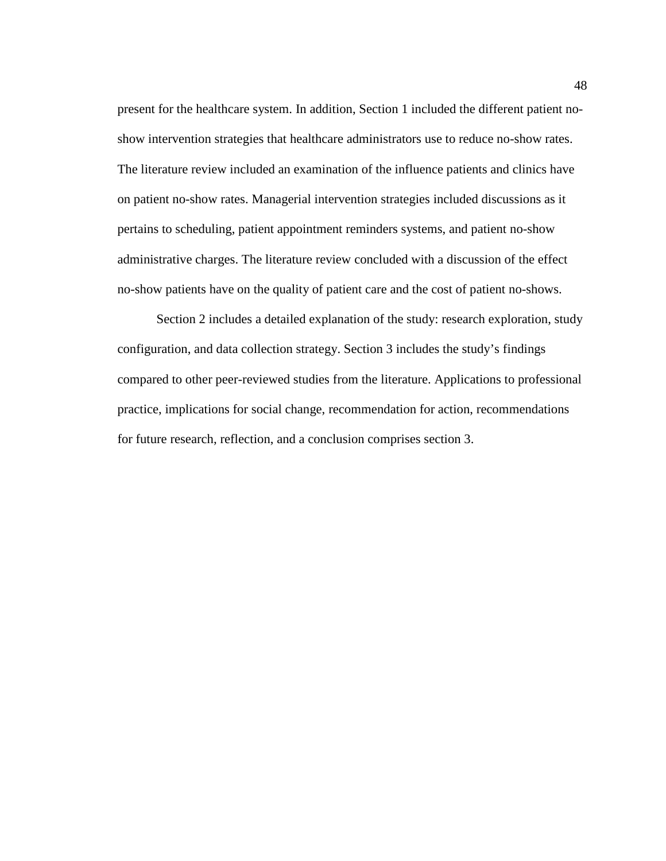present for the healthcare system. In addition, Section 1 included the different patient noshow intervention strategies that healthcare administrators use to reduce no-show rates. The literature review included an examination of the influence patients and clinics have on patient no-show rates. Managerial intervention strategies included discussions as it pertains to scheduling, patient appointment reminders systems, and patient no-show administrative charges. The literature review concluded with a discussion of the effect no-show patients have on the quality of patient care and the cost of patient no-shows.

Section 2 includes a detailed explanation of the study: research exploration, study configuration, and data collection strategy. Section 3 includes the study's findings compared to other peer-reviewed studies from the literature. Applications to professional practice, implications for social change, recommendation for action, recommendations for future research, reflection, and a conclusion comprises section 3.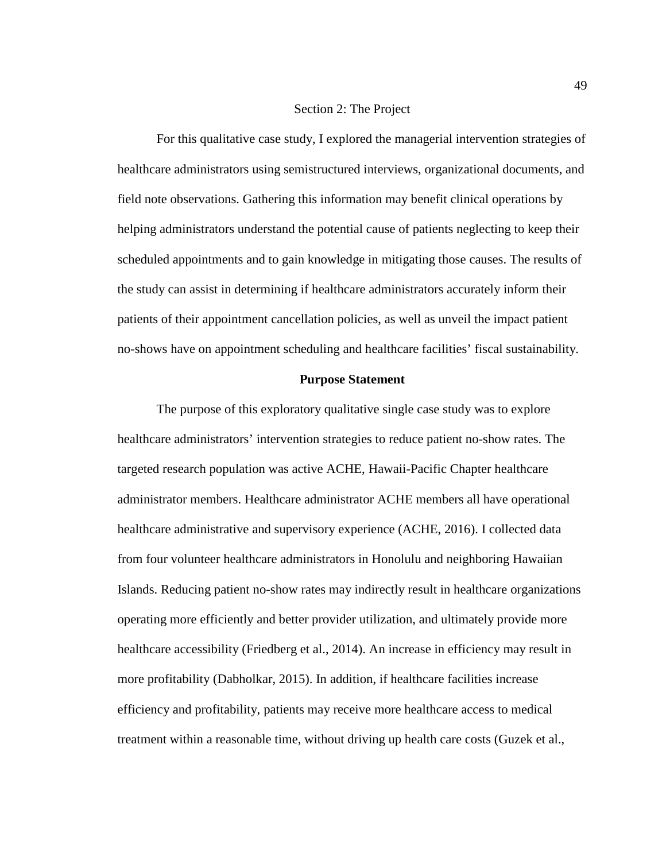#### Section 2: The Project

For this qualitative case study, I explored the managerial intervention strategies of healthcare administrators using semistructured interviews, organizational documents, and field note observations. Gathering this information may benefit clinical operations by helping administrators understand the potential cause of patients neglecting to keep their scheduled appointments and to gain knowledge in mitigating those causes. The results of the study can assist in determining if healthcare administrators accurately inform their patients of their appointment cancellation policies, as well as unveil the impact patient no-shows have on appointment scheduling and healthcare facilities' fiscal sustainability.

## **Purpose Statement**

The purpose of this exploratory qualitative single case study was to explore healthcare administrators' intervention strategies to reduce patient no-show rates. The targeted research population was active ACHE, Hawaii-Pacific Chapter healthcare administrator members. Healthcare administrator ACHE members all have operational healthcare administrative and supervisory experience (ACHE, 2016). I collected data from four volunteer healthcare administrators in Honolulu and neighboring Hawaiian Islands. Reducing patient no-show rates may indirectly result in healthcare organizations operating more efficiently and better provider utilization, and ultimately provide more healthcare accessibility (Friedberg et al., 2014). An increase in efficiency may result in more profitability (Dabholkar, 2015). In addition, if healthcare facilities increase efficiency and profitability, patients may receive more healthcare access to medical treatment within a reasonable time, without driving up health care costs (Guzek et al.,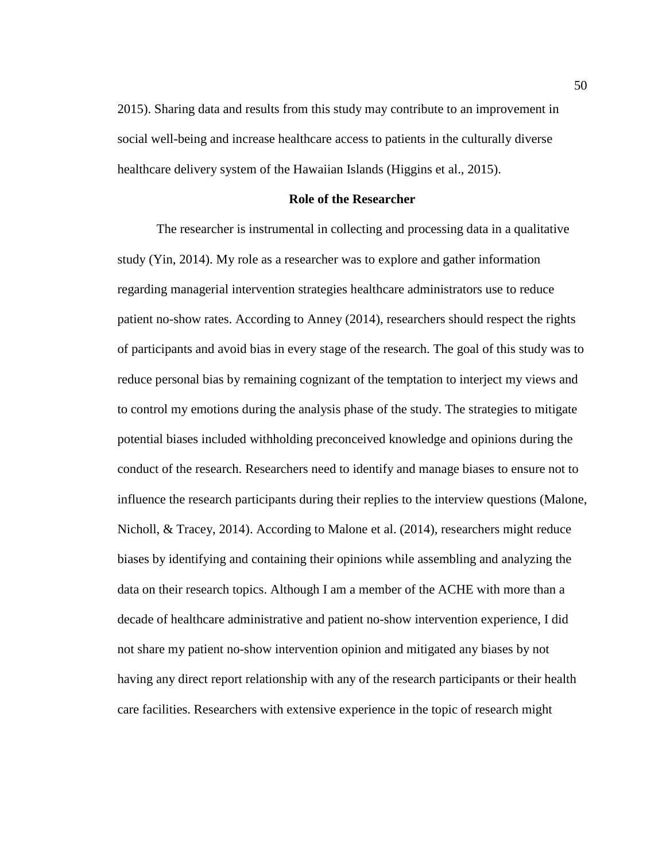2015). Sharing data and results from this study may contribute to an improvement in social well-being and increase healthcare access to patients in the culturally diverse healthcare delivery system of the Hawaiian Islands (Higgins et al., 2015).

# **Role of the Researcher**

The researcher is instrumental in collecting and processing data in a qualitative study (Yin, 2014). My role as a researcher was to explore and gather information regarding managerial intervention strategies healthcare administrators use to reduce patient no-show rates. According to Anney (2014), researchers should respect the rights of participants and avoid bias in every stage of the research. The goal of this study was to reduce personal bias by remaining cognizant of the temptation to interject my views and to control my emotions during the analysis phase of the study. The strategies to mitigate potential biases included withholding preconceived knowledge and opinions during the conduct of the research. Researchers need to identify and manage biases to ensure not to influence the research participants during their replies to the interview questions (Malone, Nicholl, & Tracey, 2014). According to Malone et al. (2014), researchers might reduce biases by identifying and containing their opinions while assembling and analyzing the data on their research topics. Although I am a member of the ACHE with more than a decade of healthcare administrative and patient no-show intervention experience, I did not share my patient no-show intervention opinion and mitigated any biases by not having any direct report relationship with any of the research participants or their health care facilities. Researchers with extensive experience in the topic of research might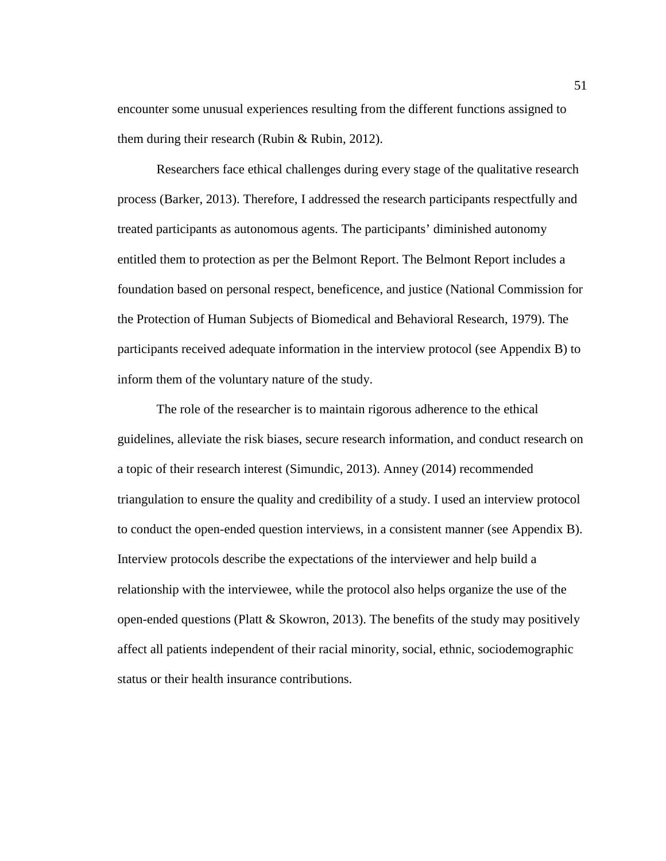encounter some unusual experiences resulting from the different functions assigned to them during their research (Rubin & Rubin, 2012).

Researchers face ethical challenges during every stage of the qualitative research process (Barker, 2013). Therefore, I addressed the research participants respectfully and treated participants as autonomous agents. The participants' diminished autonomy entitled them to protection as per the Belmont Report. The Belmont Report includes a foundation based on personal respect, beneficence, and justice (National Commission for the Protection of Human Subjects of Biomedical and Behavioral Research, 1979). The participants received adequate information in the interview protocol (see Appendix B) to inform them of the voluntary nature of the study.

The role of the researcher is to maintain rigorous adherence to the ethical guidelines, alleviate the risk biases, secure research information, and conduct research on a topic of their research interest (Simundic, 2013). Anney (2014) recommended triangulation to ensure the quality and credibility of a study. I used an interview protocol to conduct the open-ended question interviews, in a consistent manner (see Appendix B). Interview protocols describe the expectations of the interviewer and help build a relationship with the interviewee, while the protocol also helps organize the use of the open-ended questions (Platt & Skowron, 2013). The benefits of the study may positively affect all patients independent of their racial minority, social, ethnic, sociodemographic status or their health insurance contributions.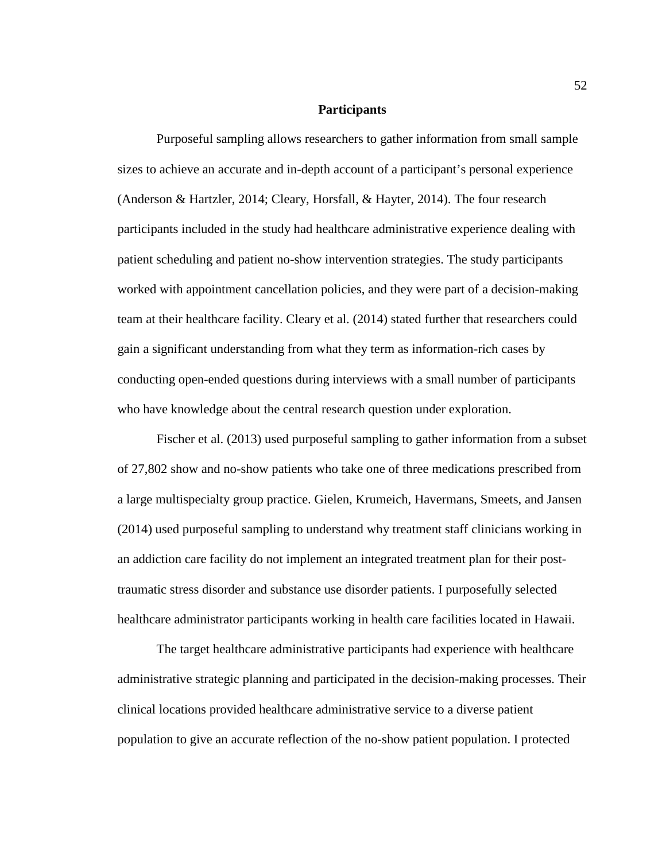## **Participants**

Purposeful sampling allows researchers to gather information from small sample sizes to achieve an accurate and in-depth account of a participant's personal experience (Anderson & Hartzler, 2014; Cleary, Horsfall, & Hayter, 2014). The four research participants included in the study had healthcare administrative experience dealing with patient scheduling and patient no-show intervention strategies. The study participants worked with appointment cancellation policies, and they were part of a decision-making team at their healthcare facility. Cleary et al. (2014) stated further that researchers could gain a significant understanding from what they term as information-rich cases by conducting open-ended questions during interviews with a small number of participants who have knowledge about the central research question under exploration.

Fischer et al. (2013) used purposeful sampling to gather information from a subset of 27,802 show and no-show patients who take one of three medications prescribed from a large multispecialty group practice. Gielen, Krumeich, Havermans, Smeets, and Jansen (2014) used purposeful sampling to understand why treatment staff clinicians working in an addiction care facility do not implement an integrated treatment plan for their posttraumatic stress disorder and substance use disorder patients. I purposefully selected healthcare administrator participants working in health care facilities located in Hawaii.

The target healthcare administrative participants had experience with healthcare administrative strategic planning and participated in the decision-making processes. Their clinical locations provided healthcare administrative service to a diverse patient population to give an accurate reflection of the no-show patient population. I protected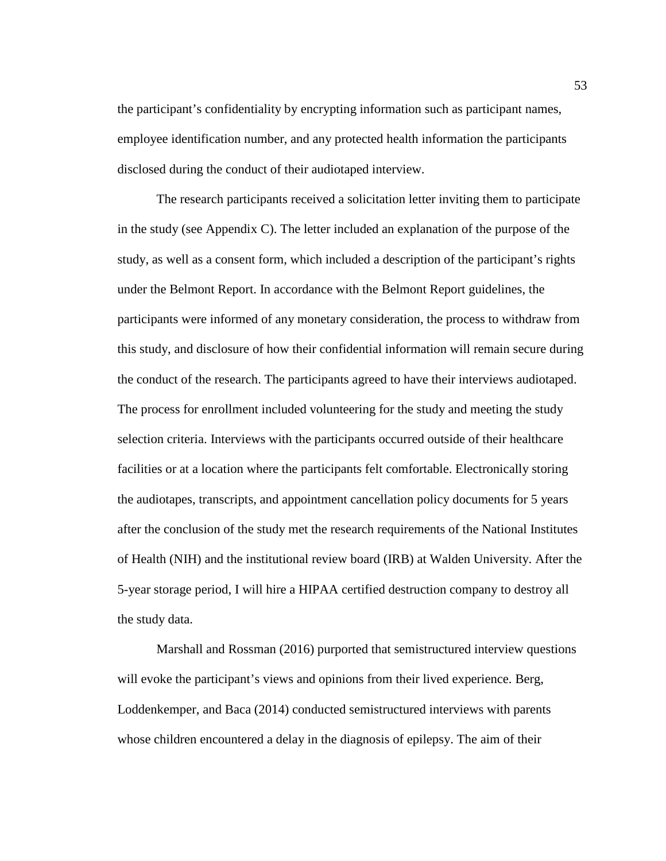the participant's confidentiality by encrypting information such as participant names, employee identification number, and any protected health information the participants disclosed during the conduct of their audiotaped interview.

The research participants received a solicitation letter inviting them to participate in the study (see Appendix C). The letter included an explanation of the purpose of the study, as well as a consent form, which included a description of the participant's rights under the Belmont Report. In accordance with the Belmont Report guidelines, the participants were informed of any monetary consideration, the process to withdraw from this study, and disclosure of how their confidential information will remain secure during the conduct of the research. The participants agreed to have their interviews audiotaped. The process for enrollment included volunteering for the study and meeting the study selection criteria. Interviews with the participants occurred outside of their healthcare facilities or at a location where the participants felt comfortable. Electronically storing the audiotapes, transcripts, and appointment cancellation policy documents for 5 years after the conclusion of the study met the research requirements of the National Institutes of Health (NIH) and the institutional review board (IRB) at Walden University. After the 5-year storage period, I will hire a HIPAA certified destruction company to destroy all the study data.

Marshall and Rossman (2016) purported that semistructured interview questions will evoke the participant's views and opinions from their lived experience. Berg, Loddenkemper, and Baca (2014) conducted semistructured interviews with parents whose children encountered a delay in the diagnosis of epilepsy. The aim of their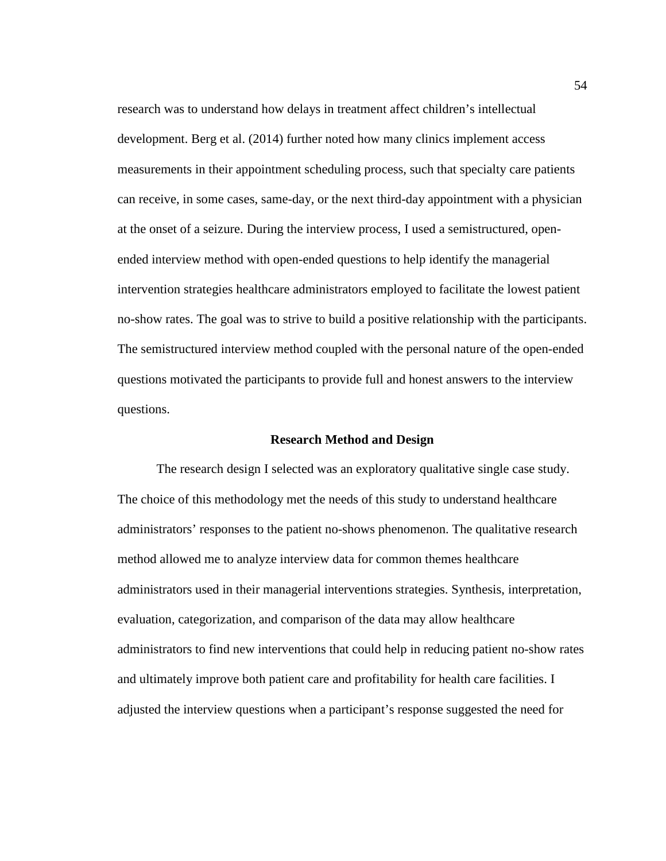research was to understand how delays in treatment affect children's intellectual development. Berg et al. (2014) further noted how many clinics implement access measurements in their appointment scheduling process, such that specialty care patients can receive, in some cases, same-day, or the next third-day appointment with a physician at the onset of a seizure. During the interview process, I used a semistructured, openended interview method with open-ended questions to help identify the managerial intervention strategies healthcare administrators employed to facilitate the lowest patient no-show rates. The goal was to strive to build a positive relationship with the participants. The semistructured interview method coupled with the personal nature of the open-ended questions motivated the participants to provide full and honest answers to the interview questions.

#### **Research Method and Design**

The research design I selected was an exploratory qualitative single case study. The choice of this methodology met the needs of this study to understand healthcare administrators' responses to the patient no-shows phenomenon. The qualitative research method allowed me to analyze interview data for common themes healthcare administrators used in their managerial interventions strategies. Synthesis, interpretation, evaluation, categorization, and comparison of the data may allow healthcare administrators to find new interventions that could help in reducing patient no-show rates and ultimately improve both patient care and profitability for health care facilities. I adjusted the interview questions when a participant's response suggested the need for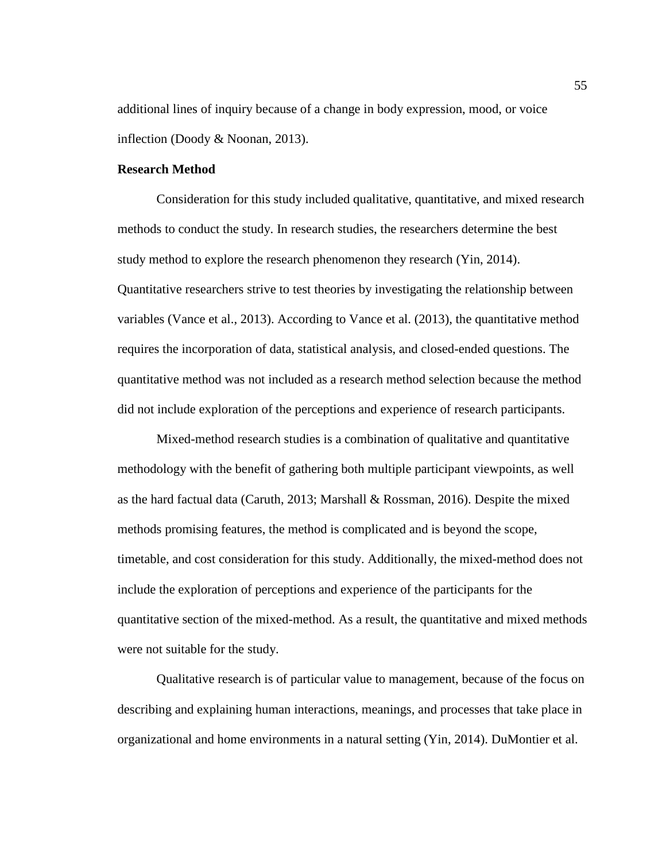additional lines of inquiry because of a change in body expression, mood, or voice inflection (Doody & Noonan, 2013).

# **Research Method**

Consideration for this study included qualitative, quantitative, and mixed research methods to conduct the study. In research studies, the researchers determine the best study method to explore the research phenomenon they research (Yin, 2014). Quantitative researchers strive to test theories by investigating the relationship between variables (Vance et al., 2013). According to Vance et al. (2013), the quantitative method requires the incorporation of data, statistical analysis, and closed-ended questions. The quantitative method was not included as a research method selection because the method did not include exploration of the perceptions and experience of research participants.

Mixed-method research studies is a combination of qualitative and quantitative methodology with the benefit of gathering both multiple participant viewpoints, as well as the hard factual data (Caruth, 2013; Marshall & Rossman, 2016). Despite the mixed methods promising features, the method is complicated and is beyond the scope, timetable, and cost consideration for this study. Additionally, the mixed-method does not include the exploration of perceptions and experience of the participants for the quantitative section of the mixed-method. As a result, the quantitative and mixed methods were not suitable for the study.

Qualitative research is of particular value to management, because of the focus on describing and explaining human interactions, meanings, and processes that take place in organizational and home environments in a natural setting (Yin, 2014). DuMontier et al.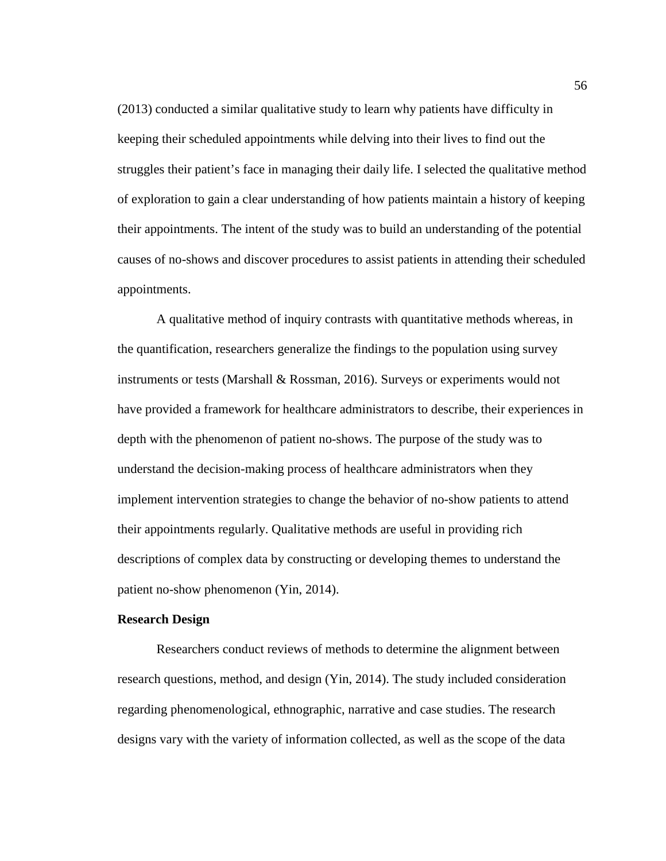(2013) conducted a similar qualitative study to learn why patients have difficulty in keeping their scheduled appointments while delving into their lives to find out the struggles their patient's face in managing their daily life. I selected the qualitative method of exploration to gain a clear understanding of how patients maintain a history of keeping their appointments. The intent of the study was to build an understanding of the potential causes of no-shows and discover procedures to assist patients in attending their scheduled appointments.

A qualitative method of inquiry contrasts with quantitative methods whereas, in the quantification, researchers generalize the findings to the population using survey instruments or tests (Marshall  $\&$  Rossman, 2016). Surveys or experiments would not have provided a framework for healthcare administrators to describe, their experiences in depth with the phenomenon of patient no-shows. The purpose of the study was to understand the decision-making process of healthcare administrators when they implement intervention strategies to change the behavior of no-show patients to attend their appointments regularly. Qualitative methods are useful in providing rich descriptions of complex data by constructing or developing themes to understand the patient no-show phenomenon (Yin, 2014).

# **Research Design**

Researchers conduct reviews of methods to determine the alignment between research questions, method, and design (Yin, 2014). The study included consideration regarding phenomenological, ethnographic, narrative and case studies. The research designs vary with the variety of information collected, as well as the scope of the data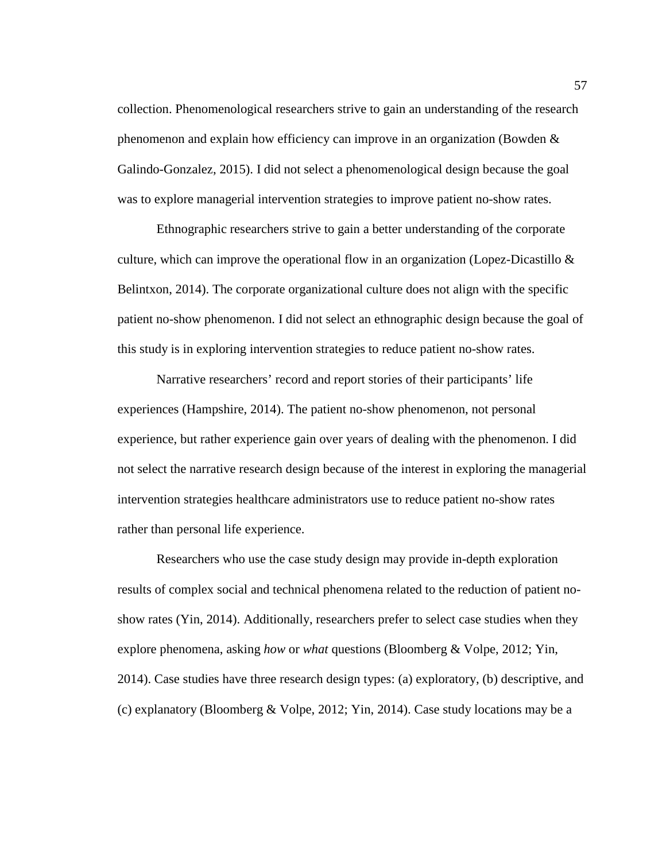collection. Phenomenological researchers strive to gain an understanding of the research phenomenon and explain how efficiency can improve in an organization (Bowden & Galindo-Gonzalez, 2015). I did not select a phenomenological design because the goal was to explore managerial intervention strategies to improve patient no-show rates.

Ethnographic researchers strive to gain a better understanding of the corporate culture, which can improve the operational flow in an organization (Lopez-Dicastillo & Belintxon, 2014). The corporate organizational culture does not align with the specific patient no-show phenomenon. I did not select an ethnographic design because the goal of this study is in exploring intervention strategies to reduce patient no-show rates.

Narrative researchers' record and report stories of their participants' life experiences (Hampshire, 2014). The patient no-show phenomenon, not personal experience, but rather experience gain over years of dealing with the phenomenon. I did not select the narrative research design because of the interest in exploring the managerial intervention strategies healthcare administrators use to reduce patient no-show rates rather than personal life experience.

Researchers who use the case study design may provide in-depth exploration results of complex social and technical phenomena related to the reduction of patient noshow rates (Yin, 2014). Additionally, researchers prefer to select case studies when they explore phenomena, asking *how* or *what* questions (Bloomberg & Volpe, 2012; Yin, 2014). Case studies have three research design types: (a) exploratory, (b) descriptive, and (c) explanatory (Bloomberg & Volpe, 2012; Yin, 2014). Case study locations may be a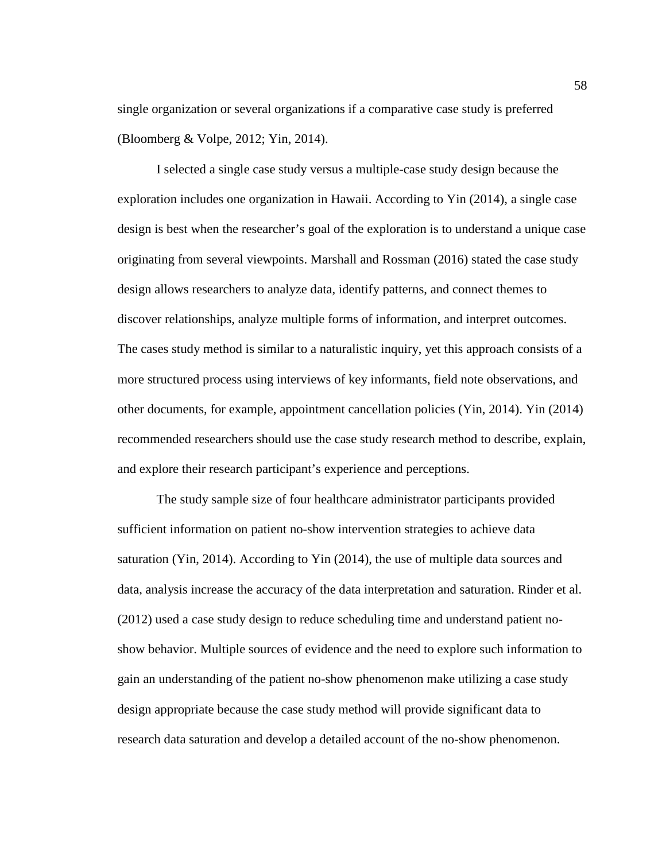single organization or several organizations if a comparative case study is preferred (Bloomberg & Volpe, 2012; Yin, 2014).

I selected a single case study versus a multiple-case study design because the exploration includes one organization in Hawaii. According to Yin (2014), a single case design is best when the researcher's goal of the exploration is to understand a unique case originating from several viewpoints. Marshall and Rossman (2016) stated the case study design allows researchers to analyze data, identify patterns, and connect themes to discover relationships, analyze multiple forms of information, and interpret outcomes. The cases study method is similar to a naturalistic inquiry, yet this approach consists of a more structured process using interviews of key informants, field note observations, and other documents, for example, appointment cancellation policies (Yin, 2014). Yin (2014) recommended researchers should use the case study research method to describe, explain, and explore their research participant's experience and perceptions.

The study sample size of four healthcare administrator participants provided sufficient information on patient no-show intervention strategies to achieve data saturation (Yin, 2014). According to Yin (2014), the use of multiple data sources and data, analysis increase the accuracy of the data interpretation and saturation. Rinder et al. (2012) used a case study design to reduce scheduling time and understand patient noshow behavior. Multiple sources of evidence and the need to explore such information to gain an understanding of the patient no-show phenomenon make utilizing a case study design appropriate because the case study method will provide significant data to research data saturation and develop a detailed account of the no-show phenomenon.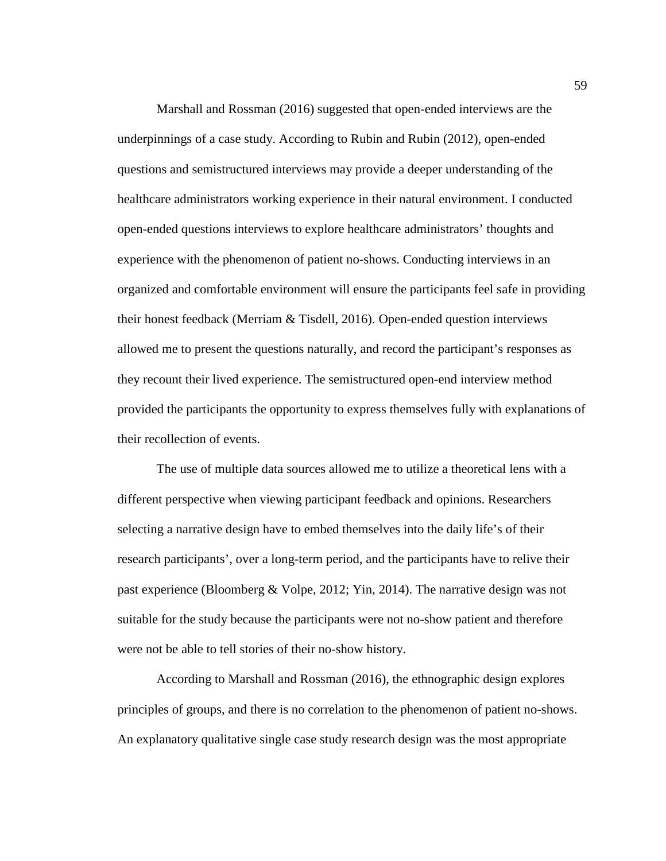Marshall and Rossman (2016) suggested that open-ended interviews are the underpinnings of a case study. According to Rubin and Rubin (2012), open-ended questions and semistructured interviews may provide a deeper understanding of the healthcare administrators working experience in their natural environment. I conducted open-ended questions interviews to explore healthcare administrators' thoughts and experience with the phenomenon of patient no-shows. Conducting interviews in an organized and comfortable environment will ensure the participants feel safe in providing their honest feedback (Merriam & Tisdell, 2016). Open-ended question interviews allowed me to present the questions naturally, and record the participant's responses as they recount their lived experience. The semistructured open-end interview method provided the participants the opportunity to express themselves fully with explanations of their recollection of events.

The use of multiple data sources allowed me to utilize a theoretical lens with a different perspective when viewing participant feedback and opinions. Researchers selecting a narrative design have to embed themselves into the daily life's of their research participants', over a long-term period, and the participants have to relive their past experience (Bloomberg & Volpe, 2012; Yin, 2014). The narrative design was not suitable for the study because the participants were not no-show patient and therefore were not be able to tell stories of their no-show history.

According to Marshall and Rossman (2016), the ethnographic design explores principles of groups, and there is no correlation to the phenomenon of patient no-shows. An explanatory qualitative single case study research design was the most appropriate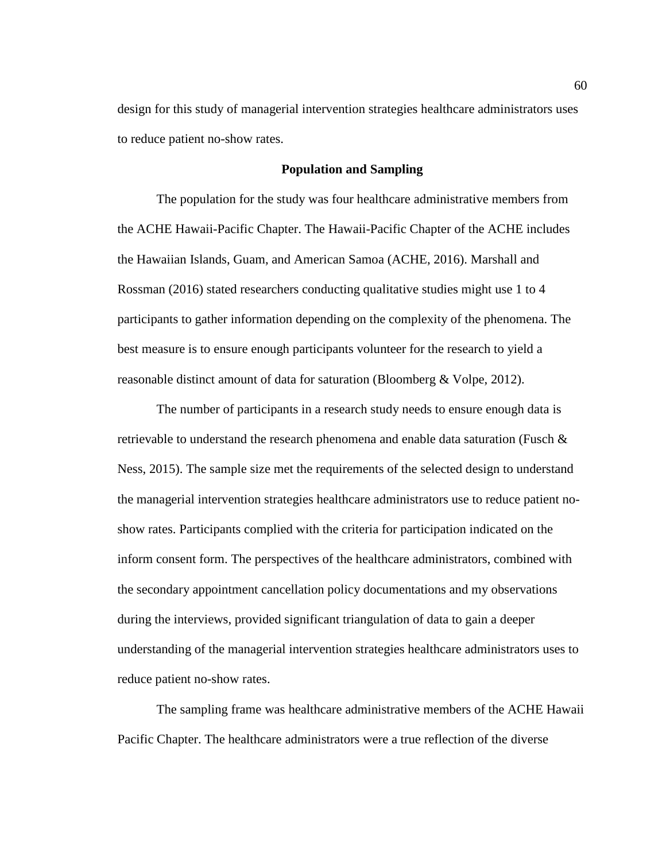design for this study of managerial intervention strategies healthcare administrators uses to reduce patient no-show rates.

# **Population and Sampling**

The population for the study was four healthcare administrative members from the ACHE Hawaii-Pacific Chapter. The Hawaii-Pacific Chapter of the ACHE includes the Hawaiian Islands, Guam, and American Samoa (ACHE, 2016). Marshall and Rossman (2016) stated researchers conducting qualitative studies might use 1 to 4 participants to gather information depending on the complexity of the phenomena. The best measure is to ensure enough participants volunteer for the research to yield a reasonable distinct amount of data for saturation (Bloomberg & Volpe, 2012).

The number of participants in a research study needs to ensure enough data is retrievable to understand the research phenomena and enable data saturation (Fusch & Ness, 2015). The sample size met the requirements of the selected design to understand the managerial intervention strategies healthcare administrators use to reduce patient noshow rates. Participants complied with the criteria for participation indicated on the inform consent form. The perspectives of the healthcare administrators, combined with the secondary appointment cancellation policy documentations and my observations during the interviews, provided significant triangulation of data to gain a deeper understanding of the managerial intervention strategies healthcare administrators uses to reduce patient no-show rates.

The sampling frame was healthcare administrative members of the ACHE Hawaii Pacific Chapter. The healthcare administrators were a true reflection of the diverse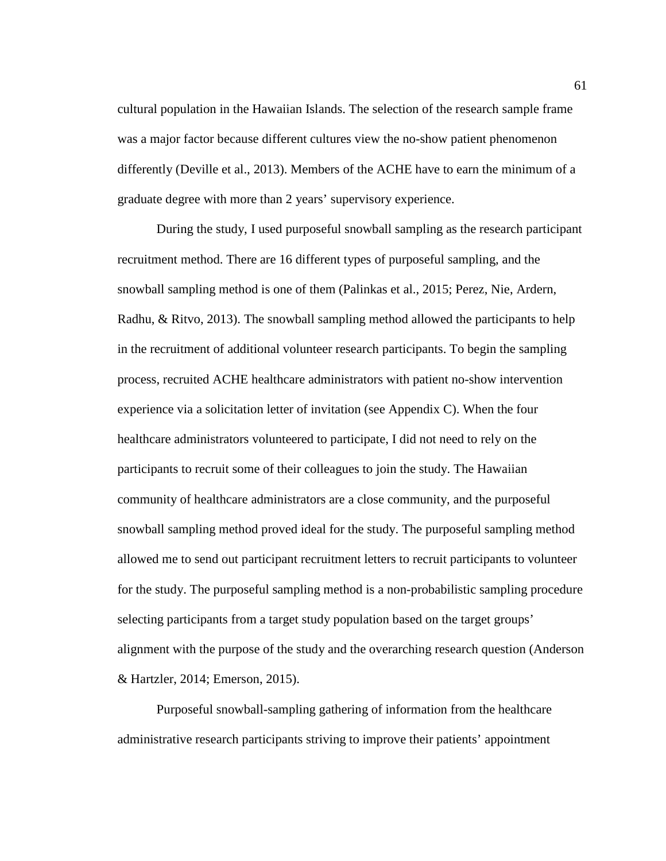cultural population in the Hawaiian Islands. The selection of the research sample frame was a major factor because different cultures view the no-show patient phenomenon differently (Deville et al., 2013). Members of the ACHE have to earn the minimum of a graduate degree with more than 2 years' supervisory experience.

During the study, I used purposeful snowball sampling as the research participant recruitment method. There are 16 different types of purposeful sampling, and the snowball sampling method is one of them (Palinkas et al., 2015; Perez, Nie, Ardern, Radhu, & Ritvo, 2013). The snowball sampling method allowed the participants to help in the recruitment of additional volunteer research participants. To begin the sampling process, recruited ACHE healthcare administrators with patient no-show intervention experience via a solicitation letter of invitation (see Appendix C). When the four healthcare administrators volunteered to participate, I did not need to rely on the participants to recruit some of their colleagues to join the study. The Hawaiian community of healthcare administrators are a close community, and the purposeful snowball sampling method proved ideal for the study. The purposeful sampling method allowed me to send out participant recruitment letters to recruit participants to volunteer for the study. The purposeful sampling method is a non-probabilistic sampling procedure selecting participants from a target study population based on the target groups' alignment with the purpose of the study and the overarching research question (Anderson & Hartzler, 2014; Emerson, 2015).

Purposeful snowball-sampling gathering of information from the healthcare administrative research participants striving to improve their patients' appointment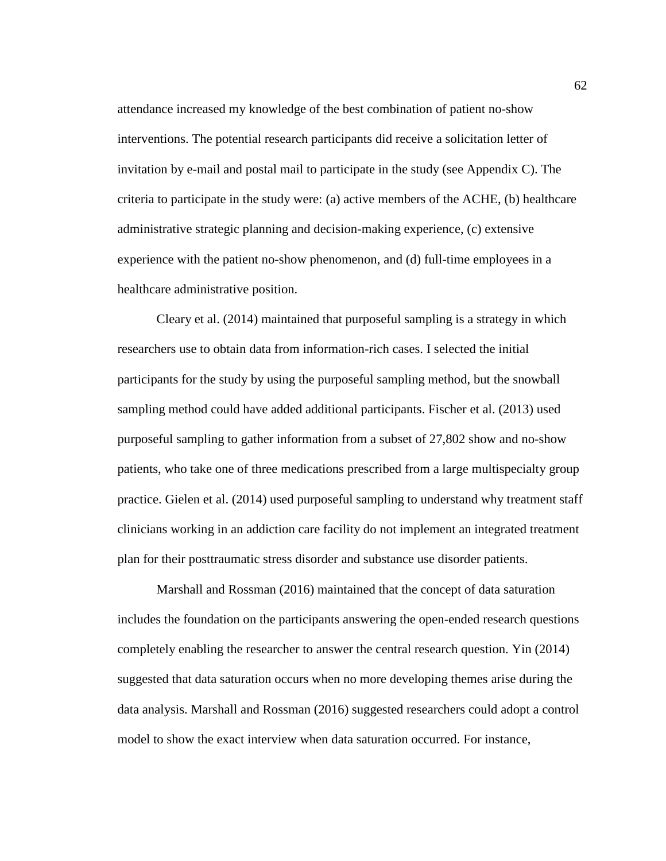attendance increased my knowledge of the best combination of patient no-show interventions. The potential research participants did receive a solicitation letter of invitation by e-mail and postal mail to participate in the study (see Appendix C). The criteria to participate in the study were: (a) active members of the ACHE, (b) healthcare administrative strategic planning and decision-making experience, (c) extensive experience with the patient no-show phenomenon, and (d) full-time employees in a healthcare administrative position.

Cleary et al. (2014) maintained that purposeful sampling is a strategy in which researchers use to obtain data from information-rich cases. I selected the initial participants for the study by using the purposeful sampling method, but the snowball sampling method could have added additional participants. Fischer et al. (2013) used purposeful sampling to gather information from a subset of 27,802 show and no-show patients, who take one of three medications prescribed from a large multispecialty group practice. Gielen et al. (2014) used purposeful sampling to understand why treatment staff clinicians working in an addiction care facility do not implement an integrated treatment plan for their posttraumatic stress disorder and substance use disorder patients.

Marshall and Rossman (2016) maintained that the concept of data saturation includes the foundation on the participants answering the open-ended research questions completely enabling the researcher to answer the central research question. Yin (2014) suggested that data saturation occurs when no more developing themes arise during the data analysis. Marshall and Rossman (2016) suggested researchers could adopt a control model to show the exact interview when data saturation occurred. For instance,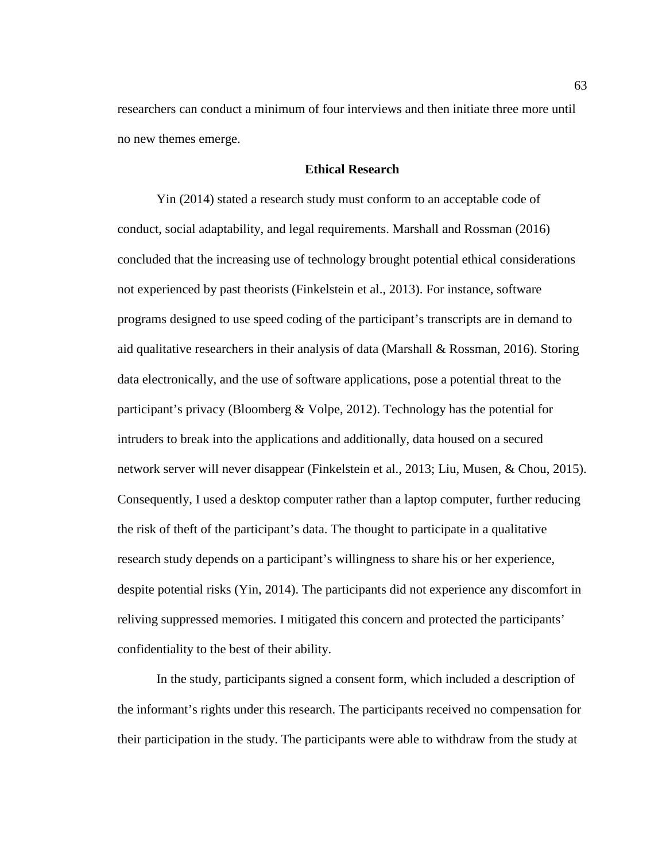researchers can conduct a minimum of four interviews and then initiate three more until no new themes emerge.

# **Ethical Research**

Yin (2014) stated a research study must conform to an acceptable code of conduct, social adaptability, and legal requirements. Marshall and Rossman (2016) concluded that the increasing use of technology brought potential ethical considerations not experienced by past theorists (Finkelstein et al., 2013). For instance, software programs designed to use speed coding of the participant's transcripts are in demand to aid qualitative researchers in their analysis of data (Marshall  $\&$  Rossman, 2016). Storing data electronically, and the use of software applications, pose a potential threat to the participant's privacy (Bloomberg  $& \text{Volpe}, 2012$ ). Technology has the potential for intruders to break into the applications and additionally, data housed on a secured network server will never disappear (Finkelstein et al., 2013; Liu, Musen, & Chou, 2015). Consequently, I used a desktop computer rather than a laptop computer, further reducing the risk of theft of the participant's data. The thought to participate in a qualitative research study depends on a participant's willingness to share his or her experience, despite potential risks (Yin, 2014). The participants did not experience any discomfort in reliving suppressed memories. I mitigated this concern and protected the participants' confidentiality to the best of their ability.

In the study, participants signed a consent form, which included a description of the informant's rights under this research. The participants received no compensation for their participation in the study. The participants were able to withdraw from the study at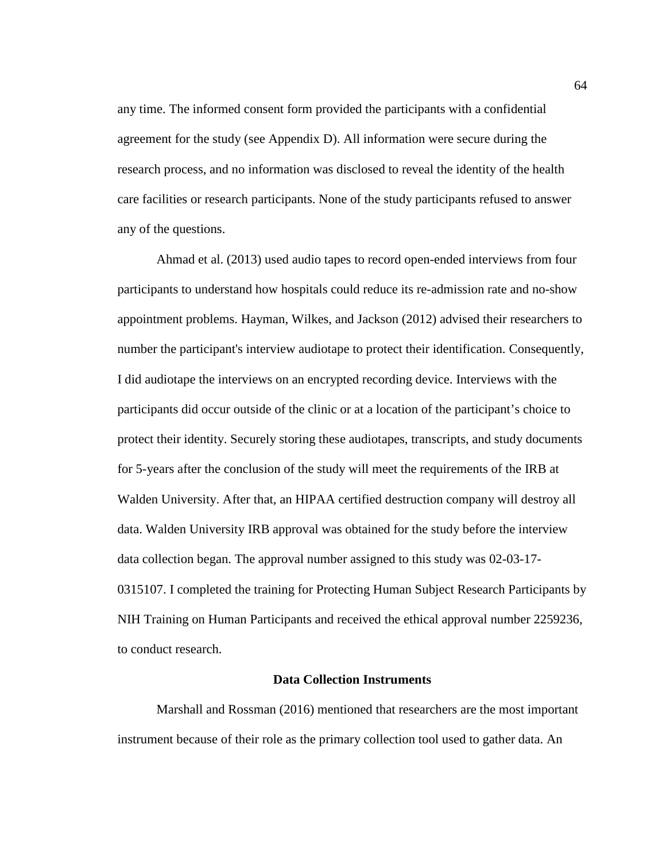any time. The informed consent form provided the participants with a confidential agreement for the study (see Appendix D). All information were secure during the research process, and no information was disclosed to reveal the identity of the health care facilities or research participants. None of the study participants refused to answer any of the questions.

Ahmad et al. (2013) used audio tapes to record open-ended interviews from four participants to understand how hospitals could reduce its re-admission rate and no-show appointment problems. Hayman, Wilkes, and Jackson (2012) advised their researchers to number the participant's interview audiotape to protect their identification. Consequently, I did audiotape the interviews on an encrypted recording device. Interviews with the participants did occur outside of the clinic or at a location of the participant's choice to protect their identity. Securely storing these audiotapes, transcripts, and study documents for 5-years after the conclusion of the study will meet the requirements of the IRB at Walden University. After that, an HIPAA certified destruction company will destroy all data. Walden University IRB approval was obtained for the study before the interview data collection began. The approval number assigned to this study was 02-03-17- 0315107. I completed the training for Protecting Human Subject Research Participants by NIH Training on Human Participants and received the ethical approval number 2259236, to conduct research.

#### **Data Collection Instruments**

Marshall and Rossman (2016) mentioned that researchers are the most important instrument because of their role as the primary collection tool used to gather data. An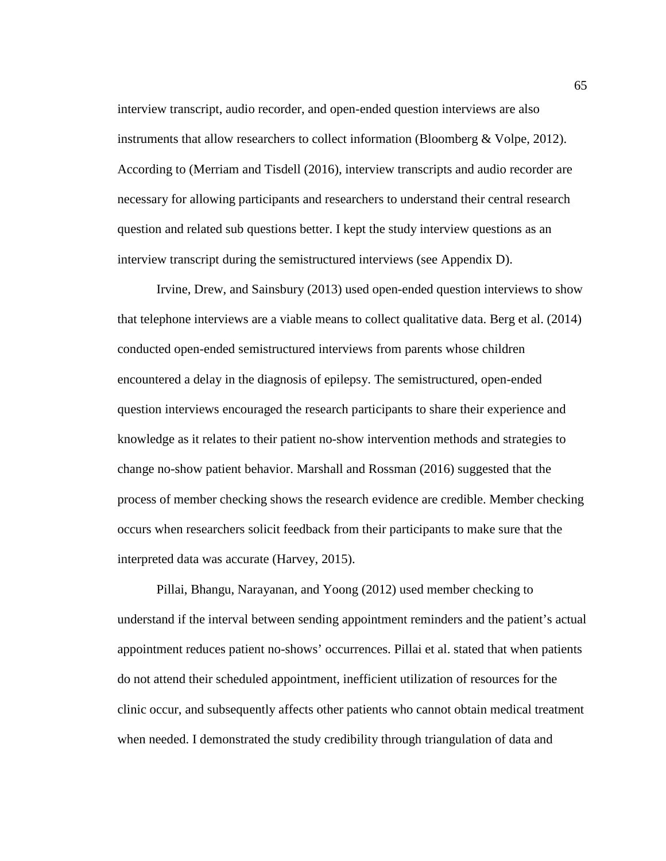interview transcript, audio recorder, and open-ended question interviews are also instruments that allow researchers to collect information (Bloomberg & Volpe, 2012). According to (Merriam and Tisdell (2016), interview transcripts and audio recorder are necessary for allowing participants and researchers to understand their central research question and related sub questions better. I kept the study interview questions as an interview transcript during the semistructured interviews (see Appendix D).

Irvine, Drew, and Sainsbury (2013) used open-ended question interviews to show that telephone interviews are a viable means to collect qualitative data. Berg et al. (2014) conducted open-ended semistructured interviews from parents whose children encountered a delay in the diagnosis of epilepsy. The semistructured, open-ended question interviews encouraged the research participants to share their experience and knowledge as it relates to their patient no-show intervention methods and strategies to change no-show patient behavior. Marshall and Rossman (2016) suggested that the process of member checking shows the research evidence are credible. Member checking occurs when researchers solicit feedback from their participants to make sure that the interpreted data was accurate (Harvey, 2015).

Pillai, Bhangu, Narayanan, and Yoong (2012) used member checking to understand if the interval between sending appointment reminders and the patient's actual appointment reduces patient no-shows' occurrences. Pillai et al. stated that when patients do not attend their scheduled appointment, inefficient utilization of resources for the clinic occur, and subsequently affects other patients who cannot obtain medical treatment when needed. I demonstrated the study credibility through triangulation of data and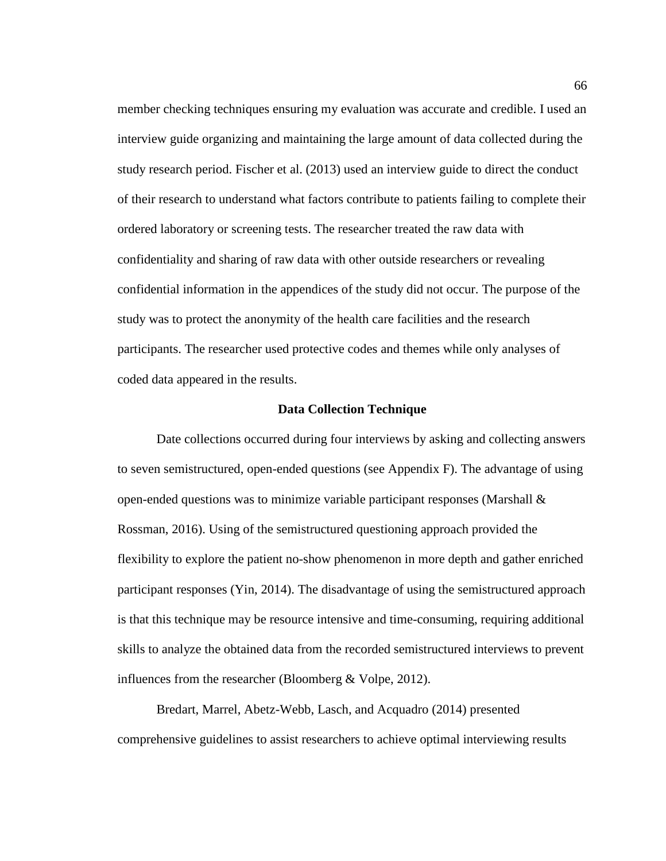member checking techniques ensuring my evaluation was accurate and credible. I used an interview guide organizing and maintaining the large amount of data collected during the study research period. Fischer et al. (2013) used an interview guide to direct the conduct of their research to understand what factors contribute to patients failing to complete their ordered laboratory or screening tests. The researcher treated the raw data with confidentiality and sharing of raw data with other outside researchers or revealing confidential information in the appendices of the study did not occur. The purpose of the study was to protect the anonymity of the health care facilities and the research participants. The researcher used protective codes and themes while only analyses of coded data appeared in the results.

#### **Data Collection Technique**

Date collections occurred during four interviews by asking and collecting answers to seven semistructured, open-ended questions (see Appendix F). The advantage of using open-ended questions was to minimize variable participant responses (Marshall  $\&$ Rossman, 2016). Using of the semistructured questioning approach provided the flexibility to explore the patient no-show phenomenon in more depth and gather enriched participant responses (Yin, 2014). The disadvantage of using the semistructured approach is that this technique may be resource intensive and time-consuming, requiring additional skills to analyze the obtained data from the recorded semistructured interviews to prevent influences from the researcher (Bloomberg & Volpe, 2012).

Bredart, Marrel, Abetz-Webb, Lasch, and Acquadro (2014) presented comprehensive guidelines to assist researchers to achieve optimal interviewing results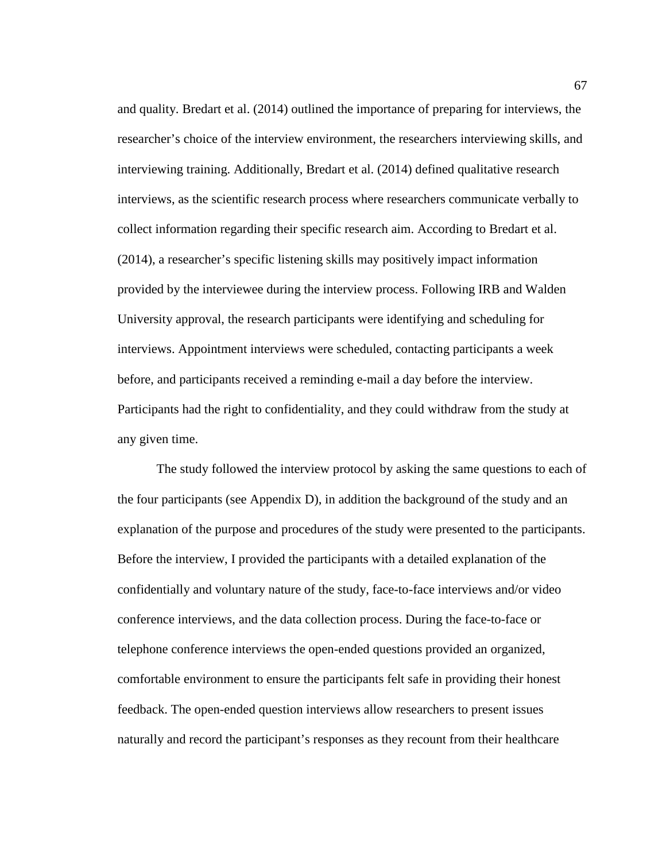and quality. Bredart et al. (2014) outlined the importance of preparing for interviews, the researcher's choice of the interview environment, the researchers interviewing skills, and interviewing training. Additionally, Bredart et al. (2014) defined qualitative research interviews, as the scientific research process where researchers communicate verbally to collect information regarding their specific research aim. According to Bredart et al. (2014), a researcher's specific listening skills may positively impact information provided by the interviewee during the interview process. Following IRB and Walden University approval, the research participants were identifying and scheduling for interviews. Appointment interviews were scheduled, contacting participants a week before, and participants received a reminding e-mail a day before the interview. Participants had the right to confidentiality, and they could withdraw from the study at any given time.

The study followed the interview protocol by asking the same questions to each of the four participants (see Appendix D), in addition the background of the study and an explanation of the purpose and procedures of the study were presented to the participants. Before the interview, I provided the participants with a detailed explanation of the confidentially and voluntary nature of the study, face-to-face interviews and/or video conference interviews, and the data collection process. During the face-to-face or telephone conference interviews the open-ended questions provided an organized, comfortable environment to ensure the participants felt safe in providing their honest feedback. The open-ended question interviews allow researchers to present issues naturally and record the participant's responses as they recount from their healthcare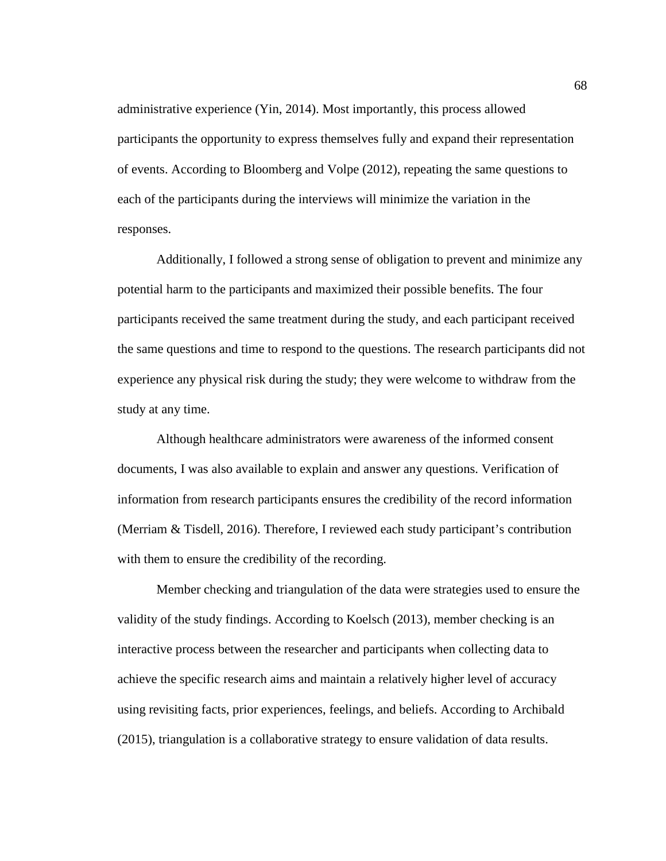administrative experience (Yin, 2014). Most importantly, this process allowed participants the opportunity to express themselves fully and expand their representation of events. According to Bloomberg and Volpe (2012), repeating the same questions to each of the participants during the interviews will minimize the variation in the responses.

Additionally, I followed a strong sense of obligation to prevent and minimize any potential harm to the participants and maximized their possible benefits. The four participants received the same treatment during the study, and each participant received the same questions and time to respond to the questions. The research participants did not experience any physical risk during the study; they were welcome to withdraw from the study at any time.

Although healthcare administrators were awareness of the informed consent documents, I was also available to explain and answer any questions. Verification of information from research participants ensures the credibility of the record information (Merriam & Tisdell, 2016). Therefore, I reviewed each study participant's contribution with them to ensure the credibility of the recording.

Member checking and triangulation of the data were strategies used to ensure the validity of the study findings. According to Koelsch (2013), member checking is an interactive process between the researcher and participants when collecting data to achieve the specific research aims and maintain a relatively higher level of accuracy using revisiting facts, prior experiences, feelings, and beliefs. According to Archibald (2015), triangulation is a collaborative strategy to ensure validation of data results.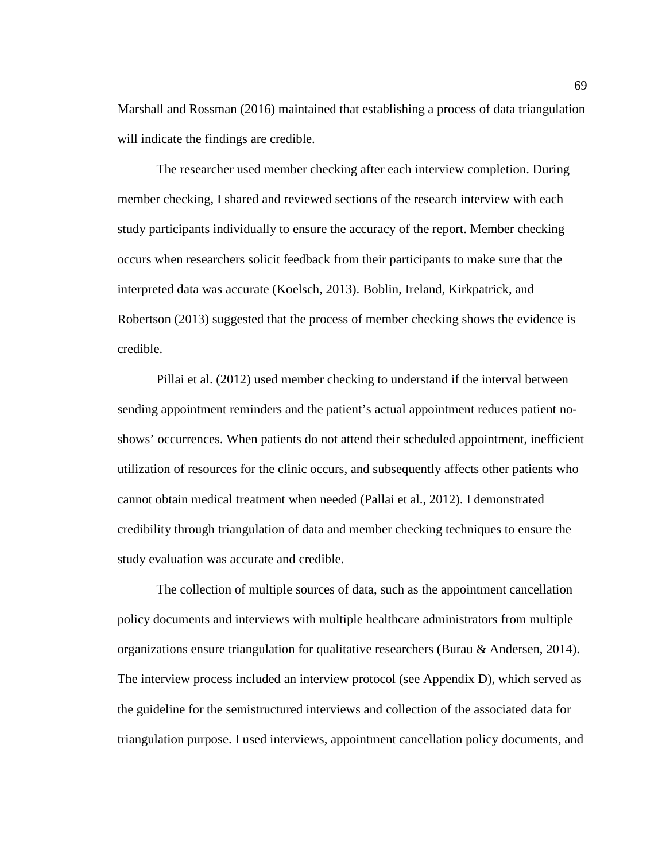Marshall and Rossman (2016) maintained that establishing a process of data triangulation will indicate the findings are credible.

The researcher used member checking after each interview completion. During member checking, I shared and reviewed sections of the research interview with each study participants individually to ensure the accuracy of the report. Member checking occurs when researchers solicit feedback from their participants to make sure that the interpreted data was accurate (Koelsch, 2013). Boblin, Ireland, Kirkpatrick, and Robertson (2013) suggested that the process of member checking shows the evidence is credible.

Pillai et al. (2012) used member checking to understand if the interval between sending appointment reminders and the patient's actual appointment reduces patient noshows' occurrences. When patients do not attend their scheduled appointment, inefficient utilization of resources for the clinic occurs, and subsequently affects other patients who cannot obtain medical treatment when needed (Pallai et al., 2012). I demonstrated credibility through triangulation of data and member checking techniques to ensure the study evaluation was accurate and credible.

The collection of multiple sources of data, such as the appointment cancellation policy documents and interviews with multiple healthcare administrators from multiple organizations ensure triangulation for qualitative researchers (Burau & Andersen, 2014). The interview process included an interview protocol (see Appendix D), which served as the guideline for the semistructured interviews and collection of the associated data for triangulation purpose. I used interviews, appointment cancellation policy documents, and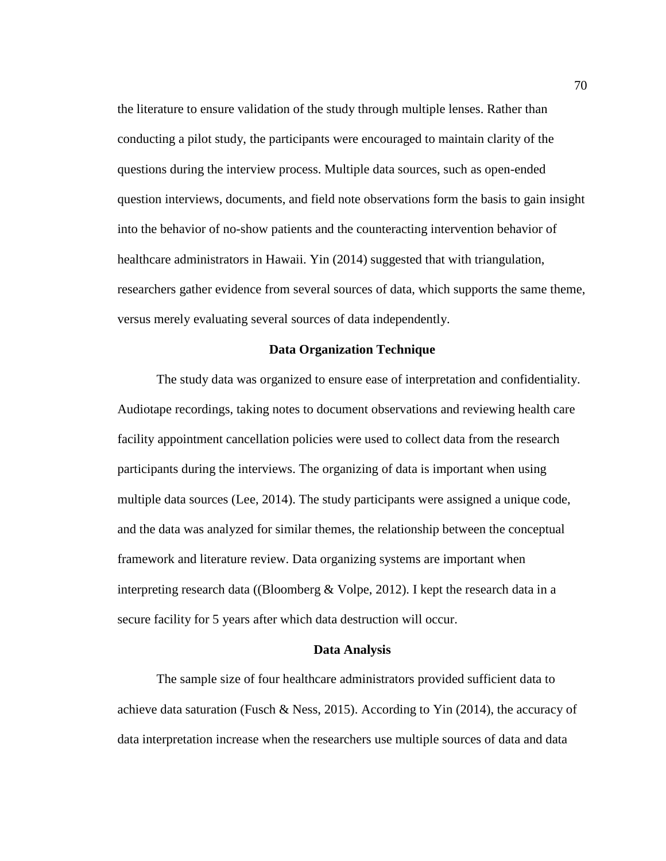the literature to ensure validation of the study through multiple lenses. Rather than conducting a pilot study, the participants were encouraged to maintain clarity of the questions during the interview process. Multiple data sources, such as open-ended question interviews, documents, and field note observations form the basis to gain insight into the behavior of no-show patients and the counteracting intervention behavior of healthcare administrators in Hawaii. Yin (2014) suggested that with triangulation, researchers gather evidence from several sources of data, which supports the same theme, versus merely evaluating several sources of data independently.

#### **Data Organization Technique**

The study data was organized to ensure ease of interpretation and confidentiality. Audiotape recordings, taking notes to document observations and reviewing health care facility appointment cancellation policies were used to collect data from the research participants during the interviews. The organizing of data is important when using multiple data sources (Lee, 2014). The study participants were assigned a unique code, and the data was analyzed for similar themes, the relationship between the conceptual framework and literature review. Data organizing systems are important when interpreting research data ((Bloomberg & Volpe, 2012). I kept the research data in a secure facility for 5 years after which data destruction will occur.

## **Data Analysis**

The sample size of four healthcare administrators provided sufficient data to achieve data saturation (Fusch & Ness, 2015). According to Yin (2014), the accuracy of data interpretation increase when the researchers use multiple sources of data and data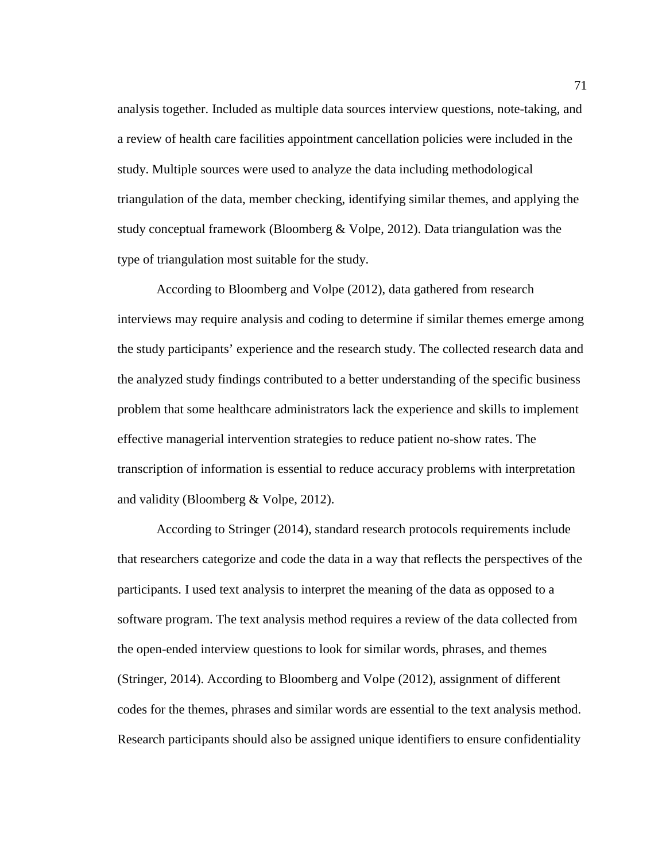analysis together. Included as multiple data sources interview questions, note-taking, and a review of health care facilities appointment cancellation policies were included in the study. Multiple sources were used to analyze the data including methodological triangulation of the data, member checking, identifying similar themes, and applying the study conceptual framework (Bloomberg & Volpe, 2012). Data triangulation was the type of triangulation most suitable for the study.

According to Bloomberg and Volpe (2012), data gathered from research interviews may require analysis and coding to determine if similar themes emerge among the study participants' experience and the research study. The collected research data and the analyzed study findings contributed to a better understanding of the specific business problem that some healthcare administrators lack the experience and skills to implement effective managerial intervention strategies to reduce patient no-show rates. The transcription of information is essential to reduce accuracy problems with interpretation and validity (Bloomberg & Volpe, 2012).

According to Stringer (2014), standard research protocols requirements include that researchers categorize and code the data in a way that reflects the perspectives of the participants. I used text analysis to interpret the meaning of the data as opposed to a software program. The text analysis method requires a review of the data collected from the open-ended interview questions to look for similar words, phrases, and themes (Stringer, 2014). According to Bloomberg and Volpe (2012), assignment of different codes for the themes, phrases and similar words are essential to the text analysis method. Research participants should also be assigned unique identifiers to ensure confidentiality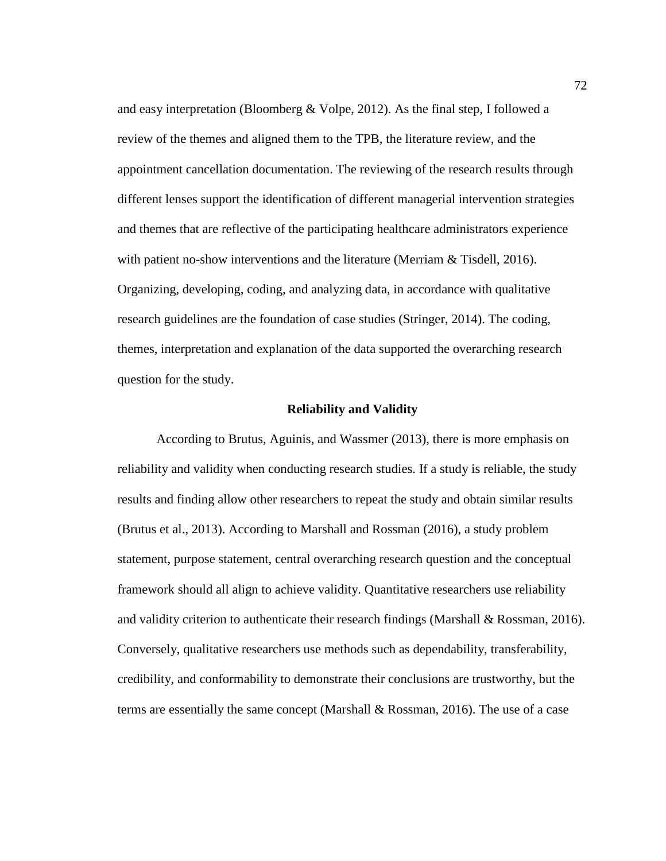and easy interpretation (Bloomberg & Volpe, 2012). As the final step, I followed a review of the themes and aligned them to the TPB, the literature review, and the appointment cancellation documentation. The reviewing of the research results through different lenses support the identification of different managerial intervention strategies and themes that are reflective of the participating healthcare administrators experience with patient no-show interventions and the literature (Merriam & Tisdell, 2016). Organizing, developing, coding, and analyzing data, in accordance with qualitative research guidelines are the foundation of case studies (Stringer, 2014). The coding, themes, interpretation and explanation of the data supported the overarching research question for the study.

#### **Reliability and Validity**

According to Brutus, Aguinis, and Wassmer (2013), there is more emphasis on reliability and validity when conducting research studies. If a study is reliable, the study results and finding allow other researchers to repeat the study and obtain similar results (Brutus et al., 2013). According to Marshall and Rossman (2016), a study problem statement, purpose statement, central overarching research question and the conceptual framework should all align to achieve validity. Quantitative researchers use reliability and validity criterion to authenticate their research findings (Marshall & Rossman, 2016). Conversely, qualitative researchers use methods such as dependability, transferability, credibility, and conformability to demonstrate their conclusions are trustworthy, but the terms are essentially the same concept (Marshall & Rossman, 2016). The use of a case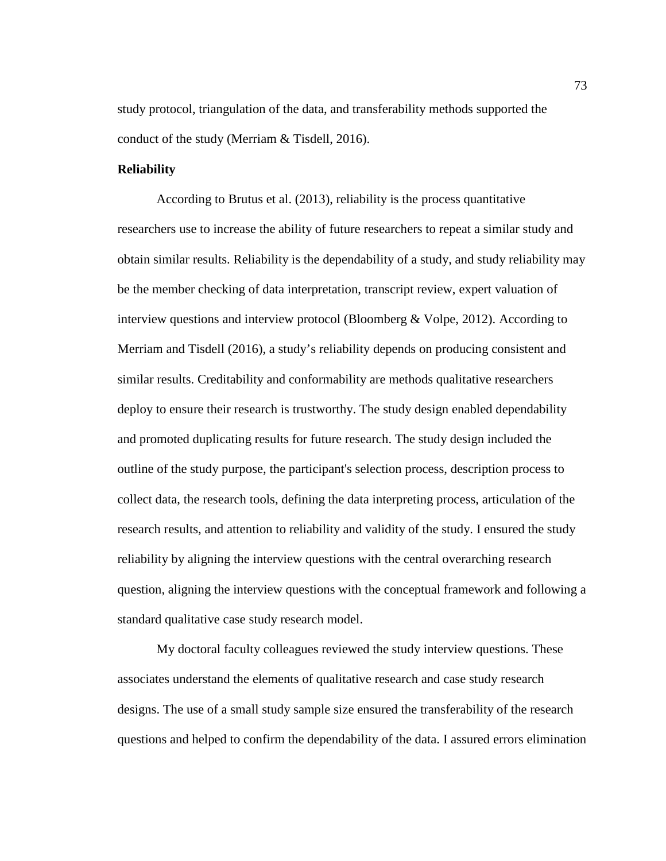study protocol, triangulation of the data, and transferability methods supported the conduct of the study (Merriam & Tisdell, 2016).

## **Reliability**

According to Brutus et al. (2013), reliability is the process quantitative researchers use to increase the ability of future researchers to repeat a similar study and obtain similar results. Reliability is the dependability of a study, and study reliability may be the member checking of data interpretation, transcript review, expert valuation of interview questions and interview protocol (Bloomberg & Volpe, 2012). According to Merriam and Tisdell (2016), a study's reliability depends on producing consistent and similar results. Creditability and conformability are methods qualitative researchers deploy to ensure their research is trustworthy. The study design enabled dependability and promoted duplicating results for future research. The study design included the outline of the study purpose, the participant's selection process, description process to collect data, the research tools, defining the data interpreting process, articulation of the research results, and attention to reliability and validity of the study. I ensured the study reliability by aligning the interview questions with the central overarching research question, aligning the interview questions with the conceptual framework and following a standard qualitative case study research model.

My doctoral faculty colleagues reviewed the study interview questions. These associates understand the elements of qualitative research and case study research designs. The use of a small study sample size ensured the transferability of the research questions and helped to confirm the dependability of the data. I assured errors elimination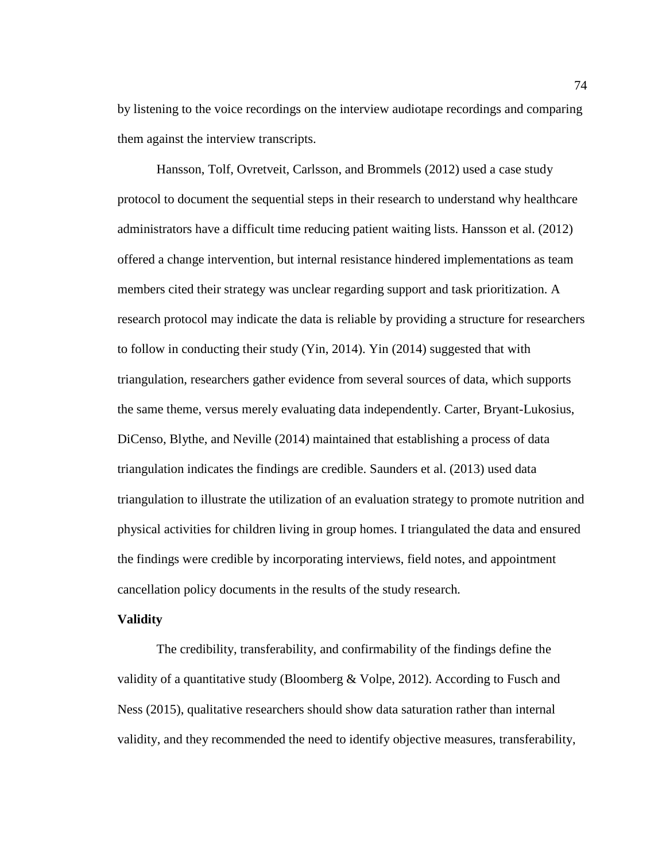by listening to the voice recordings on the interview audiotape recordings and comparing them against the interview transcripts.

Hansson, Tolf, Ovretveit, Carlsson, and Brommels (2012) used a case study protocol to document the sequential steps in their research to understand why healthcare administrators have a difficult time reducing patient waiting lists. Hansson et al. (2012) offered a change intervention, but internal resistance hindered implementations as team members cited their strategy was unclear regarding support and task prioritization. A research protocol may indicate the data is reliable by providing a structure for researchers to follow in conducting their study (Yin, 2014). Yin (2014) suggested that with triangulation, researchers gather evidence from several sources of data, which supports the same theme, versus merely evaluating data independently. Carter, Bryant-Lukosius, DiCenso, Blythe, and Neville (2014) maintained that establishing a process of data triangulation indicates the findings are credible. Saunders et al. (2013) used data triangulation to illustrate the utilization of an evaluation strategy to promote nutrition and physical activities for children living in group homes. I triangulated the data and ensured the findings were credible by incorporating interviews, field notes, and appointment cancellation policy documents in the results of the study research*.*

#### **Validity**

The credibility, transferability, and confirmability of the findings define the validity of a quantitative study (Bloomberg  $& \text{Volpe}, 2012$ ). According to Fusch and Ness (2015), qualitative researchers should show data saturation rather than internal validity, and they recommended the need to identify objective measures, transferability,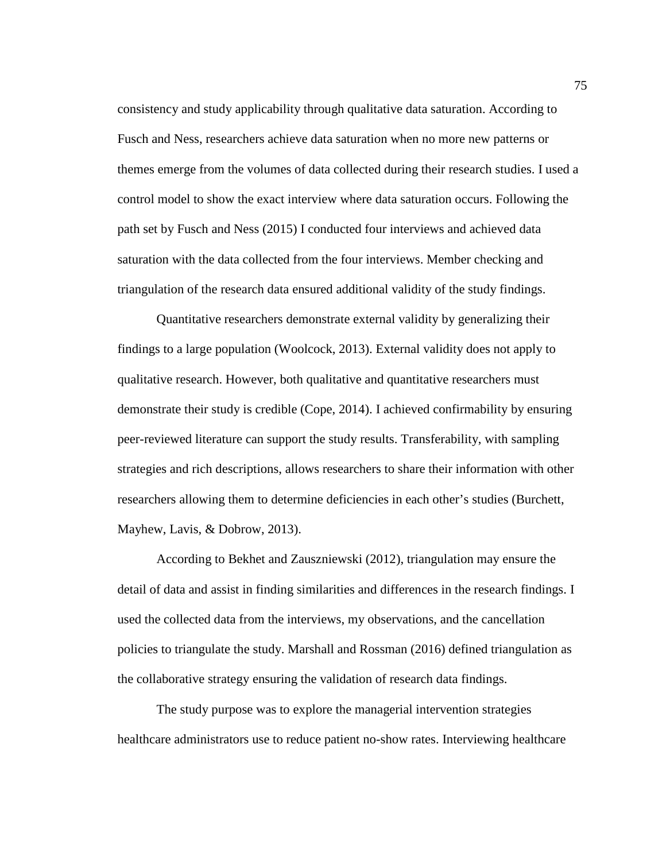consistency and study applicability through qualitative data saturation. According to Fusch and Ness, researchers achieve data saturation when no more new patterns or themes emerge from the volumes of data collected during their research studies. I used a control model to show the exact interview where data saturation occurs. Following the path set by Fusch and Ness (2015) I conducted four interviews and achieved data saturation with the data collected from the four interviews. Member checking and triangulation of the research data ensured additional validity of the study findings.

Quantitative researchers demonstrate external validity by generalizing their findings to a large population (Woolcock, 2013). External validity does not apply to qualitative research. However, both qualitative and quantitative researchers must demonstrate their study is credible (Cope, 2014). I achieved confirmability by ensuring peer-reviewed literature can support the study results. Transferability, with sampling strategies and rich descriptions, allows researchers to share their information with other researchers allowing them to determine deficiencies in each other's studies (Burchett, Mayhew, Lavis, & Dobrow, 2013).

According to Bekhet and Zauszniewski (2012), triangulation may ensure the detail of data and assist in finding similarities and differences in the research findings. I used the collected data from the interviews, my observations, and the cancellation policies to triangulate the study. Marshall and Rossman (2016) defined triangulation as the collaborative strategy ensuring the validation of research data findings.

The study purpose was to explore the managerial intervention strategies healthcare administrators use to reduce patient no-show rates. Interviewing healthcare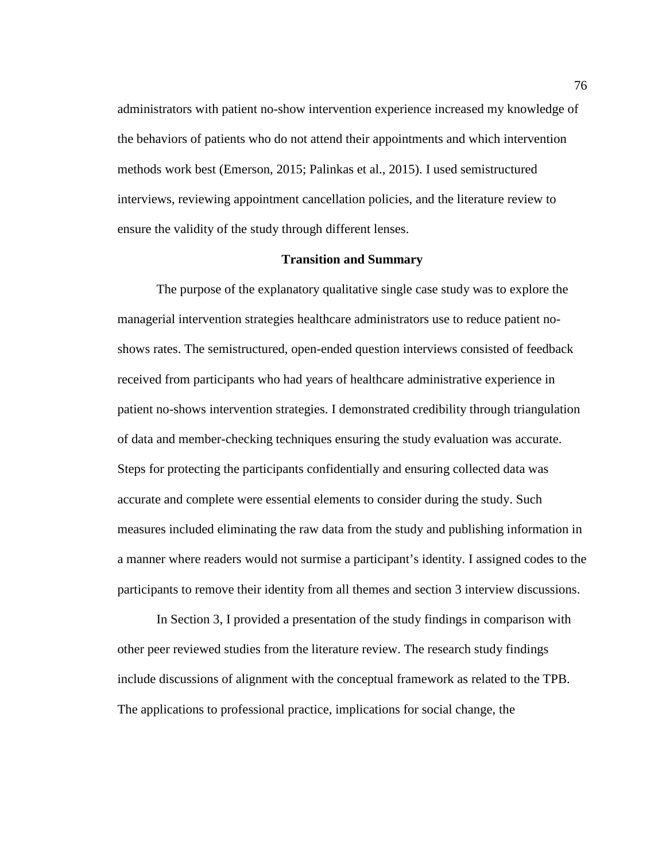administrators with patient no-show intervention experience increased my knowledge of the behaviors of patients who do not attend their appointments and which intervention methods work best (Emerson, 2015; Palinkas et al., 2015). I used semistructured interviews, reviewing appointment cancellation policies, and the literature review to ensure the validity of the study through different lenses.

#### **Transition and Summary**

The purpose of the explanatory qualitative single case study was to explore the managerial intervention strategies healthcare administrators use to reduce patient noshows rates. The semistructured, open-ended question interviews consisted of feedback received from participants who had years of healthcare administrative experience in patient no-shows intervention strategies. I demonstrated credibility through triangulation of data and member-checking techniques ensuring the study evaluation was accurate. Steps for protecting the participants confidentially and ensuring collected data was accurate and complete were essential elements to consider during the study. Such measures included eliminating the raw data from the study and publishing information in a manner where readers would not surmise a participant's identity. I assigned codes to the participants to remove their identity from all themes and section 3 interview discussions.

In Section 3, I provided a presentation of the study findings in comparison with other peer reviewed studies from the literature review. The research study findings include discussions of alignment with the conceptual framework as related to the TPB. The applications to professional practice, implications for social change, the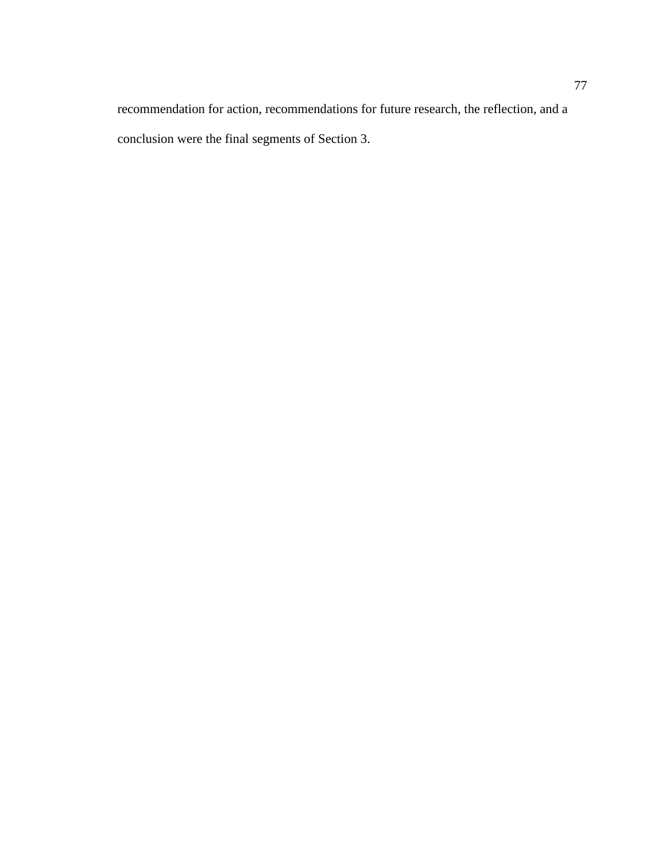recommendation for action, recommendations for future research, the reflection, and a conclusion were the final segments of Section 3.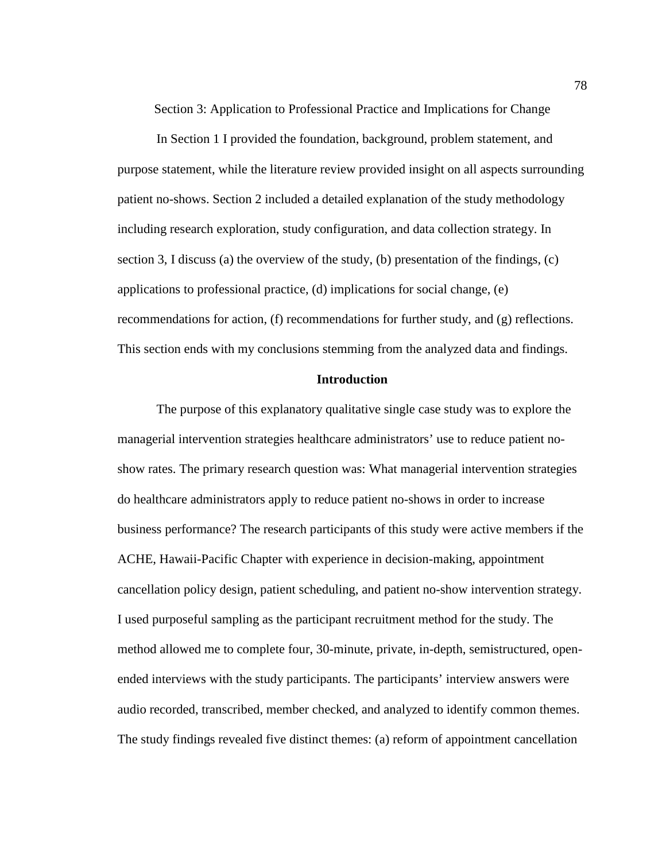Section 3: Application to Professional Practice and Implications for Change

In Section 1 I provided the foundation, background, problem statement, and purpose statement, while the literature review provided insight on all aspects surrounding patient no-shows. Section 2 included a detailed explanation of the study methodology including research exploration, study configuration, and data collection strategy. In section 3, I discuss (a) the overview of the study, (b) presentation of the findings, (c) applications to professional practice, (d) implications for social change, (e) recommendations for action, (f) recommendations for further study, and (g) reflections. This section ends with my conclusions stemming from the analyzed data and findings.

## **Introduction**

The purpose of this explanatory qualitative single case study was to explore the managerial intervention strategies healthcare administrators' use to reduce patient noshow rates. The primary research question was: What managerial intervention strategies do healthcare administrators apply to reduce patient no-shows in order to increase business performance? The research participants of this study were active members if the ACHE, Hawaii-Pacific Chapter with experience in decision-making, appointment cancellation policy design, patient scheduling, and patient no-show intervention strategy. I used purposeful sampling as the participant recruitment method for the study. The method allowed me to complete four, 30-minute, private, in-depth, semistructured, openended interviews with the study participants. The participants' interview answers were audio recorded, transcribed, member checked, and analyzed to identify common themes. The study findings revealed five distinct themes: (a) reform of appointment cancellation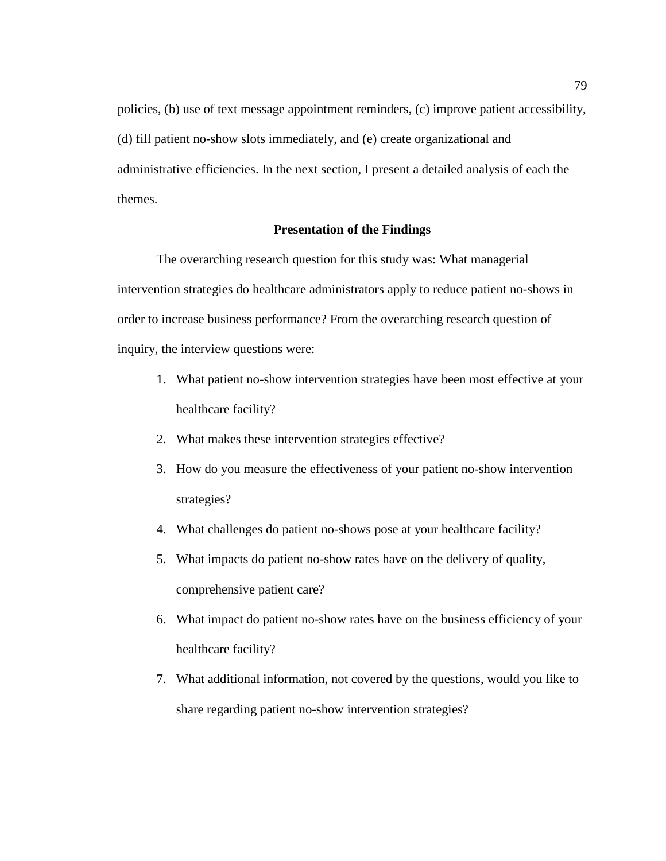policies, (b) use of text message appointment reminders, (c) improve patient accessibility, (d) fill patient no-show slots immediately, and (e) create organizational and administrative efficiencies. In the next section, I present a detailed analysis of each the themes.

## **Presentation of the Findings**

The overarching research question for this study was: What managerial intervention strategies do healthcare administrators apply to reduce patient no-shows in order to increase business performance? From the overarching research question of inquiry, the interview questions were:

- 1. What patient no-show intervention strategies have been most effective at your healthcare facility?
- 2. What makes these intervention strategies effective?
- 3. How do you measure the effectiveness of your patient no-show intervention strategies?
- 4. What challenges do patient no-shows pose at your healthcare facility?
- 5. What impacts do patient no-show rates have on the delivery of quality, comprehensive patient care?
- 6. What impact do patient no-show rates have on the business efficiency of your healthcare facility?
- 7. What additional information, not covered by the questions, would you like to share regarding patient no-show intervention strategies?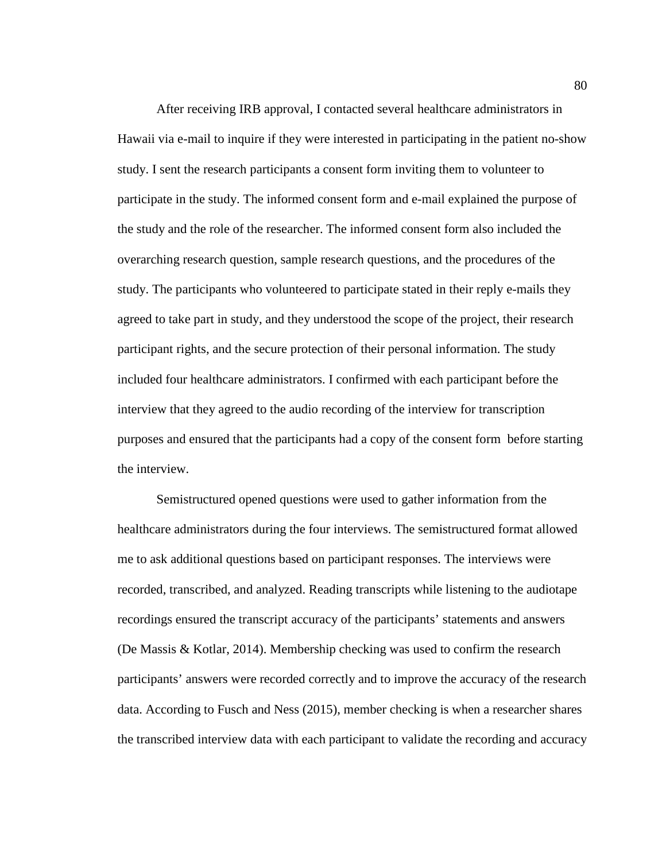After receiving IRB approval, I contacted several healthcare administrators in Hawaii via e-mail to inquire if they were interested in participating in the patient no-show study. I sent the research participants a consent form inviting them to volunteer to participate in the study. The informed consent form and e-mail explained the purpose of the study and the role of the researcher. The informed consent form also included the overarching research question, sample research questions, and the procedures of the study. The participants who volunteered to participate stated in their reply e-mails they agreed to take part in study, and they understood the scope of the project, their research participant rights, and the secure protection of their personal information. The study included four healthcare administrators. I confirmed with each participant before the interview that they agreed to the audio recording of the interview for transcription purposes and ensured that the participants had a copy of the consent form before starting the interview.

Semistructured opened questions were used to gather information from the healthcare administrators during the four interviews. The semistructured format allowed me to ask additional questions based on participant responses. The interviews were recorded, transcribed, and analyzed. Reading transcripts while listening to the audiotape recordings ensured the transcript accuracy of the participants' statements and answers (De Massis & Kotlar, 2014). Membership checking was used to confirm the research participants' answers were recorded correctly and to improve the accuracy of the research data. According to Fusch and Ness (2015), member checking is when a researcher shares the transcribed interview data with each participant to validate the recording and accuracy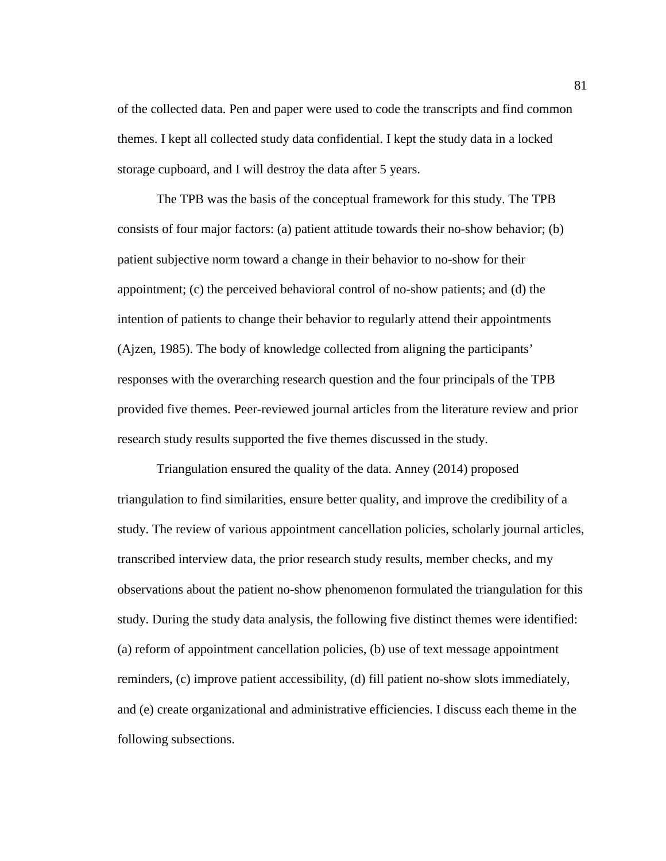of the collected data. Pen and paper were used to code the transcripts and find common themes. I kept all collected study data confidential. I kept the study data in a locked storage cupboard, and I will destroy the data after 5 years.

The TPB was the basis of the conceptual framework for this study. The TPB consists of four major factors: (a) patient attitude towards their no-show behavior; (b) patient subjective norm toward a change in their behavior to no-show for their appointment; (c) the perceived behavioral control of no-show patients; and (d) the intention of patients to change their behavior to regularly attend their appointments (Ajzen, 1985). The body of knowledge collected from aligning the participants' responses with the overarching research question and the four principals of the TPB provided five themes. Peer-reviewed journal articles from the literature review and prior research study results supported the five themes discussed in the study.

Triangulation ensured the quality of the data. Anney (2014) proposed triangulation to find similarities, ensure better quality, and improve the credibility of a study. The review of various appointment cancellation policies, scholarly journal articles, transcribed interview data, the prior research study results, member checks, and my observations about the patient no-show phenomenon formulated the triangulation for this study. During the study data analysis, the following five distinct themes were identified: (a) reform of appointment cancellation policies, (b) use of text message appointment reminders, (c) improve patient accessibility, (d) fill patient no-show slots immediately, and (e) create organizational and administrative efficiencies. I discuss each theme in the following subsections.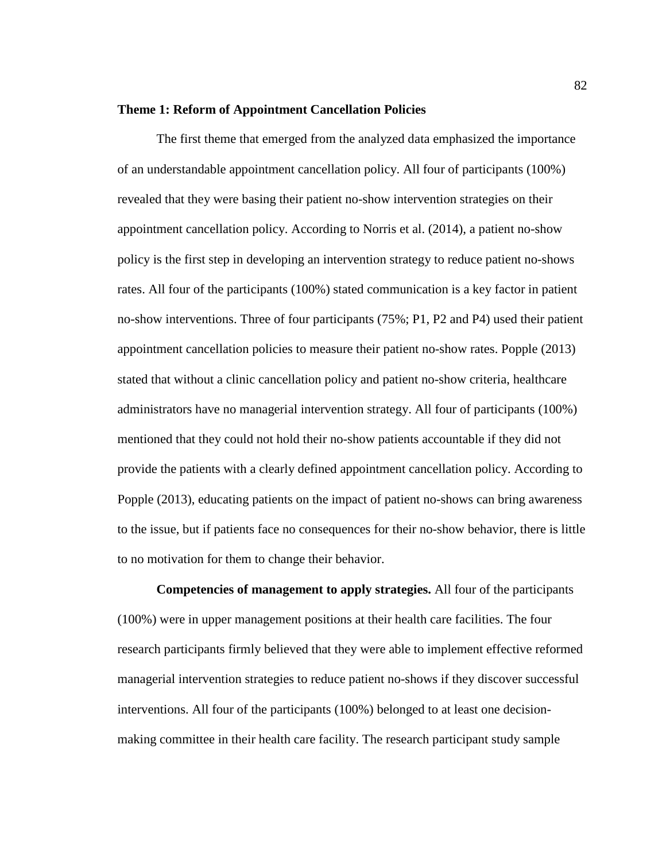#### **Theme 1: Reform of Appointment Cancellation Policies**

The first theme that emerged from the analyzed data emphasized the importance of an understandable appointment cancellation policy. All four of participants (100%) revealed that they were basing their patient no-show intervention strategies on their appointment cancellation policy. According to Norris et al. (2014), a patient no-show policy is the first step in developing an intervention strategy to reduce patient no-shows rates. All four of the participants (100%) stated communication is a key factor in patient no-show interventions. Three of four participants (75%; P1, P2 and P4) used their patient appointment cancellation policies to measure their patient no-show rates. Popple (2013) stated that without a clinic cancellation policy and patient no-show criteria, healthcare administrators have no managerial intervention strategy. All four of participants (100%) mentioned that they could not hold their no-show patients accountable if they did not provide the patients with a clearly defined appointment cancellation policy. According to Popple (2013), educating patients on the impact of patient no-shows can bring awareness to the issue, but if patients face no consequences for their no-show behavior, there is little to no motivation for them to change their behavior.

**Competencies of management to apply strategies.** All four of the participants (100%) were in upper management positions at their health care facilities. The four research participants firmly believed that they were able to implement effective reformed managerial intervention strategies to reduce patient no-shows if they discover successful interventions. All four of the participants (100%) belonged to at least one decisionmaking committee in their health care facility. The research participant study sample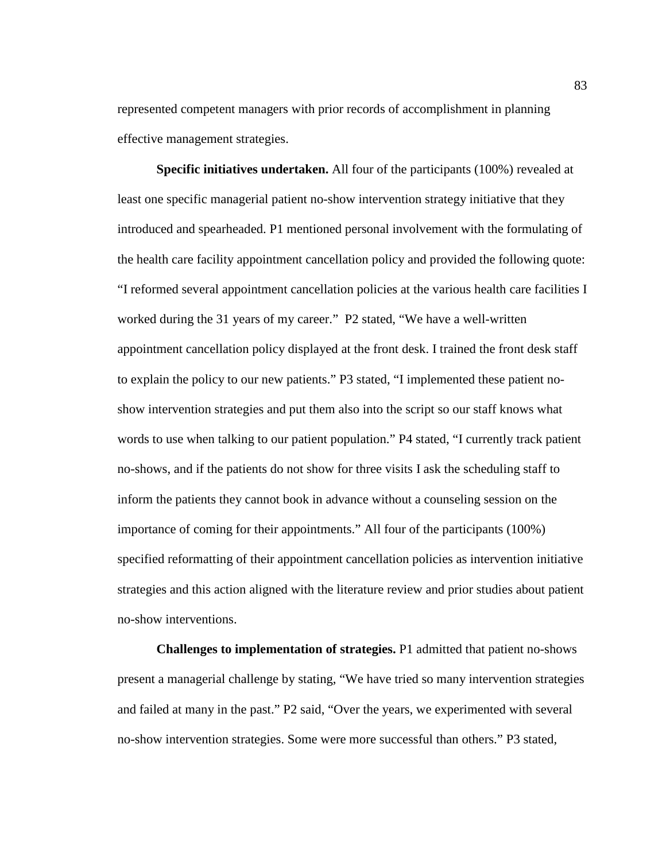represented competent managers with prior records of accomplishment in planning effective management strategies.

**Specific initiatives undertaken.** All four of the participants (100%) revealed at least one specific managerial patient no-show intervention strategy initiative that they introduced and spearheaded. P1 mentioned personal involvement with the formulating of the health care facility appointment cancellation policy and provided the following quote: "I reformed several appointment cancellation policies at the various health care facilities I worked during the 31 years of my career." P2 stated, "We have a well-written appointment cancellation policy displayed at the front desk. I trained the front desk staff to explain the policy to our new patients." P3 stated, "I implemented these patient noshow intervention strategies and put them also into the script so our staff knows what words to use when talking to our patient population." P4 stated, "I currently track patient no-shows, and if the patients do not show for three visits I ask the scheduling staff to inform the patients they cannot book in advance without a counseling session on the importance of coming for their appointments." All four of the participants (100%) specified reformatting of their appointment cancellation policies as intervention initiative strategies and this action aligned with the literature review and prior studies about patient no-show interventions.

**Challenges to implementation of strategies.** P1 admitted that patient no-shows present a managerial challenge by stating, "We have tried so many intervention strategies and failed at many in the past." P2 said, "Over the years, we experimented with several no-show intervention strategies. Some were more successful than others." P3 stated,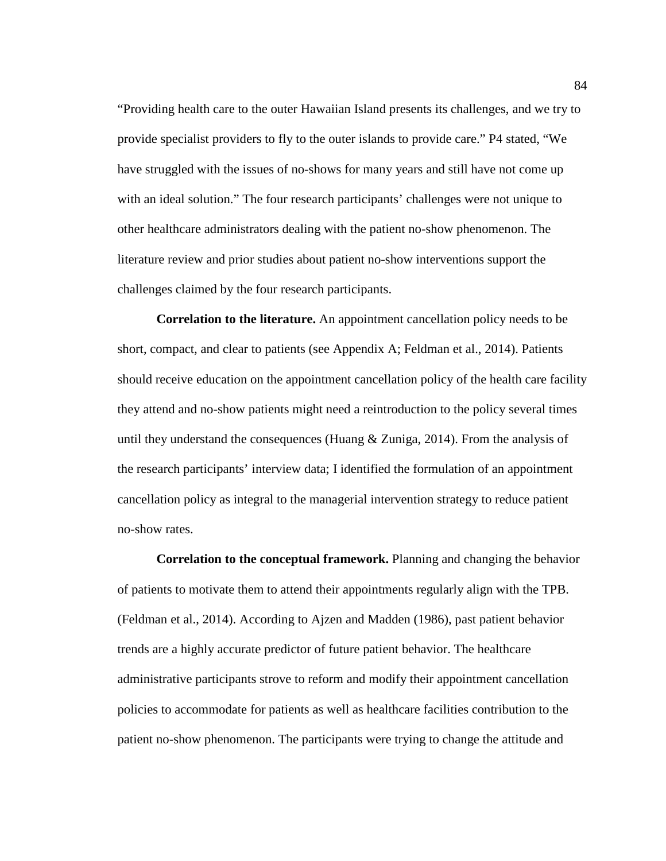"Providing health care to the outer Hawaiian Island presents its challenges, and we try to provide specialist providers to fly to the outer islands to provide care." P4 stated, "We have struggled with the issues of no-shows for many years and still have not come up with an ideal solution." The four research participants' challenges were not unique to other healthcare administrators dealing with the patient no-show phenomenon. The literature review and prior studies about patient no-show interventions support the challenges claimed by the four research participants.

**Correlation to the literature.** An appointment cancellation policy needs to be short, compact, and clear to patients (see Appendix A; Feldman et al., 2014). Patients should receive education on the appointment cancellation policy of the health care facility they attend and no-show patients might need a reintroduction to the policy several times until they understand the consequences (Huang  $&$  Zuniga, 2014). From the analysis of the research participants' interview data; I identified the formulation of an appointment cancellation policy as integral to the managerial intervention strategy to reduce patient no-show rates.

**Correlation to the conceptual framework.** Planning and changing the behavior of patients to motivate them to attend their appointments regularly align with the TPB. (Feldman et al., 2014). According to Ajzen and Madden (1986), past patient behavior trends are a highly accurate predictor of future patient behavior. The healthcare administrative participants strove to reform and modify their appointment cancellation policies to accommodate for patients as well as healthcare facilities contribution to the patient no-show phenomenon. The participants were trying to change the attitude and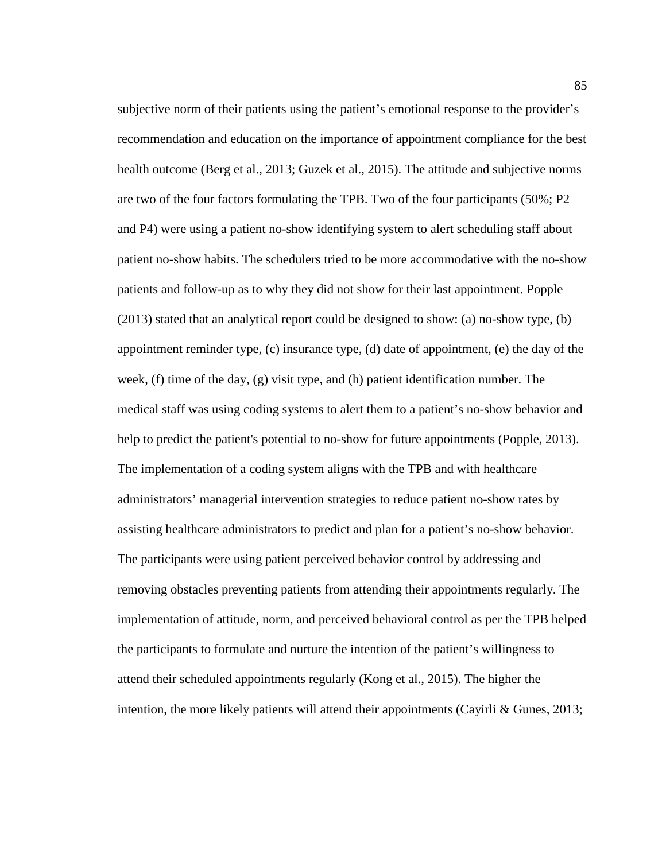subjective norm of their patients using the patient's emotional response to the provider's recommendation and education on the importance of appointment compliance for the best health outcome (Berg et al., 2013; Guzek et al., 2015). The attitude and subjective norms are two of the four factors formulating the TPB. Two of the four participants (50%; P2 and P4) were using a patient no-show identifying system to alert scheduling staff about patient no-show habits. The schedulers tried to be more accommodative with the no-show patients and follow-up as to why they did not show for their last appointment. Popple (2013) stated that an analytical report could be designed to show: (a) no-show type, (b) appointment reminder type, (c) insurance type, (d) date of appointment, (e) the day of the week, (f) time of the day, (g) visit type, and (h) patient identification number. The medical staff was using coding systems to alert them to a patient's no-show behavior and help to predict the patient's potential to no-show for future appointments (Popple, 2013). The implementation of a coding system aligns with the TPB and with healthcare administrators' managerial intervention strategies to reduce patient no-show rates by assisting healthcare administrators to predict and plan for a patient's no-show behavior. The participants were using patient perceived behavior control by addressing and removing obstacles preventing patients from attending their appointments regularly. The implementation of attitude, norm, and perceived behavioral control as per the TPB helped the participants to formulate and nurture the intention of the patient's willingness to attend their scheduled appointments regularly (Kong et al., 2015). The higher the intention, the more likely patients will attend their appointments (Cayirli & Gunes, 2013;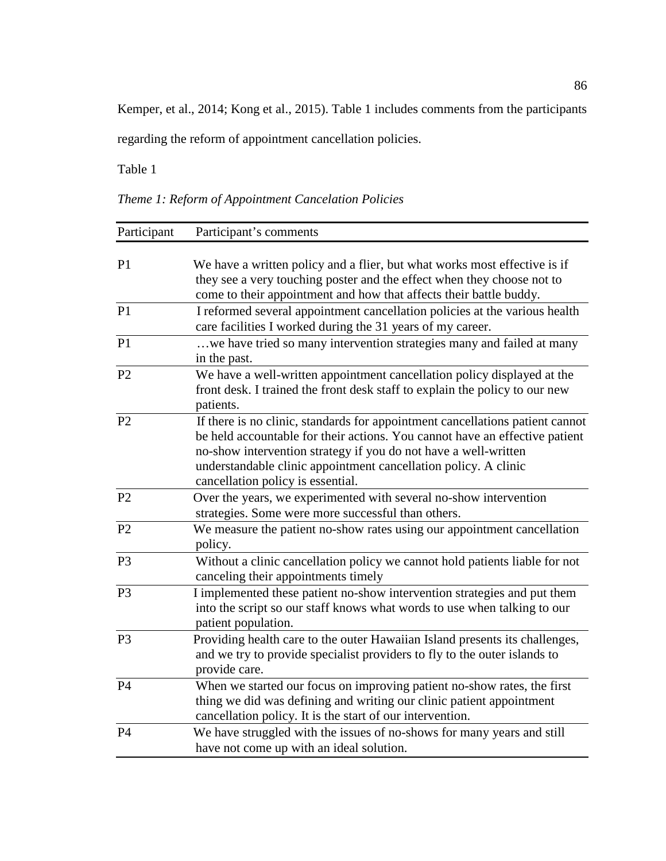Kemper, et al., 2014; Kong et al., 2015). Table 1 includes comments from the participants

regarding the reform of appointment cancellation policies.

Table 1

*Theme 1: Reform of Appointment Cancelation Policies*

| Participant    | Participant's comments                                                                                                                                                                                                                                                                                                                  |  |  |
|----------------|-----------------------------------------------------------------------------------------------------------------------------------------------------------------------------------------------------------------------------------------------------------------------------------------------------------------------------------------|--|--|
| P <sub>1</sub> | We have a written policy and a flier, but what works most effective is if<br>they see a very touching poster and the effect when they choose not to<br>come to their appointment and how that affects their battle buddy.                                                                                                               |  |  |
| P <sub>1</sub> | I reformed several appointment cancellation policies at the various health<br>care facilities I worked during the 31 years of my career.                                                                                                                                                                                                |  |  |
| P1             | we have tried so many intervention strategies many and failed at many<br>in the past.                                                                                                                                                                                                                                                   |  |  |
| P <sub>2</sub> | We have a well-written appointment cancellation policy displayed at the<br>front desk. I trained the front desk staff to explain the policy to our new<br>patients.                                                                                                                                                                     |  |  |
| P <sub>2</sub> | If there is no clinic, standards for appointment cancellations patient cannot<br>be held accountable for their actions. You cannot have an effective patient<br>no-show intervention strategy if you do not have a well-written<br>understandable clinic appointment cancellation policy. A clinic<br>cancellation policy is essential. |  |  |
| P <sub>2</sub> | Over the years, we experimented with several no-show intervention<br>strategies. Some were more successful than others.                                                                                                                                                                                                                 |  |  |
| P <sub>2</sub> | We measure the patient no-show rates using our appointment cancellation<br>policy.                                                                                                                                                                                                                                                      |  |  |
| P <sub>3</sub> | Without a clinic cancellation policy we cannot hold patients liable for not<br>canceling their appointments timely                                                                                                                                                                                                                      |  |  |
| P <sub>3</sub> | I implemented these patient no-show intervention strategies and put them<br>into the script so our staff knows what words to use when talking to our<br>patient population.                                                                                                                                                             |  |  |
| P <sub>3</sub> | Providing health care to the outer Hawaiian Island presents its challenges,<br>and we try to provide specialist providers to fly to the outer islands to<br>provide care.                                                                                                                                                               |  |  |
| P <sub>4</sub> | When we started our focus on improving patient no-show rates, the first<br>thing we did was defining and writing our clinic patient appointment<br>cancellation policy. It is the start of our intervention.                                                                                                                            |  |  |
| <b>P4</b>      | We have struggled with the issues of no-shows for many years and still<br>have not come up with an ideal solution.                                                                                                                                                                                                                      |  |  |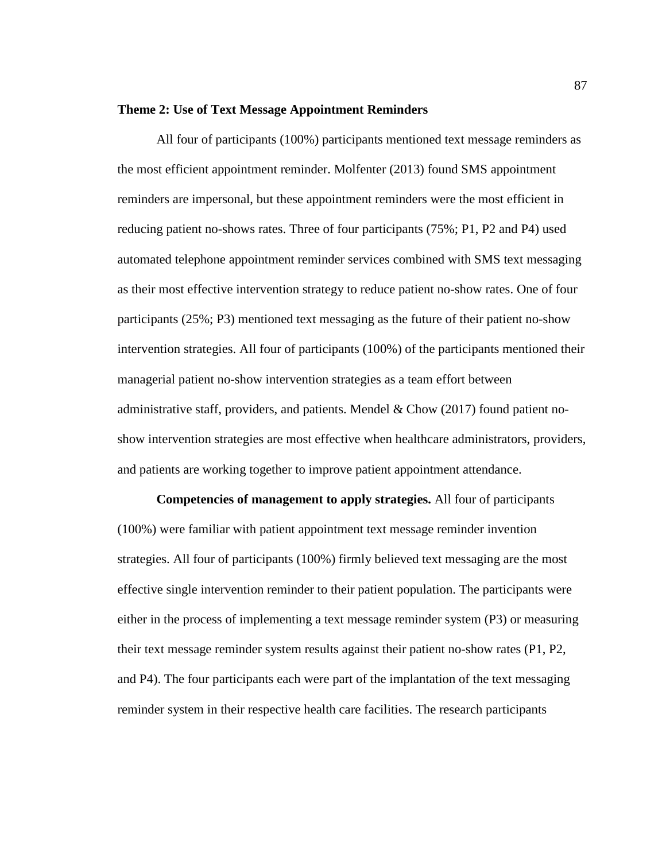#### **Theme 2: Use of Text Message Appointment Reminders**

All four of participants (100%) participants mentioned text message reminders as the most efficient appointment reminder. Molfenter (2013) found SMS appointment reminders are impersonal, but these appointment reminders were the most efficient in reducing patient no-shows rates. Three of four participants (75%; P1, P2 and P4) used automated telephone appointment reminder services combined with SMS text messaging as their most effective intervention strategy to reduce patient no-show rates. One of four participants (25%; P3) mentioned text messaging as the future of their patient no-show intervention strategies. All four of participants (100%) of the participants mentioned their managerial patient no-show intervention strategies as a team effort between administrative staff, providers, and patients. Mendel  $\&$  Chow (2017) found patient noshow intervention strategies are most effective when healthcare administrators, providers, and patients are working together to improve patient appointment attendance.

**Competencies of management to apply strategies.** All four of participants (100%) were familiar with patient appointment text message reminder invention strategies. All four of participants (100%) firmly believed text messaging are the most effective single intervention reminder to their patient population. The participants were either in the process of implementing a text message reminder system (P3) or measuring their text message reminder system results against their patient no-show rates (P1, P2, and P4). The four participants each were part of the implantation of the text messaging reminder system in their respective health care facilities. The research participants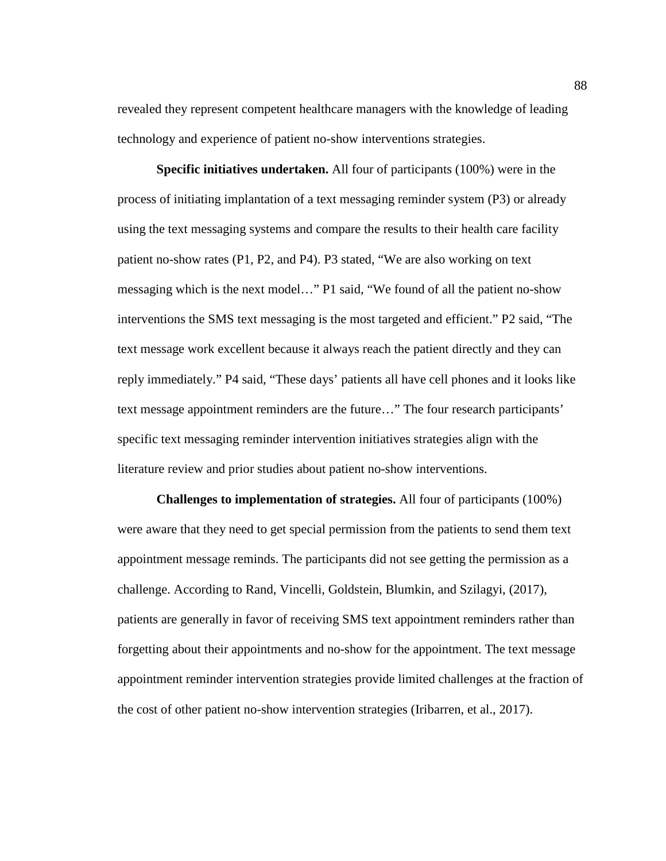revealed they represent competent healthcare managers with the knowledge of leading technology and experience of patient no-show interventions strategies.

**Specific initiatives undertaken.** All four of participants (100%) were in the process of initiating implantation of a text messaging reminder system (P3) or already using the text messaging systems and compare the results to their health care facility patient no-show rates (P1, P2, and P4). P3 stated, "We are also working on text messaging which is the next model…" P1 said, "We found of all the patient no-show interventions the SMS text messaging is the most targeted and efficient." P2 said, "The text message work excellent because it always reach the patient directly and they can reply immediately." P4 said, "These days' patients all have cell phones and it looks like text message appointment reminders are the future…" The four research participants' specific text messaging reminder intervention initiatives strategies align with the literature review and prior studies about patient no-show interventions.

**Challenges to implementation of strategies.** All four of participants (100%) were aware that they need to get special permission from the patients to send them text appointment message reminds. The participants did not see getting the permission as a challenge. According to Rand, Vincelli, Goldstein, Blumkin, and Szilagyi, (2017), patients are generally in favor of receiving SMS text appointment reminders rather than forgetting about their appointments and no-show for the appointment. The text message appointment reminder intervention strategies provide limited challenges at the fraction of the cost of other patient no-show intervention strategies (Iribarren, et al., 2017).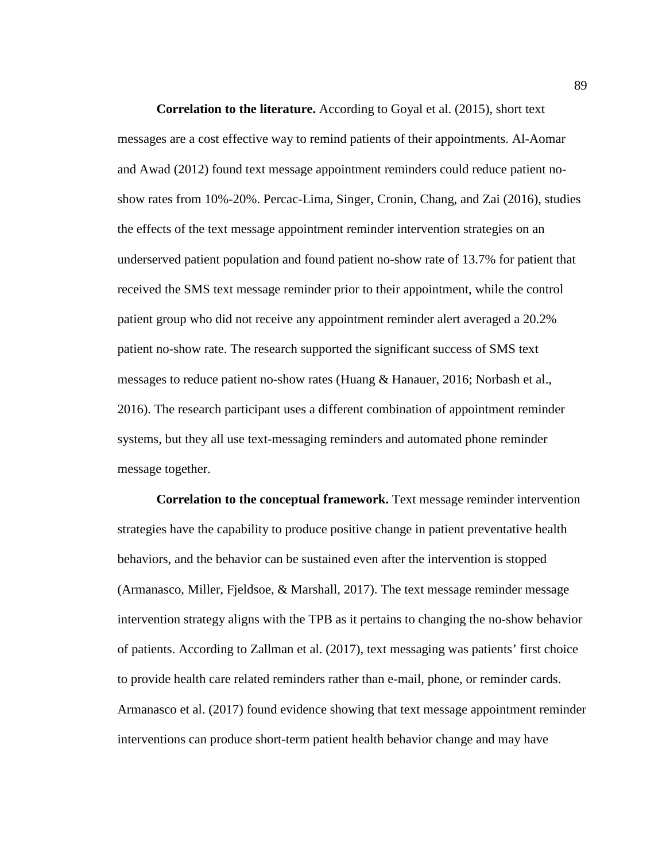**Correlation to the literature.** According to Goyal et al. (2015), short text messages are a cost effective way to remind patients of their appointments. Al-Aomar and Awad (2012) found text message appointment reminders could reduce patient noshow rates from 10%-20%. Percac-Lima, Singer, Cronin, Chang, and Zai (2016), studies the effects of the text message appointment reminder intervention strategies on an underserved patient population and found patient no-show rate of 13.7% for patient that received the SMS text message reminder prior to their appointment, while the control patient group who did not receive any appointment reminder alert averaged a 20.2% patient no-show rate. The research supported the significant success of SMS text messages to reduce patient no-show rates (Huang & Hanauer, 2016; Norbash et al., 2016). The research participant uses a different combination of appointment reminder systems, but they all use text-messaging reminders and automated phone reminder message together.

**Correlation to the conceptual framework.** Text message reminder intervention strategies have the capability to produce positive change in patient preventative health behaviors, and the behavior can be sustained even after the intervention is stopped (Armanasco, Miller, Fjeldsoe, & Marshall, 2017). The text message reminder message intervention strategy aligns with the TPB as it pertains to changing the no-show behavior of patients. According to Zallman et al. (2017), text messaging was patients' first choice to provide health care related reminders rather than e-mail, phone, or reminder cards. Armanasco et al. (2017) found evidence showing that text message appointment reminder interventions can produce short-term patient health behavior change and may have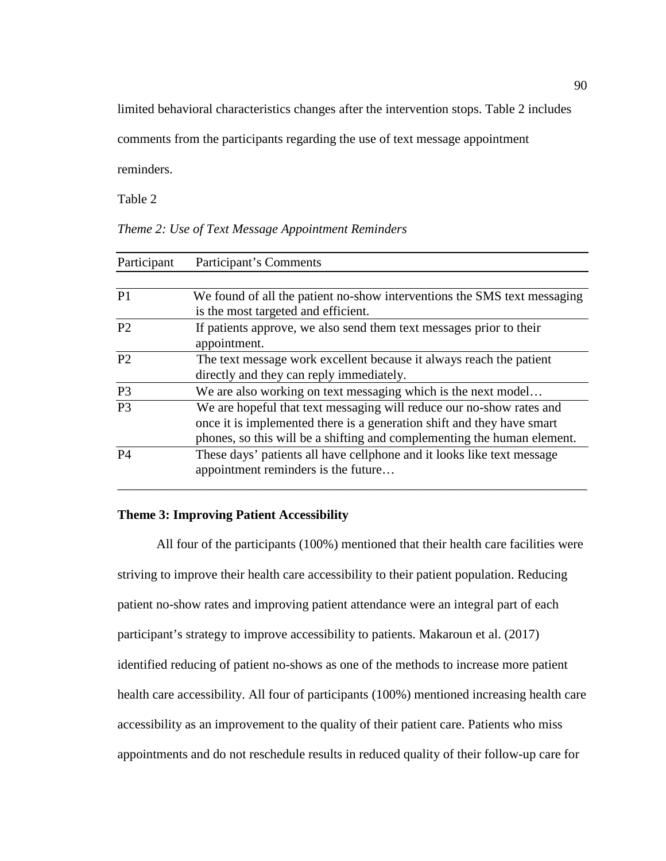limited behavioral characteristics changes after the intervention stops. Table 2 includes

comments from the participants regarding the use of text message appointment

reminders.

Table 2

|  | Theme 2: Use of Text Message Appointment Reminders |  |
|--|----------------------------------------------------|--|
|  |                                                    |  |

| Participant    | Participant's Comments                                                   |  |  |
|----------------|--------------------------------------------------------------------------|--|--|
|                |                                                                          |  |  |
| P <sub>1</sub> | We found of all the patient no-show interventions the SMS text messaging |  |  |
|                | is the most targeted and efficient.                                      |  |  |
| P <sub>2</sub> | If patients approve, we also send them text messages prior to their      |  |  |
|                | appointment.                                                             |  |  |
| P <sub>2</sub> | The text message work excellent because it always reach the patient      |  |  |
|                | directly and they can reply immediately.                                 |  |  |
| P <sub>3</sub> | We are also working on text messaging which is the next model            |  |  |
| P <sub>3</sub> | We are hopeful that text messaging will reduce our no-show rates and     |  |  |
|                | once it is implemented there is a generation shift and they have smart   |  |  |
|                | phones, so this will be a shifting and complementing the human element.  |  |  |
| P <sub>4</sub> | These days' patients all have cellphone and it looks like text message   |  |  |
|                | appointment reminders is the future                                      |  |  |
|                |                                                                          |  |  |

## **Theme 3: Improving Patient Accessibility**

All four of the participants (100%) mentioned that their health care facilities were striving to improve their health care accessibility to their patient population. Reducing patient no-show rates and improving patient attendance were an integral part of each participant's strategy to improve accessibility to patients. Makaroun et al. (2017) identified reducing of patient no-shows as one of the methods to increase more patient health care accessibility. All four of participants (100%) mentioned increasing health care accessibility as an improvement to the quality of their patient care. Patients who miss appointments and do not reschedule results in reduced quality of their follow-up care for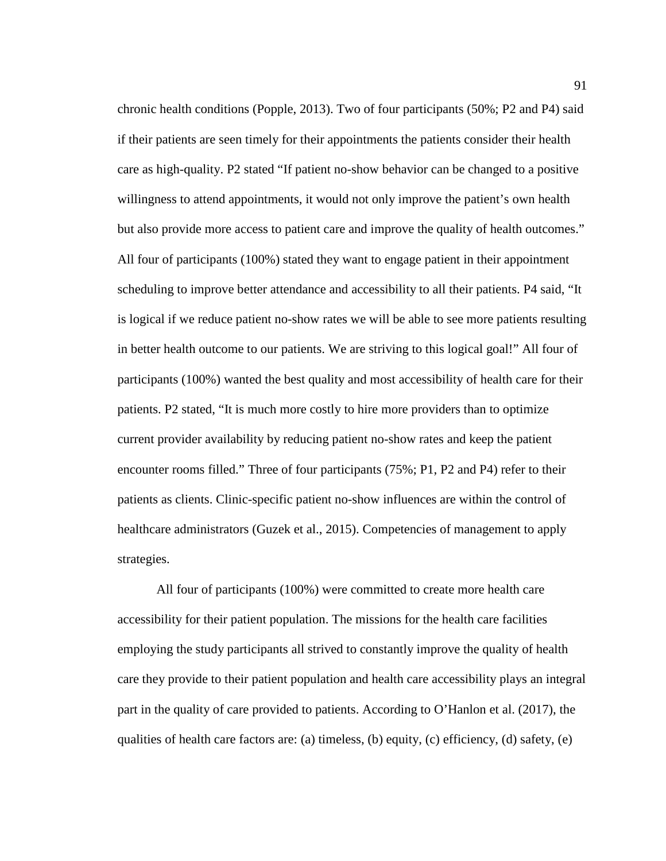chronic health conditions (Popple, 2013). Two of four participants (50%; P2 and P4) said if their patients are seen timely for their appointments the patients consider their health care as high-quality. P2 stated "If patient no-show behavior can be changed to a positive willingness to attend appointments, it would not only improve the patient's own health but also provide more access to patient care and improve the quality of health outcomes." All four of participants (100%) stated they want to engage patient in their appointment scheduling to improve better attendance and accessibility to all their patients. P4 said, "It is logical if we reduce patient no-show rates we will be able to see more patients resulting in better health outcome to our patients. We are striving to this logical goal!" All four of participants (100%) wanted the best quality and most accessibility of health care for their patients. P2 stated, "It is much more costly to hire more providers than to optimize current provider availability by reducing patient no-show rates and keep the patient encounter rooms filled." Three of four participants (75%; P1, P2 and P4) refer to their patients as clients. Clinic-specific patient no-show influences are within the control of healthcare administrators (Guzek et al., 2015). Competencies of management to apply strategies.

All four of participants (100%) were committed to create more health care accessibility for their patient population. The missions for the health care facilities employing the study participants all strived to constantly improve the quality of health care they provide to their patient population and health care accessibility plays an integral part in the quality of care provided to patients. According to O'Hanlon et al. (2017), the qualities of health care factors are: (a) timeless, (b) equity, (c) efficiency, (d) safety, (e)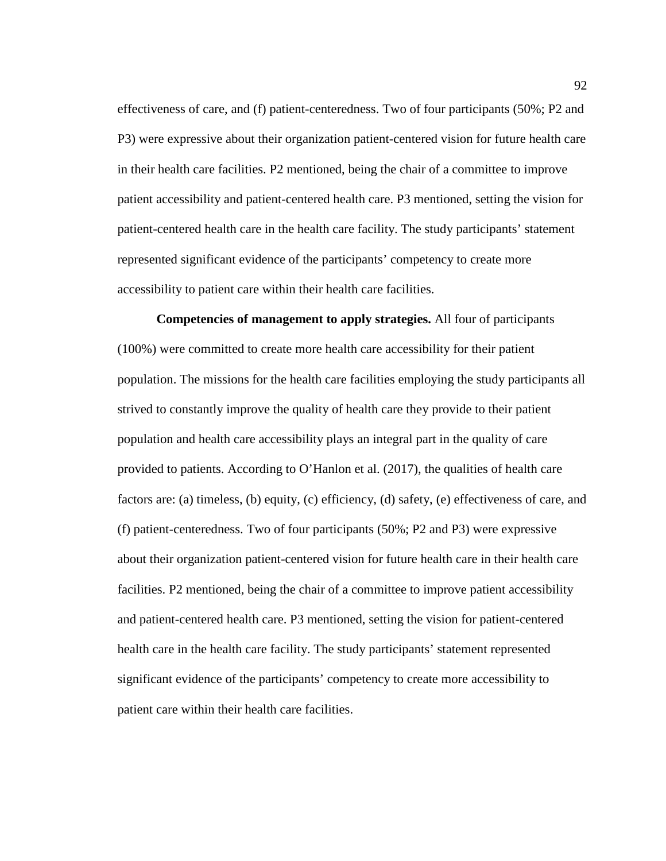effectiveness of care, and (f) patient-centeredness. Two of four participants (50%; P2 and P3) were expressive about their organization patient-centered vision for future health care in their health care facilities. P2 mentioned, being the chair of a committee to improve patient accessibility and patient-centered health care. P3 mentioned, setting the vision for patient-centered health care in the health care facility. The study participants' statement represented significant evidence of the participants' competency to create more accessibility to patient care within their health care facilities.

**Competencies of management to apply strategies.** All four of participants (100%) were committed to create more health care accessibility for their patient population. The missions for the health care facilities employing the study participants all strived to constantly improve the quality of health care they provide to their patient population and health care accessibility plays an integral part in the quality of care provided to patients. According to O'Hanlon et al. (2017), the qualities of health care factors are: (a) timeless, (b) equity, (c) efficiency, (d) safety, (e) effectiveness of care, and (f) patient-centeredness. Two of four participants (50%; P2 and P3) were expressive about their organization patient-centered vision for future health care in their health care facilities. P2 mentioned, being the chair of a committee to improve patient accessibility and patient-centered health care. P3 mentioned, setting the vision for patient-centered health care in the health care facility. The study participants' statement represented significant evidence of the participants' competency to create more accessibility to patient care within their health care facilities.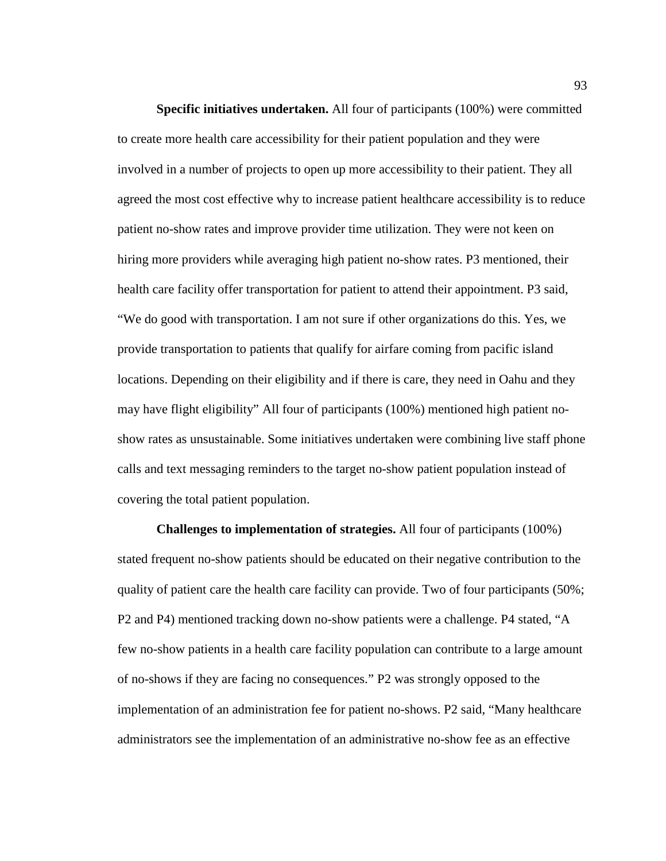**Specific initiatives undertaken.** All four of participants (100%) were committed to create more health care accessibility for their patient population and they were involved in a number of projects to open up more accessibility to their patient. They all agreed the most cost effective why to increase patient healthcare accessibility is to reduce patient no-show rates and improve provider time utilization. They were not keen on hiring more providers while averaging high patient no-show rates. P3 mentioned, their health care facility offer transportation for patient to attend their appointment. P3 said, "We do good with transportation. I am not sure if other organizations do this. Yes, we provide transportation to patients that qualify for airfare coming from pacific island locations. Depending on their eligibility and if there is care, they need in Oahu and they may have flight eligibility" All four of participants (100%) mentioned high patient noshow rates as unsustainable. Some initiatives undertaken were combining live staff phone calls and text messaging reminders to the target no-show patient population instead of covering the total patient population.

**Challenges to implementation of strategies.** All four of participants (100%) stated frequent no-show patients should be educated on their negative contribution to the quality of patient care the health care facility can provide. Two of four participants (50%; P2 and P4) mentioned tracking down no-show patients were a challenge. P4 stated, "A few no-show patients in a health care facility population can contribute to a large amount of no-shows if they are facing no consequences." P2 was strongly opposed to the implementation of an administration fee for patient no-shows. P2 said, "Many healthcare administrators see the implementation of an administrative no-show fee as an effective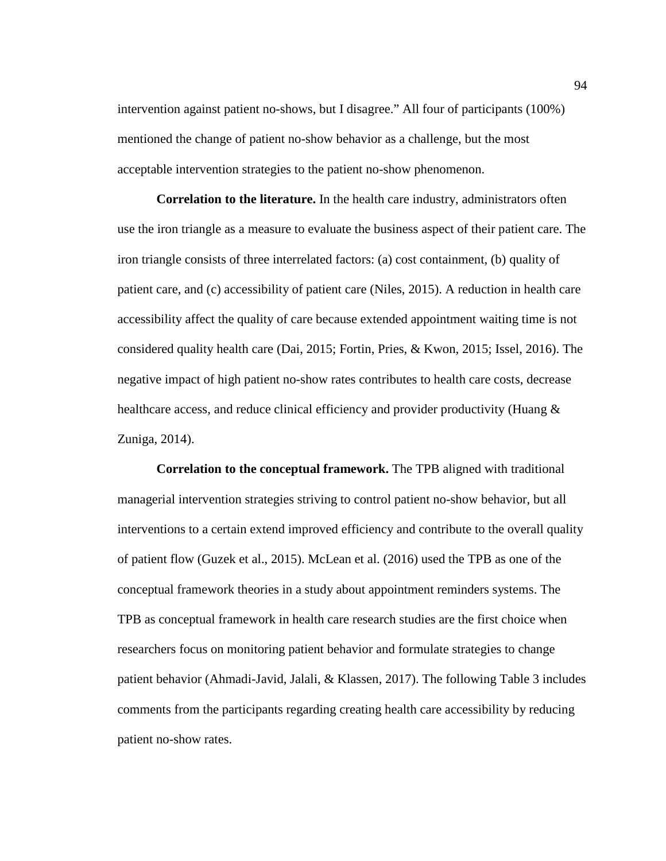intervention against patient no-shows, but I disagree." All four of participants (100%) mentioned the change of patient no-show behavior as a challenge, but the most acceptable intervention strategies to the patient no-show phenomenon.

**Correlation to the literature.** In the health care industry, administrators often use the iron triangle as a measure to evaluate the business aspect of their patient care. The iron triangle consists of three interrelated factors: (a) cost containment, (b) quality of patient care, and (c) accessibility of patient care (Niles, 2015). A reduction in health care accessibility affect the quality of care because extended appointment waiting time is not considered quality health care (Dai, 2015; Fortin, Pries, & Kwon, 2015; Issel, 2016). The negative impact of high patient no-show rates contributes to health care costs, decrease healthcare access, and reduce clinical efficiency and provider productivity (Huang & Zuniga, 2014).

**Correlation to the conceptual framework.** The TPB aligned with traditional managerial intervention strategies striving to control patient no-show behavior, but all interventions to a certain extend improved efficiency and contribute to the overall quality of patient flow (Guzek et al., 2015). McLean et al. (2016) used the TPB as one of the conceptual framework theories in a study about appointment reminders systems. The TPB as conceptual framework in health care research studies are the first choice when researchers focus on monitoring patient behavior and formulate strategies to change patient behavior (Ahmadi-Javid, Jalali, & Klassen, 2017). The following Table 3 includes comments from the participants regarding creating health care accessibility by reducing patient no-show rates.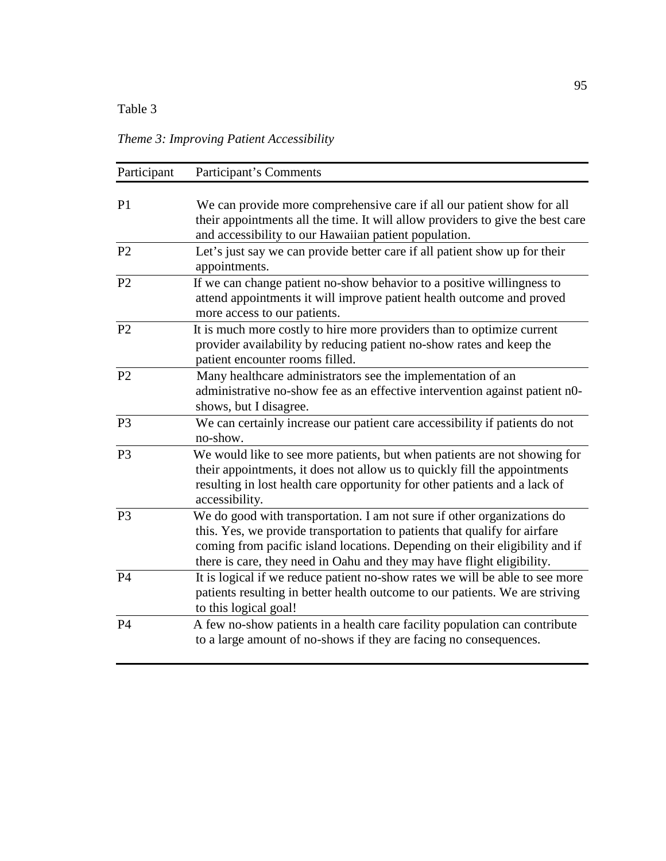# Table 3

*Theme 3: Improving Patient Accessibility* 

| Participant    | Participant's Comments                                                                                                                                                                                                                                                                                        |  |  |
|----------------|---------------------------------------------------------------------------------------------------------------------------------------------------------------------------------------------------------------------------------------------------------------------------------------------------------------|--|--|
| P <sub>1</sub> | We can provide more comprehensive care if all our patient show for all<br>their appointments all the time. It will allow providers to give the best care<br>and accessibility to our Hawaiian patient population.                                                                                             |  |  |
| P <sub>2</sub> | Let's just say we can provide better care if all patient show up for their<br>appointments.                                                                                                                                                                                                                   |  |  |
| P <sub>2</sub> | If we can change patient no-show behavior to a positive willingness to<br>attend appointments it will improve patient health outcome and proved<br>more access to our patients.                                                                                                                               |  |  |
| P <sub>2</sub> | It is much more costly to hire more providers than to optimize current<br>provider availability by reducing patient no-show rates and keep the<br>patient encounter rooms filled.                                                                                                                             |  |  |
| P <sub>2</sub> | Many healthcare administrators see the implementation of an<br>administrative no-show fee as an effective intervention against patient n0-<br>shows, but I disagree.                                                                                                                                          |  |  |
| P <sub>3</sub> | We can certainly increase our patient care accessibility if patients do not<br>no-show.                                                                                                                                                                                                                       |  |  |
| P <sub>3</sub> | We would like to see more patients, but when patients are not showing for<br>their appointments, it does not allow us to quickly fill the appointments<br>resulting in lost health care opportunity for other patients and a lack of<br>accessibility.                                                        |  |  |
| P <sub>3</sub> | We do good with transportation. I am not sure if other organizations do<br>this. Yes, we provide transportation to patients that qualify for airfare<br>coming from pacific island locations. Depending on their eligibility and if<br>there is care, they need in Oahu and they may have flight eligibility. |  |  |
| P4             | It is logical if we reduce patient no-show rates we will be able to see more<br>patients resulting in better health outcome to our patients. We are striving<br>to this logical goal!                                                                                                                         |  |  |
| <b>P4</b>      | A few no-show patients in a health care facility population can contribute<br>to a large amount of no-shows if they are facing no consequences.                                                                                                                                                               |  |  |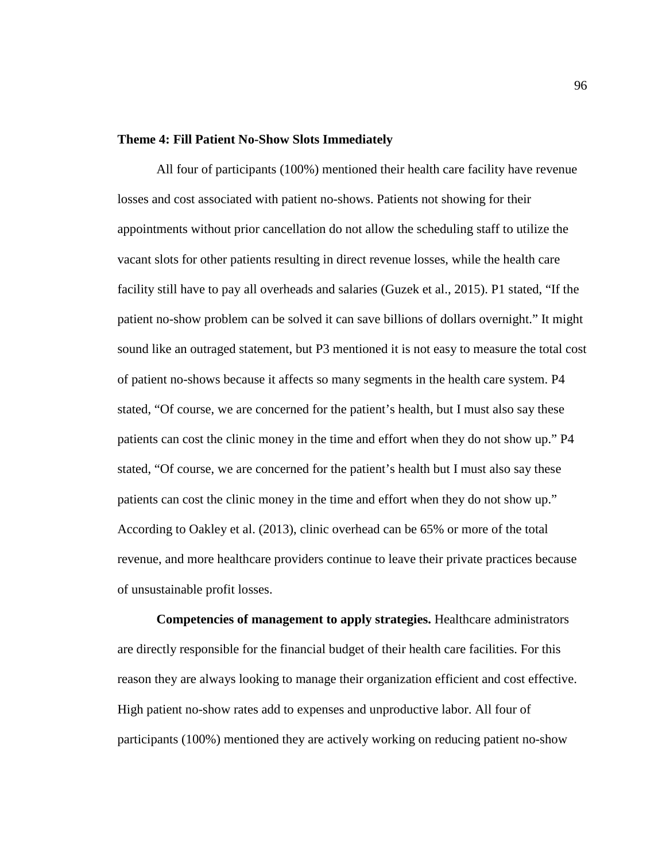#### **Theme 4: Fill Patient No-Show Slots Immediately**

All four of participants (100%) mentioned their health care facility have revenue losses and cost associated with patient no-shows. Patients not showing for their appointments without prior cancellation do not allow the scheduling staff to utilize the vacant slots for other patients resulting in direct revenue losses, while the health care facility still have to pay all overheads and salaries (Guzek et al., 2015). P1 stated, "If the patient no-show problem can be solved it can save billions of dollars overnight." It might sound like an outraged statement, but P3 mentioned it is not easy to measure the total cost of patient no-shows because it affects so many segments in the health care system. P4 stated, "Of course, we are concerned for the patient's health, but I must also say these patients can cost the clinic money in the time and effort when they do not show up." P4 stated, "Of course, we are concerned for the patient's health but I must also say these patients can cost the clinic money in the time and effort when they do not show up." According to Oakley et al. (2013), clinic overhead can be 65% or more of the total revenue, and more healthcare providers continue to leave their private practices because of unsustainable profit losses.

**Competencies of management to apply strategies.** Healthcare administrators are directly responsible for the financial budget of their health care facilities. For this reason they are always looking to manage their organization efficient and cost effective. High patient no-show rates add to expenses and unproductive labor. All four of participants (100%) mentioned they are actively working on reducing patient no-show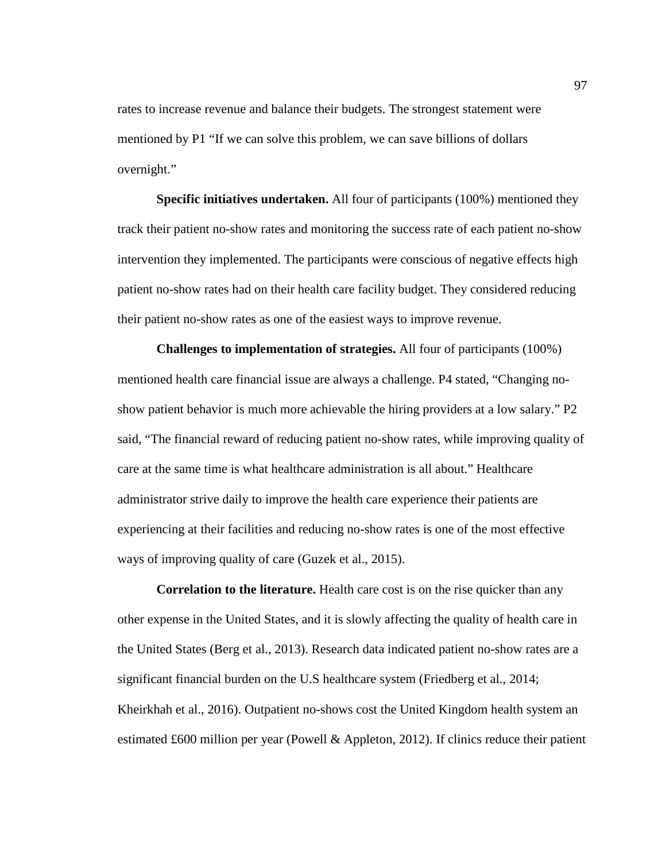rates to increase revenue and balance their budgets. The strongest statement were mentioned by P1 "If we can solve this problem, we can save billions of dollars overnight."

**Specific initiatives undertaken.** All four of participants (100%) mentioned they track their patient no-show rates and monitoring the success rate of each patient no-show intervention they implemented. The participants were conscious of negative effects high patient no-show rates had on their health care facility budget. They considered reducing their patient no-show rates as one of the easiest ways to improve revenue.

**Challenges to implementation of strategies.** All four of participants (100%) mentioned health care financial issue are always a challenge. P4 stated, "Changing noshow patient behavior is much more achievable the hiring providers at a low salary." P2 said, "The financial reward of reducing patient no-show rates, while improving quality of care at the same time is what healthcare administration is all about." Healthcare administrator strive daily to improve the health care experience their patients are experiencing at their facilities and reducing no-show rates is one of the most effective ways of improving quality of care (Guzek et al., 2015).

**Correlation to the literature.** Health care cost is on the rise quicker than any other expense in the United States, and it is slowly affecting the quality of health care in the United States (Berg et al., 2013). Research data indicated patient no-show rates are a significant financial burden on the U.S healthcare system (Friedberg et al., 2014; Kheirkhah et al., 2016). Outpatient no-shows cost the United Kingdom health system an estimated £600 million per year (Powell & Appleton, 2012). If clinics reduce their patient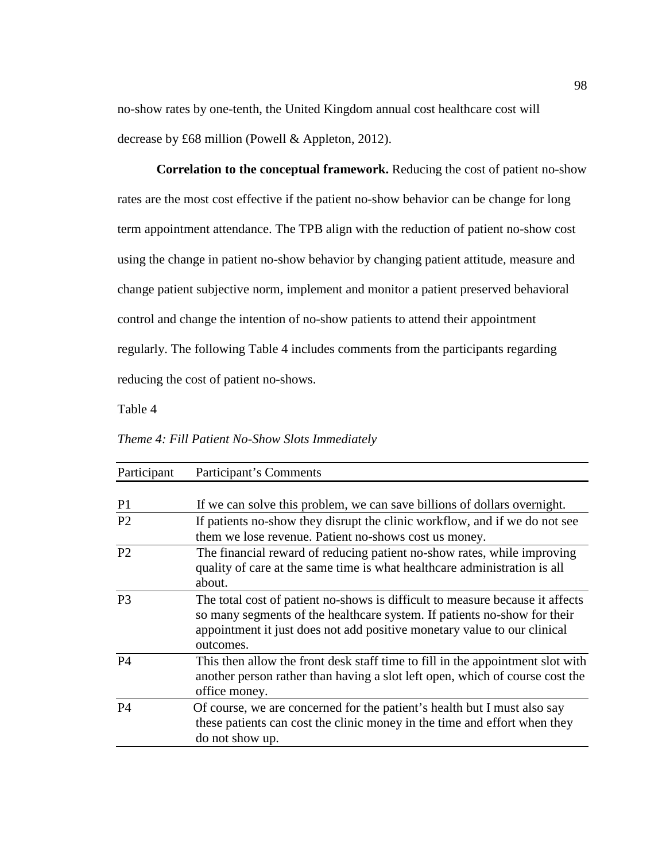no-show rates by one-tenth, the United Kingdom annual cost healthcare cost will decrease by £68 million (Powell & Appleton, 2012).

**Correlation to the conceptual framework.** Reducing the cost of patient no-show rates are the most cost effective if the patient no-show behavior can be change for long term appointment attendance. The TPB align with the reduction of patient no-show cost using the change in patient no-show behavior by changing patient attitude, measure and change patient subjective norm, implement and monitor a patient preserved behavioral control and change the intention of no-show patients to attend their appointment regularly. The following Table 4 includes comments from the participants regarding reducing the cost of patient no-shows.

Table 4

*Theme 4: Fill Patient No-Show Slots Immediately* 

| Participant    | Participant's Comments                                                                                                                                                                                                                             |
|----------------|----------------------------------------------------------------------------------------------------------------------------------------------------------------------------------------------------------------------------------------------------|
|                |                                                                                                                                                                                                                                                    |
| P <sub>1</sub> | If we can solve this problem, we can save billions of dollars overnight.                                                                                                                                                                           |
| P <sub>2</sub> | If patients no-show they disrupt the clinic workflow, and if we do not see                                                                                                                                                                         |
|                | them we lose revenue. Patient no-shows cost us money.                                                                                                                                                                                              |
| P <sub>2</sub> | The financial reward of reducing patient no-show rates, while improving<br>quality of care at the same time is what healthcare administration is all<br>about.                                                                                     |
| P <sub>3</sub> | The total cost of patient no-shows is difficult to measure because it affects<br>so many segments of the healthcare system. If patients no-show for their<br>appointment it just does not add positive monetary value to our clinical<br>outcomes. |
| P <sub>4</sub> | This then allow the front desk staff time to fill in the appointment slot with<br>another person rather than having a slot left open, which of course cost the<br>office money.                                                                    |
| P <sub>4</sub> | Of course, we are concerned for the patient's health but I must also say<br>these patients can cost the clinic money in the time and effort when they<br>do not show up.                                                                           |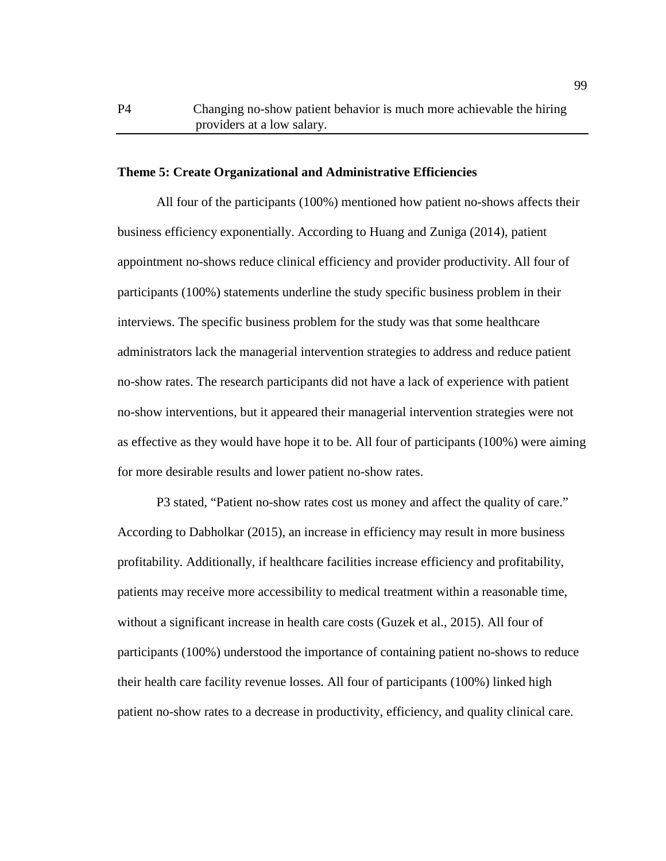#### **Theme 5: Create Organizational and Administrative Efficiencies**

All four of the participants (100%) mentioned how patient no-shows affects their business efficiency exponentially. According to Huang and Zuniga (2014), patient appointment no-shows reduce clinical efficiency and provider productivity. All four of participants (100%) statements underline the study specific business problem in their interviews. The specific business problem for the study was that some healthcare administrators lack the managerial intervention strategies to address and reduce patient no-show rates. The research participants did not have a lack of experience with patient no-show interventions, but it appeared their managerial intervention strategies were not as effective as they would have hope it to be. All four of participants (100%) were aiming for more desirable results and lower patient no-show rates.

P3 stated, "Patient no-show rates cost us money and affect the quality of care." According to Dabholkar (2015), an increase in efficiency may result in more business profitability. Additionally, if healthcare facilities increase efficiency and profitability, patients may receive more accessibility to medical treatment within a reasonable time, without a significant increase in health care costs (Guzek et al., 2015). All four of participants (100%) understood the importance of containing patient no-shows to reduce their health care facility revenue losses. All four of participants (100%) linked high patient no-show rates to a decrease in productivity, efficiency, and quality clinical care.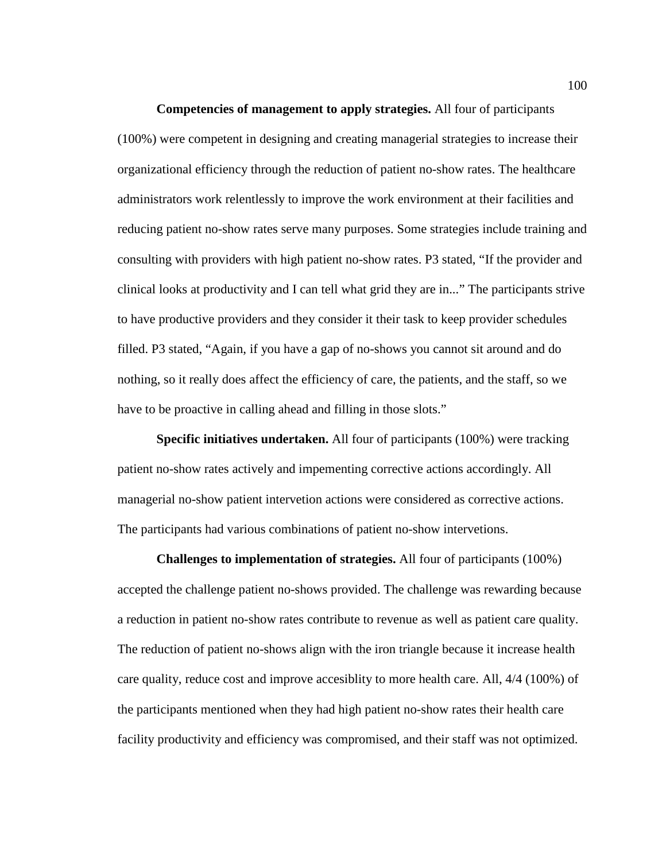**Competencies of management to apply strategies.** All four of participants (100%) were competent in designing and creating managerial strategies to increase their organizational efficiency through the reduction of patient no-show rates. The healthcare administrators work relentlessly to improve the work environment at their facilities and reducing patient no-show rates serve many purposes. Some strategies include training and consulting with providers with high patient no-show rates. P3 stated, "If the provider and clinical looks at productivity and I can tell what grid they are in..." The participants strive to have productive providers and they consider it their task to keep provider schedules filled. P3 stated, "Again, if you have a gap of no-shows you cannot sit around and do nothing, so it really does affect the efficiency of care, the patients, and the staff, so we have to be proactive in calling ahead and filling in those slots."

**Specific initiatives undertaken.** All four of participants (100%) were tracking patient no-show rates actively and impementing corrective actions accordingly. All managerial no-show patient intervetion actions were considered as corrective actions. The participants had various combinations of patient no-show intervetions.

**Challenges to implementation of strategies.** All four of participants (100%) accepted the challenge patient no-shows provided. The challenge was rewarding because a reduction in patient no-show rates contribute to revenue as well as patient care quality. The reduction of patient no-shows align with the iron triangle because it increase health care quality, reduce cost and improve accesiblity to more health care. All, 4/4 (100%) of the participants mentioned when they had high patient no-show rates their health care facility productivity and efficiency was compromised, and their staff was not optimized.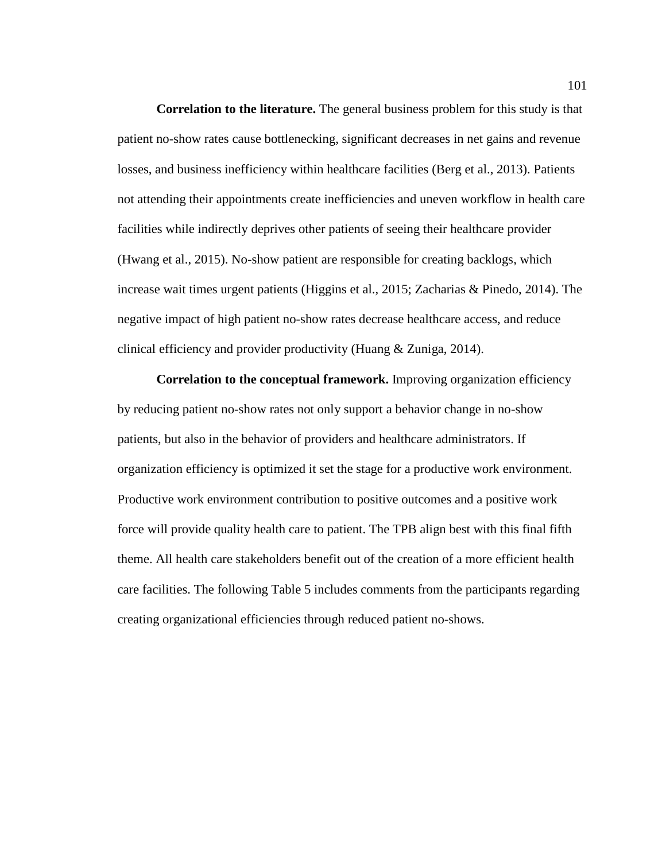**Correlation to the literature.** The general business problem for this study is that patient no-show rates cause bottlenecking, significant decreases in net gains and revenue losses, and business inefficiency within healthcare facilities (Berg et al., 2013). Patients not attending their appointments create inefficiencies and uneven workflow in health care facilities while indirectly deprives other patients of seeing their healthcare provider (Hwang et al., 2015). No-show patient are responsible for creating backlogs, which increase wait times urgent patients (Higgins et al., 2015; Zacharias & Pinedo, 2014). The negative impact of high patient no-show rates decrease healthcare access, and reduce clinical efficiency and provider productivity (Huang & Zuniga, 2014).

**Correlation to the conceptual framework.** Improving organization efficiency by reducing patient no-show rates not only support a behavior change in no-show patients, but also in the behavior of providers and healthcare administrators. If organization efficiency is optimized it set the stage for a productive work environment. Productive work environment contribution to positive outcomes and a positive work force will provide quality health care to patient. The TPB align best with this final fifth theme. All health care stakeholders benefit out of the creation of a more efficient health care facilities. The following Table 5 includes comments from the participants regarding creating organizational efficiencies through reduced patient no-shows.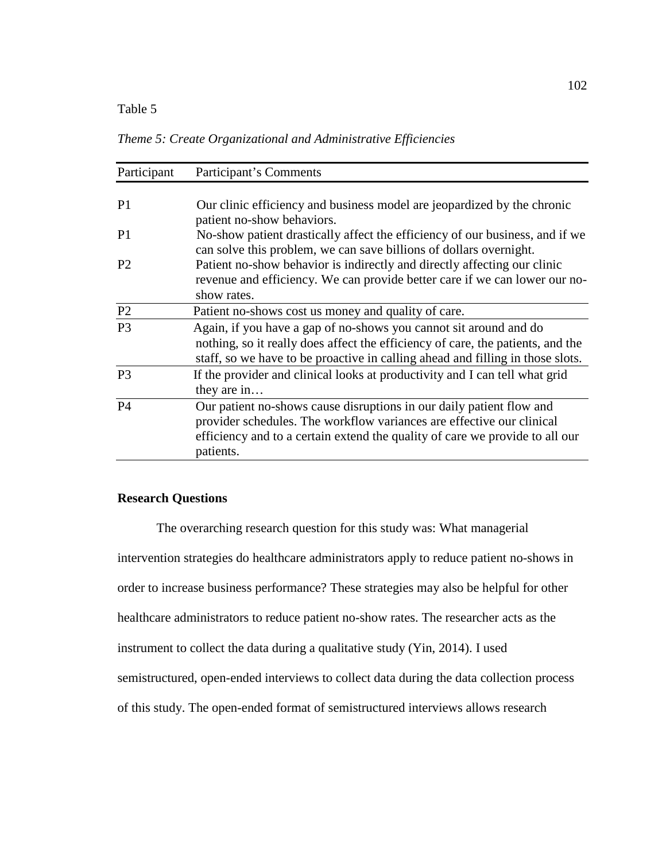# Table 5

*Theme 5: Create Organizational and Administrative Efficiencies* 

| Participant    | Participant's Comments                                                                                                                                                                                                                     |
|----------------|--------------------------------------------------------------------------------------------------------------------------------------------------------------------------------------------------------------------------------------------|
|                |                                                                                                                                                                                                                                            |
| P <sub>1</sub> | Our clinic efficiency and business model are jeopardized by the chronic<br>patient no-show behaviors.                                                                                                                                      |
| P <sub>1</sub> | No-show patient drastically affect the efficiency of our business, and if we<br>can solve this problem, we can save billions of dollars overnight.                                                                                         |
| P <sub>2</sub> | Patient no-show behavior is indirectly and directly affecting our clinic<br>revenue and efficiency. We can provide better care if we can lower our no-<br>show rates.                                                                      |
| P <sub>2</sub> | Patient no-shows cost us money and quality of care.                                                                                                                                                                                        |
| P <sub>3</sub> | Again, if you have a gap of no-shows you cannot sit around and do<br>nothing, so it really does affect the efficiency of care, the patients, and the<br>staff, so we have to be proactive in calling ahead and filling in those slots.     |
| P <sub>3</sub> | If the provider and clinical looks at productivity and I can tell what grid<br>they are in                                                                                                                                                 |
| P <sub>4</sub> | Our patient no-shows cause disruptions in our daily patient flow and<br>provider schedules. The workflow variances are effective our clinical<br>efficiency and to a certain extend the quality of care we provide to all our<br>patients. |

## **Research Questions**

The overarching research question for this study was: What managerial intervention strategies do healthcare administrators apply to reduce patient no-shows in order to increase business performance? These strategies may also be helpful for other healthcare administrators to reduce patient no-show rates. The researcher acts as the instrument to collect the data during a qualitative study (Yin, 2014). I used semistructured, open-ended interviews to collect data during the data collection process of this study. The open-ended format of semistructured interviews allows research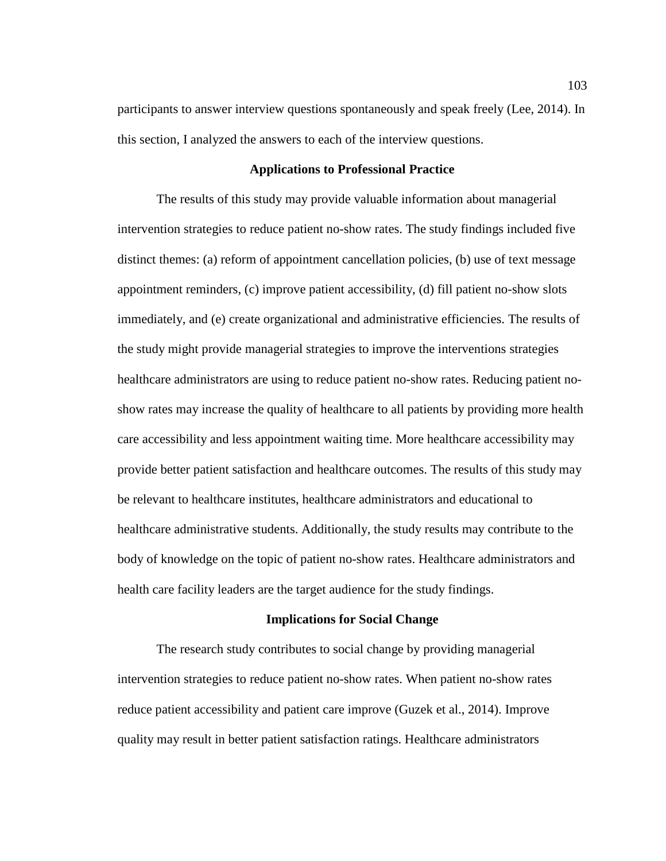participants to answer interview questions spontaneously and speak freely (Lee, 2014). In this section, I analyzed the answers to each of the interview questions.

## **Applications to Professional Practice**

The results of this study may provide valuable information about managerial intervention strategies to reduce patient no-show rates. The study findings included five distinct themes: (a) reform of appointment cancellation policies, (b) use of text message appointment reminders, (c) improve patient accessibility, (d) fill patient no-show slots immediately, and (e) create organizational and administrative efficiencies. The results of the study might provide managerial strategies to improve the interventions strategies healthcare administrators are using to reduce patient no-show rates. Reducing patient noshow rates may increase the quality of healthcare to all patients by providing more health care accessibility and less appointment waiting time. More healthcare accessibility may provide better patient satisfaction and healthcare outcomes. The results of this study may be relevant to healthcare institutes, healthcare administrators and educational to healthcare administrative students. Additionally, the study results may contribute to the body of knowledge on the topic of patient no-show rates. Healthcare administrators and health care facility leaders are the target audience for the study findings.

### **Implications for Social Change**

The research study contributes to social change by providing managerial intervention strategies to reduce patient no-show rates. When patient no-show rates reduce patient accessibility and patient care improve (Guzek et al., 2014). Improve quality may result in better patient satisfaction ratings. Healthcare administrators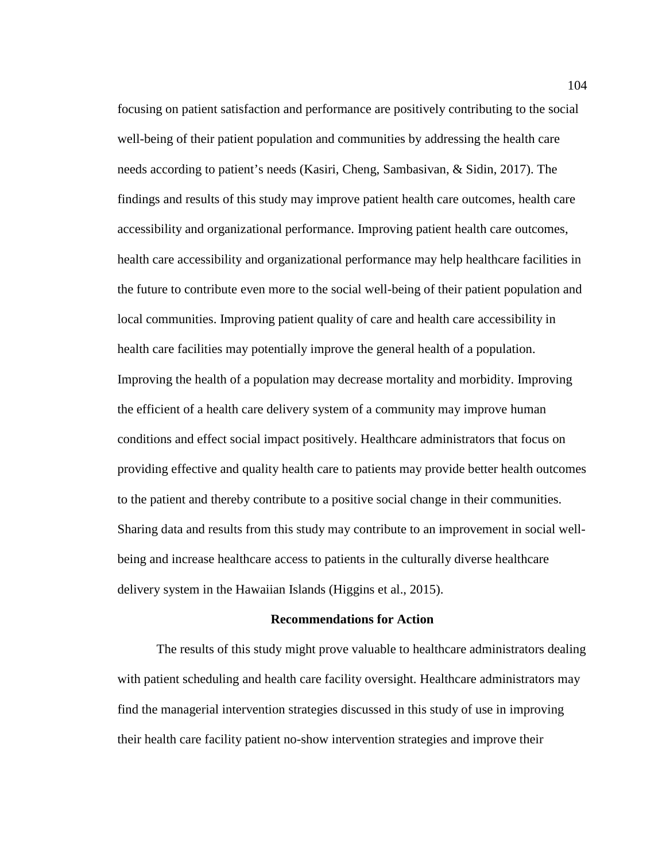focusing on patient satisfaction and performance are positively contributing to the social well-being of their patient population and communities by addressing the health care needs according to patient's needs (Kasiri, Cheng, Sambasivan, & Sidin, 2017). The findings and results of this study may improve patient health care outcomes, health care accessibility and organizational performance. Improving patient health care outcomes, health care accessibility and organizational performance may help healthcare facilities in the future to contribute even more to the social well-being of their patient population and local communities. Improving patient quality of care and health care accessibility in health care facilities may potentially improve the general health of a population. Improving the health of a population may decrease mortality and morbidity. Improving the efficient of a health care delivery system of a community may improve human conditions and effect social impact positively. Healthcare administrators that focus on providing effective and quality health care to patients may provide better health outcomes to the patient and thereby contribute to a positive social change in their communities. Sharing data and results from this study may contribute to an improvement in social wellbeing and increase healthcare access to patients in the culturally diverse healthcare delivery system in the Hawaiian Islands (Higgins et al., 2015).

### **Recommendations for Action**

The results of this study might prove valuable to healthcare administrators dealing with patient scheduling and health care facility oversight. Healthcare administrators may find the managerial intervention strategies discussed in this study of use in improving their health care facility patient no-show intervention strategies and improve their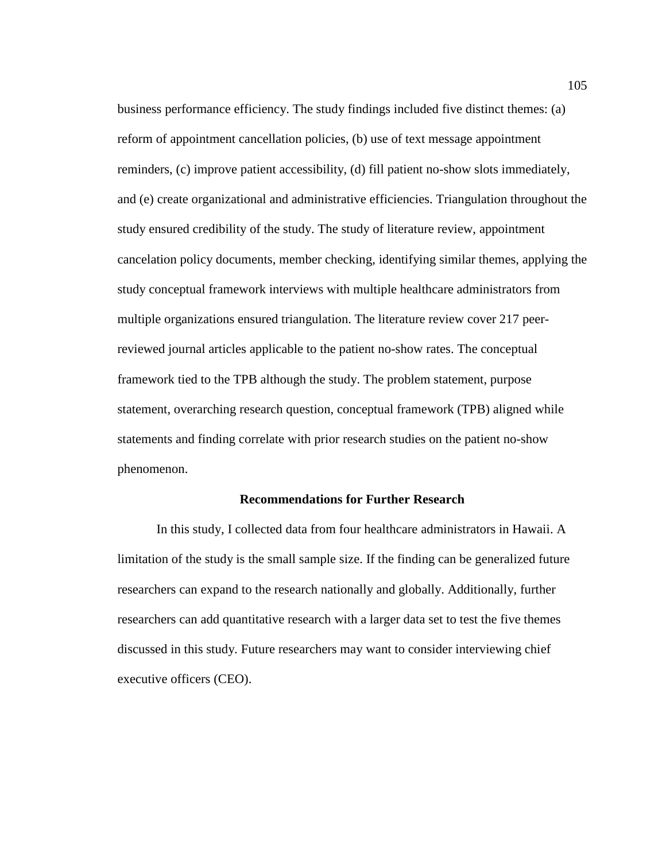business performance efficiency. The study findings included five distinct themes: (a) reform of appointment cancellation policies, (b) use of text message appointment reminders, (c) improve patient accessibility, (d) fill patient no-show slots immediately, and (e) create organizational and administrative efficiencies. Triangulation throughout the study ensured credibility of the study. The study of literature review, appointment cancelation policy documents, member checking, identifying similar themes, applying the study conceptual framework interviews with multiple healthcare administrators from multiple organizations ensured triangulation. The literature review cover 217 peerreviewed journal articles applicable to the patient no-show rates. The conceptual framework tied to the TPB although the study. The problem statement, purpose statement, overarching research question, conceptual framework (TPB) aligned while statements and finding correlate with prior research studies on the patient no-show phenomenon.

## **Recommendations for Further Research**

In this study, I collected data from four healthcare administrators in Hawaii. A limitation of the study is the small sample size. If the finding can be generalized future researchers can expand to the research nationally and globally. Additionally, further researchers can add quantitative research with a larger data set to test the five themes discussed in this study. Future researchers may want to consider interviewing chief executive officers (CEO).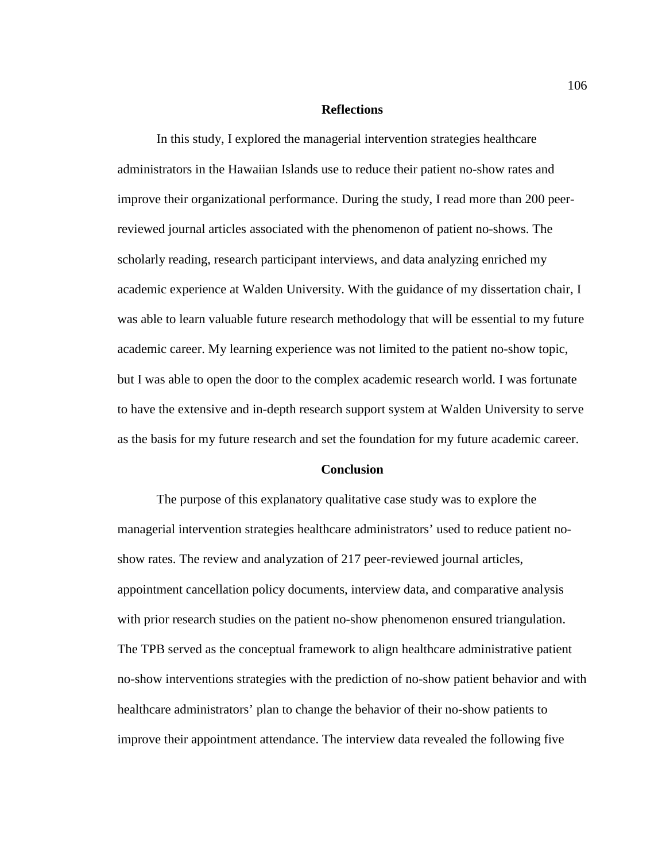### **Reflections**

In this study, I explored the managerial intervention strategies healthcare administrators in the Hawaiian Islands use to reduce their patient no-show rates and improve their organizational performance. During the study, I read more than 200 peerreviewed journal articles associated with the phenomenon of patient no-shows. The scholarly reading, research participant interviews, and data analyzing enriched my academic experience at Walden University. With the guidance of my dissertation chair, I was able to learn valuable future research methodology that will be essential to my future academic career. My learning experience was not limited to the patient no-show topic, but I was able to open the door to the complex academic research world. I was fortunate to have the extensive and in-depth research support system at Walden University to serve as the basis for my future research and set the foundation for my future academic career.

## **Conclusion**

The purpose of this explanatory qualitative case study was to explore the managerial intervention strategies healthcare administrators' used to reduce patient noshow rates. The review and analyzation of 217 peer-reviewed journal articles, appointment cancellation policy documents, interview data, and comparative analysis with prior research studies on the patient no-show phenomenon ensured triangulation. The TPB served as the conceptual framework to align healthcare administrative patient no-show interventions strategies with the prediction of no-show patient behavior and with healthcare administrators' plan to change the behavior of their no-show patients to improve their appointment attendance. The interview data revealed the following five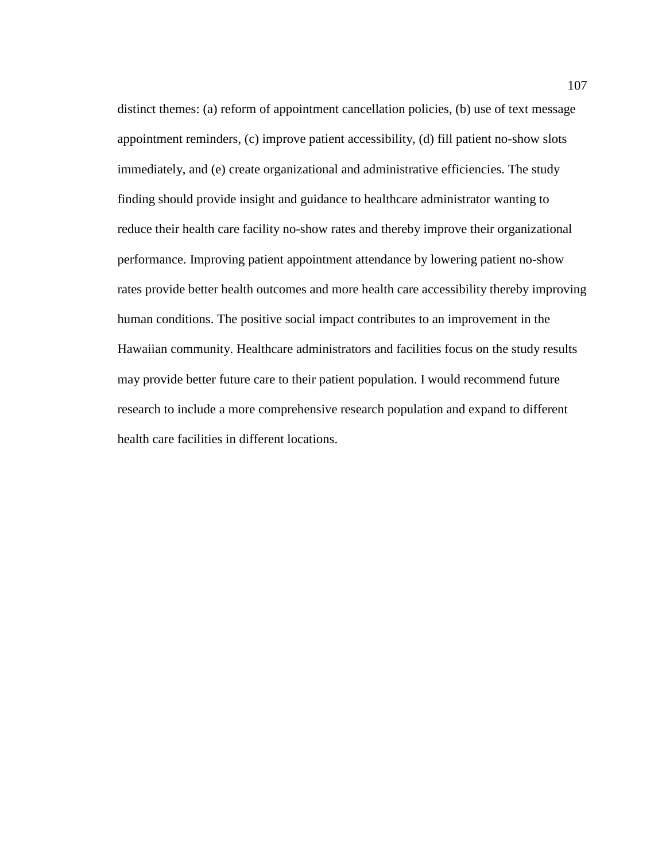distinct themes: (a) reform of appointment cancellation policies, (b) use of text message appointment reminders, (c) improve patient accessibility, (d) fill patient no-show slots immediately, and (e) create organizational and administrative efficiencies. The study finding should provide insight and guidance to healthcare administrator wanting to reduce their health care facility no-show rates and thereby improve their organizational performance. Improving patient appointment attendance by lowering patient no-show rates provide better health outcomes and more health care accessibility thereby improving human conditions. The positive social impact contributes to an improvement in the Hawaiian community. Healthcare administrators and facilities focus on the study results may provide better future care to their patient population. I would recommend future research to include a more comprehensive research population and expand to different health care facilities in different locations.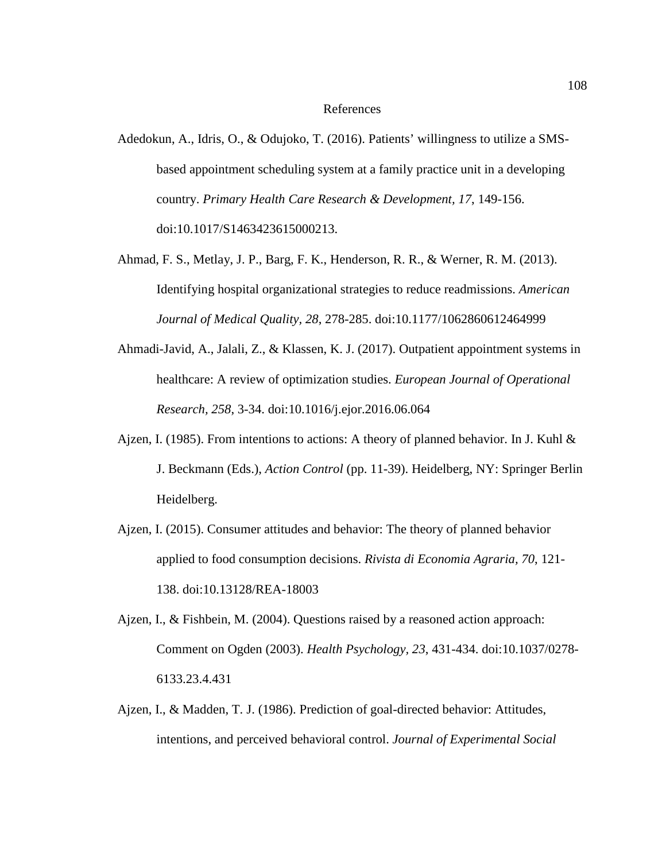#### References

- Adedokun, A., Idris, O., & Odujoko, T. (2016). Patients' willingness to utilize a SMSbased appointment scheduling system at a family practice unit in a developing country. *Primary Health Care Research & Development, 17*, 149-156. doi:10.1017/S1463423615000213.
- Ahmad, F. S., Metlay, J. P., Barg, F. K., Henderson, R. R., & Werner, R. M. (2013). Identifying hospital organizational strategies to reduce readmissions. *American Journal of Medical Quality, 28*, 278-285. doi:10.1177/1062860612464999
- Ahmadi-Javid, A., Jalali, Z., & Klassen, K. J. (2017). Outpatient appointment systems in healthcare: A review of optimization studies. *European Journal of Operational Research, 258*, 3-34. doi:10.1016/j.ejor.2016.06.064
- Ajzen, I. (1985). From intentions to actions: A theory of planned behavior. In J. Kuhl  $\&$ J. Beckmann (Eds.), *Action Control* (pp. 11-39). Heidelberg, NY: Springer Berlin Heidelberg.
- Ajzen, I. (2015). Consumer attitudes and behavior: The theory of planned behavior applied to food consumption decisions. *Rivista di Economia Agraria, 70*, 121- 138. doi:10.13128/REA-18003
- Ajzen, I., & Fishbein, M. (2004). Questions raised by a reasoned action approach: Comment on Ogden (2003). *Health Psychology, 23*, 431-434. doi:10.1037/0278- 6133.23.4.431
- Ajzen, I., & Madden, T. J. (1986). Prediction of goal-directed behavior: Attitudes, intentions, and perceived behavioral control. *Journal of Experimental Social*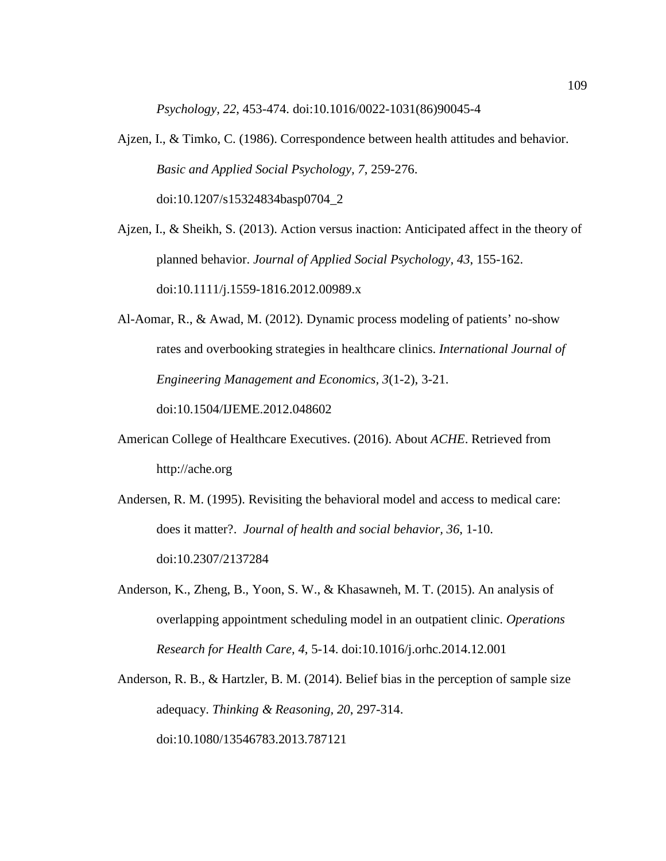*Psychology, 22*, 453-474. doi:10.1016/0022-1031(86)90045-4

Ajzen, I., & Timko, C. (1986). Correspondence between health attitudes and behavior. *Basic and Applied Social Psychology, 7*, 259-276. doi:10.1207/s15324834basp0704\_2

Ajzen, I., & Sheikh, S. (2013). Action versus inaction: Anticipated affect in the theory of planned behavior. *Journal of Applied Social Psychology, 43*, 155-162. doi:10.1111/j.1559-1816.2012.00989.x

Al-Aomar, R., & Awad, M. (2012). Dynamic process modeling of patients' no-show rates and overbooking strategies in healthcare clinics. *International Journal of Engineering Management and Economics, 3*(1-2), 3-21.

doi:10.1504/IJEME.2012.048602

- American College of Healthcare Executives. (2016). About *ACHE*. Retrieved from http://ache.org
- Andersen, R. M. (1995). Revisiting the behavioral model and access to medical care: does it matter?. *Journal of health and social behavior, 36*, 1-10. doi:10.2307/2137284
- Anderson, K., Zheng, B., Yoon, S. W., & Khasawneh, M. T. (2015). An analysis of overlapping appointment scheduling model in an outpatient clinic. *Operations Research for Health Care, 4*, 5-14. doi:10.1016/j.orhc.2014.12.001
- Anderson, R. B., & Hartzler, B. M. (2014). Belief bias in the perception of sample size adequacy. *Thinking & Reasoning, 20*, 297-314. doi:10.1080/13546783.2013.787121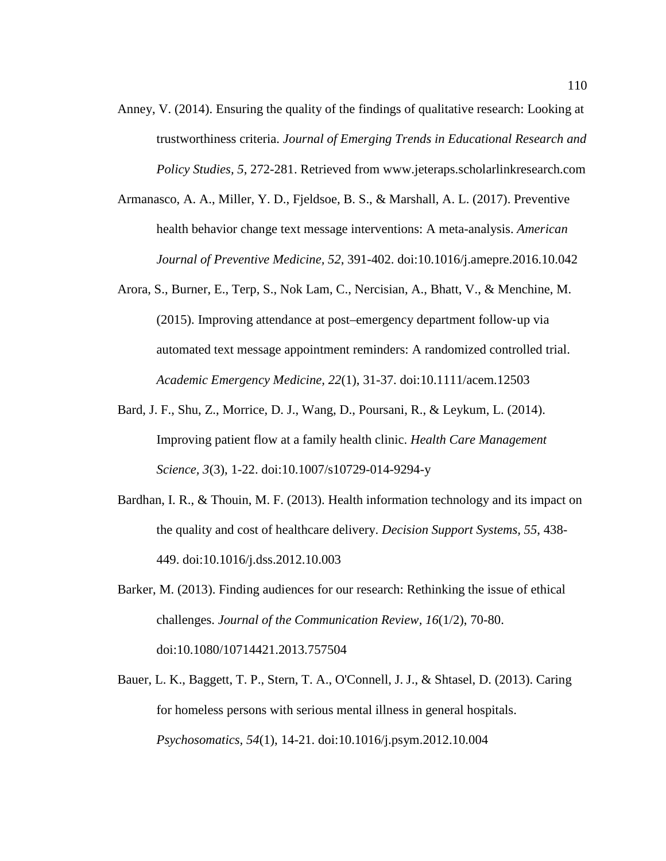- Anney, V. (2014). Ensuring the quality of the findings of qualitative research: Looking at trustworthiness criteria. *Journal of Emerging Trends in Educational Research and Policy Studies, 5*, 272-281. Retrieved from www.jeteraps.scholarlinkresearch.com
- Armanasco, A. A., Miller, Y. D., Fjeldsoe, B. S., & Marshall, A. L. (2017). Preventive health behavior change text message interventions: A meta-analysis. *American Journal of Preventive Medicine, 52*, 391-402. doi:10.1016/j.amepre.2016.10.042
- Arora, S., Burner, E., Terp, S., Nok Lam, C., Nercisian, A., Bhatt, V., & Menchine, M. (2015). Improving attendance at post–emergency department follow‐up via automated text message appointment reminders: A randomized controlled trial. *Academic Emergency Medicine, 22*(1), 31-37. doi:10.1111/acem.12503
- Bard, J. F., Shu, Z., Morrice, D. J., Wang, D., Poursani, R., & Leykum, L. (2014). Improving patient flow at a family health clinic. *Health Care Management Science, 3*(3), 1-22. doi:10.1007/s10729-014-9294-y
- Bardhan, I. R., & Thouin, M. F. (2013). Health information technology and its impact on the quality and cost of healthcare delivery. *Decision Support Systems, 55*, 438- 449. doi:10.1016/j.dss.2012.10.003
- Barker, M. (2013). Finding audiences for our research: Rethinking the issue of ethical challenges. *Journal of the Communication Review, 16*(1/2), 70-80. doi:10.1080/10714421.2013.757504
- Bauer, L. K., Baggett, T. P., Stern, T. A., O'Connell, J. J., & Shtasel, D. (2013). Caring for homeless persons with serious mental illness in general hospitals. *Psychosomatics, 54*(1), 14-21. doi:10.1016/j.psym.2012.10.004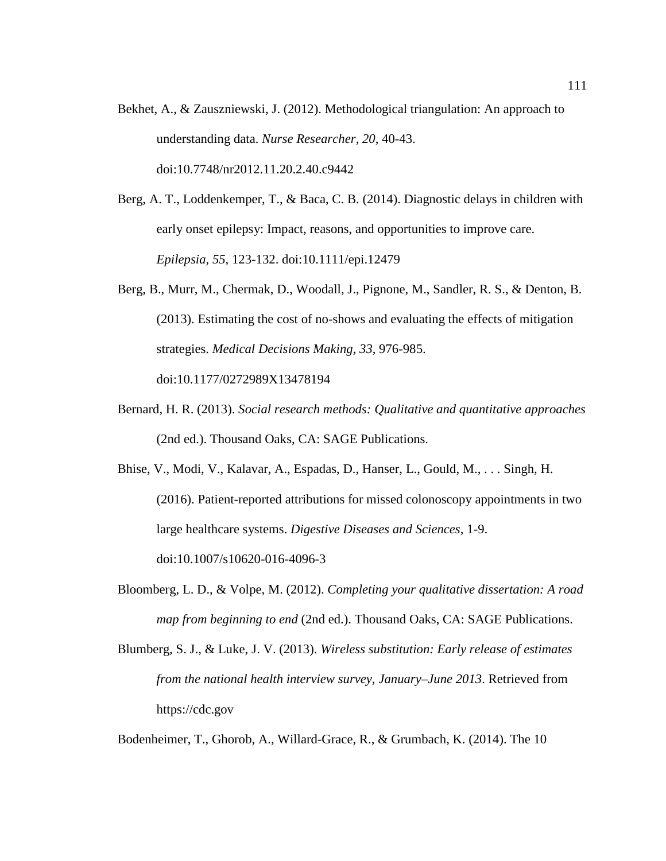- Bekhet, A., & Zauszniewski, J. (2012). Methodological triangulation: An approach to understanding data. *Nurse Researcher, 20*, 40-43. doi:10.7748/nr2012.11.20.2.40.c9442
- Berg, A. T., Loddenkemper, T., & Baca, C. B. (2014). Diagnostic delays in children with early onset epilepsy: Impact, reasons, and opportunities to improve care. *Epilepsia, 55*, 123-132. doi:10.1111/epi.12479
- Berg, B., Murr, M., Chermak, D., Woodall, J., Pignone, M., Sandler, R. S., & Denton, B. (2013). Estimating the cost of no-shows and evaluating the effects of mitigation strategies. *Medical Decisions Making, 33*, 976-985. doi:10.1177/0272989X13478194
- Bernard, H. R. (2013). *Social research methods: Qualitative and quantitative approaches*  (2nd ed.). Thousand Oaks, CA: SAGE Publications.
- Bhise, V., Modi, V., Kalavar, A., Espadas, D., Hanser, L., Gould, M., . . . Singh, H. (2016). Patient-reported attributions for missed colonoscopy appointments in two large healthcare systems. *Digestive Diseases and Sciences,* 1-9. doi:10.1007/s10620-016-4096-3
- Bloomberg, L. D., & Volpe, M. (2012). *Completing your qualitative dissertation: A road map from beginning to end* (2nd ed.). Thousand Oaks, CA: SAGE Publications.
- Blumberg, S. J., & Luke, J. V. (2013). *Wireless substitution: Early release of estimates from the national health interview survey, January–June 2013*. Retrieved from https://cdc.gov

Bodenheimer, T., Ghorob, A., Willard-Grace, R., & Grumbach, K. (2014). The 10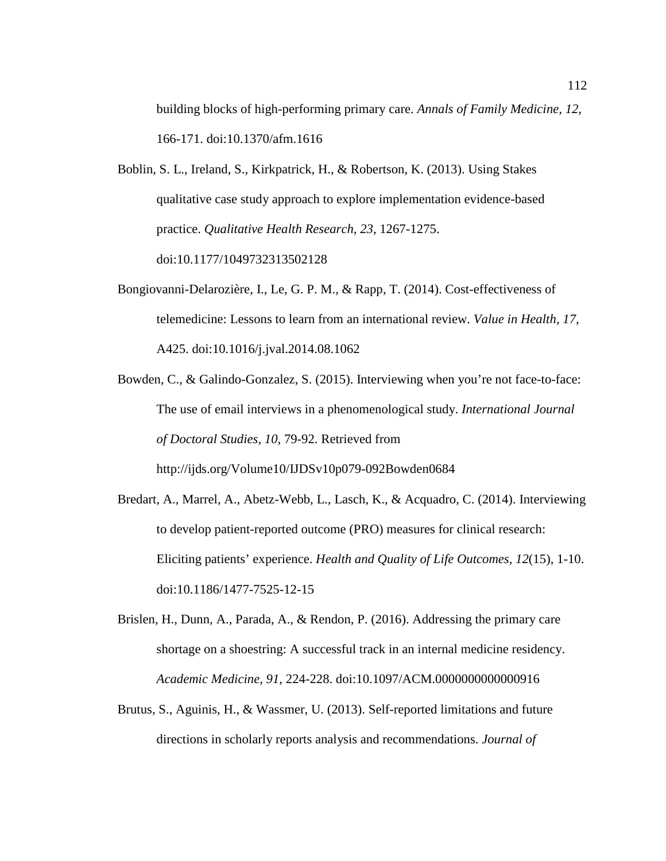building blocks of high-performing primary care. *Annals of Family Medicine, 12*, 166-171. doi:10.1370/afm.1616

- Boblin, S. L., Ireland, S., Kirkpatrick, H., & Robertson, K. (2013). Using Stakes qualitative case study approach to explore implementation evidence-based practice. *Qualitative Health Research, 23*, 1267-1275. doi:10.1177/1049732313502128
- Bongiovanni-Delarozière, I., Le, G. P. M., & Rapp, T. (2014). Cost-effectiveness of telemedicine: Lessons to learn from an international review. *Value in Health, 17*, A425. doi:10.1016/j.jval.2014.08.1062
- Bowden, C., & Galindo-Gonzalez, S. (2015). Interviewing when you're not face-to-face: The use of email interviews in a phenomenological study. *International Journal of Doctoral Studies, 10,* 79-92. Retrieved from http://ijds.org/Volume10/IJDSv10p079-092Bowden0684
- Bredart, A., Marrel, A., Abetz-Webb, L., Lasch, K., & Acquadro, C. (2014). Interviewing to develop patient-reported outcome (PRO) measures for clinical research: Eliciting patients' experience. *Health and Quality of Life Outcomes, 12*(15), 1-10. doi:10.1186/1477-7525-12-15
- Brislen, H., Dunn, A., Parada, A., & Rendon, P. (2016). Addressing the primary care shortage on a shoestring: A successful track in an internal medicine residency. *Academic Medicine, 91*, 224-228. doi:10.1097/ACM.0000000000000916
- Brutus, S., Aguinis, H., & Wassmer, U. (2013). Self-reported limitations and future directions in scholarly reports analysis and recommendations. *Journal of*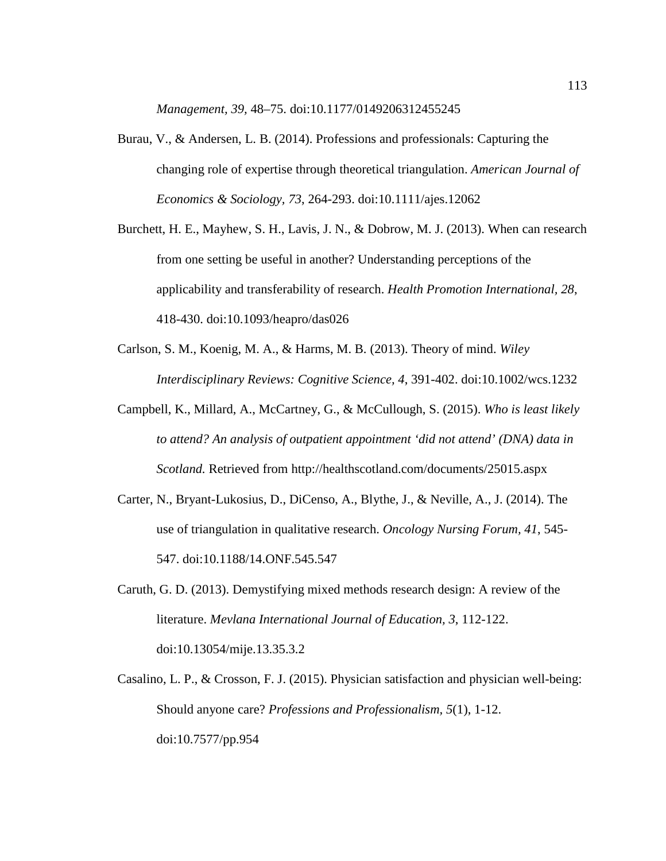*Management, 39,* 48–75. doi:10.1177/0149206312455245

- Burau, V., & Andersen, L. B. (2014). Professions and professionals: Capturing the changing role of expertise through theoretical triangulation. *American Journal of Economics & Sociology, 73*, 264-293. doi:10.1111/ajes.12062
- Burchett, H. E., Mayhew, S. H., Lavis, J. N., & Dobrow, M. J. (2013). When can research from one setting be useful in another? Understanding perceptions of the applicability and transferability of research. *Health Promotion International, 28*, 418-430. doi:10.1093/heapro/das026
- Carlson, S. M., Koenig, M. A., & Harms, M. B. (2013). Theory of mind. *Wiley Interdisciplinary Reviews: Cognitive Science, 4*, 391-402. doi:10.1002/wcs.1232
- Campbell, K., Millard, A., McCartney, G., & McCullough, S. (2015). *Who is least likely to attend? An analysis of outpatient appointment 'did not attend' (DNA) data in Scotland.* Retrieved from<http://healthscotland.com/documents/25015.aspx>
- Carter, N., Bryant-Lukosius, D., DiCenso, A., Blythe, J., & Neville, A., J. (2014). The use of triangulation in qualitative research. *Oncology Nursing Forum, 41*, 545- 547. doi:10.1188/14.ONF.545.547
- Caruth, G. D. (2013). Demystifying mixed methods research design: A review of the literature. *Mevlana International Journal of Education, 3*, 112-122. doi:10.13054/mije.13.35.3.2
- Casalino, L. P., & Crosson, F. J. (2015). Physician satisfaction and physician well-being: Should anyone care? *Professions and Professionalism, 5*(1), 1-12. doi:10.7577/pp.954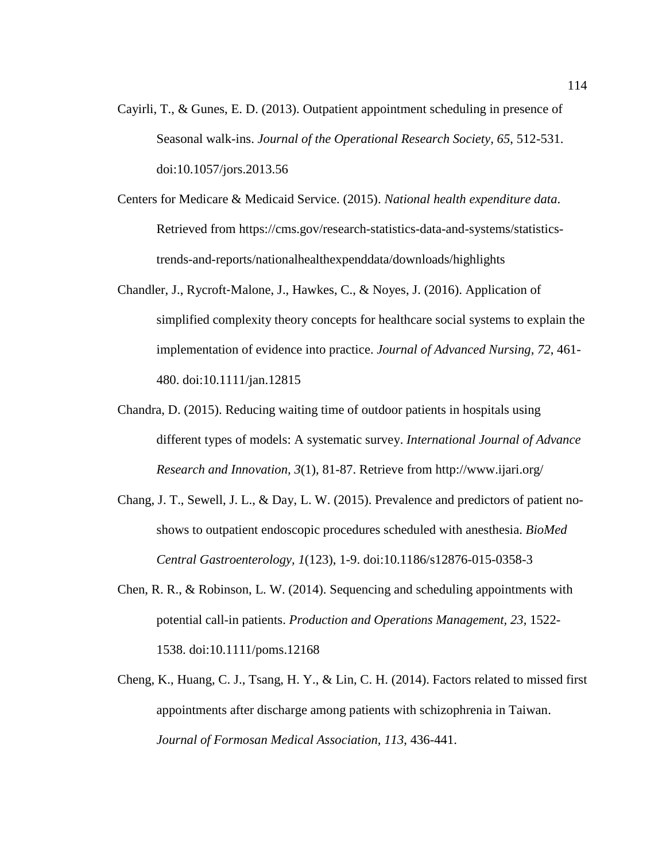- Cayirli, T., & Gunes, E. D. (2013). Outpatient appointment scheduling in presence of Seasonal walk-ins. *Journal of the Operational Research Society, 65*, 512-531. doi:10.1057/jors.2013.56
- Centers for Medicare & Medicaid Service. (2015). *National health expenditure data*. Retrieved from https://cms.gov/research-statistics-data-and-systems/statisticstrends-and-reports/nationalhealthexpenddata/downloads/highlights
- Chandler, J., Rycroft‐Malone, J., Hawkes, C., & Noyes, J. (2016). Application of simplified complexity theory concepts for healthcare social systems to explain the implementation of evidence into practice. *Journal of Advanced Nursing, 72*, 461- 480. doi:10.1111/jan.12815
- Chandra, D. (2015). Reducing waiting time of outdoor patients in hospitals using different types of models: A systematic survey. *International Journal of Advance Research and Innovation, 3*(1), 81-87. Retrieve from http://www.ijari.org/
- Chang, J. T., Sewell, J. L., & Day, L. W. (2015). Prevalence and predictors of patient noshows to outpatient endoscopic procedures scheduled with anesthesia. *BioMed Central Gastroenterology, 1*(123), 1-9. doi:10.1186/s12876-015-0358-3
- Chen, R. R., & Robinson, L. W. (2014). Sequencing and scheduling appointments with potential call-in patients. *Production and Operations Management, 23*, 1522- 1538. doi:10.1111/poms.12168
- Cheng, K., Huang, C. J., Tsang, H. Y., & Lin, C. H. (2014). Factors related to missed first appointments after discharge among patients with schizophrenia in Taiwan. *Journal of Formosan Medical Association, 113*, 436-441.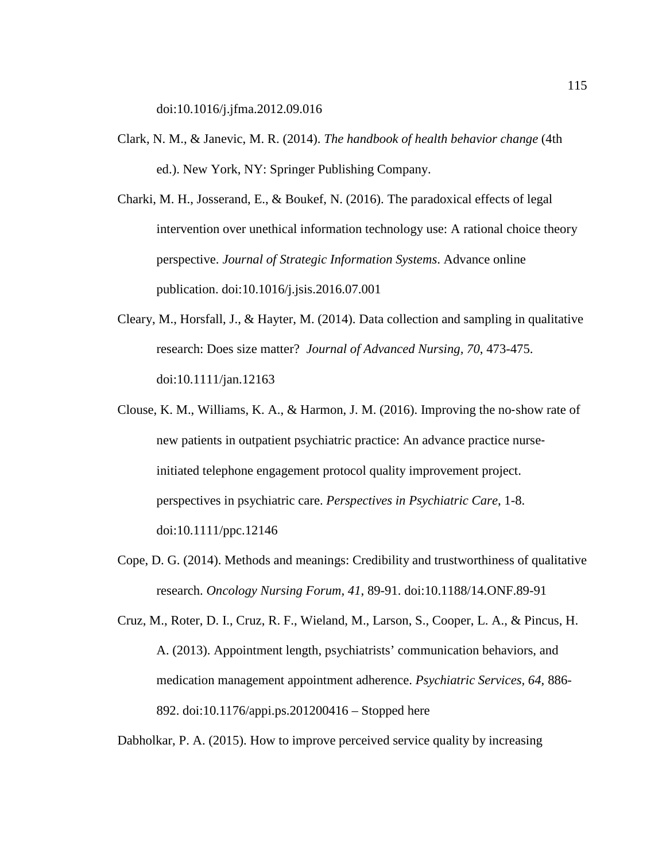doi:10.1016/j.jfma.2012.09.016

- Clark, N. M., & Janevic, M. R. (2014). *The handbook of health behavior change* (4th ed.). New York, NY: Springer Publishing Company.
- Charki, M. H., Josserand, E., & Boukef, N. (2016). The paradoxical effects of legal intervention over unethical information technology use: A rational choice theory perspective. *Journal of Strategic Information Systems*. Advance online publication. doi:10.1016/j.jsis.2016.07.001
- Cleary, M., Horsfall, J., & Hayter, M. (2014). Data collection and sampling in qualitative research: Does size matter? *Journal of Advanced Nursing, 70*, 473-475. doi:10.1111/jan.12163
- Clouse, K. M., Williams, K. A., & Harmon, J. M. (2016). Improving the no‐show rate of new patients in outpatient psychiatric practice: An advance practice nurseinitiated telephone engagement protocol quality improvement project. perspectives in psychiatric care. *Perspectives in Psychiatric Care*, 1-8. doi:10.1111/ppc.12146
- Cope, D. G. (2014). Methods and meanings: Credibility and trustworthiness of qualitative research. *Oncology Nursing Forum, 41*, 89-91. doi:10.1188/14.ONF.89-91

Cruz, M., Roter, D. I., Cruz, R. F., Wieland, M., Larson, S., Cooper, L. A., & Pincus, H. A. (2013). Appointment length, psychiatrists' communication behaviors, and medication management appointment adherence. *Psychiatric Services, 64*, 886- 892. doi:10.1176/appi.ps.201200416 – Stopped here

Dabholkar, P. A. (2015). How to improve perceived service quality by increasing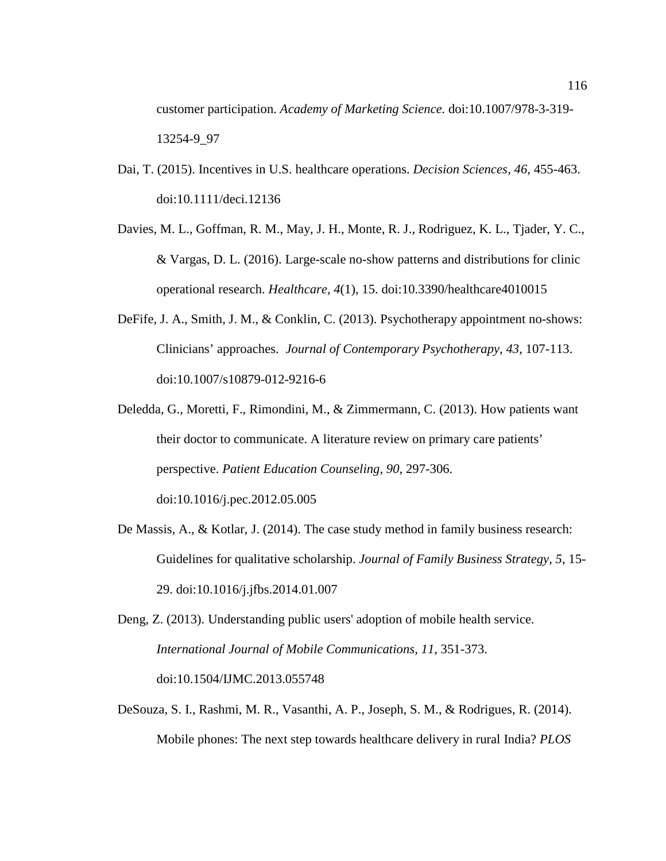customer participation. *Academy of Marketing Science.* doi:10.1007/978-3-319- 13254-9\_97

- Dai, T. (2015). Incentives in U.S. healthcare operations. *Decision Sciences, 46*, 455-463. doi:10.1111/deci.12136
- Davies, M. L., Goffman, R. M., May, J. H., Monte, R. J., Rodriguez, K. L., Tjader, Y. C., & Vargas, D. L. (2016). Large-scale no-show patterns and distributions for clinic operational research. *Healthcare, 4*(1), 15. doi:10.3390/healthcare4010015
- DeFife, J. A., Smith, J. M., & Conklin, C. (2013). Psychotherapy appointment no-shows: Clinicians' approaches. *Journal of Contemporary Psychotherapy, 43*, 107-113. doi:10.1007/s10879-012-9216-6
- Deledda, G., Moretti, F., Rimondini, M., & Zimmermann, C. (2013). How patients want their doctor to communicate. A literature review on primary care patients' perspective. *Patient Education Counseling, 90*, 297-306. doi:10.1016/j.pec.2012.05.005
- De Massis, A., & Kotlar, J. (2014). The case study method in family business research: Guidelines for qualitative scholarship. *Journal of Family Business Strategy, 5*, 15- 29. doi:10.1016/j.jfbs.2014.01.007
- Deng, Z. (2013). Understanding public users' adoption of mobile health service. *International Journal of Mobile Communications, 11*, 351-373. doi:10.1504/IJMC.2013.055748
- DeSouza, S. I., Rashmi, M. R., Vasanthi, A. P., Joseph, S. M., & Rodrigues, R. (2014). Mobile phones: The next step towards healthcare delivery in rural India? *PLOS*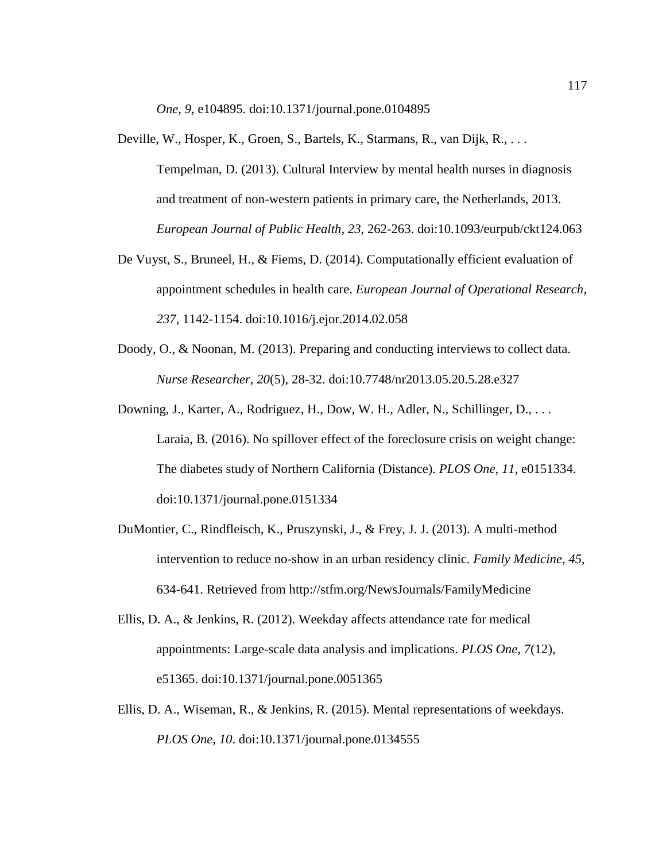*One, 9*, e104895. doi:10.1371/journal.pone.0104895

- Deville, W., Hosper, K., Groen, S., Bartels, K., Starmans, R., van Dijk, R., . . . Tempelman, D. (2013). Cultural Interview by mental health nurses in diagnosis and treatment of non-western patients in primary care, the Netherlands, 2013. *European Journal of Public Health, 23*, 262-263. doi:10.1093/eurpub/ckt124.063
- De Vuyst, S., Bruneel, H., & Fiems, D. (2014). Computationally efficient evaluation of appointment schedules in health care. *European Journal of Operational Research, 237*, 1142-1154. doi:10.1016/j.ejor.2014.02.058
- Doody, O., & Noonan, M. (2013). Preparing and conducting interviews to collect data. *Nurse Researcher, 20*(5), 28-32. doi:10.7748/nr2013.05.20.5.28.e327
- Downing, J., Karter, A., Rodriguez, H., Dow, W. H., Adler, N., Schillinger, D., ... Laraia, B. (2016). No spillover effect of the foreclosure crisis on weight change: The diabetes study of Northern California (Distance). *PLOS One, 11*, e0151334. doi:10.1371/journal.pone.0151334
- DuMontier, C., Rindfleisch, K., Pruszynski, J., & Frey, J. J. (2013). A multi-method intervention to reduce no-show in an urban residency clinic. *Family Medicine, 45*, 634-641. Retrieved from<http://stfm.org/NewsJournals/FamilyMedicine>
- Ellis, D. A., & Jenkins, R. (2012). Weekday affects attendance rate for medical appointments: Large-scale data analysis and implications. *PLOS One, 7*(12), e51365. doi:10.1371/journal.pone.0051365
- Ellis, D. A., Wiseman, R., & Jenkins, R. (2015). Mental representations of weekdays. *PLOS One, 10*. doi:10.1371/journal.pone.0134555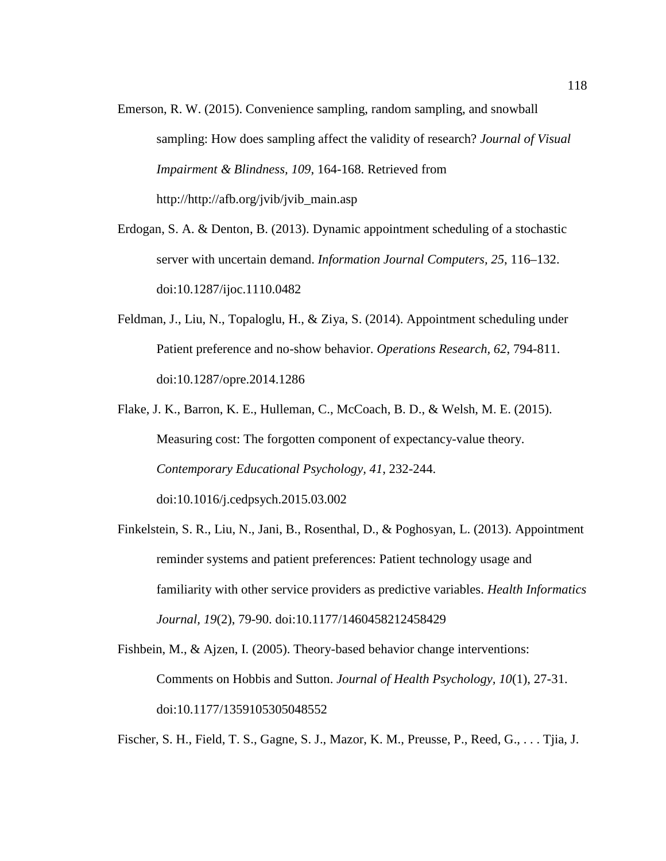- Emerson, R. W. (2015). Convenience sampling, random sampling, and snowball sampling: How does sampling affect the validity of research? *Journal of Visual Impairment & Blindness, 109*, 164-168. Retrieved from http://http://afb.org/jvib/jvib\_main.asp
- Erdogan, S. A. & Denton, B. (2013). Dynamic appointment scheduling of a stochastic server with uncertain demand. *Information Journal Computers, 25*, 116–132. doi:10.1287/ijoc.1110.0482
- Feldman, J., Liu, N., Topaloglu, H., & Ziya, S. (2014). Appointment scheduling under Patient preference and no-show behavior. *Operations Research, 62*, 794-811. doi:10.1287/opre.2014.1286
- Flake, J. K., Barron, K. E., Hulleman, C., McCoach, B. D., & Welsh, M. E. (2015). Measuring cost: The forgotten component of expectancy-value theory. *Contemporary Educational Psychology, 41*, 232-244. doi:10.1016/j.cedpsych.2015.03.002
- Finkelstein, S. R., Liu, N., Jani, B., Rosenthal, D., & Poghosyan, L. (2013). Appointment reminder systems and patient preferences: Patient technology usage and familiarity with other service providers as predictive variables. *Health Informatics Journal, 19*(2), 79-90. doi:10.1177/1460458212458429

```
Fishbein, M., & Ajzen, I. (2005). Theory-based behavior change interventions: 
Comments on Hobbis and Sutton. Journal of Health Psychology, 10(1), 27-31. 
doi:10.1177/1359105305048552
```
Fischer, S. H., Field, T. S., Gagne, S. J., Mazor, K. M., Preusse, P., Reed, G., . . . Tjia, J.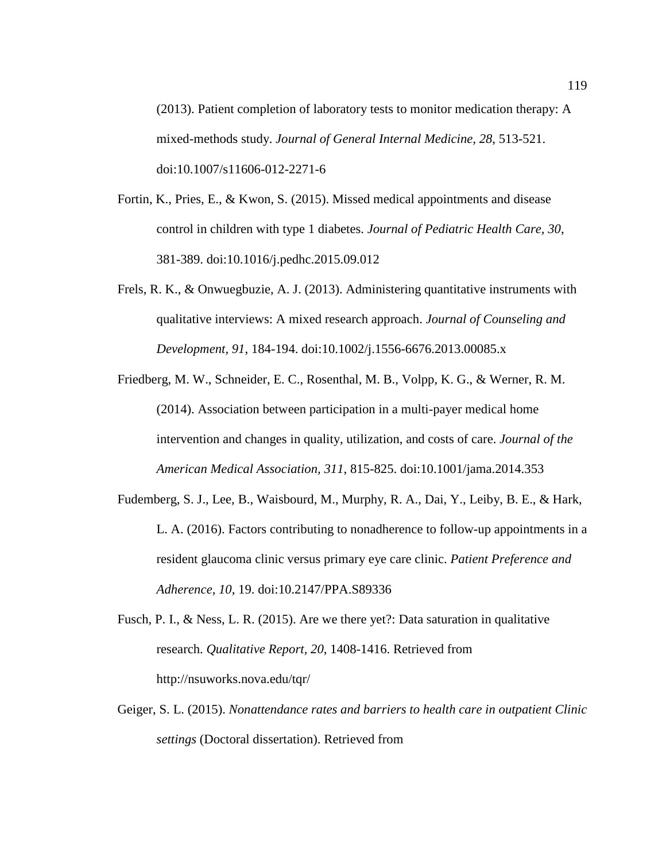(2013). Patient completion of laboratory tests to monitor medication therapy: A mixed-methods study. *Journal of General Internal Medicine, 28*, 513-521. doi:10.1007/s11606-012-2271-6

- Fortin, K., Pries, E., & Kwon, S. (2015). Missed medical appointments and disease control in children with type 1 diabetes. *Journal of Pediatric Health Care, 30*, 381-389. doi:10.1016/j.pedhc.2015.09.012
- Frels, R. K., & Onwuegbuzie, A. J. (2013). Administering quantitative instruments with qualitative interviews: A mixed research approach. *Journal of Counseling and Development, 91*, 184-194. doi:10.1002/j.1556-6676.2013.00085.x
- Friedberg, M. W., Schneider, E. C., Rosenthal, M. B., Volpp, K. G., & Werner, R. M. (2014). Association between participation in a multi-payer medical home intervention and changes in quality, utilization, and costs of care. *Journal of the American Medical Association, 311*, 815-825. doi:10.1001/jama.2014.353
- Fudemberg, S. J., Lee, B., Waisbourd, M., Murphy, R. A., Dai, Y., Leiby, B. E., & Hark, L. A. (2016). Factors contributing to nonadherence to follow-up appointments in a resident glaucoma clinic versus primary eye care clinic. *Patient Preference and Adherence, 10*, 19. doi:10.2147/PPA.S89336
- Fusch, P. I., & Ness, L. R. (2015). Are we there yet?: Data saturation in qualitative research. *Qualitative Report, 20*, 1408-1416. Retrieved from http://nsuworks.nova.edu/tqr/
- Geiger, S. L. (2015). *Nonattendance rates and barriers to health care in outpatient Clinic settings* (Doctoral dissertation). Retrieved from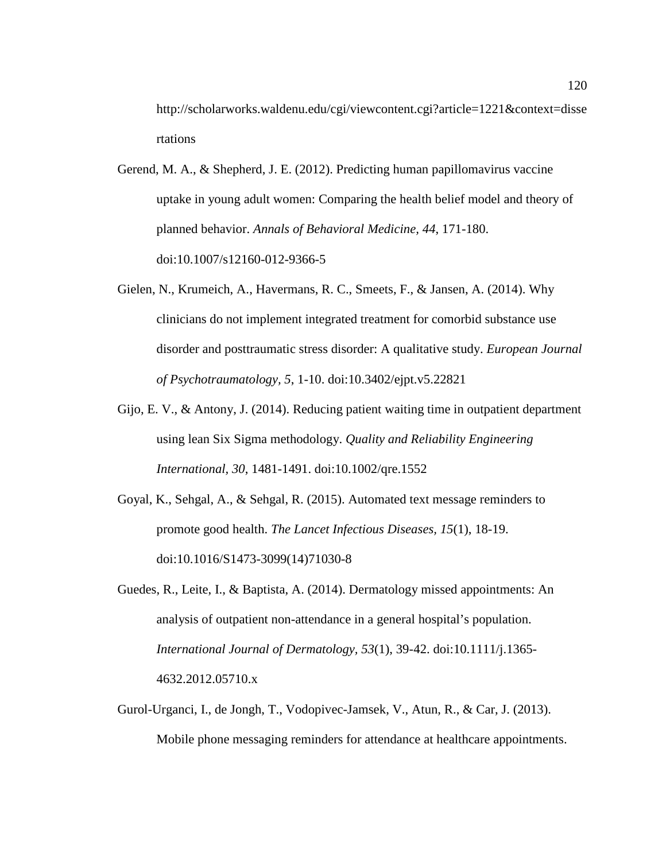http://scholarworks.waldenu.edu/cgi/viewcontent.cgi?article=1221&context=disse rtations

- Gerend, M. A., & Shepherd, J. E. (2012). Predicting human papillomavirus vaccine uptake in young adult women: Comparing the health belief model and theory of planned behavior. *Annals of Behavioral Medicine, 44*, 171-180. doi:10.1007/s12160-012-9366-5
- Gielen, N., Krumeich, A., Havermans, R. C., Smeets, F., & Jansen, A. (2014). Why clinicians do not implement integrated treatment for comorbid substance use disorder and posttraumatic stress disorder: A qualitative study. *European Journal of Psychotraumatology, 5*, 1-10. doi:10.3402/ejpt.v5.22821
- Gijo, E. V., & Antony, J. (2014). Reducing patient waiting time in outpatient department using lean Six Sigma methodology. *Quality and Reliability Engineering International, 30*, 1481-1491. doi:10.1002/qre.1552
- Goyal, K., Sehgal, A., & Sehgal, R. (2015). Automated text message reminders to promote good health. *The Lancet Infectious Diseases, 15*(1), 18-19. doi:10.1016/S1473-3099(14)71030-8
- Guedes, R., Leite, I., & Baptista, A. (2014). Dermatology missed appointments: An analysis of outpatient non-attendance in a general hospital's population. *International Journal of Dermatology, 53*(1), 39-42. doi:10.1111/j.1365- 4632.2012.05710.x
- Gurol-Urganci, I., de Jongh, T., Vodopivec-Jamsek, V., Atun, R., & Car, J. (2013). Mobile phone messaging reminders for attendance at healthcare appointments.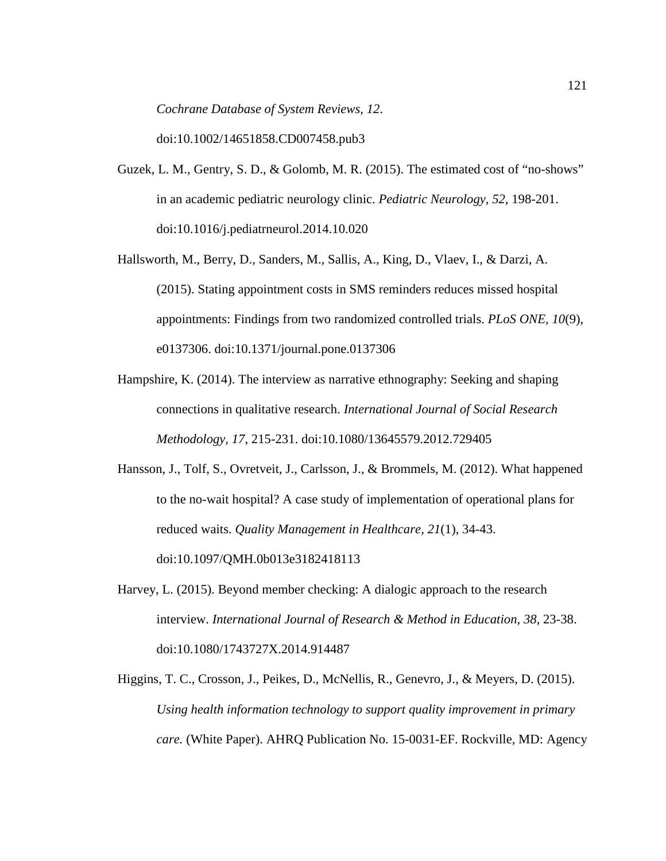*Cochrane Database of System Reviews, 12*.

doi:10.1002/14651858.CD007458.pub3

- Guzek, L. M., Gentry, S. D., & Golomb, M. R. (2015). The estimated cost of "no-shows" in an academic pediatric neurology clinic. *Pediatric Neurology, 52*, 198-201. doi:10.1016/j.pediatrneurol.2014.10.020
- Hallsworth, M., Berry, D., Sanders, M., Sallis, A., King, D., Vlaev, I., & Darzi, A. (2015). Stating appointment costs in SMS reminders reduces missed hospital appointments: Findings from two randomized controlled trials. *PLoS ONE, 10*(9), e0137306. doi:10.1371/journal.pone.0137306
- Hampshire, K. (2014). The interview as narrative ethnography: Seeking and shaping connections in qualitative research. *International Journal of Social Research Methodology, 17*, 215-231. doi:10.1080/13645579.2012.729405
- Hansson, J., Tolf, S., Ovretveit, J., Carlsson, J., & Brommels, M. (2012). What happened to the no-wait hospital? A case study of implementation of operational plans for reduced waits. *Quality Management in Healthcare, 21*(1), 34-43. doi:10.1097/QMH.0b013e3182418113
- Harvey, L. (2015). Beyond member checking: A dialogic approach to the research interview. *International Journal of Research & Method in Education, 38*, 23-38. doi:10.1080/1743727X.2014.914487
- Higgins, T. C., Crosson, J., Peikes, D., McNellis, R., Genevro, J., & Meyers, D. (2015). *Using health information technology to support quality improvement in primary care.* (White Paper). AHRQ Publication No. 15-0031-EF. Rockville, MD: Agency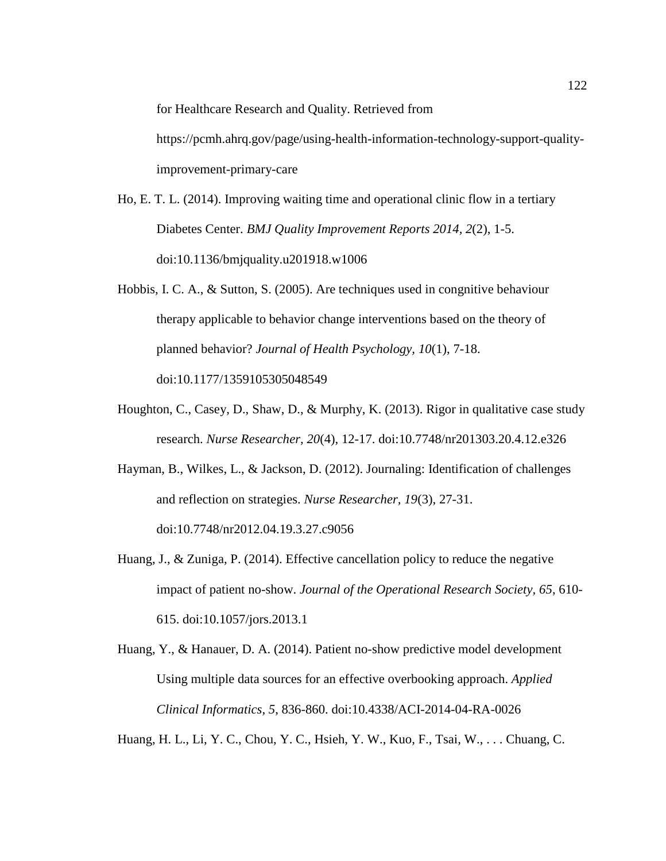for Healthcare Research and Quality. Retrieved from

[https://pcmh.ahrq.gov/page/using-health-information-technology-support-quality](https://pcmh.ahrq.gov/page/using-health-information-technology-support-quality-improvement-primary-care)[improvement-primary-care](https://pcmh.ahrq.gov/page/using-health-information-technology-support-quality-improvement-primary-care) 

- Ho, E. T. L. (2014). Improving waiting time and operational clinic flow in a tertiary Diabetes Center. *BMJ Quality Improvement Reports 2014, 2*(2), 1-5. doi:10.1136/bmjquality.u201918.w1006
- Hobbis, I. C. A., & Sutton, S. (2005). Are techniques used in congnitive behaviour therapy applicable to behavior change interventions based on the theory of planned behavior? *Journal of Health Psychology, 10*(1), 7-18. doi:10.1177/1359105305048549
- Houghton, C., Casey, D., Shaw, D., & Murphy, K. (2013). Rigor in qualitative case study research. *Nurse Researcher, 20*(4), 12-17. doi:10.7748/nr201303.20.4.12.e326
- Hayman, B., Wilkes, L., & Jackson, D. (2012). Journaling: Identification of challenges and reflection on strategies. *Nurse Researcher, 19*(3), 27-31. doi:10.7748/nr2012.04.19.3.27.c9056
- Huang, J., & Zuniga, P. (2014). Effective cancellation policy to reduce the negative impact of patient no-show. *Journal of the Operational Research Society, 65*, 610- 615. doi:10.1057/jors.2013.1
- Huang, Y., & Hanauer, D. A. (2014). Patient no-show predictive model development Using multiple data sources for an effective overbooking approach. *Applied Clinical Informatics, 5*, 836-860. doi:10.4338/ACI-2014-04-RA-0026

Huang, H. L., Li, Y. C., Chou, Y. C., Hsieh, Y. W., Kuo, F., Tsai, W., . . . Chuang, C.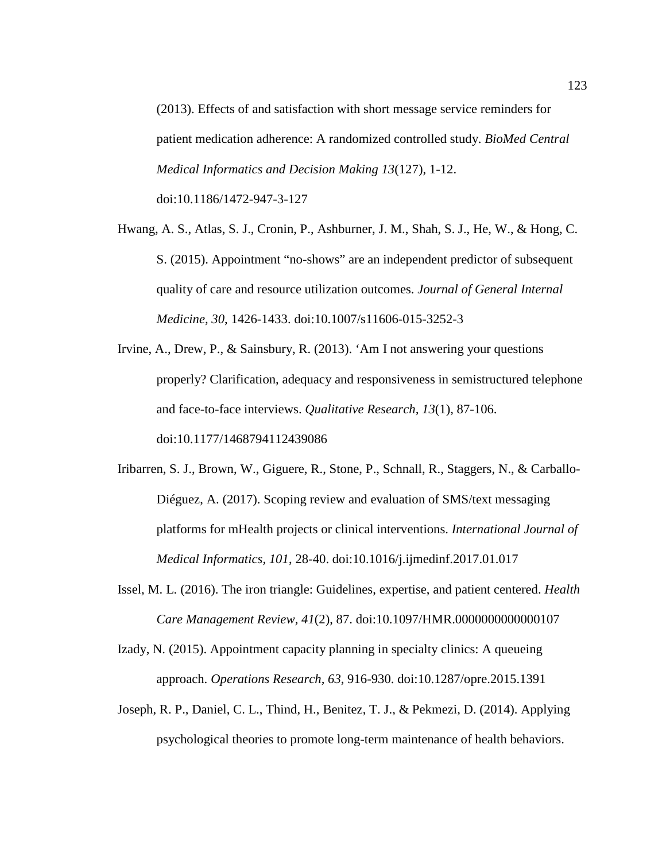(2013). Effects of and satisfaction with short message service reminders for patient medication adherence: A randomized controlled study. *BioMed Central Medical Informatics and Decision Making 13*(127), 1-12. doi:10.1186/1472-947-3-127

- Hwang, A. S., Atlas, S. J., Cronin, P., Ashburner, J. M., Shah, S. J., He, W., & Hong, C. S. (2015). Appointment "no-shows" are an independent predictor of subsequent quality of care and resource utilization outcomes. *Journal of General Internal Medicine, 30*, 1426-1433. doi:10.1007/s11606-015-3252-3
- Irvine, A., Drew, P., & Sainsbury, R. (2013). 'Am I not answering your questions properly? Clarification, adequacy and responsiveness in semistructured telephone and face-to-face interviews. *Qualitative Research, 13*(1), 87-106. doi:10.1177/1468794112439086
- Iribarren, S. J., Brown, W., Giguere, R., Stone, P., Schnall, R., Staggers, N., & Carballo-Diéguez, A. (2017). Scoping review and evaluation of SMS/text messaging platforms for mHealth projects or clinical interventions. *International Journal of Medical Informatics, 101*, 28-40. doi:10.1016/j.ijmedinf.2017.01.017
- Issel, M. L. (2016). The iron triangle: Guidelines, expertise, and patient centered. *Health Care Management Review, 41*(2), 87. doi:10.1097/HMR.0000000000000107
- Izady, N. (2015). Appointment capacity planning in specialty clinics: A queueing approach. *Operations Research, 63*, 916-930. doi:10.1287/opre.2015.1391
- Joseph, R. P., Daniel, C. L., Thind, H., Benitez, T. J., & Pekmezi, D. (2014). Applying psychological theories to promote long-term maintenance of health behaviors.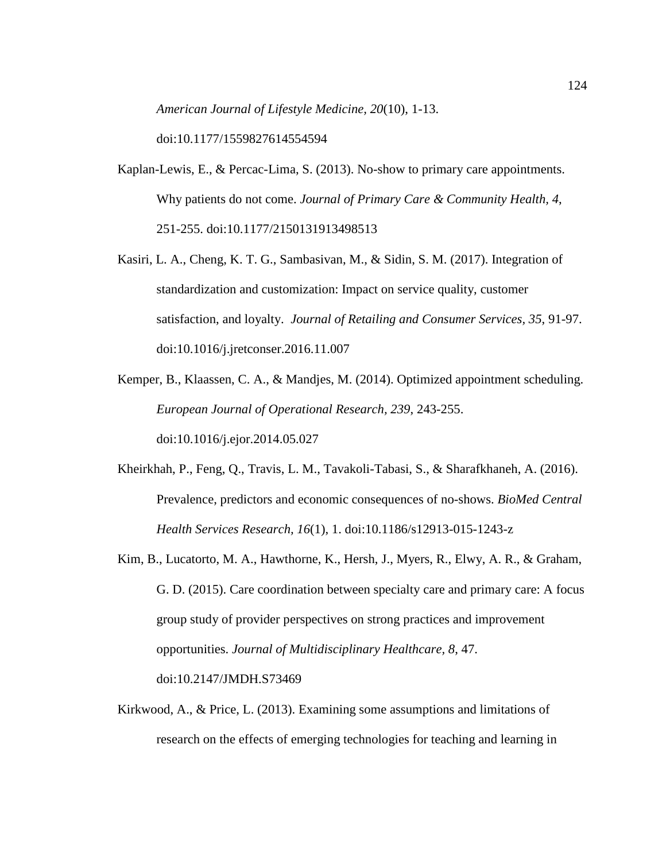*American Journal of Lifestyle Medicine, 20*(10), 1-13.

doi:10.1177/1559827614554594

- Kaplan-Lewis, E., & Percac-Lima, S. (2013). No-show to primary care appointments. Why patients do not come. *Journal of Primary Care & Community Health, 4*, 251-255. doi:10.1177/2150131913498513
- Kasiri, L. A., Cheng, K. T. G., Sambasivan, M., & Sidin, S. M. (2017). Integration of standardization and customization: Impact on service quality, customer satisfaction, and loyalty. *Journal of Retailing and Consumer Services, 35*, 91-97. doi:10.1016/j.jretconser.2016.11.007

Kemper, B., Klaassen, C. A., & Mandjes, M. (2014). Optimized appointment scheduling. *European Journal of Operational Research, 239*, 243-255. doi:10.1016/j.ejor.2014.05.027

- Kheirkhah, P., Feng, Q., Travis, L. M., Tavakoli-Tabasi, S., & Sharafkhaneh, A. (2016). Prevalence, predictors and economic consequences of no-shows. *BioMed Central Health Services Research, 16*(1), 1. doi:10.1186/s12913-015-1243-z
- Kim, B., Lucatorto, M. A., Hawthorne, K., Hersh, J., Myers, R., Elwy, A. R., & Graham, G. D. (2015). Care coordination between specialty care and primary care: A focus group study of provider perspectives on strong practices and improvement opportunities. *Journal of Multidisciplinary Healthcare, 8*, 47. doi:10.2147/JMDH.S73469
- Kirkwood, A., & Price, L. (2013). Examining some assumptions and limitations of research on the effects of emerging technologies for teaching and learning in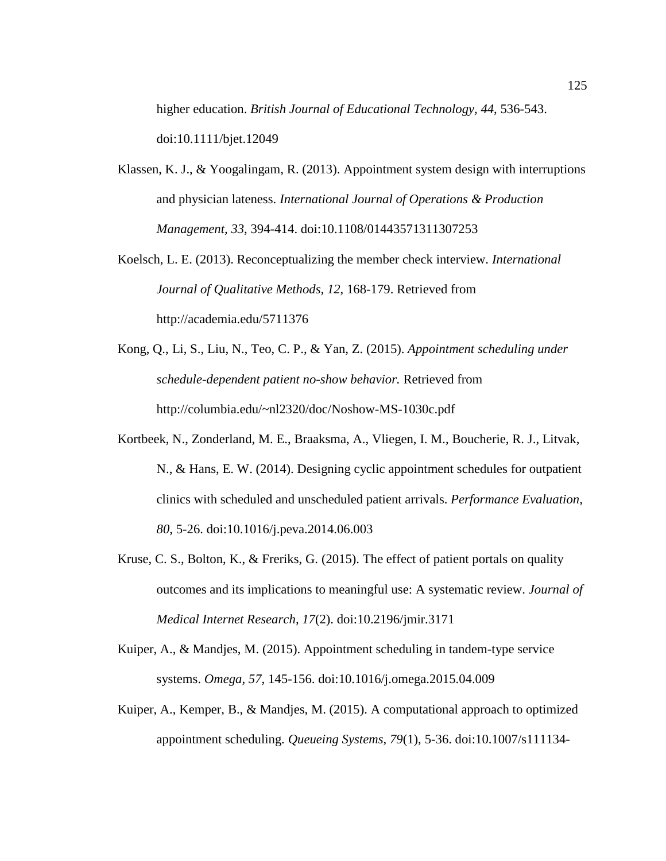higher education. *British Journal of Educational Technology, 44*, 536-543. doi:10.1111/bjet.12049

- Klassen, K. J.,  $\&$  Yoogalingam, R. (2013). Appointment system design with interruptions and physician lateness. *International Journal of Operations & Production Management, 33*, 394-414. doi:10.1108/01443571311307253
- Koelsch, L. E. (2013). Reconceptualizing the member check interview. *International Journal of Qualitative Methods, 12*, 168-179. Retrieved from http://academia.edu/5711376
- Kong, Q., Li, S., Liu, N., Teo, C. P., & Yan, Z. (2015). *Appointment scheduling under schedule-dependent patient no-show behavior.* Retrieved from http://columbia.edu/~nl2320/doc/Noshow-MS-1030c.pdf
- Kortbeek, N., Zonderland, M. E., Braaksma, A., Vliegen, I. M., Boucherie, R. J., Litvak, N., & Hans, E. W. (2014). Designing cyclic appointment schedules for outpatient clinics with scheduled and unscheduled patient arrivals. *Performance Evaluation, 80*, 5-26. doi:10.1016/j.peva.2014.06.003
- Kruse, C. S., Bolton, K., & Freriks, G. (2015). The effect of patient portals on quality outcomes and its implications to meaningful use: A systematic review. *Journal of Medical Internet Research, 17*(2). doi:10.2196/jmir.3171
- Kuiper, A., & Mandjes, M. (2015). Appointment scheduling in tandem-type service systems. *Omega, 57*, 145-156. doi:10.1016/j.omega.2015.04.009
- Kuiper, A., Kemper, B., & Mandjes, M. (2015). A computational approach to optimized appointment scheduling. *Queueing Systems, 79*(1), 5-36. doi:10.1007/s111134-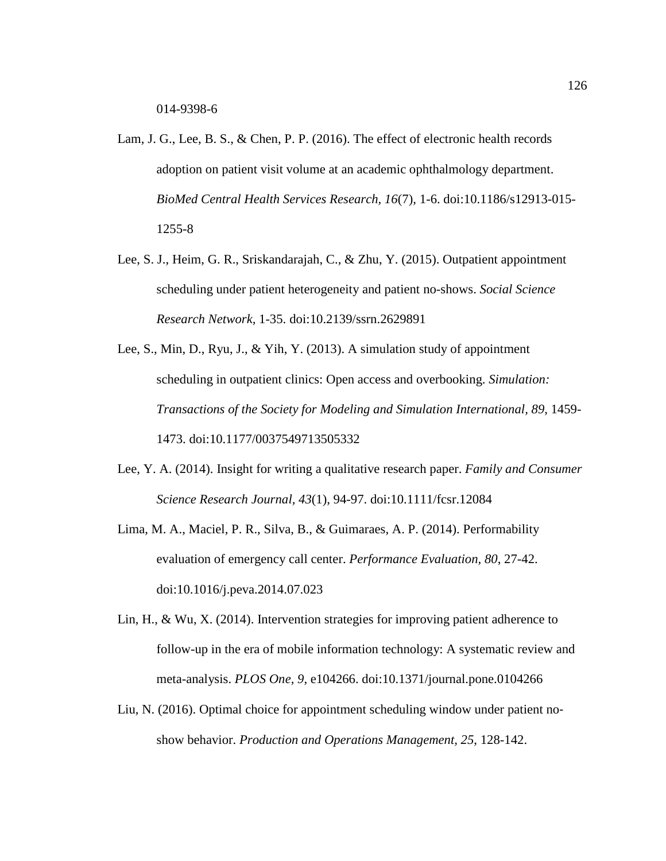- Lam, J. G., Lee, B. S., & Chen, P. P. (2016). The effect of electronic health records adoption on patient visit volume at an academic ophthalmology department. *BioMed Central Health Services Research, 16*(7), 1-6. doi:10.1186/s12913-015- 1255-8
- Lee, S. J., Heim, G. R., Sriskandarajah, C., & Zhu, Y. (2015). Outpatient appointment scheduling under patient heterogeneity and patient no-shows. *Social Science Research Network,* 1-35. doi:10.2139/ssrn.2629891
- Lee, S., Min, D., Ryu, J., & Yih, Y. (2013). A simulation study of appointment scheduling in outpatient clinics: Open access and overbooking. *Simulation: Transactions of the Society for Modeling and Simulation International, 89*, 1459- 1473. doi:10.1177/0037549713505332
- Lee, Y. A. (2014). Insight for writing a qualitative research paper. *Family and Consumer Science Research Journal, 43*(1), 94-97. doi:10.1111/fcsr.12084
- Lima, M. A., Maciel, P. R., Silva, B., & Guimaraes, A. P. (2014). Performability evaluation of emergency call center. *Performance Evaluation, 80*, 27-42. doi:10.1016/j.peva.2014.07.023
- Lin, H., & Wu, X. (2014). Intervention strategies for improving patient adherence to follow-up in the era of mobile information technology: A systematic review and meta-analysis. *PLOS One, 9*, e104266. doi:10.1371/journal.pone.0104266
- Liu, N. (2016). Optimal choice for appointment scheduling window under patient no‐ show behavior. *Production and Operations Management, 25*, 128-142.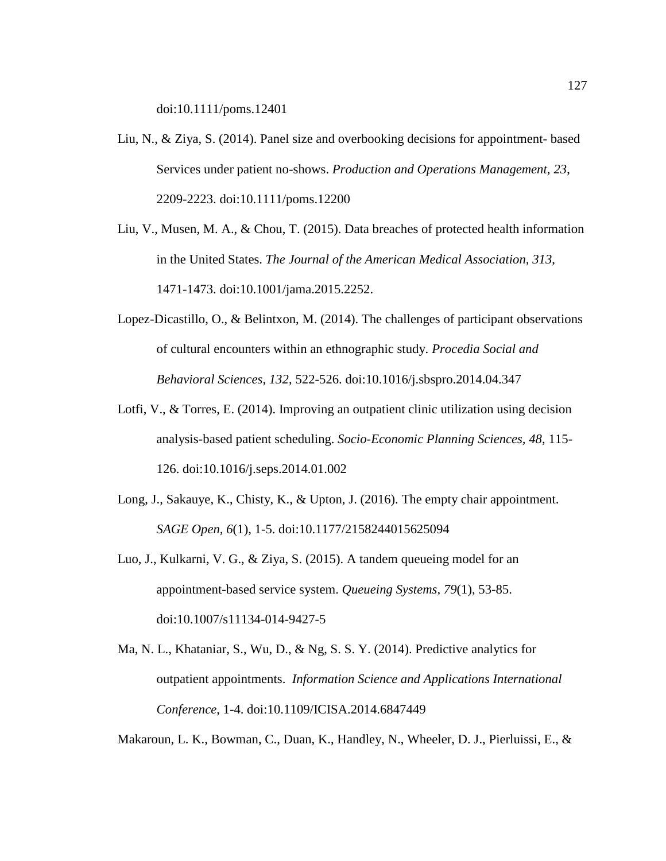doi:10.1111/poms.12401

- Liu, N., & Ziya, S. (2014). Panel size and overbooking decisions for appointment- based Services under patient no-shows. *Production and Operations Management, 23*, 2209-2223. doi:10.1111/poms.12200
- Liu, V., Musen, M. A., & Chou, T. (2015). Data breaches of protected health information in the United States. *The Journal of the American Medical Association, 313*, 1471-1473. doi:10.1001/jama.2015.2252.
- Lopez-Dicastillo, O., & Belintxon, M. (2014). The challenges of participant observations of cultural encounters within an ethnographic study. *Procedia Social and Behavioral Sciences, 132*, 522-526. doi:10.1016/j.sbspro.2014.04.347
- Lotfi, V., & Torres, E. (2014). Improving an outpatient clinic utilization using decision analysis-based patient scheduling. *Socio-Economic Planning Sciences, 48*, 115- 126. doi:10.1016/j.seps.2014.01.002
- Long, J., Sakauye, K., Chisty, K., & Upton, J. (2016). The empty chair appointment. *SAGE Open, 6*(1), 1-5. doi:10.1177/2158244015625094
- Luo, J., Kulkarni, V. G., & Ziya, S. (2015). A tandem queueing model for an appointment-based service system. *Queueing Systems, 79*(1), 53-85. doi:10.1007/s11134-014-9427-5
- Ma, N. L., Khataniar, S., Wu, D., & Ng, S. S. Y. (2014). Predictive analytics for outpatient appointments. *Information Science and Applications International Conference*, 1-4. doi:10.1109/ICISA.2014.6847449

Makaroun, L. K., Bowman, C., Duan, K., Handley, N., Wheeler, D. J., Pierluissi, E., &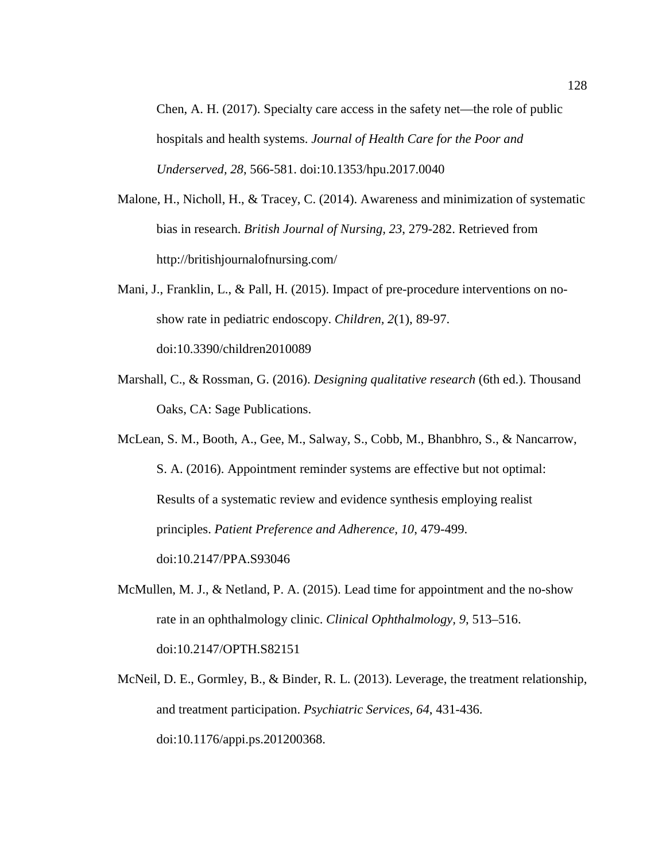Chen, A. H. (2017). Specialty care access in the safety net—the role of public hospitals and health systems. *Journal of Health Care for the Poor and Underserved, 28*, 566-581. doi:10.1353/hpu.2017.0040

- Malone, H., Nicholl, H., & Tracey, C. (2014). Awareness and minimization of systematic bias in research. *British Journal of Nursing, 23*, 279-282. Retrieved from http://britishjournalofnursing.com/
- Mani, J., Franklin, L., & Pall, H. (2015). Impact of pre-procedure interventions on noshow rate in pediatric endoscopy. *Children, 2*(1), 89-97. doi:10.3390/children2010089
- Marshall, C., & Rossman, G. (2016). *Designing qualitative research* (6th ed.). Thousand Oaks, CA: Sage Publications.

McLean, S. M., Booth, A., Gee, M., Salway, S., Cobb, M., Bhanbhro, S., & Nancarrow, S. A. (2016). Appointment reminder systems are effective but not optimal: Results of a systematic review and evidence synthesis employing realist principles. *Patient Preference and Adherence, 10*, 479-499. doi:10.2147/PPA.S93046

- McMullen, M. J., & Netland, P. A. (2015). Lead time for appointment and the no-show rate in an ophthalmology clinic. *Clinical Ophthalmology, 9*, 513–516. doi:10.2147/OPTH.S82151
- McNeil, D. E., Gormley, B., & Binder, R. L. (2013). Leverage, the treatment relationship, and treatment participation. *Psychiatric Services, 64*, 431-436. doi:10.1176/appi.ps.201200368.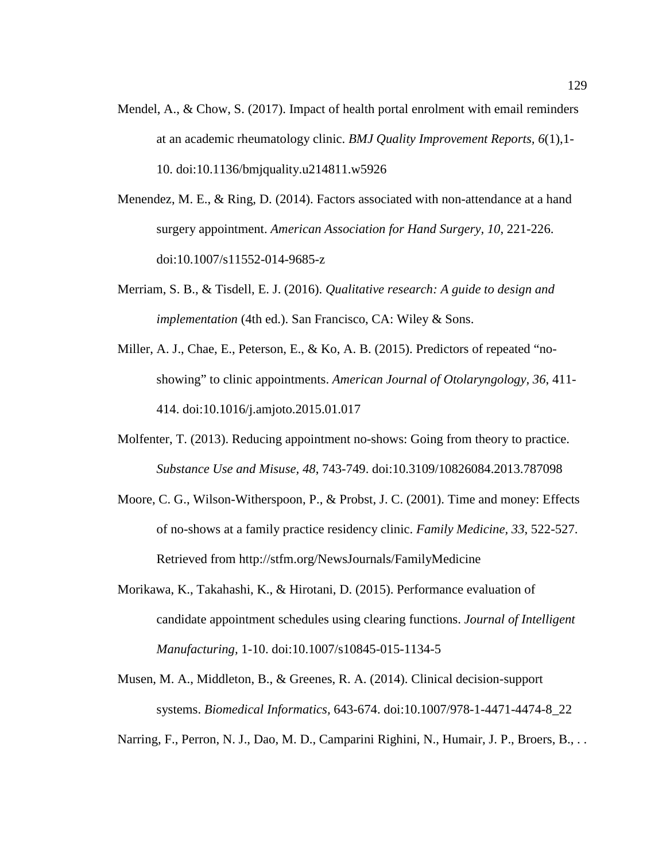- Mendel, A., & Chow, S. (2017). Impact of health portal enrolment with email reminders at an academic rheumatology clinic. *BMJ Quality Improvement Reports, 6*(1),1- 10. doi:10.1136/bmjquality.u214811.w5926
- Menendez, M. E., & Ring, D. (2014). Factors associated with non-attendance at a hand surgery appointment. *American Association for Hand Surgery, 10*, 221-226. doi:10.1007/s11552-014-9685-z
- Merriam, S. B., & Tisdell, E. J. (2016). *Qualitative research: A guide to design and implementation* (4th ed.). San Francisco, CA: Wiley & Sons.
- Miller, A. J., Chae, E., Peterson, E., & Ko, A. B. (2015). Predictors of repeated "noshowing" to clinic appointments. *American Journal of Otolaryngology, 36*, 411- 414. doi:10.1016/j.amjoto.2015.01.017
- Molfenter, T. (2013). Reducing appointment no-shows: Going from theory to practice. *Substance Use and Misuse, 48*, 743-749. doi:10.3109/10826084.2013.787098
- Moore, C. G., Wilson-Witherspoon, P., & Probst, J. C. (2001). Time and money: Effects of no-shows at a family practice residency clinic. *Family Medicine, 33*, 522-527. Retrieved from http://stfm.org/NewsJournals/FamilyMedicine
- Morikawa, K., Takahashi, K., & Hirotani, D. (2015). Performance evaluation of candidate appointment schedules using clearing functions. *Journal of Intelligent Manufacturing,* 1-10. doi:10.1007/s10845-015-1134-5
- Musen, M. A., Middleton, B., & Greenes, R. A. (2014). Clinical decision-support systems. *Biomedical Informatics,* 643-674. doi:10.1007/978-1-4471-4474-8\_22
- Narring, F., Perron, N. J., Dao, M. D., Camparini Righini, N., Humair, J. P., Broers, B., . .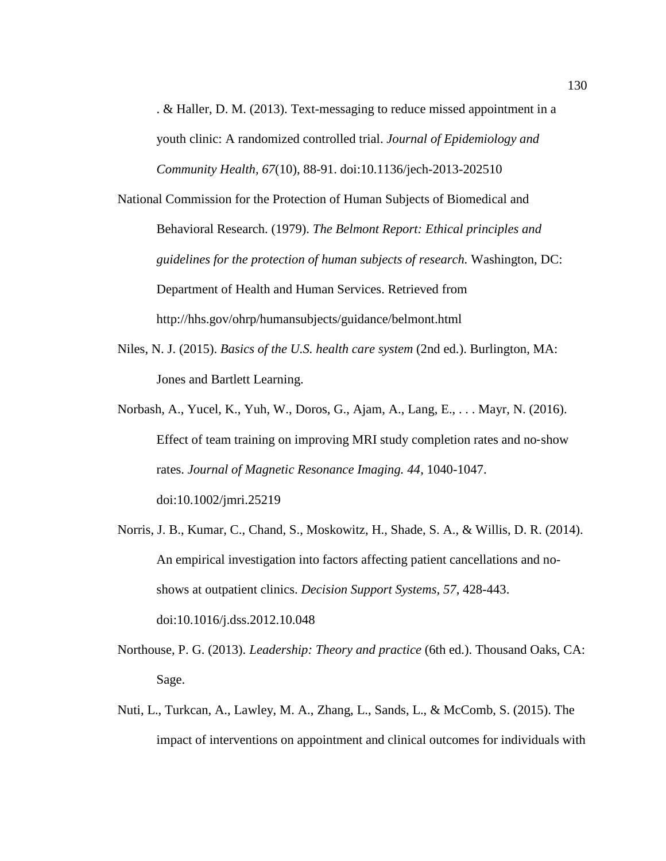. & Haller, D. M. (2013). Text-messaging to reduce missed appointment in a youth clinic: A randomized controlled trial. *Journal of Epidemiology and Community Health, 67*(10), 88-91. doi:10.1136/jech-2013-202510

National Commission for the Protection of Human Subjects of Biomedical and Behavioral Research. (1979). *The Belmont Report: Ethical principles and guidelines for the protection of human subjects of research.* Washington, DC: Department of Health and Human Services. Retrieved from http://hhs.gov/ohrp/humansubjects/guidance/belmont.html

- Niles, N. J. (2015). *Basics of the U.S. health care system* (2nd ed.). Burlington, MA: Jones and Bartlett Learning.
- Norbash, A., Yucel, K., Yuh, W., Doros, G., Ajam, A., Lang, E., . . . Mayr, N. (2016). Effect of team training on improving MRI study completion rates and no‐show rates. *Journal of Magnetic Resonance Imaging. 44*, 1040-1047. doi:10.1002/jmri.25219
- Norris, J. B., Kumar, C., Chand, S., Moskowitz, H., Shade, S. A., & Willis, D. R. (2014). An empirical investigation into factors affecting patient cancellations and noshows at outpatient clinics. *Decision Support Systems, 57*, 428-443. doi:10.1016/j.dss.2012.10.048
- Northouse, P. G. (2013). *Leadership: Theory and practice* (6th ed.). Thousand Oaks, CA: Sage.
- Nuti, L., Turkcan, A., Lawley, M. A., Zhang, L., Sands, L., & McComb, S. (2015). The impact of interventions on appointment and clinical outcomes for individuals with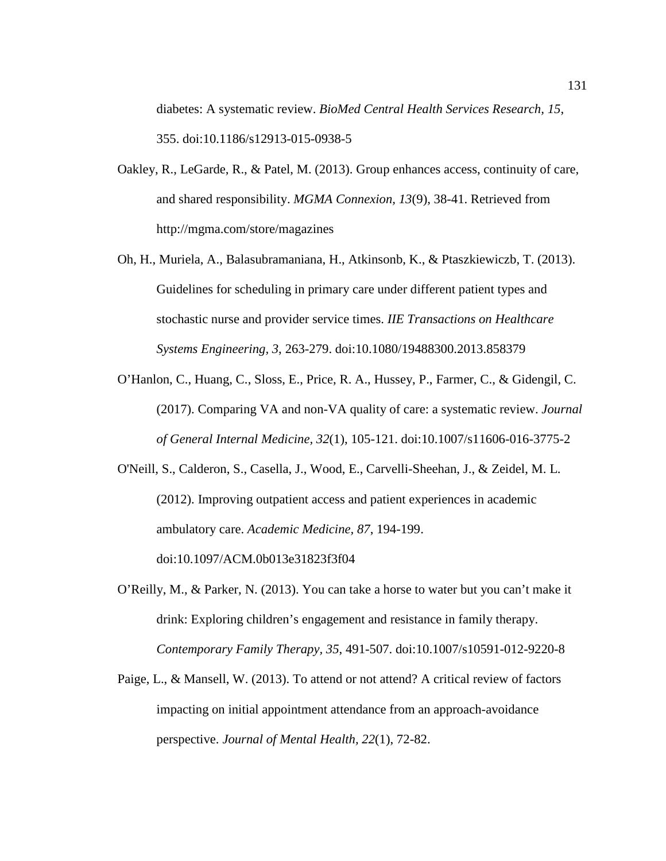diabetes: A systematic review. *BioMed Central Health Services Research, 15*, 355. doi:10.1186/s12913-015-0938-5

- Oakley, R., LeGarde, R., & Patel, M. (2013). Group enhances access, continuity of care, and shared responsibility. *MGMA Connexion, 13*(9), 38-41. Retrieved from http://mgma.com/store/magazines
- Oh, H., Muriela, A., Balasubramaniana, H., Atkinsonb, K., & Ptaszkiewiczb, T. (2013). Guidelines for scheduling in primary care under different patient types and stochastic nurse and provider service times. *IIE Transactions on Healthcare Systems Engineering, 3*, 263-279. doi:10.1080/19488300.2013.858379
- O'Hanlon, C., Huang, C., Sloss, E., Price, R. A., Hussey, P., Farmer, C., & Gidengil, C. (2017). Comparing VA and non-VA quality of care: a systematic review. *Journal of General Internal Medicine, 32*(1), 105-121. doi:10.1007/s11606-016-3775-2
- O'Neill, S., Calderon, S., Casella, J., Wood, E., Carvelli-Sheehan, J., & Zeidel, M. L. (2012). Improving outpatient access and patient experiences in academic ambulatory care. *Academic Medicine, 87*, 194-199.

doi:10.1097/ACM.0b013e31823f3f04

- O'Reilly, M., & Parker, N. (2013). You can take a horse to water but you can't make it drink: Exploring children's engagement and resistance in family therapy. *Contemporary Family Therapy, 35*, 491-507. doi:10.1007/s10591-012-9220-8
- Paige, L., & Mansell, W. (2013). To attend or not attend? A critical review of factors impacting on initial appointment attendance from an approach-avoidance perspective. *Journal of Mental Health, 22*(1), 72-82.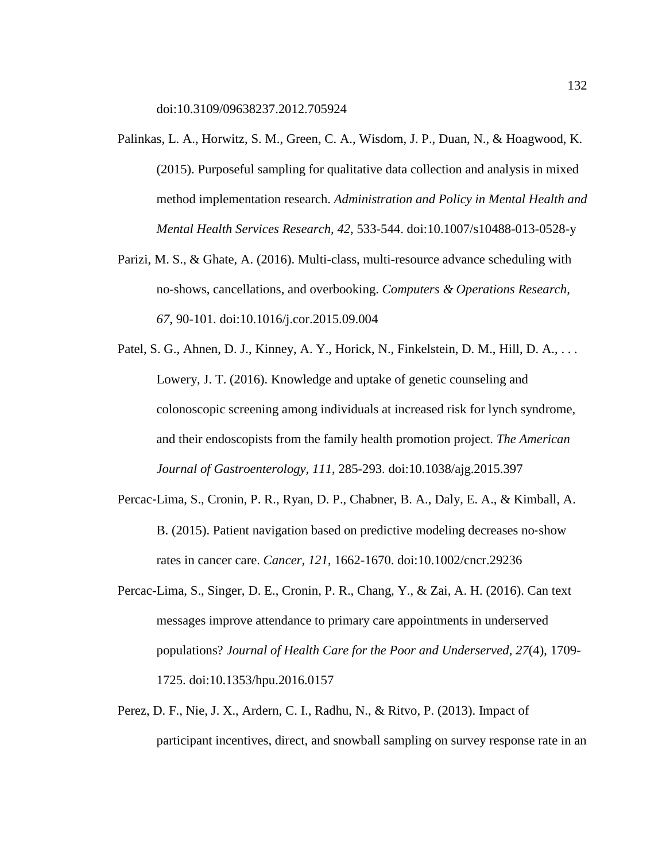doi:10.3109/09638237.2012.705924

- Palinkas, L. A., Horwitz, S. M., Green, C. A., Wisdom, J. P., Duan, N., & Hoagwood, K. (2015). Purposeful sampling for qualitative data collection and analysis in mixed method implementation research. *Administration and Policy in Mental Health and Mental Health Services Research, 42*, 533-544. doi:10.1007/s10488-013-0528-y
- Parizi, M. S., & Ghate, A. (2016). Multi-class, multi-resource advance scheduling with no-shows, cancellations, and overbooking. *Computers & Operations Research, 67*, 90-101. doi:10.1016/j.cor.2015.09.004
- Patel, S. G., Ahnen, D. J., Kinney, A. Y., Horick, N., Finkelstein, D. M., Hill, D. A., ... Lowery, J. T. (2016). Knowledge and uptake of genetic counseling and colonoscopic screening among individuals at increased risk for lynch syndrome, and their endoscopists from the family health promotion project. *The American Journal of Gastroenterology, 111*, 285-293. doi:10.1038/ajg.2015.397
- Percac‐Lima, S., Cronin, P. R., Ryan, D. P., Chabner, B. A., Daly, E. A., & Kimball, A. B. (2015). Patient navigation based on predictive modeling decreases no‐show rates in cancer care. *Cancer, 121*, 1662-1670. doi:10.1002/cncr.29236
- Percac-Lima, S., Singer, D. E., Cronin, P. R., Chang, Y., & Zai, A. H. (2016). Can text messages improve attendance to primary care appointments in underserved populations? *Journal of Health Care for the Poor and Underserved, 27*(4), 1709- 1725. doi:10.1353/hpu.2016.0157
- Perez, D. F., Nie, J. X., Ardern, C. I., Radhu, N., & Ritvo, P. (2013). Impact of participant incentives, direct, and snowball sampling on survey response rate in an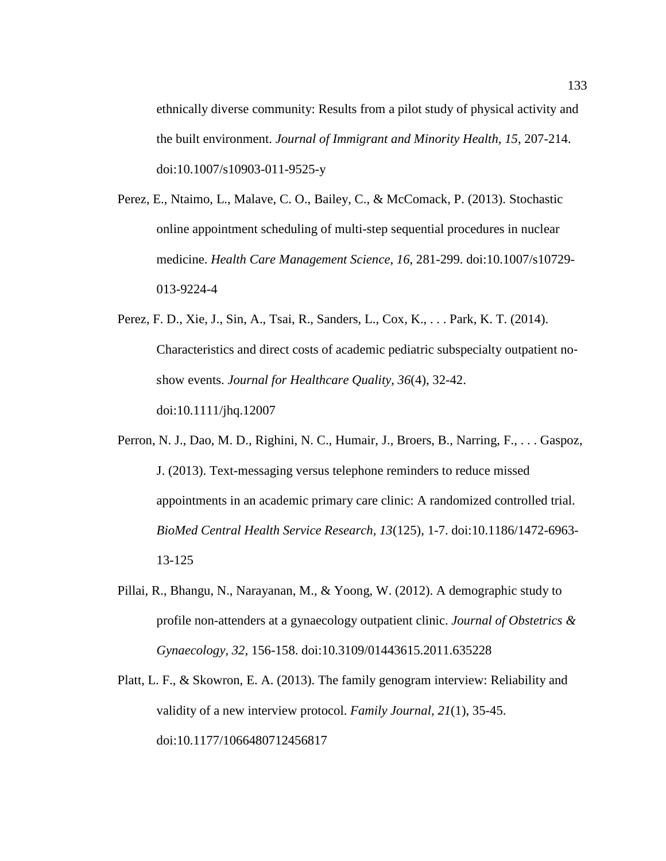ethnically diverse community: Results from a pilot study of physical activity and the built environment. *Journal of Immigrant and Minority Health, 15*, 207-214. doi:10.1007/s10903-011-9525-y

- Perez, E., Ntaimo, L., Malave, C. O., Bailey, C., & McComack, P. (2013). Stochastic online appointment scheduling of multi-step sequential procedures in nuclear medicine. *Health Care Management Science, 16*, 281-299. doi:10.1007/s10729- 013-9224-4
- Perez, F. D., Xie, J., Sin, A., Tsai, R., Sanders, L., Cox, K., . . . Park, K. T. (2014). Characteristics and direct costs of academic pediatric subspecialty outpatient no‐ show events. *Journal for Healthcare Quality, 36*(4), 32-42. doi:10.1111/jhq.12007
- Perron, N. J., Dao, M. D., Righini, N. C., Humair, J., Broers, B., Narring, F., . . . Gaspoz, J. (2013). Text-messaging versus telephone reminders to reduce missed appointments in an academic primary care clinic: A randomized controlled trial. *BioMed Central Health Service Research, 13*(125), 1-7. doi:10.1186/1472-6963- 13-125
- Pillai, R., Bhangu, N., Narayanan, M., & Yoong, W. (2012). A demographic study to profile non-attenders at a gynaecology outpatient clinic. *Journal of Obstetrics & Gynaecology, 32*, 156-158. doi:10.3109/01443615.2011.635228
- Platt, L. F., & Skowron, E. A. (2013). The family genogram interview: Reliability and validity of a new interview protocol. *Family Journal, 21*(1), 35-45. doi:10.1177/1066480712456817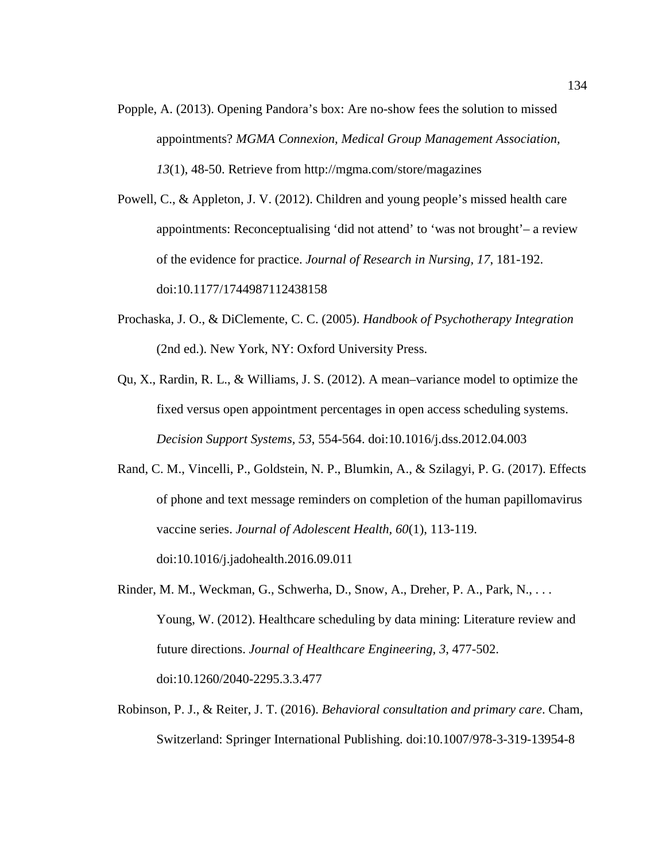Popple, A. (2013). Opening Pandora's box: Are no-show fees the solution to missed appointments? *MGMA Connexion, Medical Group Management Association, 13*(1), 48-50. Retrieve from<http://mgma.com/store/magazines>

Powell, C., & Appleton, J. V. (2012). Children and young people's missed health care appointments: Reconceptualising 'did not attend' to 'was not brought'– a review of the evidence for practice. *Journal of Research in Nursing, 17*, 181-192. doi:10.1177/1744987112438158

- Prochaska, J. O., & DiClemente, C. C. (2005). *Handbook of Psychotherapy Integration* (2nd ed.). New York, NY: Oxford University Press.
- Qu, X., Rardin, R. L., & Williams, J. S. (2012). A mean–variance model to optimize the fixed versus open appointment percentages in open access scheduling systems. *Decision Support Systems, 53*, 554-564. doi:10.1016/j.dss.2012.04.003
- Rand, C. M., Vincelli, P., Goldstein, N. P., Blumkin, A., & Szilagyi, P. G. (2017). Effects of phone and text message reminders on completion of the human papillomavirus vaccine series. *Journal of Adolescent Health, 60*(1), 113-119.

doi:10.1016/j.jadohealth.2016.09.011

- Rinder, M. M., Weckman, G., Schwerha, D., Snow, A., Dreher, P. A., Park, N., . . . Young, W. (2012). Healthcare scheduling by data mining: Literature review and future directions. *Journal of Healthcare Engineering, 3*, 477-502. doi:10.1260/2040-2295.3.3.477
- Robinson, P. J., & Reiter, J. T. (2016). *Behavioral consultation and primary care*. Cham, Switzerland: Springer International Publishing. doi:10.1007/978-3-319-13954-8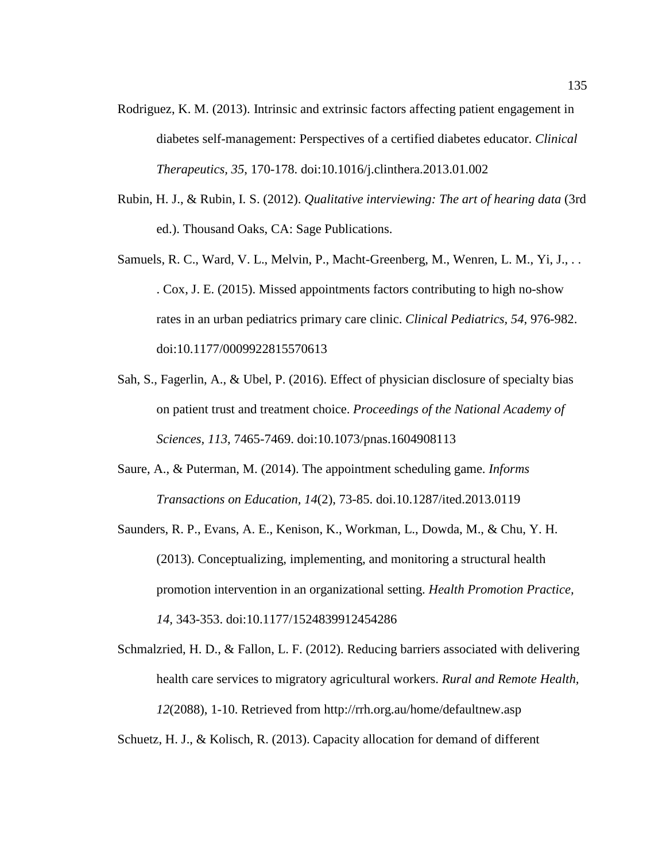- Rodriguez, K. M. (2013). Intrinsic and extrinsic factors affecting patient engagement in diabetes self-management: Perspectives of a certified diabetes educator. *Clinical Therapeutics, 35*, 170-178. doi:10.1016/j.clinthera.2013.01.002
- Rubin, H. J., & Rubin, I. S. (2012). *Qualitative interviewing: The art of hearing data* (3rd ed.). Thousand Oaks, CA: Sage Publications.
- Samuels, R. C., Ward, V. L., Melvin, P., Macht-Greenberg, M., Wenren, L. M., Yi, J., . . . Cox, J. E. (2015). Missed appointments factors contributing to high no-show rates in an urban pediatrics primary care clinic. *Clinical Pediatrics, 54*, 976-982. doi:10.1177/0009922815570613
- Sah, S., Fagerlin, A., & Ubel, P. (2016). Effect of physician disclosure of specialty bias on patient trust and treatment choice. *Proceedings of the National Academy of Sciences, 113*, 7465-7469. doi:10.1073/pnas.1604908113
- Saure, A., & Puterman, M. (2014). The appointment scheduling game. *Informs Transactions on Education, 14*(2), 73-85. doi.10.1287/ited.2013.0119
- Saunders, R. P., Evans, A. E., Kenison, K., Workman, L., Dowda, M., & Chu, Y. H. (2013). Conceptualizing, implementing, and monitoring a structural health promotion intervention in an organizational setting. *Health Promotion Practice, 14,* 343-353. doi:10.1177/1524839912454286
- Schmalzried, H. D., & Fallon, L. F. (2012). Reducing barriers associated with delivering health care services to migratory agricultural workers. *Rural and Remote Health, 12*(2088), 1-10. Retrieved from<http://rrh.org.au/home/defaultnew.asp>

Schuetz, H. J., & Kolisch, R. (2013). Capacity allocation for demand of different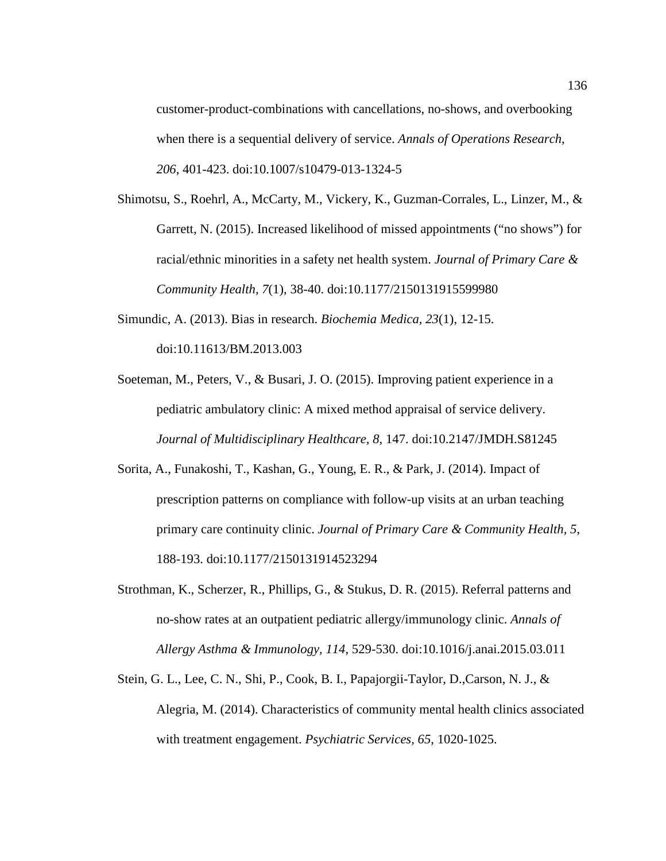customer-product-combinations with cancellations, no-shows, and overbooking when there is a sequential delivery of service. *Annals of Operations Research, 206*, 401-423. doi:10.1007/s10479-013-1324-5

- Shimotsu, S., Roehrl, A., McCarty, M., Vickery, K., Guzman-Corrales, L., Linzer, M., & Garrett, N. (2015). Increased likelihood of missed appointments ("no shows") for racial/ethnic minorities in a safety net health system. *Journal of Primary Care & Community Health, 7*(1), 38-40. doi:10.1177/2150131915599980
- Simundic, A. (2013). Bias in research. *Biochemia Medica, 23*(1), 12-15. doi:10.11613/BM.2013.003
- Soeteman, M., Peters, V., & Busari, J. O. (2015). Improving patient experience in a pediatric ambulatory clinic: A mixed method appraisal of service delivery. *Journal of Multidisciplinary Healthcare, 8*, 147. doi:10.2147/JMDH.S81245
- Sorita, A., Funakoshi, T., Kashan, G., Young, E. R., & Park, J. (2014). Impact of prescription patterns on compliance with follow-up visits at an urban teaching primary care continuity clinic. *Journal of Primary Care & Community Health, 5*, 188-193. doi:10.1177/2150131914523294
- Strothman, K., Scherzer, R., Phillips, G., & Stukus, D. R. (2015). Referral patterns and no-show rates at an outpatient pediatric allergy/immunology clinic. *Annals of Allergy Asthma & Immunology, 114*, 529-530. doi:10.1016/j.anai.2015.03.011
- Stein, G. L., Lee, C. N., Shi, P., Cook, B. I., Papajorgii-Taylor, D.,Carson, N. J., & Alegria, M. (2014). Characteristics of community mental health clinics associated with treatment engagement. *Psychiatric Services, 65*, 1020-1025.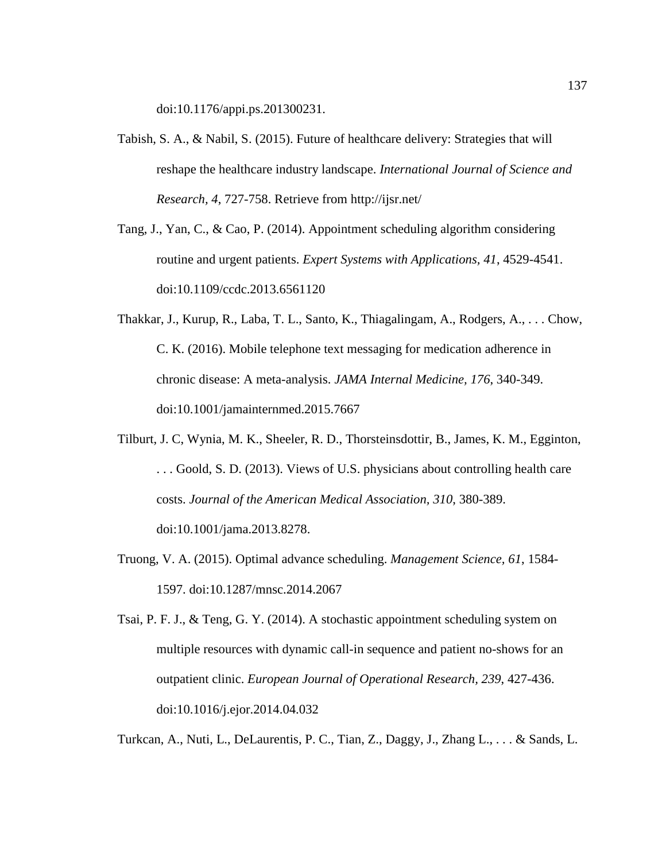doi:10.1176/appi.ps.201300231.

- Tabish, S. A., & Nabil, S. (2015). Future of healthcare delivery: Strategies that will reshape the healthcare industry landscape. *International Journal of Science and Research, 4*, 727-758. Retrieve from http://ijsr.net/
- Tang, J., Yan, C., & Cao, P. (2014). Appointment scheduling algorithm considering routine and urgent patients. *Expert Systems with Applications, 41*, 4529-4541. doi:10.1109/ccdc.2013.6561120
- Thakkar, J., Kurup, R., Laba, T. L., Santo, K., Thiagalingam, A., Rodgers, A., . . . Chow, C. K. (2016). Mobile telephone text messaging for medication adherence in chronic disease: A meta-analysis. *JAMA Internal Medicine, 176*, 340-349. doi:10.1001/jamainternmed.2015.7667
- Tilburt, J. C, Wynia, M. K., Sheeler, R. D., Thorsteinsdottir, B., James, K. M., Egginton, . . . Goold, S. D. (2013). Views of U.S. physicians about controlling health care costs. *Journal of the American Medical Association, 310*, 380-389. doi:10.1001/jama.2013.8278.
- Truong, V. A. (2015). Optimal advance scheduling. *Management Science, 61*, 1584- 1597. doi:10.1287/mnsc.2014.2067
- Tsai, P. F. J., & Teng, G. Y. (2014). A stochastic appointment scheduling system on multiple resources with dynamic call-in sequence and patient no-shows for an outpatient clinic. *European Journal of Operational Research, 239*, 427-436. doi:10.1016/j.ejor.2014.04.032

Turkcan, A., Nuti, L., DeLaurentis, P. C., Tian, Z., Daggy, J., Zhang L., . . . & Sands, L.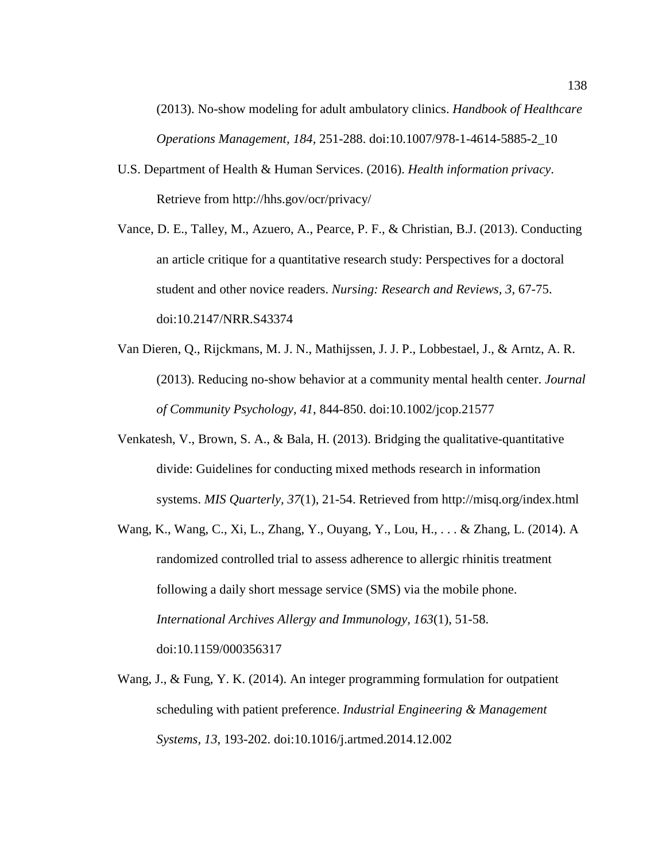(2013). No-show modeling for adult ambulatory clinics. *Handbook of Healthcare Operations Management, 184,* 251-288. doi:10.1007/978-1-4614-5885-2\_10

- U.S. Department of Health & Human Services. (2016). *Health information privacy*. Retrieve from http://hhs.gov/ocr/privacy/
- Vance, D. E., Talley, M., Azuero, A., Pearce, P. F., & Christian, B.J. (2013). Conducting an article critique for a quantitative research study: Perspectives for a doctoral student and other novice readers. *Nursing: Research and Reviews, 3*, 67-75. doi:10.2147/NRR.S43374
- Van Dieren, Q., Rijckmans, M. J. N., Mathijssen, J. J. P., Lobbestael, J., & Arntz, A. R. (2013). Reducing no-show behavior at a community mental health center. *Journal of Community Psychology, 41*, 844-850. doi:10.1002/jcop.21577
- Venkatesh, V., Brown, S. A., & Bala, H. (2013). Bridging the qualitative-quantitative divide: Guidelines for conducting mixed methods research in information systems. *MIS Quarterly, 37*(1), 21-54. Retrieved from http://misq.org/index.html
- Wang, K., Wang, C., Xi, L., Zhang, Y., Ouyang, Y., Lou, H., . . . & Zhang, L. (2014). A randomized controlled trial to assess adherence to allergic rhinitis treatment following a daily short message service (SMS) via the mobile phone. *International Archives Allergy and Immunology, 163*(1), 51-58. doi:10.1159/000356317
- Wang, J., & Fung, Y. K. (2014). An integer programming formulation for outpatient scheduling with patient preference. *Industrial Engineering & Management Systems, 13*, 193-202. doi:10.1016/j.artmed.2014.12.002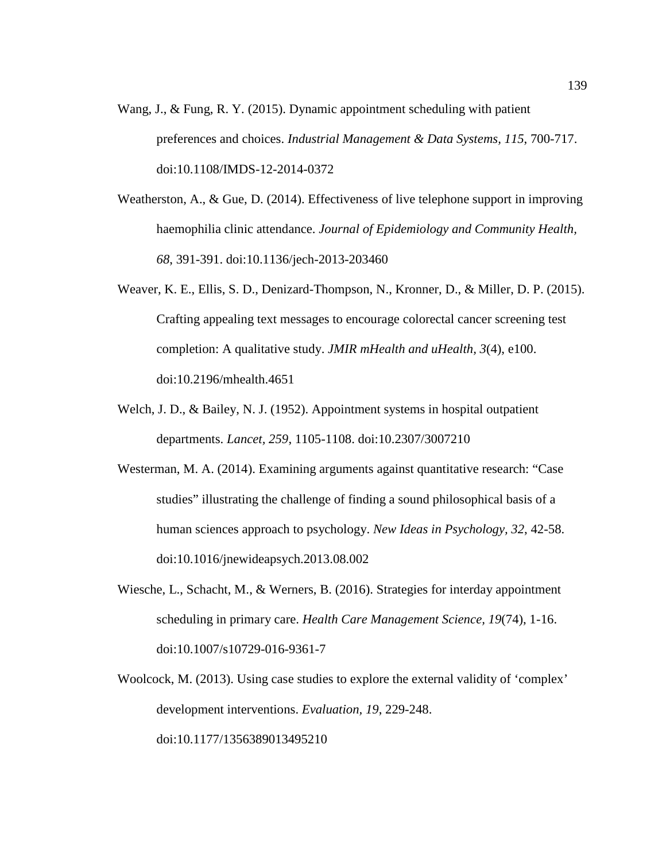- Wang, J., & Fung, R. Y. (2015). Dynamic appointment scheduling with patient preferences and choices. *Industrial Management & Data Systems, 115*, 700-717. doi:10.1108/IMDS-12-2014-0372
- Weatherston, A., & Gue, D. (2014). Effectiveness of live telephone support in improving haemophilia clinic attendance. *Journal of Epidemiology and Community Health, 68*, 391-391. doi:10.1136/jech-2013-203460
- Weaver, K. E., Ellis, S. D., Denizard-Thompson, N., Kronner, D., & Miller, D. P. (2015). Crafting appealing text messages to encourage colorectal cancer screening test completion: A qualitative study. *JMIR mHealth and uHealth, 3*(4), e100. doi:10.2196/mhealth.4651
- Welch, J. D., & Bailey, N. J. (1952). Appointment systems in hospital outpatient departments. *Lancet, 259*, 1105-1108. doi:10.2307/3007210
- Westerman, M. A. (2014). Examining arguments against quantitative research: "Case studies" illustrating the challenge of finding a sound philosophical basis of a human sciences approach to psychology. *New Ideas in Psychology, 32*, 42-58. doi:10.1016/jnewideapsych.2013.08.002
- Wiesche, L., Schacht, M., & Werners, B. (2016). Strategies for interday appointment scheduling in primary care. *Health Care Management Science, 19*(74), 1-16. doi:10.1007/s10729-016-9361-7
- Woolcock, M. (2013). Using case studies to explore the external validity of 'complex' development interventions. *Evaluation, 19*, 229-248. doi:10.1177/1356389013495210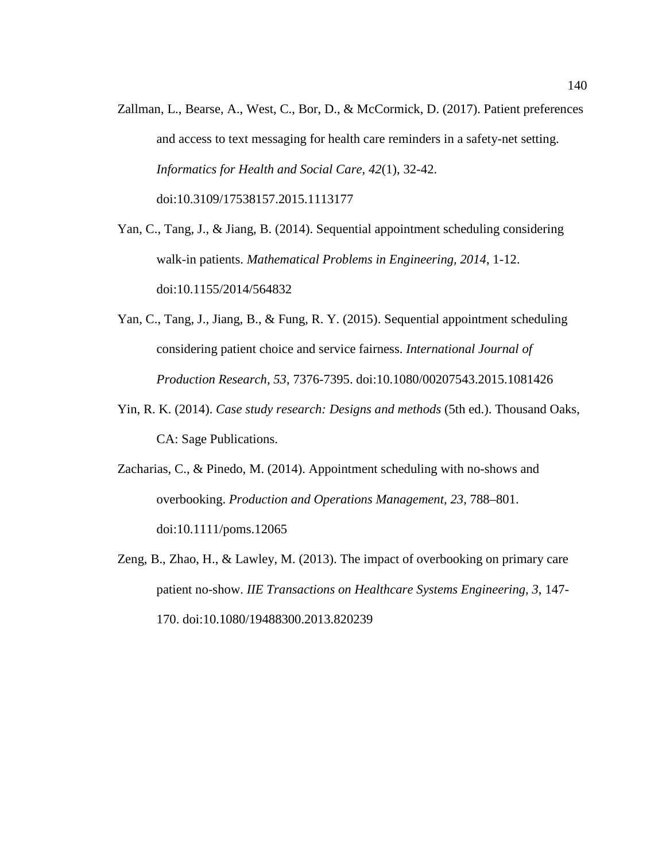Zallman, L., Bearse, A., West, C., Bor, D., & McCormick, D. (2017). Patient preferences and access to text messaging for health care reminders in a safety-net setting. *Informatics for Health and Social Care, 42*(1), 32-42. doi:10.3109/17538157.2015.1113177

Yan, C., Tang, J., & Jiang, B. (2014). Sequential appointment scheduling considering walk-in patients. *Mathematical Problems in Engineering, 2014*, 1-12. doi:10.1155/2014/564832

- Yan, C., Tang, J., Jiang, B., & Fung, R. Y. (2015). Sequential appointment scheduling considering patient choice and service fairness. *International Journal of Production Research, 53*, 7376-7395. doi:10.1080/00207543.2015.1081426
- Yin, R. K. (2014). *Case study research: Designs and methods* (5th ed.). Thousand Oaks, CA: Sage Publications.
- Zacharias, C., & Pinedo, M. (2014). Appointment scheduling with no-shows and overbooking. *Production and Operations Management, 23*, 788–801. doi:10.1111/poms.12065
- Zeng, B., Zhao, H., & Lawley, M. (2013). The impact of overbooking on primary care patient no-show. *IIE Transactions on Healthcare Systems Engineering, 3*, 147- 170. doi:10.1080/19488300.2013.820239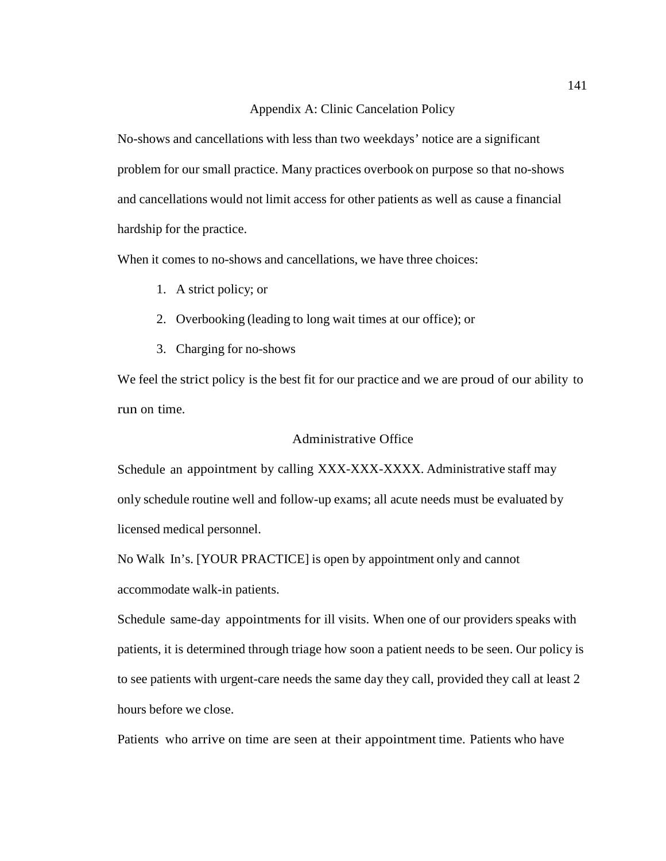### Appendix A: Clinic Cancelation Policy

No-shows and cancellations with less than two weekdays' notice are a significant problem for our small practice. Many practices overbook on purpose so that no-shows and cancellations would not limit access for other patients as well as cause a financial hardship for the practice.

When it comes to no-shows and cancellations, we have three choices:

- 1. A strict policy; or
- 2. Overbooking (leading to long wait times at our office); or
- 3. Charging for no-shows

We feel the strict policy is the best fit for our practice and we are proud of our ability to run on time.

# Administrative Office

Schedule an appointment by calling XXX-XXX-XXXX. Administrative staff may only schedule routine well and follow-up exams; all acute needs must be evaluated by licensed medical personnel.

No Walk In's. [YOUR PRACTICE] is open by appointment only and cannot accommodate walk-in patients.

Schedule same-day appointments for ill visits. When one of our providers speaks with patients, it is determined through triage how soon a patient needs to be seen. Our policy is to see patients with urgent-care needs the same day they call, provided they call at least 2 hours before we close.

Patients who arrive on time are seen at their appointment time. Patients who have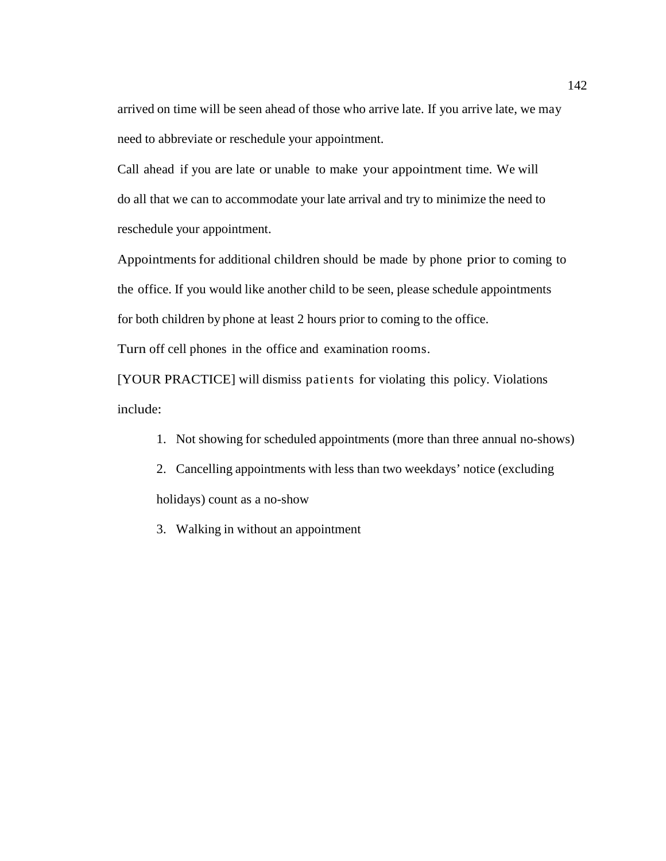arrived on time will be seen ahead of those who arrive late. If you arrive late, we may need to abbreviate or reschedule your appointment.

Call ahead if you are late or unable to make your appointment time. We will do all that we can to accommodate your late arrival and try to minimize the need to reschedule your appointment.

Appointments for additional children should be made by phone prior to coming to the office. If you would like another child to be seen, please schedule appointments for both children by phone at least 2 hours prior to coming to the office.

Turn off cell phones in the office and examination rooms.

[YOUR PRACTICE] will dismiss patients for violating this policy. Violations include:

- 1. Not showing for scheduled appointments (more than three annual no-shows)
- 2. Cancelling appointments with less than two weekdays' notice (excluding holidays) count as a no-show
- 3. Walking in without an appointment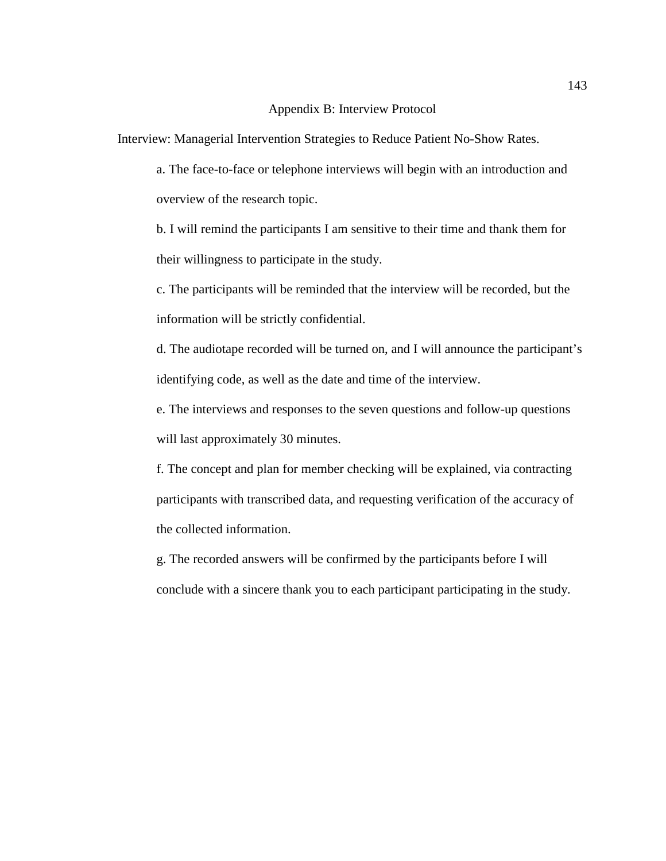#### Appendix B: Interview Protocol

Interview: Managerial Intervention Strategies to Reduce Patient No-Show Rates.

a. The face-to-face or telephone interviews will begin with an introduction and overview of the research topic.

b. I will remind the participants I am sensitive to their time and thank them for their willingness to participate in the study.

c. The participants will be reminded that the interview will be recorded, but the information will be strictly confidential.

d. The audiotape recorded will be turned on, and I will announce the participant's identifying code, as well as the date and time of the interview.

e. The interviews and responses to the seven questions and follow-up questions will last approximately 30 minutes.

f. The concept and plan for member checking will be explained, via contracting participants with transcribed data, and requesting verification of the accuracy of the collected information.

g. The recorded answers will be confirmed by the participants before I will conclude with a sincere thank you to each participant participating in the study.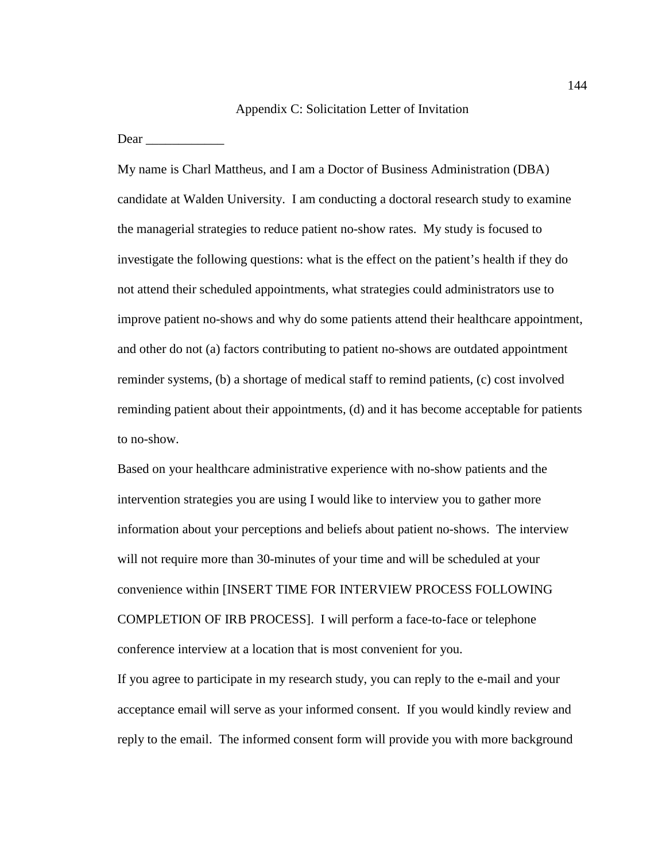#### Appendix C: Solicitation Letter of Invitation

Dear  $\Box$ 

My name is Charl Mattheus, and I am a Doctor of Business Administration (DBA) candidate at Walden University. I am conducting a doctoral research study to examine the managerial strategies to reduce patient no-show rates. My study is focused to investigate the following questions: what is the effect on the patient's health if they do not attend their scheduled appointments, what strategies could administrators use to improve patient no-shows and why do some patients attend their healthcare appointment, and other do not (a) factors contributing to patient no-shows are outdated appointment reminder systems, (b) a shortage of medical staff to remind patients, (c) cost involved reminding patient about their appointments, (d) and it has become acceptable for patients to no-show.

Based on your healthcare administrative experience with no-show patients and the intervention strategies you are using I would like to interview you to gather more information about your perceptions and beliefs about patient no-shows. The interview will not require more than 30-minutes of your time and will be scheduled at your convenience within [INSERT TIME FOR INTERVIEW PROCESS FOLLOWING COMPLETION OF IRB PROCESS]. I will perform a face-to-face or telephone conference interview at a location that is most convenient for you.

If you agree to participate in my research study, you can reply to the e-mail and your acceptance email will serve as your informed consent. If you would kindly review and reply to the email. The informed consent form will provide you with more background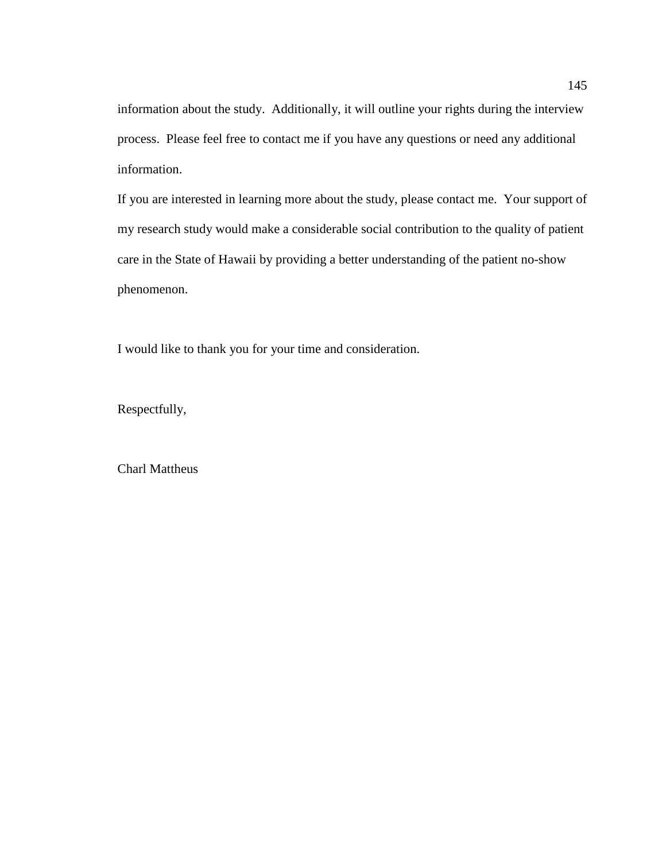information about the study. Additionally, it will outline your rights during the interview process. Please feel free to contact me if you have any questions or need any additional information.

If you are interested in learning more about the study, please contact me. Your support of my research study would make a considerable social contribution to the quality of patient care in the State of Hawaii by providing a better understanding of the patient no-show phenomenon.

I would like to thank you for your time and consideration.

Respectfully,

Charl Mattheus